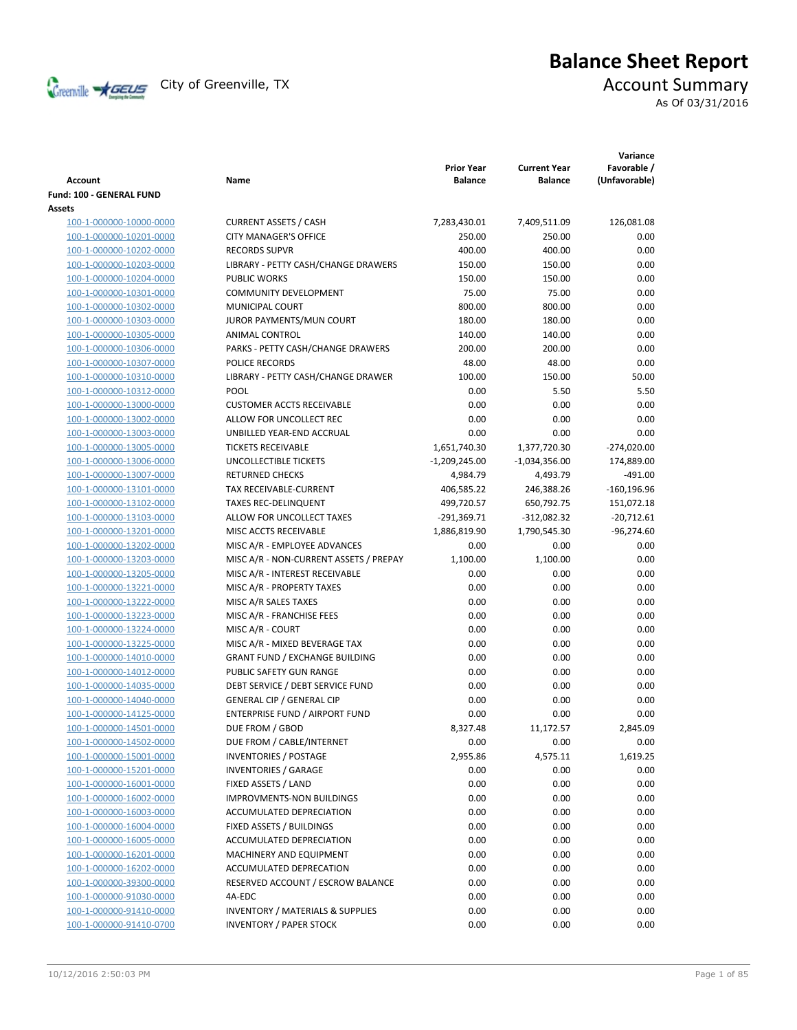

# **Balance Sheet Report**

As Of 03/31/2016

| Account                                            | Name                                                        | <b>Prior Year</b><br><b>Balance</b> | <b>Current Year</b><br><b>Balance</b> | Variance<br>Favorable /<br>(Unfavorable) |
|----------------------------------------------------|-------------------------------------------------------------|-------------------------------------|---------------------------------------|------------------------------------------|
| Fund: 100 - GENERAL FUND                           |                                                             |                                     |                                       |                                          |
| Assets                                             |                                                             |                                     |                                       |                                          |
| 100-1-000000-10000-0000                            | <b>CURRENT ASSETS / CASH</b>                                | 7,283,430.01                        | 7,409,511.09                          | 126,081.08                               |
| 100-1-000000-10201-0000                            | <b>CITY MANAGER'S OFFICE</b>                                | 250.00                              | 250.00                                | 0.00                                     |
| 100-1-000000-10202-0000                            | <b>RECORDS SUPVR</b>                                        | 400.00                              | 400.00                                | 0.00                                     |
| 100-1-000000-10203-0000                            | LIBRARY - PETTY CASH/CHANGE DRAWERS                         | 150.00                              | 150.00                                | 0.00                                     |
| 100-1-000000-10204-0000                            | <b>PUBLIC WORKS</b>                                         | 150.00                              | 150.00                                | 0.00                                     |
| 100-1-000000-10301-0000                            | <b>COMMUNITY DEVELOPMENT</b>                                | 75.00                               | 75.00                                 | 0.00                                     |
| 100-1-000000-10302-0000                            | <b>MUNICIPAL COURT</b>                                      | 800.00                              | 800.00                                | 0.00                                     |
| 100-1-000000-10303-0000                            | JUROR PAYMENTS/MUN COURT                                    | 180.00                              | 180.00                                | 0.00                                     |
| 100-1-000000-10305-0000                            | <b>ANIMAL CONTROL</b>                                       | 140.00                              | 140.00                                | 0.00                                     |
| 100-1-000000-10306-0000                            | PARKS - PETTY CASH/CHANGE DRAWERS                           | 200.00                              | 200.00                                | 0.00                                     |
| 100-1-000000-10307-0000                            | POLICE RECORDS                                              | 48.00                               | 48.00                                 | 0.00                                     |
| 100-1-000000-10310-0000                            | LIBRARY - PETTY CASH/CHANGE DRAWER                          | 100.00                              | 150.00                                | 50.00                                    |
| 100-1-000000-10312-0000                            | POOL                                                        | 0.00                                | 5.50                                  | 5.50                                     |
| 100-1-000000-13000-0000                            | <b>CUSTOMER ACCTS RECEIVABLE</b>                            | 0.00                                | 0.00                                  | 0.00                                     |
| 100-1-000000-13002-0000                            | ALLOW FOR UNCOLLECT REC                                     | 0.00                                | 0.00                                  | 0.00                                     |
| 100-1-000000-13003-0000                            | UNBILLED YEAR-END ACCRUAL                                   | 0.00                                | 0.00                                  | 0.00                                     |
| 100-1-000000-13005-0000                            | <b>TICKETS RECEIVABLE</b>                                   | 1,651,740.30                        | 1,377,720.30                          | $-274,020.00$                            |
| 100-1-000000-13006-0000                            | UNCOLLECTIBLE TICKETS                                       | $-1,209,245.00$                     | $-1,034,356.00$                       | 174,889.00                               |
| 100-1-000000-13007-0000                            | <b>RETURNED CHECKS</b>                                      | 4,984.79                            | 4,493.79                              | $-491.00$                                |
| 100-1-000000-13101-0000                            | TAX RECEIVABLE-CURRENT                                      | 406,585.22                          | 246,388.26                            | $-160, 196.96$                           |
| 100-1-000000-13102-0000                            | <b>TAXES REC-DELINQUENT</b>                                 | 499,720.57                          | 650,792.75                            | 151,072.18                               |
| 100-1-000000-13103-0000                            | ALLOW FOR UNCOLLECT TAXES                                   | $-291,369.71$                       | $-312,082.32$                         | $-20,712.61$                             |
| 100-1-000000-13201-0000                            | MISC ACCTS RECEIVABLE                                       | 1,886,819.90                        | 1,790,545.30                          | $-96,274.60$                             |
| 100-1-000000-13202-0000                            | MISC A/R - EMPLOYEE ADVANCES                                | 0.00                                | 0.00                                  | 0.00                                     |
| 100-1-000000-13203-0000                            | MISC A/R - NON-CURRENT ASSETS / PREPAY                      | 1,100.00                            | 1,100.00                              | 0.00                                     |
| 100-1-000000-13205-0000                            | MISC A/R - INTEREST RECEIVABLE                              | 0.00                                | 0.00                                  | 0.00                                     |
| 100-1-000000-13221-0000                            | MISC A/R - PROPERTY TAXES                                   | 0.00                                | 0.00                                  | 0.00                                     |
| 100-1-000000-13222-0000                            | MISC A/R SALES TAXES                                        | 0.00                                | 0.00                                  | 0.00                                     |
| 100-1-000000-13223-0000                            | MISC A/R - FRANCHISE FEES                                   | 0.00                                | 0.00                                  | 0.00                                     |
| 100-1-000000-13224-0000                            | MISC A/R - COURT                                            | 0.00                                | 0.00                                  | 0.00                                     |
| 100-1-000000-13225-0000                            | MISC A/R - MIXED BEVERAGE TAX                               | 0.00                                | 0.00                                  | 0.00                                     |
| 100-1-000000-14010-0000                            | <b>GRANT FUND / EXCHANGE BUILDING</b>                       | 0.00                                | 0.00                                  | 0.00                                     |
| 100-1-000000-14012-0000                            | PUBLIC SAFETY GUN RANGE                                     | 0.00                                | 0.00                                  | 0.00                                     |
| 100-1-000000-14035-0000                            | DEBT SERVICE / DEBT SERVICE FUND                            | 0.00                                | 0.00                                  | 0.00                                     |
| 100-1-000000-14040-0000                            | <b>GENERAL CIP / GENERAL CIP</b>                            | 0.00                                | 0.00                                  | 0.00                                     |
| 100-1-000000-14125-0000                            | ENTERPRISE FUND / AIRPORT FUND                              | 0.00                                | 0.00                                  | 0.00                                     |
| 100-1-000000-14501-0000                            | DUE FROM / GBOD                                             | 8,327.48                            | 11,172.57                             | 2,845.09                                 |
| 100-1-000000-14502-0000                            | DUE FROM / CABLE/INTERNET                                   | 0.00                                | 0.00                                  | 0.00                                     |
| 100-1-000000-15001-0000                            | <b>INVENTORIES / POSTAGE</b><br><b>INVENTORIES / GARAGE</b> | 2,955.86                            | 4,575.11                              | 1,619.25                                 |
| 100-1-000000-15201-0000                            |                                                             | 0.00                                | 0.00                                  | 0.00                                     |
| 100-1-000000-16001-0000<br>100-1-000000-16002-0000 | FIXED ASSETS / LAND<br><b>IMPROVMENTS-NON BUILDINGS</b>     | 0.00<br>0.00                        | 0.00<br>0.00                          | 0.00<br>0.00                             |
|                                                    | ACCUMULATED DEPRECIATION                                    | 0.00                                | 0.00                                  | 0.00                                     |
| 100-1-000000-16003-0000<br>100-1-000000-16004-0000 | FIXED ASSETS / BUILDINGS                                    | 0.00                                | 0.00                                  | 0.00                                     |
| 100-1-000000-16005-0000                            | ACCUMULATED DEPRECIATION                                    | 0.00                                | 0.00                                  | 0.00                                     |
| 100-1-000000-16201-0000                            | MACHINERY AND EQUIPMENT                                     | 0.00                                | 0.00                                  | 0.00                                     |
| 100-1-000000-16202-0000                            | ACCUMULATED DEPRECATION                                     | 0.00                                | 0.00                                  | 0.00                                     |
| 100-1-000000-39300-0000                            | RESERVED ACCOUNT / ESCROW BALANCE                           | 0.00                                | 0.00                                  | 0.00                                     |
| 100-1-000000-91030-0000                            | 4A-EDC                                                      | 0.00                                | 0.00                                  | 0.00                                     |
| 100-1-000000-91410-0000                            | <b>INVENTORY / MATERIALS &amp; SUPPLIES</b>                 | 0.00                                | 0.00                                  | 0.00                                     |
| 100-1-000000-91410-0700                            | <b>INVENTORY / PAPER STOCK</b>                              | 0.00                                | 0.00                                  | 0.00                                     |
|                                                    |                                                             |                                     |                                       |                                          |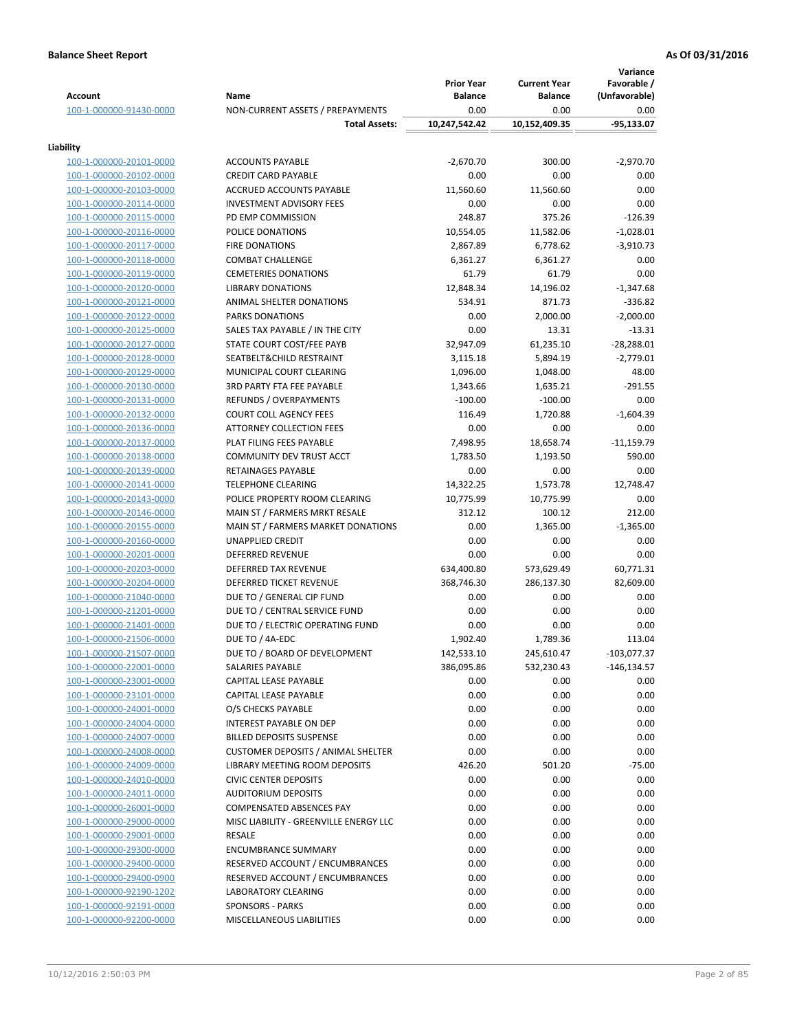|                                                    |                                                            | <b>Prior Year</b>      | <b>Current Year</b>   | Variance<br>Favorable / |
|----------------------------------------------------|------------------------------------------------------------|------------------------|-----------------------|-------------------------|
| <b>Account</b>                                     | Name                                                       | <b>Balance</b>         | <b>Balance</b>        | (Unfavorable)           |
| 100-1-000000-91430-0000                            | NON-CURRENT ASSETS / PREPAYMENTS                           | 0.00                   | 0.00                  | 0.00                    |
|                                                    | <b>Total Assets:</b>                                       | 10,247,542.42          | 10,152,409.35         | $-95,133.07$            |
| Liability                                          |                                                            |                        |                       |                         |
| 100-1-000000-20101-0000                            | <b>ACCOUNTS PAYABLE</b>                                    | $-2,670.70$            | 300.00                | $-2,970.70$             |
| 100-1-000000-20102-0000                            | <b>CREDIT CARD PAYABLE</b>                                 | 0.00                   | 0.00                  | 0.00                    |
| 100-1-000000-20103-0000                            | ACCRUED ACCOUNTS PAYABLE                                   | 11,560.60              | 11,560.60             | 0.00                    |
| 100-1-000000-20114-0000                            | <b>INVESTMENT ADVISORY FEES</b>                            | 0.00                   | 0.00                  | 0.00                    |
| 100-1-000000-20115-0000                            | PD EMP COMMISSION                                          | 248.87                 | 375.26                | $-126.39$               |
| 100-1-000000-20116-0000                            | POLICE DONATIONS                                           | 10,554.05              | 11,582.06             | $-1,028.01$             |
| 100-1-000000-20117-0000                            | <b>FIRE DONATIONS</b>                                      | 2,867.89               | 6,778.62              | $-3,910.73$             |
| 100-1-000000-20118-0000                            | <b>COMBAT CHALLENGE</b>                                    | 6,361.27               | 6,361.27              | 0.00                    |
| 100-1-000000-20119-0000                            | <b>CEMETERIES DONATIONS</b>                                | 61.79                  | 61.79                 | 0.00                    |
| 100-1-000000-20120-0000                            | <b>LIBRARY DONATIONS</b>                                   | 12,848.34              | 14,196.02             | $-1,347.68$             |
| 100-1-000000-20121-0000                            | ANIMAL SHELTER DONATIONS                                   | 534.91                 | 871.73                | $-336.82$               |
| 100-1-000000-20122-0000                            | <b>PARKS DONATIONS</b>                                     | 0.00                   | 2,000.00              | $-2,000.00$             |
| 100-1-000000-20125-0000                            | SALES TAX PAYABLE / IN THE CITY                            | 0.00                   | 13.31                 | $-13.31$                |
| 100-1-000000-20127-0000                            | STATE COURT COST/FEE PAYB                                  | 32,947.09              | 61,235.10             | $-28,288.01$            |
| 100-1-000000-20128-0000                            | SEATBELT&CHILD RESTRAINT                                   | 3,115.18               | 5,894.19              | $-2,779.01$             |
| 100-1-000000-20129-0000                            | MUNICIPAL COURT CLEARING                                   | 1,096.00               | 1,048.00              | 48.00                   |
| 100-1-000000-20130-0000                            | <b>3RD PARTY FTA FEE PAYABLE</b>                           | 1,343.66               | 1,635.21              | $-291.55$               |
| 100-1-000000-20131-0000                            | <b>REFUNDS / OVERPAYMENTS</b>                              | $-100.00$              | $-100.00$             | 0.00                    |
| 100-1-000000-20132-0000                            | <b>COURT COLL AGENCY FEES</b>                              | 116.49                 | 1,720.88              | $-1,604.39$             |
| 100-1-000000-20136-0000                            | <b>ATTORNEY COLLECTION FEES</b>                            | 0.00                   | 0.00                  | 0.00                    |
| 100-1-000000-20137-0000                            | PLAT FILING FEES PAYABLE                                   | 7,498.95               | 18,658.74             | $-11,159.79$            |
| 100-1-000000-20138-0000                            | COMMUNITY DEV TRUST ACCT                                   | 1,783.50               | 1,193.50              | 590.00                  |
| 100-1-000000-20139-0000                            | RETAINAGES PAYABLE                                         | 0.00                   | 0.00                  | 0.00                    |
| 100-1-000000-20141-0000<br>100-1-000000-20143-0000 | <b>TELEPHONE CLEARING</b><br>POLICE PROPERTY ROOM CLEARING | 14,322.25<br>10,775.99 | 1,573.78<br>10,775.99 | 12,748.47<br>0.00       |
| 100-1-000000-20146-0000                            | MAIN ST / FARMERS MRKT RESALE                              | 312.12                 | 100.12                | 212.00                  |
| 100-1-000000-20155-0000                            | MAIN ST / FARMERS MARKET DONATIONS                         | 0.00                   | 1,365.00              | $-1,365.00$             |
| 100-1-000000-20160-0000                            | UNAPPLIED CREDIT                                           | 0.00                   | 0.00                  | 0.00                    |
| 100-1-000000-20201-0000                            | <b>DEFERRED REVENUE</b>                                    | 0.00                   | 0.00                  | 0.00                    |
| 100-1-000000-20203-0000                            | DEFERRED TAX REVENUE                                       | 634,400.80             | 573,629.49            | 60,771.31               |
| 100-1-000000-20204-0000                            | <b>DEFERRED TICKET REVENUE</b>                             | 368,746.30             | 286,137.30            | 82,609.00               |
| 100-1-000000-21040-0000                            | DUE TO / GENERAL CIP FUND                                  | 0.00                   | 0.00                  | 0.00                    |
| 100-1-000000-21201-0000                            | DUE TO / CENTRAL SERVICE FUND                              | 0.00                   | 0.00                  | 0.00                    |
| 100-1-000000-21401-0000                            | DUE TO / ELECTRIC OPERATING FUND                           | 0.00                   | 0.00                  | 0.00                    |
| 100-1-000000-21506-0000                            | DUE TO / 4A-EDC                                            | 1,902.40               | 1,789.36              | 113.04                  |
| 100-1-000000-21507-0000                            | DUE TO / BOARD OF DEVELOPMENT                              | 142,533.10             | 245,610.47            | $-103,077.37$           |
| 100-1-000000-22001-0000                            | SALARIES PAYABLE                                           | 386,095.86             | 532,230.43            | -146,134.57             |
| 100-1-000000-23001-0000                            | CAPITAL LEASE PAYABLE                                      | 0.00                   | 0.00                  | 0.00                    |
| 100-1-000000-23101-0000                            | <b>CAPITAL LEASE PAYABLE</b>                               | 0.00                   | 0.00                  | 0.00                    |
| 100-1-000000-24001-0000                            | O/S CHECKS PAYABLE                                         | 0.00                   | 0.00                  | 0.00                    |
| 100-1-000000-24004-0000                            | INTEREST PAYABLE ON DEP                                    | 0.00                   | 0.00                  | 0.00                    |
| 100-1-000000-24007-0000                            | <b>BILLED DEPOSITS SUSPENSE</b>                            | 0.00                   | 0.00                  | 0.00                    |
| 100-1-000000-24008-0000                            | <b>CUSTOMER DEPOSITS / ANIMAL SHELTER</b>                  | 0.00                   | 0.00                  | 0.00                    |
| 100-1-000000-24009-0000                            | LIBRARY MEETING ROOM DEPOSITS                              | 426.20                 | 501.20                | $-75.00$                |
| 100-1-000000-24010-0000                            | <b>CIVIC CENTER DEPOSITS</b>                               | 0.00                   | 0.00                  | 0.00                    |
| 100-1-000000-24011-0000                            | <b>AUDITORIUM DEPOSITS</b>                                 | 0.00                   | 0.00                  | 0.00                    |
| 100-1-000000-26001-0000                            | <b>COMPENSATED ABSENCES PAY</b>                            | 0.00                   | 0.00                  | 0.00                    |
| 100-1-000000-29000-0000                            | MISC LIABILITY - GREENVILLE ENERGY LLC                     | 0.00                   | 0.00                  | 0.00                    |
| 100-1-000000-29001-0000                            | RESALE                                                     | 0.00                   | 0.00                  | 0.00                    |
| 100-1-000000-29300-0000                            | <b>ENCUMBRANCE SUMMARY</b>                                 | 0.00                   | 0.00                  | 0.00                    |
| 100-1-000000-29400-0000                            | RESERVED ACCOUNT / ENCUMBRANCES                            | 0.00                   | 0.00                  | 0.00                    |
| 100-1-000000-29400-0900                            | RESERVED ACCOUNT / ENCUMBRANCES                            | 0.00                   | 0.00                  | 0.00                    |
| 100-1-000000-92190-1202                            | <b>LABORATORY CLEARING</b>                                 | 0.00                   | 0.00                  | 0.00                    |
| 100-1-000000-92191-0000                            | <b>SPONSORS - PARKS</b>                                    | 0.00                   | 0.00                  | 0.00                    |
| 100-1-000000-92200-0000                            | MISCELLANEOUS LIABILITIES                                  | 0.00                   | 0.00                  | 0.00                    |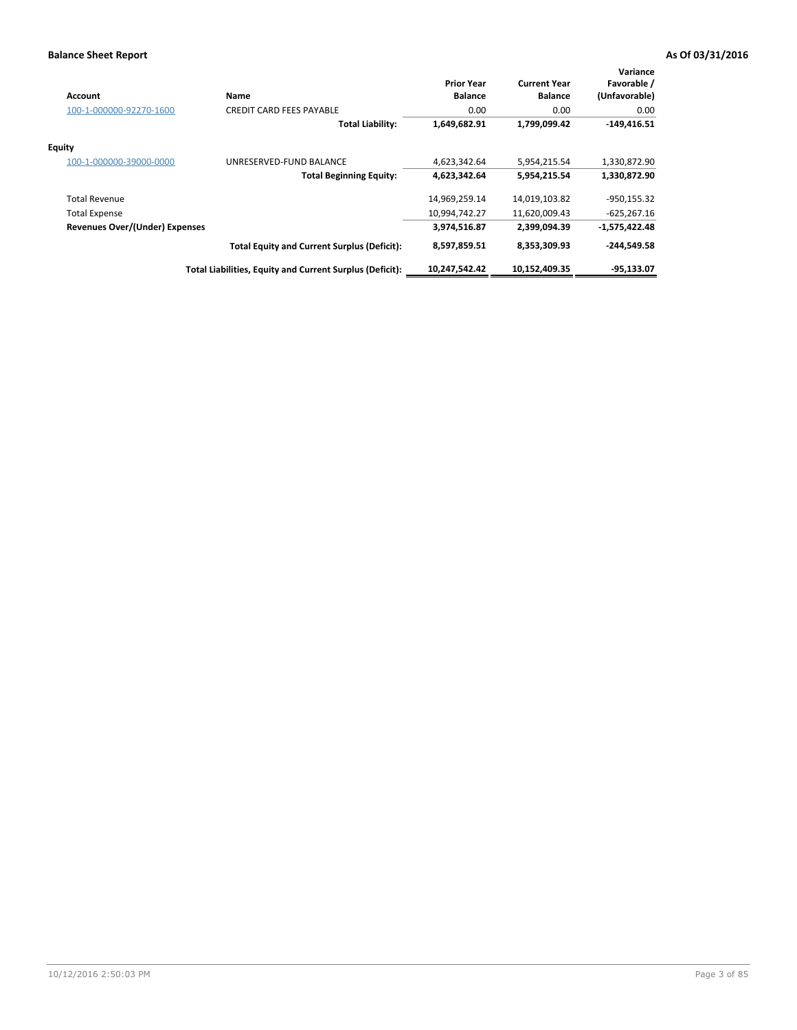| <b>Account</b>                        | Name                                                     | <b>Prior Year</b><br><b>Balance</b> | <b>Current Year</b><br><b>Balance</b> | Variance<br>Favorable /<br>(Unfavorable) |
|---------------------------------------|----------------------------------------------------------|-------------------------------------|---------------------------------------|------------------------------------------|
| 100-1-000000-92270-1600               | <b>CREDIT CARD FEES PAYABLE</b>                          | 0.00                                | 0.00                                  | 0.00                                     |
|                                       | <b>Total Liability:</b>                                  | 1,649,682.91                        | 1,799,099.42                          | $-149,416.51$                            |
| <b>Equity</b>                         |                                                          |                                     |                                       |                                          |
| 100-1-000000-39000-0000               | UNRESERVED-FUND BALANCE                                  | 4,623,342.64                        | 5,954,215.54                          | 1,330,872.90                             |
|                                       | <b>Total Beginning Equity:</b>                           | 4,623,342.64                        | 5,954,215.54                          | 1,330,872.90                             |
| <b>Total Revenue</b>                  |                                                          | 14,969,259.14                       | 14,019,103.82                         | $-950,155.32$                            |
| <b>Total Expense</b>                  |                                                          | 10,994,742.27                       | 11,620,009.43                         | $-625,267.16$                            |
| <b>Revenues Over/(Under) Expenses</b> |                                                          | 3,974,516.87                        | 2,399,094.39                          | $-1,575,422.48$                          |
|                                       | <b>Total Equity and Current Surplus (Deficit):</b>       | 8,597,859.51                        | 8,353,309.93                          | $-244,549.58$                            |
|                                       | Total Liabilities, Equity and Current Surplus (Deficit): | 10,247,542.42                       | 10,152,409.35                         | $-95,133.07$                             |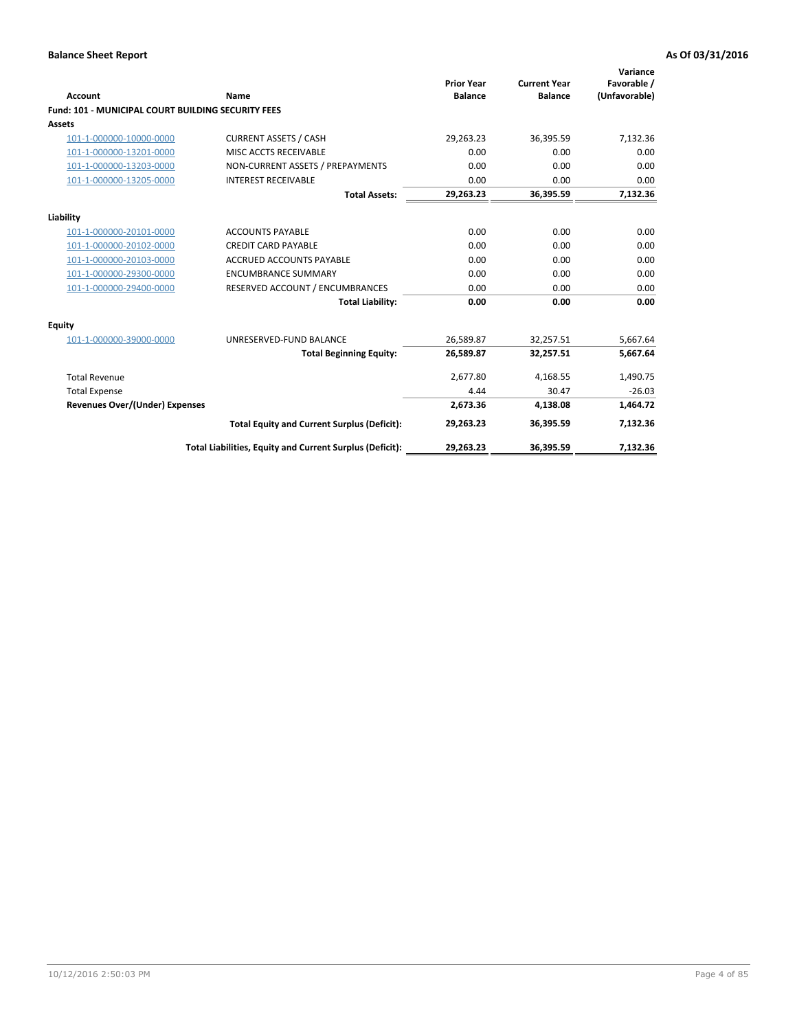| <b>Account</b>                                            | Name                                                     | <b>Prior Year</b><br><b>Balance</b> | <b>Current Year</b><br><b>Balance</b> | Variance<br>Favorable /<br>(Unfavorable) |
|-----------------------------------------------------------|----------------------------------------------------------|-------------------------------------|---------------------------------------|------------------------------------------|
| <b>Fund: 101 - MUNICIPAL COURT BUILDING SECURITY FEES</b> |                                                          |                                     |                                       |                                          |
| <b>Assets</b>                                             |                                                          |                                     |                                       |                                          |
| 101-1-000000-10000-0000                                   | <b>CURRENT ASSETS / CASH</b>                             | 29,263.23                           | 36,395.59                             | 7,132.36                                 |
| 101-1-000000-13201-0000                                   | MISC ACCTS RECEIVABLE                                    | 0.00                                | 0.00                                  | 0.00                                     |
| 101-1-000000-13203-0000                                   | NON-CURRENT ASSETS / PREPAYMENTS                         | 0.00                                | 0.00                                  | 0.00                                     |
| 101-1-000000-13205-0000                                   | <b>INTEREST RECEIVABLE</b>                               | 0.00                                | 0.00                                  | 0.00                                     |
|                                                           | <b>Total Assets:</b>                                     | 29,263.23                           | 36,395.59                             | 7,132.36                                 |
| Liability                                                 |                                                          |                                     |                                       |                                          |
| 101-1-000000-20101-0000                                   | <b>ACCOUNTS PAYABLE</b>                                  | 0.00                                | 0.00                                  | 0.00                                     |
| 101-1-000000-20102-0000                                   | <b>CREDIT CARD PAYABLE</b>                               | 0.00                                | 0.00                                  | 0.00                                     |
| 101-1-000000-20103-0000                                   | <b>ACCRUED ACCOUNTS PAYABLE</b>                          | 0.00                                | 0.00                                  | 0.00                                     |
| 101-1-000000-29300-0000                                   | <b>ENCUMBRANCE SUMMARY</b>                               | 0.00                                | 0.00                                  | 0.00                                     |
| 101-1-000000-29400-0000                                   | RESERVED ACCOUNT / ENCUMBRANCES                          | 0.00                                | 0.00                                  | 0.00                                     |
|                                                           | <b>Total Liability:</b>                                  | 0.00                                | 0.00                                  | 0.00                                     |
| Equity                                                    |                                                          |                                     |                                       |                                          |
| 101-1-000000-39000-0000                                   | UNRESERVED-FUND BALANCE                                  | 26,589.87                           | 32,257.51                             | 5,667.64                                 |
|                                                           | <b>Total Beginning Equity:</b>                           | 26,589.87                           | 32,257.51                             | 5,667.64                                 |
| <b>Total Revenue</b>                                      |                                                          | 2,677.80                            | 4,168.55                              | 1,490.75                                 |
| <b>Total Expense</b>                                      |                                                          | 4.44                                | 30.47                                 | $-26.03$                                 |
| <b>Revenues Over/(Under) Expenses</b>                     |                                                          | 2,673.36                            | 4,138.08                              | 1,464.72                                 |
|                                                           | <b>Total Equity and Current Surplus (Deficit):</b>       | 29,263.23                           | 36,395.59                             | 7,132.36                                 |
|                                                           | Total Liabilities, Equity and Current Surplus (Deficit): | 29,263.23                           | 36,395.59                             | 7,132.36                                 |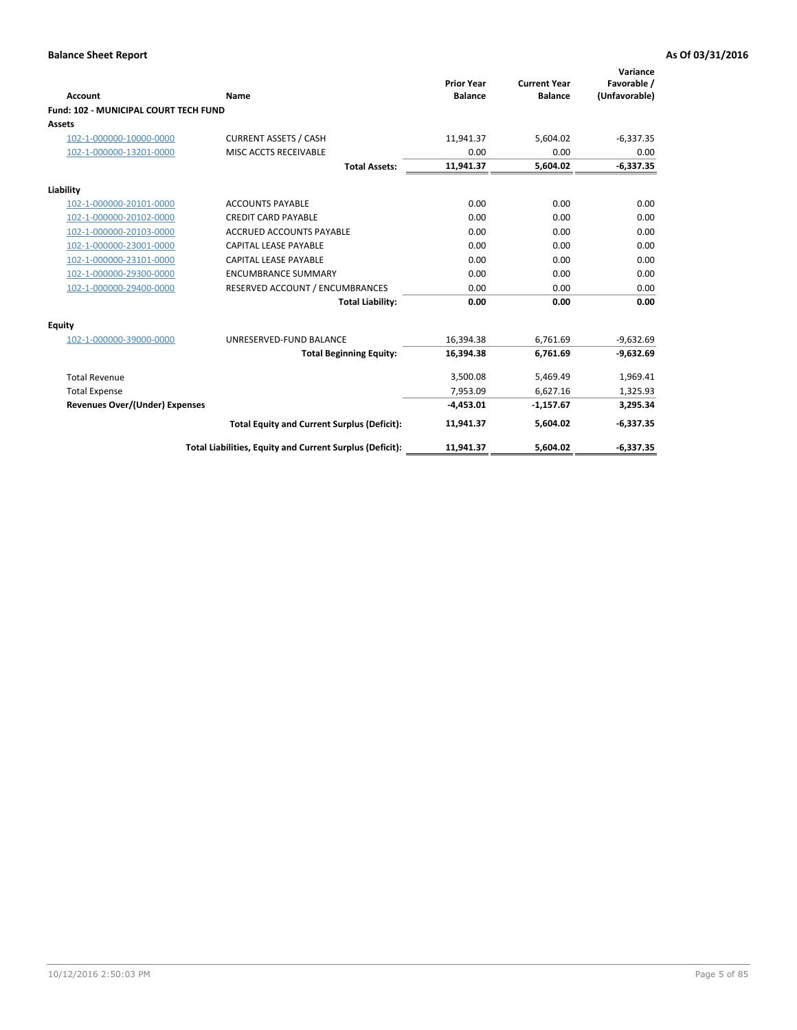| <b>Account</b>                        | Name                                                     | <b>Prior Year</b><br><b>Balance</b> | <b>Current Year</b><br><b>Balance</b> | Variance<br>Favorable /<br>(Unfavorable) |
|---------------------------------------|----------------------------------------------------------|-------------------------------------|---------------------------------------|------------------------------------------|
| Fund: 102 - MUNICIPAL COURT TECH FUND |                                                          |                                     |                                       |                                          |
| <b>Assets</b>                         |                                                          |                                     |                                       |                                          |
| 102-1-000000-10000-0000               | <b>CURRENT ASSETS / CASH</b>                             | 11.941.37                           | 5.604.02                              | $-6,337.35$                              |
| 102-1-000000-13201-0000               | MISC ACCTS RECEIVABLE                                    | 0.00                                | 0.00                                  | 0.00                                     |
|                                       | <b>Total Assets:</b>                                     | 11,941.37                           | 5,604.02                              | $-6,337.35$                              |
| Liability                             |                                                          |                                     |                                       |                                          |
| 102-1-000000-20101-0000               | <b>ACCOUNTS PAYABLE</b>                                  | 0.00                                | 0.00                                  | 0.00                                     |
| 102-1-000000-20102-0000               | <b>CREDIT CARD PAYABLE</b>                               | 0.00                                | 0.00                                  | 0.00                                     |
| 102-1-000000-20103-0000               | <b>ACCRUED ACCOUNTS PAYABLE</b>                          | 0.00                                | 0.00                                  | 0.00                                     |
| 102-1-000000-23001-0000               | CAPITAL LEASE PAYABLE                                    | 0.00                                | 0.00                                  | 0.00                                     |
| 102-1-000000-23101-0000               | <b>CAPITAL LEASE PAYABLE</b>                             | 0.00                                | 0.00                                  | 0.00                                     |
| 102-1-000000-29300-0000               | <b>ENCUMBRANCE SUMMARY</b>                               | 0.00                                | 0.00                                  | 0.00                                     |
| 102-1-000000-29400-0000               | RESERVED ACCOUNT / ENCUMBRANCES                          | 0.00                                | 0.00                                  | 0.00                                     |
|                                       | <b>Total Liability:</b>                                  | 0.00                                | 0.00                                  | 0.00                                     |
| <b>Equity</b>                         |                                                          |                                     |                                       |                                          |
| 102-1-000000-39000-0000               | UNRESERVED-FUND BALANCE                                  | 16,394.38                           | 6,761.69                              | $-9,632.69$                              |
|                                       | <b>Total Beginning Equity:</b>                           | 16,394.38                           | 6,761.69                              | $-9,632.69$                              |
| <b>Total Revenue</b>                  |                                                          | 3,500.08                            | 5,469.49                              | 1,969.41                                 |
| <b>Total Expense</b>                  |                                                          | 7,953.09                            | 6,627.16                              | 1,325.93                                 |
| <b>Revenues Over/(Under) Expenses</b> |                                                          | $-4,453.01$                         | $-1,157.67$                           | 3,295.34                                 |
|                                       | <b>Total Equity and Current Surplus (Deficit):</b>       | 11,941.37                           | 5,604.02                              | $-6,337.35$                              |
|                                       | Total Liabilities, Equity and Current Surplus (Deficit): | 11,941.37                           | 5,604.02                              | $-6,337.35$                              |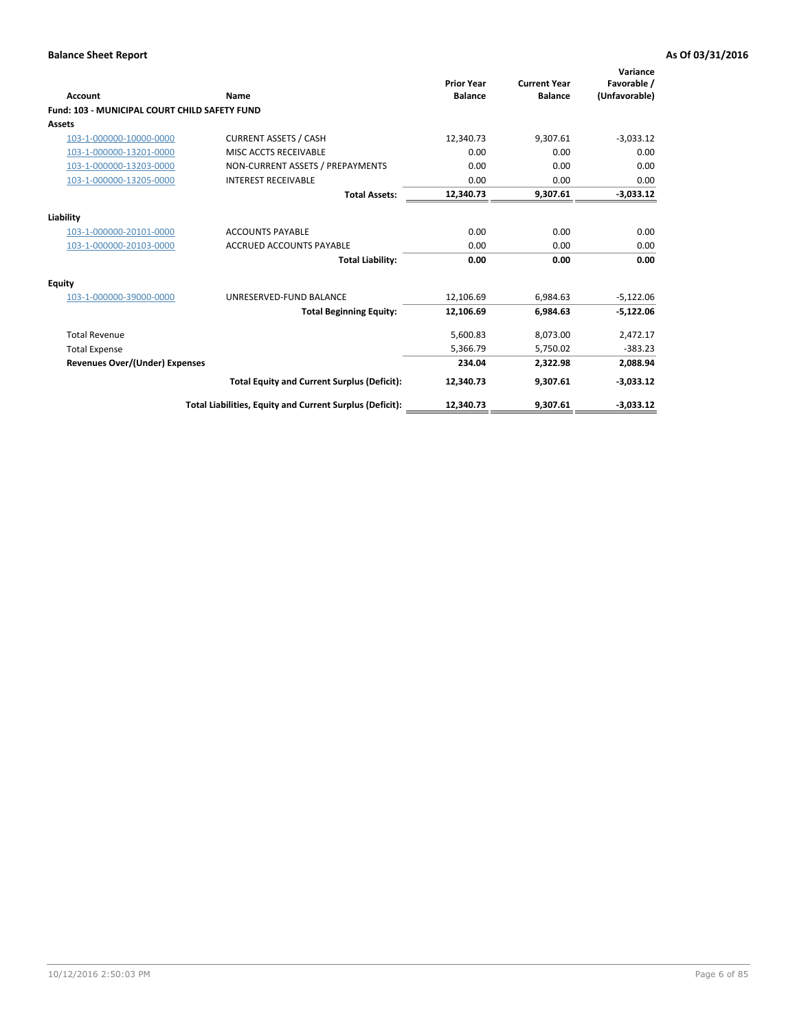| <b>Account</b>                                       | Name                                                     | <b>Prior Year</b><br><b>Balance</b> | <b>Current Year</b><br><b>Balance</b> | Variance<br>Favorable /<br>(Unfavorable) |
|------------------------------------------------------|----------------------------------------------------------|-------------------------------------|---------------------------------------|------------------------------------------|
| <b>Fund: 103 - MUNICIPAL COURT CHILD SAFETY FUND</b> |                                                          |                                     |                                       |                                          |
| <b>Assets</b>                                        |                                                          |                                     |                                       |                                          |
| 103-1-000000-10000-0000                              | <b>CURRENT ASSETS / CASH</b>                             | 12,340.73                           | 9,307.61                              | $-3,033.12$                              |
| 103-1-000000-13201-0000                              | MISC ACCTS RECEIVABLE                                    | 0.00                                | 0.00                                  | 0.00                                     |
| 103-1-000000-13203-0000                              | NON-CURRENT ASSETS / PREPAYMENTS                         | 0.00                                | 0.00                                  | 0.00                                     |
| 103-1-000000-13205-0000                              | <b>INTEREST RECEIVABLE</b>                               | 0.00                                | 0.00                                  | 0.00                                     |
|                                                      | <b>Total Assets:</b>                                     | 12,340.73                           | 9,307.61                              | $-3,033.12$                              |
| Liability                                            |                                                          |                                     |                                       |                                          |
| 103-1-000000-20101-0000                              | <b>ACCOUNTS PAYABLE</b>                                  | 0.00                                | 0.00                                  | 0.00                                     |
| 103-1-000000-20103-0000                              | <b>ACCRUED ACCOUNTS PAYABLE</b>                          | 0.00                                | 0.00                                  | 0.00                                     |
|                                                      | <b>Total Liability:</b>                                  | 0.00                                | 0.00                                  | 0.00                                     |
| Equity                                               |                                                          |                                     |                                       |                                          |
| 103-1-000000-39000-0000                              | UNRESERVED-FUND BALANCE                                  | 12,106.69                           | 6,984.63                              | $-5,122.06$                              |
|                                                      | <b>Total Beginning Equity:</b>                           | 12,106.69                           | 6,984.63                              | $-5,122.06$                              |
| <b>Total Revenue</b>                                 |                                                          | 5,600.83                            | 8,073.00                              | 2,472.17                                 |
| <b>Total Expense</b>                                 |                                                          | 5,366.79                            | 5,750.02                              | $-383.23$                                |
| Revenues Over/(Under) Expenses                       |                                                          | 234.04                              | 2,322.98                              | 2,088.94                                 |
|                                                      | <b>Total Equity and Current Surplus (Deficit):</b>       | 12,340.73                           | 9,307.61                              | $-3,033.12$                              |
|                                                      | Total Liabilities, Equity and Current Surplus (Deficit): | 12,340.73                           | 9,307.61                              | $-3.033.12$                              |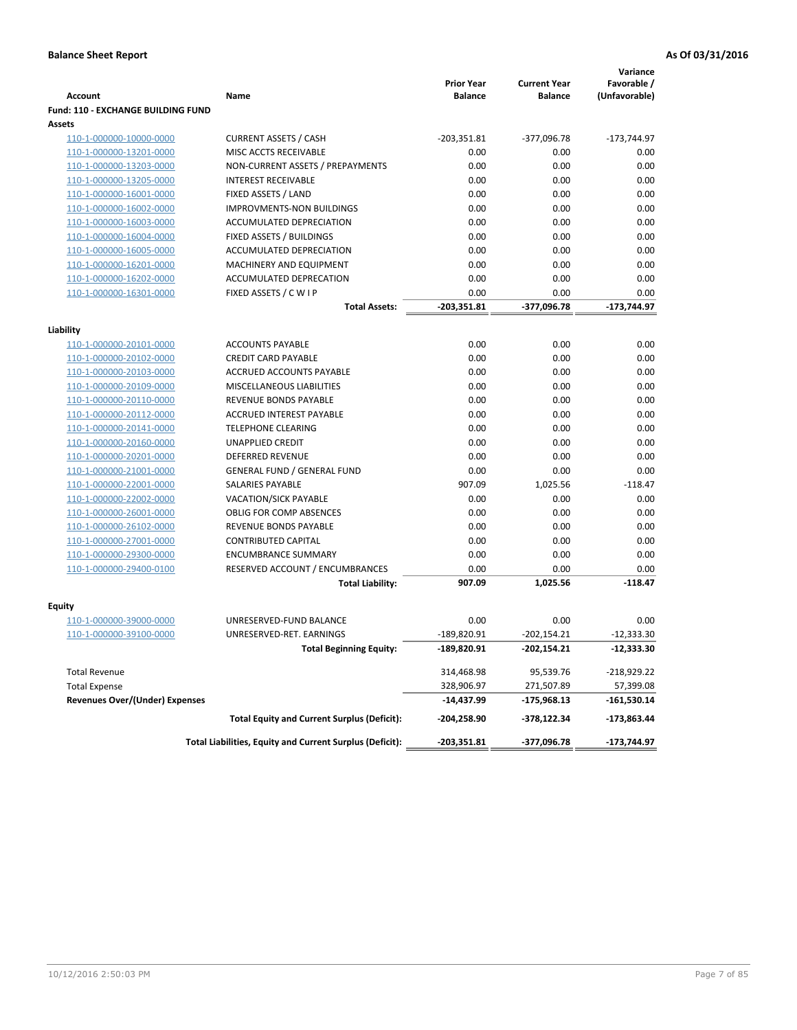|                                           |                                                          | <b>Prior Year</b> | <b>Current Year</b> | Variance<br>Favorable / |
|-------------------------------------------|----------------------------------------------------------|-------------------|---------------------|-------------------------|
| <b>Account</b>                            | Name                                                     | <b>Balance</b>    | <b>Balance</b>      | (Unfavorable)           |
| <b>Fund: 110 - EXCHANGE BUILDING FUND</b> |                                                          |                   |                     |                         |
| Assets                                    |                                                          |                   |                     |                         |
| 110-1-000000-10000-0000                   | <b>CURRENT ASSETS / CASH</b>                             | $-203,351.81$     | -377,096.78         | $-173,744.97$           |
| 110-1-000000-13201-0000                   | MISC ACCTS RECEIVABLE                                    | 0.00              | 0.00                | 0.00                    |
| 110-1-000000-13203-0000                   | NON-CURRENT ASSETS / PREPAYMENTS                         | 0.00              | 0.00                | 0.00                    |
| 110-1-000000-13205-0000                   | <b>INTEREST RECEIVABLE</b>                               | 0.00              | 0.00                | 0.00                    |
| 110-1-000000-16001-0000                   | FIXED ASSETS / LAND                                      | 0.00              | 0.00                | 0.00                    |
| 110-1-000000-16002-0000                   | IMPROVMENTS-NON BUILDINGS                                | 0.00              | 0.00                | 0.00                    |
| 110-1-000000-16003-0000                   | ACCUMULATED DEPRECIATION                                 | 0.00              | 0.00                | 0.00                    |
| 110-1-000000-16004-0000                   | FIXED ASSETS / BUILDINGS                                 | 0.00              | 0.00                | 0.00                    |
| 110-1-000000-16005-0000                   | ACCUMULATED DEPRECIATION                                 | 0.00<br>0.00      | 0.00<br>0.00        | 0.00<br>0.00            |
| 110-1-000000-16201-0000                   | MACHINERY AND EQUIPMENT                                  |                   |                     |                         |
| 110-1-000000-16202-0000                   | ACCUMULATED DEPRECATION                                  | 0.00              | 0.00                | 0.00                    |
| 110-1-000000-16301-0000                   | FIXED ASSETS / C W I P                                   | 0.00              | 0.00<br>-377,096.78 | 0.00<br>$-173,744.97$   |
|                                           | Total Assets:                                            | $-203,351.81$     |                     |                         |
| Liability                                 |                                                          |                   |                     |                         |
| 110-1-000000-20101-0000                   | <b>ACCOUNTS PAYABLE</b>                                  | 0.00              | 0.00                | 0.00                    |
| 110-1-000000-20102-0000                   | <b>CREDIT CARD PAYABLE</b>                               | 0.00              | 0.00                | 0.00                    |
| 110-1-000000-20103-0000                   | ACCRUED ACCOUNTS PAYABLE                                 | 0.00              | 0.00                | 0.00                    |
| 110-1-000000-20109-0000                   | MISCELLANEOUS LIABILITIES                                | 0.00              | 0.00                | 0.00                    |
| 110-1-000000-20110-0000                   | <b>REVENUE BONDS PAYABLE</b>                             | 0.00              | 0.00                | 0.00                    |
| 110-1-000000-20112-0000                   | <b>ACCRUED INTEREST PAYABLE</b>                          | 0.00              | 0.00                | 0.00                    |
| 110-1-000000-20141-0000                   | <b>TELEPHONE CLEARING</b>                                | 0.00              | 0.00                | 0.00                    |
| 110-1-000000-20160-0000                   | <b>UNAPPLIED CREDIT</b>                                  | 0.00              | 0.00                | 0.00                    |
| 110-1-000000-20201-0000                   | <b>DEFERRED REVENUE</b>                                  | 0.00              | 0.00                | 0.00                    |
| 110-1-000000-21001-0000                   | <b>GENERAL FUND / GENERAL FUND</b>                       | 0.00              | 0.00                | 0.00                    |
| 110-1-000000-22001-0000                   | <b>SALARIES PAYABLE</b>                                  | 907.09            | 1,025.56            | $-118.47$               |
| 110-1-000000-22002-0000                   | <b>VACATION/SICK PAYABLE</b>                             | 0.00              | 0.00                | 0.00                    |
| 110-1-000000-26001-0000                   | <b>OBLIG FOR COMP ABSENCES</b>                           | 0.00              | 0.00                | 0.00                    |
| 110-1-000000-26102-0000                   | REVENUE BONDS PAYABLE                                    | 0.00              | 0.00                | 0.00                    |
| 110-1-000000-27001-0000                   | <b>CONTRIBUTED CAPITAL</b>                               | 0.00              | 0.00                | 0.00                    |
| 110-1-000000-29300-0000                   | <b>ENCUMBRANCE SUMMARY</b>                               | 0.00              | 0.00                | 0.00                    |
| 110-1-000000-29400-0100                   | RESERVED ACCOUNT / ENCUMBRANCES                          | 0.00              | 0.00                | 0.00                    |
|                                           | <b>Total Liability:</b>                                  | 907.09            | 1,025.56            | $-118.47$               |
|                                           |                                                          |                   |                     |                         |
| Fquity                                    |                                                          |                   |                     |                         |
| 110-1-000000-39000-0000                   | UNRESERVED-FUND BALANCE                                  | 0.00              | 0.00                | 0.00                    |
| 110-1-000000-39100-0000                   | UNRESERVED-RET. EARNINGS                                 | $-189,820.91$     | $-202,154.21$       | $-12,333.30$            |
|                                           | <b>Total Beginning Equity:</b>                           | -189,820.91       | -202,154.21         | -12,333.30              |
| <b>Total Revenue</b>                      |                                                          | 314,468.98        | 95,539.76           | -218,929.22             |
| <b>Total Expense</b>                      |                                                          | 328,906.97        | 271,507.89          | 57,399.08               |
| <b>Revenues Over/(Under) Expenses</b>     |                                                          | -14,437.99        | -175,968.13         | -161,530.14             |
|                                           | <b>Total Equity and Current Surplus (Deficit):</b>       | -204,258.90       | -378,122.34         | $-173,863.44$           |
|                                           | Total Liabilities, Equity and Current Surplus (Deficit): | -203,351.81       | -377,096.78         | $-173,744.97$           |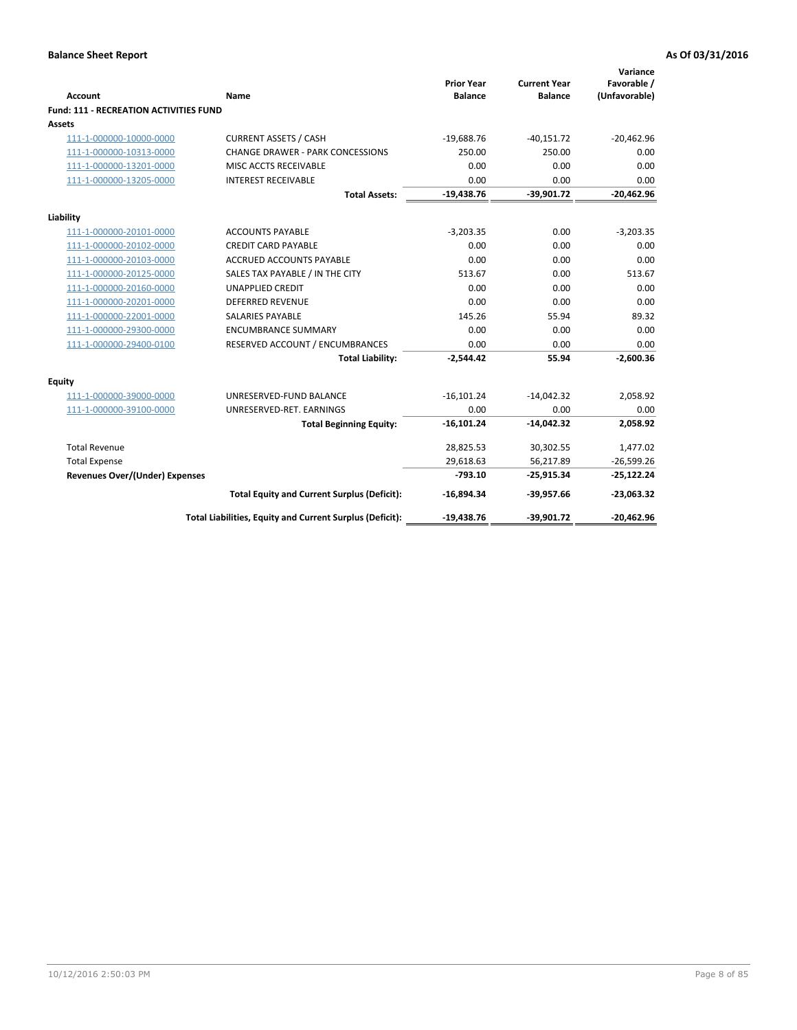|                                               |                                                          | <b>Prior Year</b> | <b>Current Year</b> | Variance<br>Favorable / |
|-----------------------------------------------|----------------------------------------------------------|-------------------|---------------------|-------------------------|
| Account                                       | Name                                                     | <b>Balance</b>    | <b>Balance</b>      | (Unfavorable)           |
| <b>Fund: 111 - RECREATION ACTIVITIES FUND</b> |                                                          |                   |                     |                         |
| Assets                                        |                                                          |                   |                     |                         |
| 111-1-000000-10000-0000                       | <b>CURRENT ASSETS / CASH</b>                             | $-19,688.76$      | $-40,151.72$        | $-20,462.96$            |
| 111-1-000000-10313-0000                       | <b>CHANGE DRAWER - PARK CONCESSIONS</b>                  | 250.00            | 250.00              | 0.00                    |
| 111-1-000000-13201-0000                       | MISC ACCTS RECEIVABLE                                    | 0.00              | 0.00                | 0.00                    |
| 111-1-000000-13205-0000                       | <b>INTEREST RECEIVABLE</b>                               | 0.00              | 0.00                | 0.00                    |
|                                               | <b>Total Assets:</b>                                     | $-19,438.76$      | $-39,901.72$        | $-20,462.96$            |
| Liability                                     |                                                          |                   |                     |                         |
| 111-1-000000-20101-0000                       | <b>ACCOUNTS PAYABLE</b>                                  | $-3,203.35$       | 0.00                | $-3,203.35$             |
| 111-1-000000-20102-0000                       | <b>CREDIT CARD PAYABLE</b>                               | 0.00              | 0.00                | 0.00                    |
| 111-1-000000-20103-0000                       | <b>ACCRUED ACCOUNTS PAYABLE</b>                          | 0.00              | 0.00                | 0.00                    |
| 111-1-000000-20125-0000                       | SALES TAX PAYABLE / IN THE CITY                          | 513.67            | 0.00                | 513.67                  |
| 111-1-000000-20160-0000                       | <b>UNAPPLIED CREDIT</b>                                  | 0.00              | 0.00                | 0.00                    |
| 111-1-000000-20201-0000                       | <b>DEFERRED REVENUE</b>                                  | 0.00              | 0.00                | 0.00                    |
| 111-1-000000-22001-0000                       | <b>SALARIES PAYABLE</b>                                  | 145.26            | 55.94               | 89.32                   |
| 111-1-000000-29300-0000                       | <b>ENCUMBRANCE SUMMARY</b>                               | 0.00              | 0.00                | 0.00                    |
| 111-1-000000-29400-0100                       | RESERVED ACCOUNT / ENCUMBRANCES                          | 0.00              | 0.00                | 0.00                    |
|                                               | <b>Total Liability:</b>                                  | $-2,544.42$       | 55.94               | $-2,600.36$             |
| <b>Equity</b>                                 |                                                          |                   |                     |                         |
| 111-1-000000-39000-0000                       | UNRESERVED-FUND BALANCE                                  | $-16,101.24$      | $-14,042.32$        | 2,058.92                |
| 111-1-000000-39100-0000                       | UNRESERVED-RET. EARNINGS                                 | 0.00              | 0.00                | 0.00                    |
|                                               | <b>Total Beginning Equity:</b>                           | $-16,101.24$      | $-14,042.32$        | 2,058.92                |
| <b>Total Revenue</b>                          |                                                          | 28,825.53         | 30,302.55           | 1,477.02                |
| <b>Total Expense</b>                          |                                                          | 29,618.63         | 56,217.89           | $-26,599.26$            |
| <b>Revenues Over/(Under) Expenses</b>         |                                                          | $-793.10$         | $-25,915.34$        | $-25,122.24$            |
|                                               | <b>Total Equity and Current Surplus (Deficit):</b>       | $-16,894.34$      | $-39,957.66$        | $-23,063.32$            |
|                                               | Total Liabilities, Equity and Current Surplus (Deficit): | $-19,438.76$      | $-39,901.72$        | $-20,462.96$            |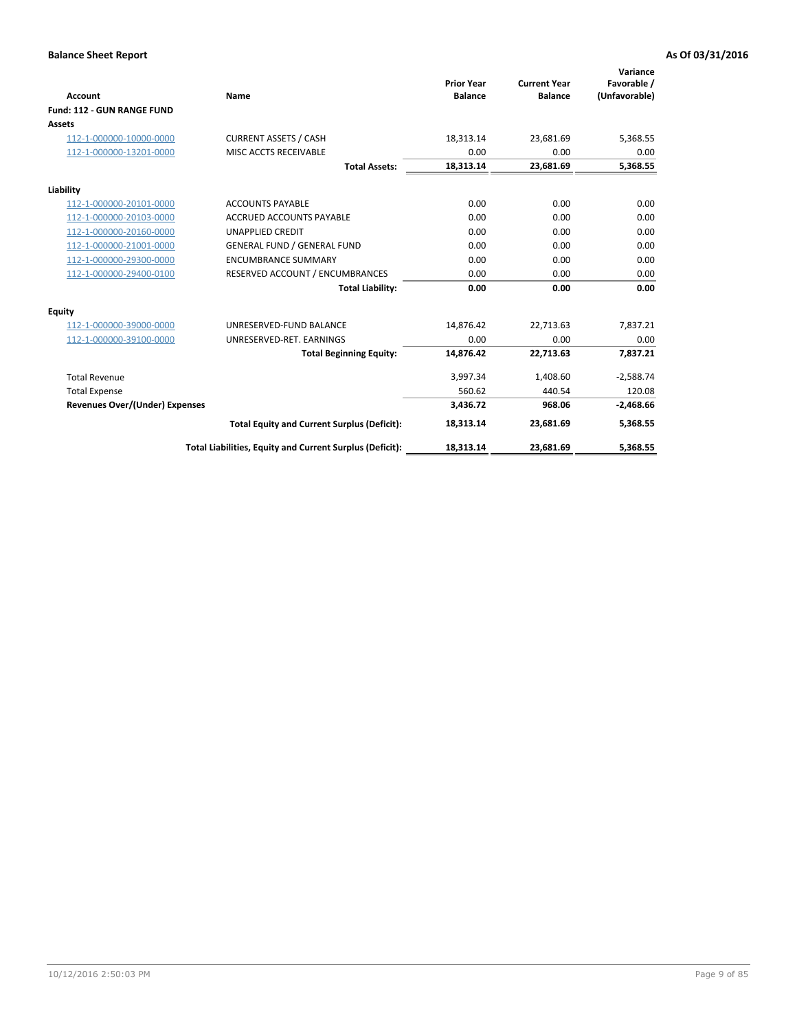|                                       |                                                          |                                     |                                       | Variance                     |
|---------------------------------------|----------------------------------------------------------|-------------------------------------|---------------------------------------|------------------------------|
| <b>Account</b>                        | Name                                                     | <b>Prior Year</b><br><b>Balance</b> | <b>Current Year</b><br><b>Balance</b> | Favorable /<br>(Unfavorable) |
| Fund: 112 - GUN RANGE FUND            |                                                          |                                     |                                       |                              |
| <b>Assets</b>                         |                                                          |                                     |                                       |                              |
| 112-1-000000-10000-0000               | <b>CURRENT ASSETS / CASH</b>                             | 18,313.14                           | 23,681.69                             | 5,368.55                     |
| 112-1-000000-13201-0000               | MISC ACCTS RECEIVABLE                                    | 0.00                                | 0.00                                  | 0.00                         |
|                                       | <b>Total Assets:</b>                                     | 18,313.14                           | 23,681.69                             | 5,368.55                     |
| Liability                             |                                                          |                                     |                                       |                              |
| 112-1-000000-20101-0000               | <b>ACCOUNTS PAYABLE</b>                                  | 0.00                                | 0.00                                  | 0.00                         |
| 112-1-000000-20103-0000               | <b>ACCRUED ACCOUNTS PAYABLE</b>                          | 0.00                                | 0.00                                  | 0.00                         |
| 112-1-000000-20160-0000               | <b>UNAPPLIED CREDIT</b>                                  | 0.00                                | 0.00                                  | 0.00                         |
| 112-1-000000-21001-0000               | <b>GENERAL FUND / GENERAL FUND</b>                       | 0.00                                | 0.00                                  | 0.00                         |
| 112-1-000000-29300-0000               | <b>ENCUMBRANCE SUMMARY</b>                               | 0.00                                | 0.00                                  | 0.00                         |
| 112-1-000000-29400-0100               | RESERVED ACCOUNT / ENCUMBRANCES                          | 0.00                                | 0.00                                  | 0.00                         |
|                                       | <b>Total Liability:</b>                                  | 0.00                                | 0.00                                  | 0.00                         |
| Equity                                |                                                          |                                     |                                       |                              |
| 112-1-000000-39000-0000               | UNRESERVED-FUND BALANCE                                  | 14,876.42                           | 22,713.63                             | 7,837.21                     |
| 112-1-000000-39100-0000               | UNRESERVED-RET. EARNINGS                                 | 0.00                                | 0.00                                  | 0.00                         |
|                                       | <b>Total Beginning Equity:</b>                           | 14.876.42                           | 22.713.63                             | 7,837.21                     |
| <b>Total Revenue</b>                  |                                                          | 3,997.34                            | 1,408.60                              | $-2,588.74$                  |
| <b>Total Expense</b>                  |                                                          | 560.62                              | 440.54                                | 120.08                       |
| <b>Revenues Over/(Under) Expenses</b> |                                                          | 3,436.72                            | 968.06                                | $-2,468.66$                  |
|                                       | <b>Total Equity and Current Surplus (Deficit):</b>       | 18,313.14                           | 23,681.69                             | 5,368.55                     |
|                                       | Total Liabilities, Equity and Current Surplus (Deficit): | 18,313.14                           | 23,681.69                             | 5,368.55                     |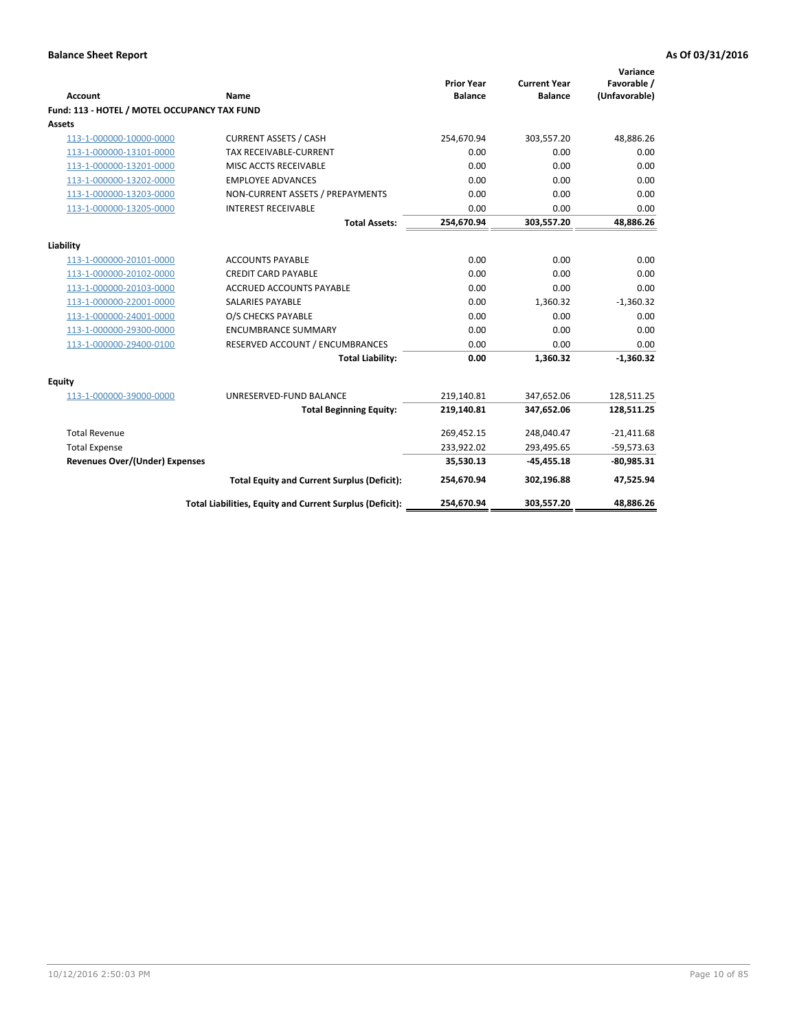| <b>Account</b>                               | <b>Name</b>                                              | <b>Prior Year</b><br><b>Balance</b> | <b>Current Year</b><br><b>Balance</b> | Variance<br>Favorable /<br>(Unfavorable) |
|----------------------------------------------|----------------------------------------------------------|-------------------------------------|---------------------------------------|------------------------------------------|
| Fund: 113 - HOTEL / MOTEL OCCUPANCY TAX FUND |                                                          |                                     |                                       |                                          |
| <b>Assets</b>                                |                                                          |                                     |                                       |                                          |
| 113-1-000000-10000-0000                      | <b>CURRENT ASSETS / CASH</b>                             | 254,670.94                          | 303,557.20                            | 48,886.26                                |
| 113-1-000000-13101-0000                      | TAX RECEIVABLE-CURRENT                                   | 0.00                                | 0.00                                  | 0.00                                     |
| 113-1-000000-13201-0000                      | MISC ACCTS RECEIVABLE                                    | 0.00                                | 0.00                                  | 0.00                                     |
| 113-1-000000-13202-0000                      | <b>EMPLOYEE ADVANCES</b>                                 | 0.00                                | 0.00                                  | 0.00                                     |
| 113-1-000000-13203-0000                      | NON-CURRENT ASSETS / PREPAYMENTS                         | 0.00                                | 0.00                                  | 0.00                                     |
| 113-1-000000-13205-0000                      | <b>INTEREST RECEIVABLE</b>                               | 0.00                                | 0.00                                  | 0.00                                     |
|                                              | <b>Total Assets:</b>                                     | 254,670.94                          | 303,557.20                            | 48,886.26                                |
|                                              |                                                          |                                     |                                       |                                          |
| Liability                                    |                                                          |                                     |                                       |                                          |
| 113-1-000000-20101-0000                      | <b>ACCOUNTS PAYABLE</b>                                  | 0.00                                | 0.00                                  | 0.00                                     |
| 113-1-000000-20102-0000                      | <b>CREDIT CARD PAYABLE</b>                               | 0.00                                | 0.00                                  | 0.00                                     |
| 113-1-000000-20103-0000                      | <b>ACCRUED ACCOUNTS PAYABLE</b>                          | 0.00                                | 0.00                                  | 0.00                                     |
| 113-1-000000-22001-0000                      | <b>SALARIES PAYABLE</b>                                  | 0.00                                | 1,360.32                              | $-1,360.32$                              |
| 113-1-000000-24001-0000                      | O/S CHECKS PAYABLE                                       | 0.00                                | 0.00                                  | 0.00                                     |
| 113-1-000000-29300-0000                      | <b>ENCUMBRANCE SUMMARY</b>                               | 0.00                                | 0.00                                  | 0.00                                     |
| 113-1-000000-29400-0100                      | RESERVED ACCOUNT / ENCUMBRANCES                          | 0.00                                | 0.00                                  | 0.00                                     |
|                                              | <b>Total Liability:</b>                                  | 0.00                                | 1,360.32                              | $-1,360.32$                              |
| <b>Equity</b>                                |                                                          |                                     |                                       |                                          |
| 113-1-000000-39000-0000                      | UNRESERVED-FUND BALANCE                                  | 219,140.81                          | 347,652.06                            | 128,511.25                               |
|                                              | <b>Total Beginning Equity:</b>                           | 219,140.81                          | 347,652.06                            | 128,511.25                               |
| <b>Total Revenue</b>                         |                                                          | 269,452.15                          | 248,040.47                            | $-21,411.68$                             |
| <b>Total Expense</b>                         |                                                          | 233,922.02                          | 293,495.65                            | $-59,573.63$                             |
| <b>Revenues Over/(Under) Expenses</b>        |                                                          | 35,530.13                           | $-45,455.18$                          | $-80,985.31$                             |
|                                              | <b>Total Equity and Current Surplus (Deficit):</b>       | 254,670.94                          | 302,196.88                            | 47,525.94                                |
|                                              | Total Liabilities, Equity and Current Surplus (Deficit): | 254,670.94                          | 303,557.20                            | 48.886.26                                |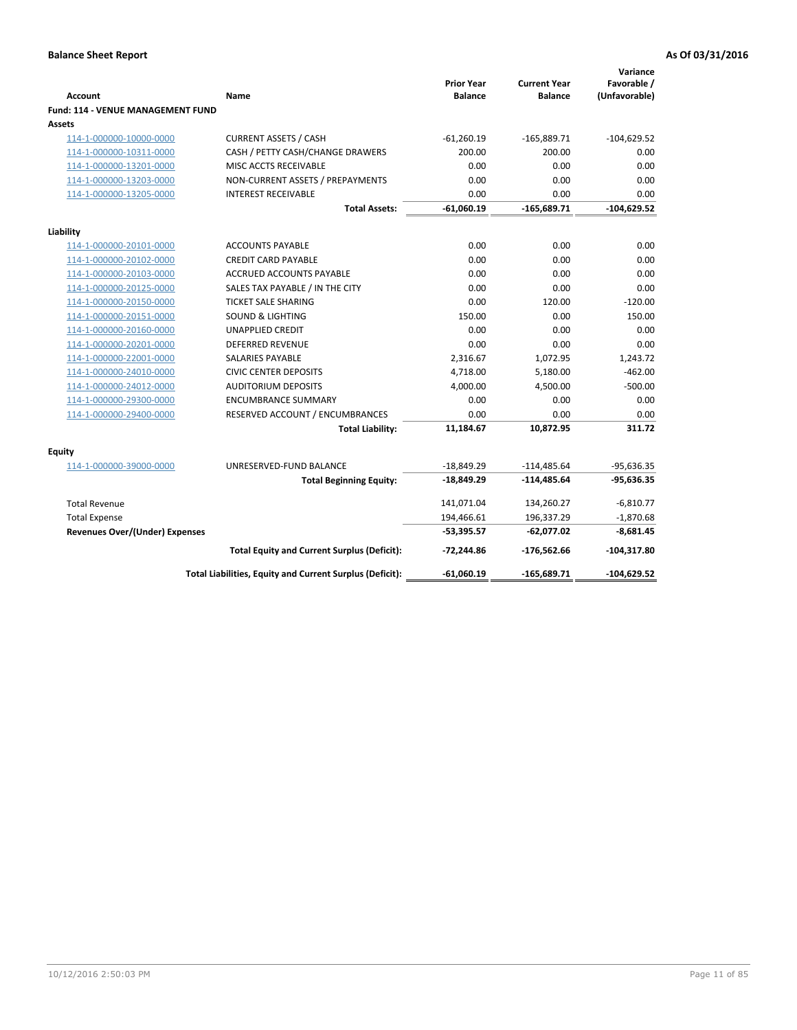| <b>Account</b>                              | Name                                                     | <b>Prior Year</b><br><b>Balance</b> | <b>Current Year</b><br><b>Balance</b> | Variance<br>Favorable /<br>(Unfavorable) |
|---------------------------------------------|----------------------------------------------------------|-------------------------------------|---------------------------------------|------------------------------------------|
| Fund: 114 - VENUE MANAGEMENT FUND<br>Assets |                                                          |                                     |                                       |                                          |
| 114-1-000000-10000-0000                     | <b>CURRENT ASSETS / CASH</b>                             | $-61,260.19$                        | $-165,889.71$                         | $-104,629.52$                            |
| 114-1-000000-10311-0000                     | CASH / PETTY CASH/CHANGE DRAWERS                         | 200.00                              | 200.00                                | 0.00                                     |
| 114-1-000000-13201-0000                     | MISC ACCTS RECEIVABLE                                    | 0.00                                | 0.00                                  | 0.00                                     |
| 114-1-000000-13203-0000                     | NON-CURRENT ASSETS / PREPAYMENTS                         | 0.00                                | 0.00                                  | 0.00                                     |
| 114-1-000000-13205-0000                     | <b>INTEREST RECEIVABLE</b>                               | 0.00                                | 0.00                                  | 0.00                                     |
|                                             | <b>Total Assets:</b>                                     | $-61,060.19$                        | $-165,689.71$                         | $-104,629.52$                            |
|                                             |                                                          |                                     |                                       |                                          |
| Liability                                   |                                                          |                                     |                                       |                                          |
| 114-1-000000-20101-0000                     | <b>ACCOUNTS PAYABLE</b>                                  | 0.00                                | 0.00                                  | 0.00                                     |
| 114-1-000000-20102-0000                     | <b>CREDIT CARD PAYABLE</b>                               | 0.00                                | 0.00                                  | 0.00                                     |
| 114-1-000000-20103-0000                     | <b>ACCRUED ACCOUNTS PAYABLE</b>                          | 0.00                                | 0.00                                  | 0.00                                     |
| 114-1-000000-20125-0000                     | SALES TAX PAYABLE / IN THE CITY                          | 0.00                                | 0.00                                  | 0.00                                     |
| 114-1-000000-20150-0000                     | <b>TICKET SALE SHARING</b>                               | 0.00                                | 120.00                                | $-120.00$                                |
| 114-1-000000-20151-0000                     | <b>SOUND &amp; LIGHTING</b>                              | 150.00                              | 0.00                                  | 150.00                                   |
| 114-1-000000-20160-0000                     | <b>UNAPPLIED CREDIT</b>                                  | 0.00                                | 0.00                                  | 0.00                                     |
| 114-1-000000-20201-0000                     | <b>DEFERRED REVENUE</b>                                  | 0.00                                | 0.00                                  | 0.00                                     |
| 114-1-000000-22001-0000                     | <b>SALARIES PAYABLE</b>                                  | 2,316.67                            | 1,072.95                              | 1,243.72                                 |
| 114-1-000000-24010-0000                     | <b>CIVIC CENTER DEPOSITS</b>                             | 4,718.00                            | 5,180.00                              | $-462.00$                                |
| 114-1-000000-24012-0000                     | <b>AUDITORIUM DEPOSITS</b>                               | 4,000.00                            | 4,500.00                              | $-500.00$                                |
| 114-1-000000-29300-0000                     | <b>ENCUMBRANCE SUMMARY</b>                               | 0.00                                | 0.00                                  | 0.00                                     |
| 114-1-000000-29400-0000                     | RESERVED ACCOUNT / ENCUMBRANCES                          | 0.00                                | 0.00                                  | 0.00                                     |
|                                             | <b>Total Liability:</b>                                  | 11,184.67                           | 10,872.95                             | 311.72                                   |
| Equity                                      |                                                          |                                     |                                       |                                          |
| 114-1-000000-39000-0000                     | UNRESERVED-FUND BALANCE                                  | $-18,849.29$                        | $-114,485.64$                         | $-95,636.35$                             |
|                                             | <b>Total Beginning Equity:</b>                           | -18,849.29                          | $-114,485.64$                         | $-95,636.35$                             |
| <b>Total Revenue</b>                        |                                                          | 141,071.04                          | 134,260.27                            | $-6,810.77$                              |
| <b>Total Expense</b>                        |                                                          | 194,466.61                          | 196,337.29                            | $-1,870.68$                              |
| <b>Revenues Over/(Under) Expenses</b>       |                                                          | $-53,395.57$                        | $-62,077.02$                          | $-8,681.45$                              |
|                                             | <b>Total Equity and Current Surplus (Deficit):</b>       | -72,244.86                          | -176,562.66                           | $-104,317.80$                            |
|                                             | Total Liabilities, Equity and Current Surplus (Deficit): | -61,060.19                          | -165,689.71                           | -104,629.52                              |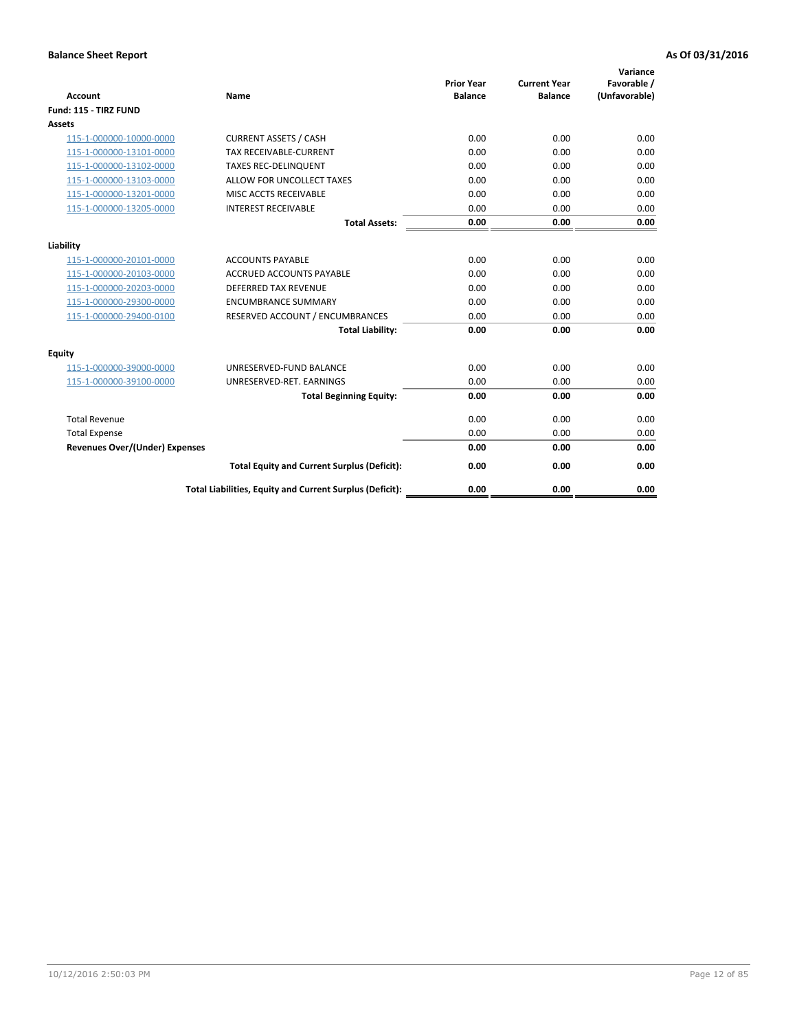| <b>Account</b>                        | Name                                                     | <b>Prior Year</b><br><b>Balance</b> | <b>Current Year</b><br><b>Balance</b> | Variance<br>Favorable /<br>(Unfavorable) |
|---------------------------------------|----------------------------------------------------------|-------------------------------------|---------------------------------------|------------------------------------------|
| Fund: 115 - TIRZ FUND                 |                                                          |                                     |                                       |                                          |
| Assets                                |                                                          |                                     |                                       |                                          |
| 115-1-000000-10000-0000               | <b>CURRENT ASSETS / CASH</b>                             | 0.00                                | 0.00                                  | 0.00                                     |
| 115-1-000000-13101-0000               | <b>TAX RECEIVABLE-CURRENT</b>                            | 0.00                                | 0.00                                  | 0.00                                     |
| 115-1-000000-13102-0000               | <b>TAXES REC-DELINQUENT</b>                              | 0.00                                | 0.00                                  | 0.00                                     |
| 115-1-000000-13103-0000               | ALLOW FOR UNCOLLECT TAXES                                | 0.00                                | 0.00                                  | 0.00                                     |
| 115-1-000000-13201-0000               | MISC ACCTS RECEIVABLE                                    | 0.00                                | 0.00                                  | 0.00                                     |
| 115-1-000000-13205-0000               | <b>INTEREST RECEIVABLE</b>                               | 0.00                                | 0.00                                  | 0.00                                     |
|                                       | <b>Total Assets:</b>                                     | 0.00                                | 0.00                                  | 0.00                                     |
| Liability                             |                                                          |                                     |                                       |                                          |
| 115-1-000000-20101-0000               | <b>ACCOUNTS PAYABLE</b>                                  | 0.00                                | 0.00                                  | 0.00                                     |
| 115-1-000000-20103-0000               | <b>ACCRUED ACCOUNTS PAYABLE</b>                          | 0.00                                | 0.00                                  | 0.00                                     |
| 115-1-000000-20203-0000               | <b>DEFERRED TAX REVENUE</b>                              | 0.00                                | 0.00                                  | 0.00                                     |
| 115-1-000000-29300-0000               | <b>ENCUMBRANCE SUMMARY</b>                               | 0.00                                | 0.00                                  | 0.00                                     |
| 115-1-000000-29400-0100               | RESERVED ACCOUNT / ENCUMBRANCES                          | 0.00                                | 0.00                                  | 0.00                                     |
|                                       | <b>Total Liability:</b>                                  | 0.00                                | 0.00                                  | 0.00                                     |
| Equity                                |                                                          |                                     |                                       |                                          |
| 115-1-000000-39000-0000               | UNRESERVED-FUND BALANCE                                  | 0.00                                | 0.00                                  | 0.00                                     |
| 115-1-000000-39100-0000               | UNRESERVED-RET. EARNINGS                                 | 0.00                                | 0.00                                  | 0.00                                     |
|                                       | <b>Total Beginning Equity:</b>                           | 0.00                                | 0.00                                  | 0.00                                     |
| <b>Total Revenue</b>                  |                                                          | 0.00                                | 0.00                                  | 0.00                                     |
| <b>Total Expense</b>                  |                                                          | 0.00                                | 0.00                                  | 0.00                                     |
| <b>Revenues Over/(Under) Expenses</b> |                                                          | 0.00                                | 0.00                                  | 0.00                                     |
|                                       | <b>Total Equity and Current Surplus (Deficit):</b>       | 0.00                                | 0.00                                  | 0.00                                     |
|                                       | Total Liabilities, Equity and Current Surplus (Deficit): | 0.00                                | 0.00                                  | 0.00                                     |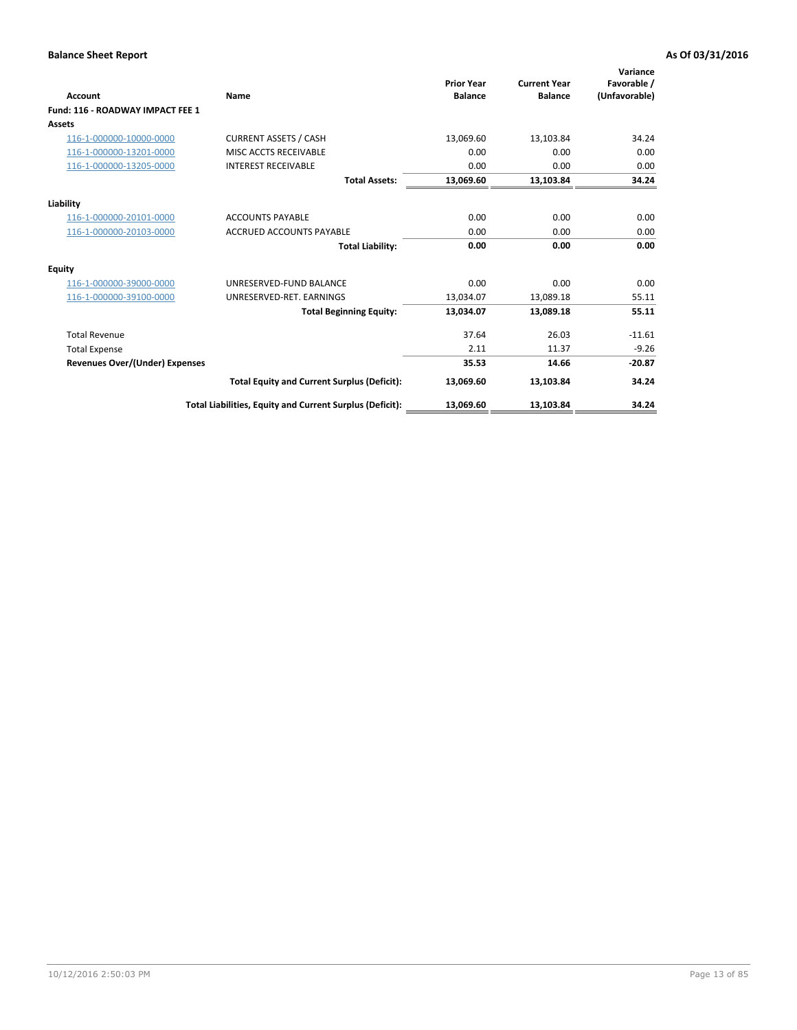| <b>Account</b>                        | <b>Name</b>                                              | <b>Prior Year</b><br><b>Balance</b> | <b>Current Year</b><br><b>Balance</b> | Variance<br>Favorable /<br>(Unfavorable) |
|---------------------------------------|----------------------------------------------------------|-------------------------------------|---------------------------------------|------------------------------------------|
| Fund: 116 - ROADWAY IMPACT FEE 1      |                                                          |                                     |                                       |                                          |
| Assets                                |                                                          |                                     |                                       |                                          |
| 116-1-000000-10000-0000               | <b>CURRENT ASSETS / CASH</b>                             | 13,069.60                           | 13,103.84                             | 34.24                                    |
| 116-1-000000-13201-0000               | MISC ACCTS RECEIVABLE                                    | 0.00                                | 0.00                                  | 0.00                                     |
| 116-1-000000-13205-0000               | <b>INTEREST RECEIVABLE</b>                               | 0.00                                | 0.00                                  | 0.00                                     |
|                                       | <b>Total Assets:</b>                                     | 13,069.60                           | 13,103.84                             | 34.24                                    |
| Liability                             |                                                          |                                     |                                       |                                          |
| 116-1-000000-20101-0000               | <b>ACCOUNTS PAYABLE</b>                                  | 0.00                                | 0.00                                  | 0.00                                     |
| 116-1-000000-20103-0000               | <b>ACCRUED ACCOUNTS PAYABLE</b>                          | 0.00                                | 0.00                                  | 0.00                                     |
|                                       | <b>Total Liability:</b>                                  | 0.00                                | 0.00                                  | 0.00                                     |
| Equity                                |                                                          |                                     |                                       |                                          |
| 116-1-000000-39000-0000               | UNRESERVED-FUND BALANCE                                  | 0.00                                | 0.00                                  | 0.00                                     |
| 116-1-000000-39100-0000               | UNRESERVED-RET. EARNINGS                                 | 13,034.07                           | 13,089.18                             | 55.11                                    |
|                                       | <b>Total Beginning Equity:</b>                           | 13,034.07                           | 13,089.18                             | 55.11                                    |
| <b>Total Revenue</b>                  |                                                          | 37.64                               | 26.03                                 | $-11.61$                                 |
| <b>Total Expense</b>                  |                                                          | 2.11                                | 11.37                                 | $-9.26$                                  |
| <b>Revenues Over/(Under) Expenses</b> |                                                          | 35.53                               | 14.66                                 | $-20.87$                                 |
|                                       | <b>Total Equity and Current Surplus (Deficit):</b>       | 13,069.60                           | 13,103.84                             | 34.24                                    |
|                                       | Total Liabilities, Equity and Current Surplus (Deficit): | 13,069.60                           | 13,103.84                             | 34.24                                    |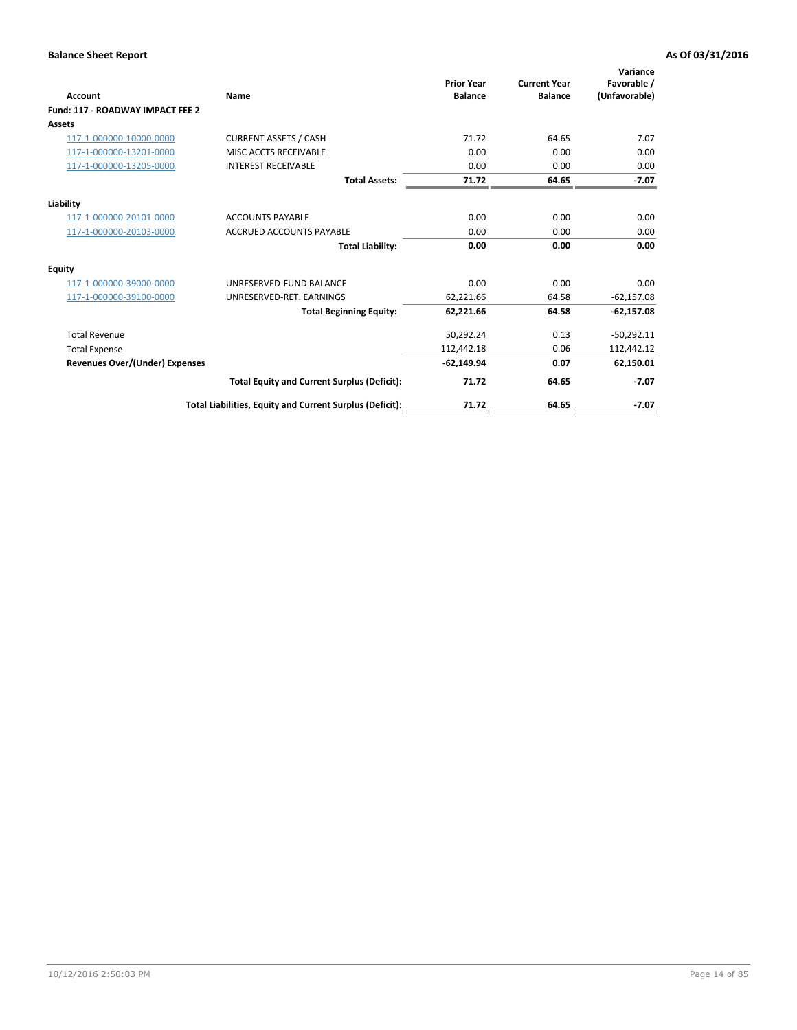| <b>Account</b>                   | Name                                                     | <b>Prior Year</b><br><b>Balance</b> | <b>Current Year</b><br><b>Balance</b> | Variance<br>Favorable /<br>(Unfavorable) |
|----------------------------------|----------------------------------------------------------|-------------------------------------|---------------------------------------|------------------------------------------|
| Fund: 117 - ROADWAY IMPACT FEE 2 |                                                          |                                     |                                       |                                          |
| Assets                           |                                                          |                                     |                                       |                                          |
| 117-1-000000-10000-0000          | <b>CURRENT ASSETS / CASH</b>                             | 71.72                               | 64.65                                 | $-7.07$                                  |
| 117-1-000000-13201-0000          | MISC ACCTS RECEIVABLE                                    | 0.00                                | 0.00                                  | 0.00                                     |
| 117-1-000000-13205-0000          | <b>INTEREST RECEIVABLE</b>                               | 0.00                                | 0.00                                  | 0.00                                     |
|                                  | <b>Total Assets:</b>                                     | 71.72                               | 64.65                                 | $-7.07$                                  |
| Liability                        |                                                          |                                     |                                       |                                          |
| 117-1-000000-20101-0000          | <b>ACCOUNTS PAYABLE</b>                                  | 0.00                                | 0.00                                  | 0.00                                     |
| 117-1-000000-20103-0000          | <b>ACCRUED ACCOUNTS PAYABLE</b>                          | 0.00                                | 0.00                                  | 0.00                                     |
|                                  | <b>Total Liability:</b>                                  | 0.00                                | 0.00                                  | 0.00                                     |
| Equity                           |                                                          |                                     |                                       |                                          |
| 117-1-000000-39000-0000          | UNRESERVED-FUND BALANCE                                  | 0.00                                | 0.00                                  | 0.00                                     |
| 117-1-000000-39100-0000          | UNRESERVED-RET. EARNINGS                                 | 62,221.66                           | 64.58                                 | $-62,157.08$                             |
|                                  | <b>Total Beginning Equity:</b>                           | 62,221.66                           | 64.58                                 | $-62,157.08$                             |
| <b>Total Revenue</b>             |                                                          | 50,292.24                           | 0.13                                  | $-50,292.11$                             |
| <b>Total Expense</b>             |                                                          | 112,442.18                          | 0.06                                  | 112,442.12                               |
| Revenues Over/(Under) Expenses   |                                                          | $-62,149.94$                        | 0.07                                  | 62,150.01                                |
|                                  | <b>Total Equity and Current Surplus (Deficit):</b>       | 71.72                               | 64.65                                 | $-7.07$                                  |
|                                  | Total Liabilities, Equity and Current Surplus (Deficit): | 71.72                               | 64.65                                 | $-7.07$                                  |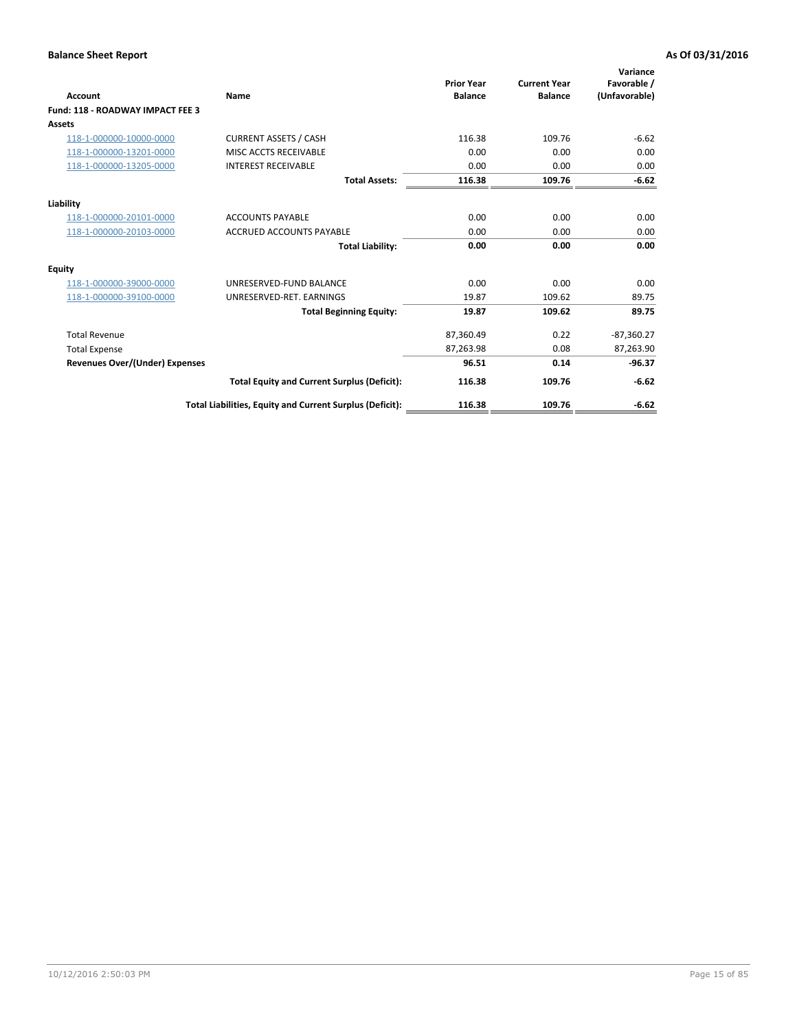| <b>Account</b>                        | Name                                                     | <b>Prior Year</b><br><b>Balance</b> | <b>Current Year</b><br><b>Balance</b> | Variance<br>Favorable /<br>(Unfavorable) |
|---------------------------------------|----------------------------------------------------------|-------------------------------------|---------------------------------------|------------------------------------------|
| Fund: 118 - ROADWAY IMPACT FEE 3      |                                                          |                                     |                                       |                                          |
| Assets                                |                                                          |                                     |                                       |                                          |
| 118-1-000000-10000-0000               | <b>CURRENT ASSETS / CASH</b>                             | 116.38                              | 109.76                                | $-6.62$                                  |
| 118-1-000000-13201-0000               | MISC ACCTS RECEIVABLE                                    | 0.00                                | 0.00                                  | 0.00                                     |
| 118-1-000000-13205-0000               | <b>INTEREST RECEIVABLE</b>                               | 0.00                                | 0.00                                  | 0.00                                     |
|                                       | <b>Total Assets:</b>                                     | 116.38                              | 109.76                                | $-6.62$                                  |
| Liability                             |                                                          |                                     |                                       |                                          |
| 118-1-000000-20101-0000               | <b>ACCOUNTS PAYABLE</b>                                  | 0.00                                | 0.00                                  | 0.00                                     |
| 118-1-000000-20103-0000               | <b>ACCRUED ACCOUNTS PAYABLE</b>                          | 0.00                                | 0.00                                  | 0.00                                     |
|                                       | <b>Total Liability:</b>                                  | 0.00                                | 0.00                                  | 0.00                                     |
| Equity                                |                                                          |                                     |                                       |                                          |
| 118-1-000000-39000-0000               | UNRESERVED-FUND BALANCE                                  | 0.00                                | 0.00                                  | 0.00                                     |
| 118-1-000000-39100-0000               | UNRESERVED-RET. EARNINGS                                 | 19.87                               | 109.62                                | 89.75                                    |
|                                       | <b>Total Beginning Equity:</b>                           | 19.87                               | 109.62                                | 89.75                                    |
| <b>Total Revenue</b>                  |                                                          | 87,360.49                           | 0.22                                  | $-87,360.27$                             |
| <b>Total Expense</b>                  |                                                          | 87,263.98                           | 0.08                                  | 87,263.90                                |
| <b>Revenues Over/(Under) Expenses</b> |                                                          | 96.51                               | 0.14                                  | $-96.37$                                 |
|                                       | <b>Total Equity and Current Surplus (Deficit):</b>       | 116.38                              | 109.76                                | $-6.62$                                  |
|                                       | Total Liabilities, Equity and Current Surplus (Deficit): | 116.38                              | 109.76                                | $-6.62$                                  |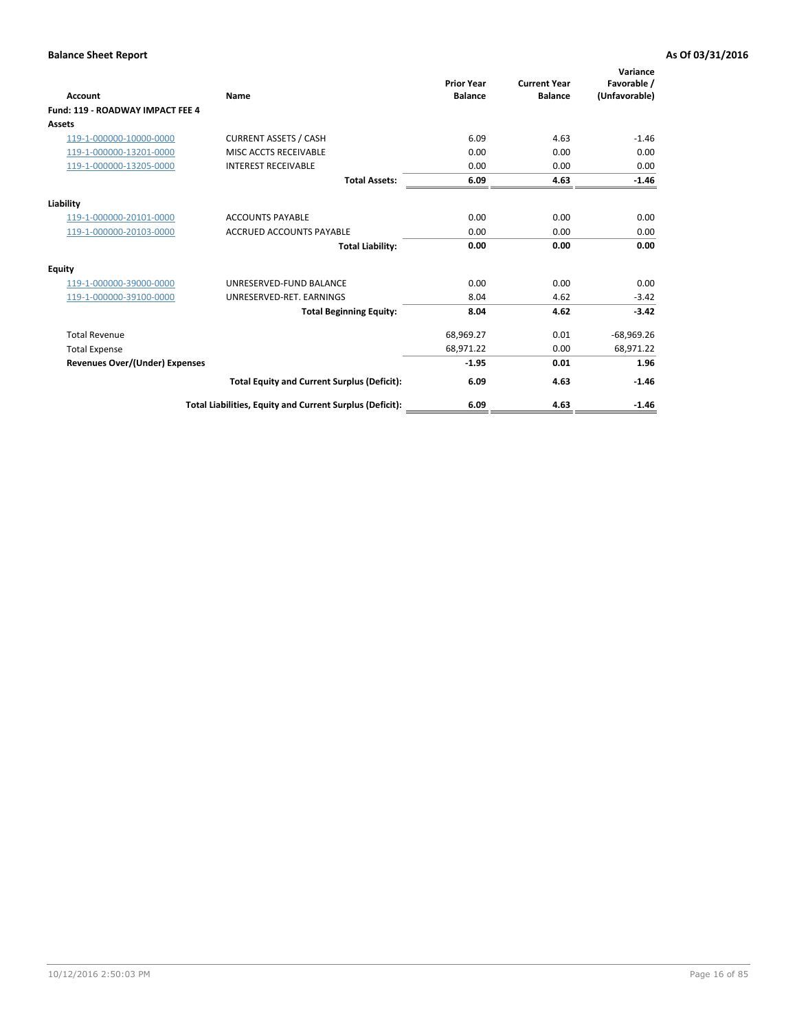| <b>Account</b>                        | Name                                                     | <b>Prior Year</b><br><b>Balance</b> | <b>Current Year</b><br><b>Balance</b> | Variance<br>Favorable /<br>(Unfavorable) |
|---------------------------------------|----------------------------------------------------------|-------------------------------------|---------------------------------------|------------------------------------------|
| Fund: 119 - ROADWAY IMPACT FEE 4      |                                                          |                                     |                                       |                                          |
| Assets                                |                                                          |                                     |                                       |                                          |
| 119-1-000000-10000-0000               | <b>CURRENT ASSETS / CASH</b>                             | 6.09                                | 4.63                                  | $-1.46$                                  |
| 119-1-000000-13201-0000               | MISC ACCTS RECEIVABLE                                    | 0.00                                | 0.00                                  | 0.00                                     |
| 119-1-000000-13205-0000               | <b>INTEREST RECEIVABLE</b>                               | 0.00                                | 0.00                                  | 0.00                                     |
|                                       | <b>Total Assets:</b>                                     | 6.09                                | 4.63                                  | $-1.46$                                  |
| Liability                             |                                                          |                                     |                                       |                                          |
| 119-1-000000-20101-0000               | <b>ACCOUNTS PAYABLE</b>                                  | 0.00                                | 0.00                                  | 0.00                                     |
| 119-1-000000-20103-0000               | <b>ACCRUED ACCOUNTS PAYABLE</b>                          | 0.00                                | 0.00                                  | 0.00                                     |
|                                       | <b>Total Liability:</b>                                  | 0.00                                | 0.00                                  | 0.00                                     |
| Equity                                |                                                          |                                     |                                       |                                          |
| 119-1-000000-39000-0000               | UNRESERVED-FUND BALANCE                                  | 0.00                                | 0.00                                  | 0.00                                     |
| 119-1-000000-39100-0000               | UNRESERVED-RET. EARNINGS                                 | 8.04                                | 4.62                                  | $-3.42$                                  |
|                                       | <b>Total Beginning Equity:</b>                           | 8.04                                | 4.62                                  | $-3.42$                                  |
| <b>Total Revenue</b>                  |                                                          | 68,969.27                           | 0.01                                  | $-68,969.26$                             |
| <b>Total Expense</b>                  |                                                          | 68,971.22                           | 0.00                                  | 68,971.22                                |
| <b>Revenues Over/(Under) Expenses</b> |                                                          | $-1.95$                             | 0.01                                  | 1.96                                     |
|                                       | <b>Total Equity and Current Surplus (Deficit):</b>       | 6.09                                | 4.63                                  | $-1.46$                                  |
|                                       | Total Liabilities, Equity and Current Surplus (Deficit): | 6.09                                | 4.63                                  | $-1.46$                                  |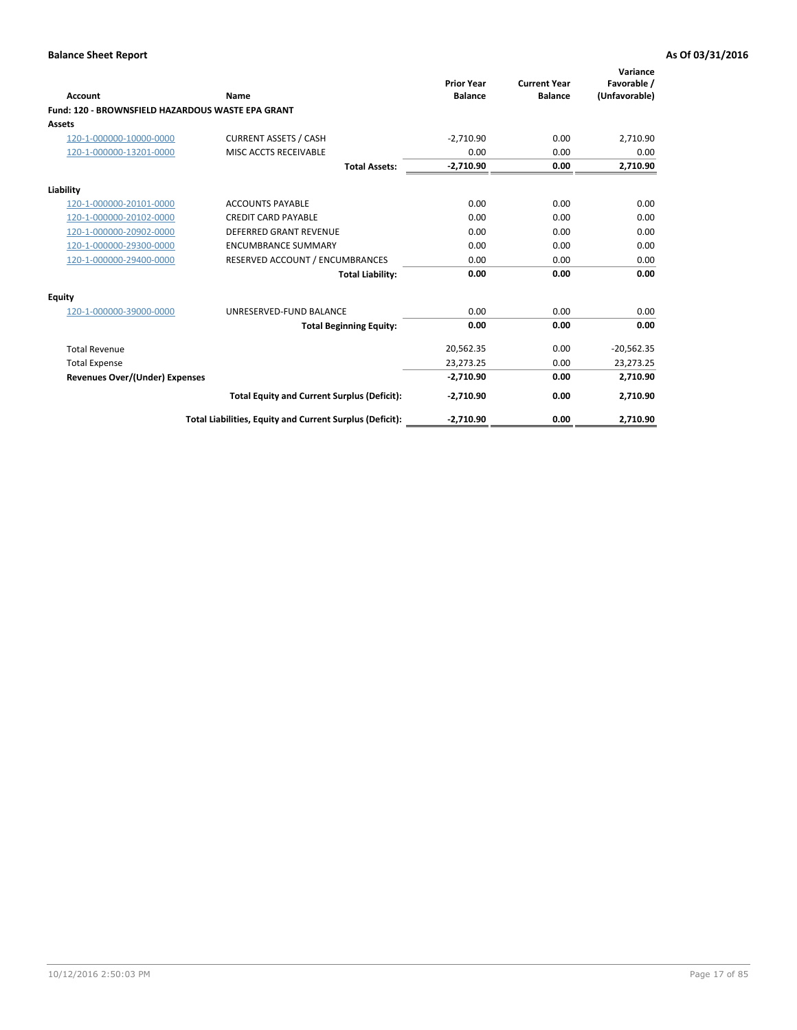| <b>Account</b>                                    | Name                                                     | <b>Prior Year</b><br><b>Balance</b> | <b>Current Year</b><br><b>Balance</b> | Variance<br>Favorable /<br>(Unfavorable) |
|---------------------------------------------------|----------------------------------------------------------|-------------------------------------|---------------------------------------|------------------------------------------|
| Fund: 120 - BROWNSFIELD HAZARDOUS WASTE EPA GRANT |                                                          |                                     |                                       |                                          |
| Assets                                            |                                                          |                                     |                                       |                                          |
| 120-1-000000-10000-0000                           | <b>CURRENT ASSETS / CASH</b>                             | $-2,710.90$                         | 0.00                                  | 2,710.90                                 |
| 120-1-000000-13201-0000                           | MISC ACCTS RECEIVABLE                                    | 0.00                                | 0.00                                  | 0.00                                     |
|                                                   | <b>Total Assets:</b>                                     | $-2,710.90$                         | 0.00                                  | 2,710.90                                 |
| Liability                                         |                                                          |                                     |                                       |                                          |
| 120-1-000000-20101-0000                           | <b>ACCOUNTS PAYABLE</b>                                  | 0.00                                | 0.00                                  | 0.00                                     |
| 120-1-000000-20102-0000                           | <b>CREDIT CARD PAYABLE</b>                               | 0.00                                | 0.00                                  | 0.00                                     |
| 120-1-000000-20902-0000                           | <b>DEFERRED GRANT REVENUE</b>                            | 0.00                                | 0.00                                  | 0.00                                     |
| 120-1-000000-29300-0000                           | <b>ENCUMBRANCE SUMMARY</b>                               | 0.00                                | 0.00                                  | 0.00                                     |
| 120-1-000000-29400-0000                           | RESERVED ACCOUNT / ENCUMBRANCES                          | 0.00                                | 0.00                                  | 0.00                                     |
|                                                   | <b>Total Liability:</b>                                  | 0.00                                | 0.00                                  | 0.00                                     |
| Equity                                            |                                                          |                                     |                                       |                                          |
| 120-1-000000-39000-0000                           | UNRESERVED-FUND BALANCE                                  | 0.00                                | 0.00                                  | 0.00                                     |
|                                                   | <b>Total Beginning Equity:</b>                           | 0.00                                | 0.00                                  | 0.00                                     |
| <b>Total Revenue</b>                              |                                                          | 20,562.35                           | 0.00                                  | $-20,562.35$                             |
| <b>Total Expense</b>                              |                                                          | 23,273.25                           | 0.00                                  | 23,273.25                                |
| <b>Revenues Over/(Under) Expenses</b>             |                                                          | $-2,710.90$                         | 0.00                                  | 2,710.90                                 |
|                                                   | <b>Total Equity and Current Surplus (Deficit):</b>       | $-2,710.90$                         | 0.00                                  | 2,710.90                                 |
|                                                   | Total Liabilities, Equity and Current Surplus (Deficit): | $-2,710.90$                         | 0.00                                  | 2,710.90                                 |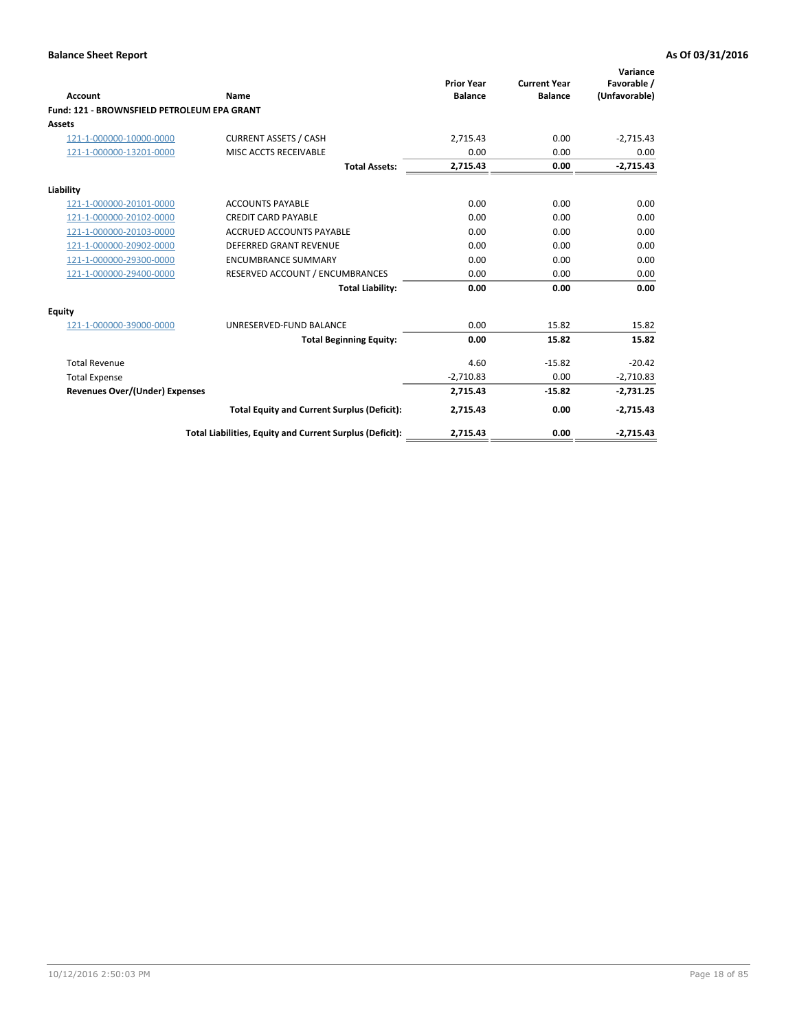| Account                                     | Name                                                     | <b>Prior Year</b><br><b>Balance</b> | <b>Current Year</b><br><b>Balance</b> | Variance<br>Favorable /<br>(Unfavorable) |
|---------------------------------------------|----------------------------------------------------------|-------------------------------------|---------------------------------------|------------------------------------------|
| Fund: 121 - BROWNSFIELD PETROLEUM EPA GRANT |                                                          |                                     |                                       |                                          |
| <b>Assets</b>                               |                                                          |                                     |                                       |                                          |
| 121-1-000000-10000-0000                     | <b>CURRENT ASSETS / CASH</b>                             | 2,715.43                            | 0.00                                  | $-2,715.43$                              |
| 121-1-000000-13201-0000                     | MISC ACCTS RECEIVABLE                                    | 0.00                                | 0.00                                  | 0.00                                     |
|                                             | <b>Total Assets:</b>                                     | 2,715.43                            | 0.00                                  | $-2,715.43$                              |
| Liability                                   |                                                          |                                     |                                       |                                          |
| 121-1-000000-20101-0000                     | <b>ACCOUNTS PAYABLE</b>                                  | 0.00                                | 0.00                                  | 0.00                                     |
| 121-1-000000-20102-0000                     | <b>CREDIT CARD PAYABLE</b>                               | 0.00                                | 0.00                                  | 0.00                                     |
| 121-1-000000-20103-0000                     | <b>ACCRUED ACCOUNTS PAYABLE</b>                          | 0.00                                | 0.00                                  | 0.00                                     |
| 121-1-000000-20902-0000                     | DEFERRED GRANT REVENUE                                   | 0.00                                | 0.00                                  | 0.00                                     |
| 121-1-000000-29300-0000                     | <b>ENCUMBRANCE SUMMARY</b>                               | 0.00                                | 0.00                                  | 0.00                                     |
| 121-1-000000-29400-0000                     | RESERVED ACCOUNT / ENCUMBRANCES                          | 0.00                                | 0.00                                  | 0.00                                     |
|                                             | <b>Total Liability:</b>                                  | 0.00                                | 0.00                                  | 0.00                                     |
| <b>Equity</b>                               |                                                          |                                     |                                       |                                          |
| 121-1-000000-39000-0000                     | UNRESERVED-FUND BALANCE                                  | 0.00                                | 15.82                                 | 15.82                                    |
|                                             | <b>Total Beginning Equity:</b>                           | 0.00                                | 15.82                                 | 15.82                                    |
| <b>Total Revenue</b>                        |                                                          | 4.60                                | $-15.82$                              | $-20.42$                                 |
| <b>Total Expense</b>                        |                                                          | $-2,710.83$                         | 0.00                                  | $-2,710.83$                              |
| <b>Revenues Over/(Under) Expenses</b>       |                                                          | 2,715.43                            | $-15.82$                              | $-2,731.25$                              |
|                                             | <b>Total Equity and Current Surplus (Deficit):</b>       | 2,715.43                            | 0.00                                  | $-2,715.43$                              |
|                                             | Total Liabilities, Equity and Current Surplus (Deficit): | 2,715.43                            | 0.00                                  | $-2,715.43$                              |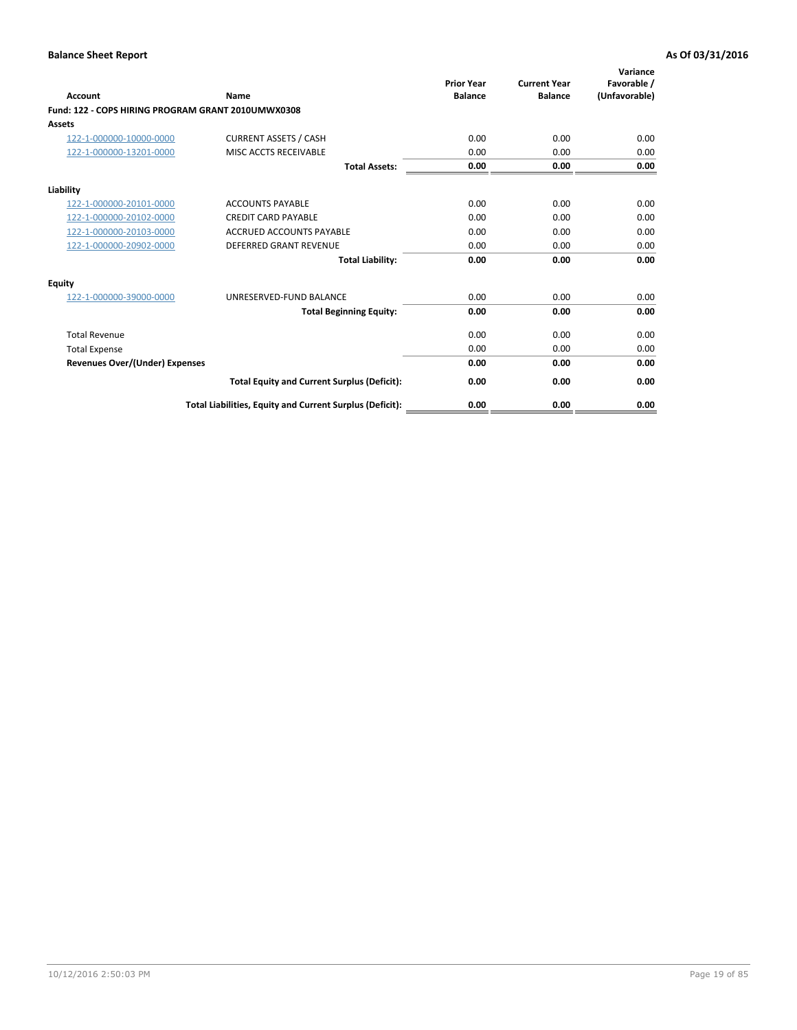| <b>Account</b>                                     | Name                                                     | <b>Prior Year</b><br><b>Balance</b> | <b>Current Year</b><br><b>Balance</b> | Variance<br>Favorable /<br>(Unfavorable) |
|----------------------------------------------------|----------------------------------------------------------|-------------------------------------|---------------------------------------|------------------------------------------|
| Fund: 122 - COPS HIRING PROGRAM GRANT 2010UMWX0308 |                                                          |                                     |                                       |                                          |
| Assets                                             |                                                          |                                     |                                       |                                          |
| 122-1-000000-10000-0000                            | <b>CURRENT ASSETS / CASH</b>                             | 0.00                                | 0.00                                  | 0.00                                     |
| 122-1-000000-13201-0000                            | MISC ACCTS RECEIVABLE                                    | 0.00                                | 0.00                                  | 0.00                                     |
|                                                    | <b>Total Assets:</b>                                     | 0.00                                | 0.00                                  | 0.00                                     |
| Liability                                          |                                                          |                                     |                                       |                                          |
| 122-1-000000-20101-0000                            | <b>ACCOUNTS PAYABLE</b>                                  | 0.00                                | 0.00                                  | 0.00                                     |
| 122-1-000000-20102-0000                            | <b>CREDIT CARD PAYABLE</b>                               | 0.00                                | 0.00                                  | 0.00                                     |
| 122-1-000000-20103-0000                            | <b>ACCRUED ACCOUNTS PAYABLE</b>                          | 0.00                                | 0.00                                  | 0.00                                     |
| 122-1-000000-20902-0000                            | <b>DEFERRED GRANT REVENUE</b>                            | 0.00                                | 0.00                                  | 0.00                                     |
|                                                    | <b>Total Liability:</b>                                  | 0.00                                | 0.00                                  | 0.00                                     |
| Equity                                             |                                                          |                                     |                                       |                                          |
| 122-1-000000-39000-0000                            | UNRESERVED-FUND BALANCE                                  | 0.00                                | 0.00                                  | 0.00                                     |
|                                                    | <b>Total Beginning Equity:</b>                           | 0.00                                | 0.00                                  | 0.00                                     |
| <b>Total Revenue</b>                               |                                                          | 0.00                                | 0.00                                  | 0.00                                     |
| <b>Total Expense</b>                               |                                                          | 0.00                                | 0.00                                  | 0.00                                     |
| <b>Revenues Over/(Under) Expenses</b>              |                                                          | 0.00                                | 0.00                                  | 0.00                                     |
|                                                    | <b>Total Equity and Current Surplus (Deficit):</b>       | 0.00                                | 0.00                                  | 0.00                                     |
|                                                    | Total Liabilities, Equity and Current Surplus (Deficit): | 0.00                                | 0.00                                  | 0.00                                     |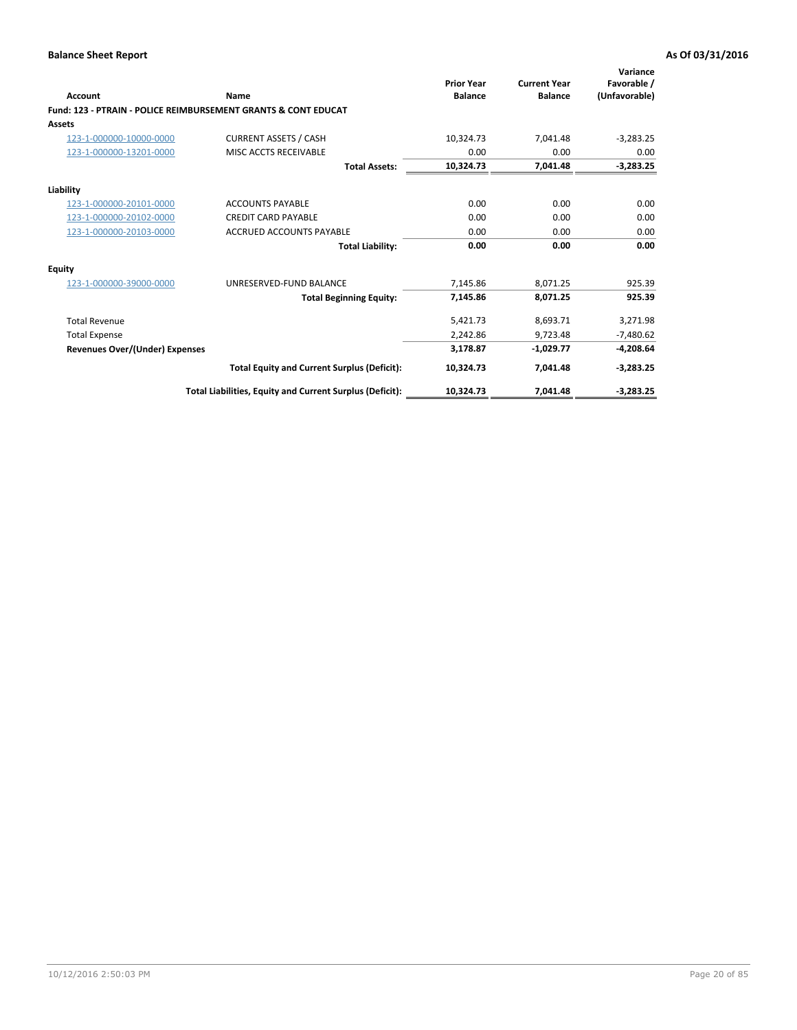| Account                        | Name                                                           | <b>Prior Year</b><br><b>Balance</b> | <b>Current Year</b><br><b>Balance</b> | Variance<br>Favorable /<br>(Unfavorable) |
|--------------------------------|----------------------------------------------------------------|-------------------------------------|---------------------------------------|------------------------------------------|
|                                | Fund: 123 - PTRAIN - POLICE REIMBURSEMENT GRANTS & CONT EDUCAT |                                     |                                       |                                          |
| Assets                         |                                                                |                                     |                                       |                                          |
| 123-1-000000-10000-0000        | <b>CURRENT ASSETS / CASH</b>                                   | 10,324.73                           | 7,041.48                              | $-3,283.25$                              |
| 123-1-000000-13201-0000        | MISC ACCTS RECEIVABLE                                          | 0.00                                | 0.00                                  | 0.00                                     |
|                                | <b>Total Assets:</b>                                           | 10,324.73                           | 7,041.48                              | $-3,283.25$                              |
| Liability                      |                                                                |                                     |                                       |                                          |
| 123-1-000000-20101-0000        | <b>ACCOUNTS PAYABLE</b>                                        | 0.00                                | 0.00                                  | 0.00                                     |
| 123-1-000000-20102-0000        | <b>CREDIT CARD PAYABLE</b>                                     | 0.00                                | 0.00                                  | 0.00                                     |
| 123-1-000000-20103-0000        | <b>ACCRUED ACCOUNTS PAYABLE</b>                                | 0.00                                | 0.00                                  | 0.00                                     |
|                                | <b>Total Liability:</b>                                        | 0.00                                | 0.00                                  | 0.00                                     |
| Equity                         |                                                                |                                     |                                       |                                          |
| 123-1-000000-39000-0000        | UNRESERVED-FUND BALANCE                                        | 7,145.86                            | 8,071.25                              | 925.39                                   |
|                                | <b>Total Beginning Equity:</b>                                 | 7,145.86                            | 8,071.25                              | 925.39                                   |
| <b>Total Revenue</b>           |                                                                | 5,421.73                            | 8,693.71                              | 3,271.98                                 |
| <b>Total Expense</b>           |                                                                | 2,242.86                            | 9,723.48                              | $-7,480.62$                              |
| Revenues Over/(Under) Expenses |                                                                | 3,178.87                            | $-1,029.77$                           | $-4,208.64$                              |
|                                | <b>Total Equity and Current Surplus (Deficit):</b>             | 10,324.73                           | 7,041.48                              | $-3,283.25$                              |
|                                | Total Liabilities, Equity and Current Surplus (Deficit):       | 10,324.73                           | 7,041.48                              | $-3,283.25$                              |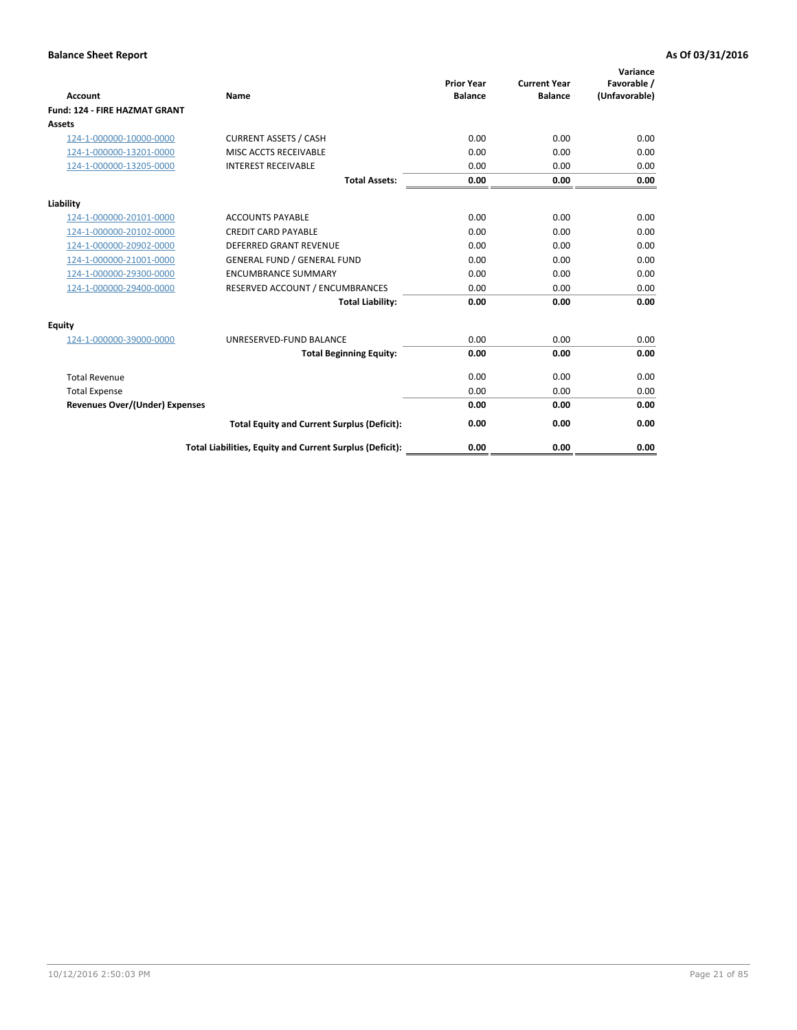| <b>Account</b>                        | Name                                                     | <b>Prior Year</b><br><b>Balance</b> | <b>Current Year</b><br><b>Balance</b> | Variance<br>Favorable /<br>(Unfavorable) |
|---------------------------------------|----------------------------------------------------------|-------------------------------------|---------------------------------------|------------------------------------------|
| <b>Fund: 124 - FIRE HAZMAT GRANT</b>  |                                                          |                                     |                                       |                                          |
| Assets                                |                                                          |                                     |                                       |                                          |
| 124-1-000000-10000-0000               | <b>CURRENT ASSETS / CASH</b>                             | 0.00                                | 0.00                                  | 0.00                                     |
| 124-1-000000-13201-0000               | MISC ACCTS RECEIVABLE                                    | 0.00                                | 0.00                                  | 0.00                                     |
| 124-1-000000-13205-0000               | <b>INTEREST RECEIVABLE</b>                               | 0.00                                | 0.00                                  | 0.00                                     |
|                                       | <b>Total Assets:</b>                                     | 0.00                                | 0.00                                  | 0.00                                     |
| Liability                             |                                                          |                                     |                                       |                                          |
| 124-1-000000-20101-0000               | <b>ACCOUNTS PAYABLE</b>                                  | 0.00                                | 0.00                                  | 0.00                                     |
| 124-1-000000-20102-0000               | <b>CREDIT CARD PAYABLE</b>                               | 0.00                                | 0.00                                  | 0.00                                     |
| 124-1-000000-20902-0000               | <b>DEFERRED GRANT REVENUE</b>                            | 0.00                                | 0.00                                  | 0.00                                     |
| 124-1-000000-21001-0000               | <b>GENERAL FUND / GENERAL FUND</b>                       | 0.00                                | 0.00                                  | 0.00                                     |
| 124-1-000000-29300-0000               | <b>ENCUMBRANCE SUMMARY</b>                               | 0.00                                | 0.00                                  | 0.00                                     |
| 124-1-000000-29400-0000               | RESERVED ACCOUNT / ENCUMBRANCES                          | 0.00                                | 0.00                                  | 0.00                                     |
|                                       | <b>Total Liability:</b>                                  | 0.00                                | 0.00                                  | 0.00                                     |
| Equity                                |                                                          |                                     |                                       |                                          |
| 124-1-000000-39000-0000               | UNRESERVED-FUND BALANCE                                  | 0.00                                | 0.00                                  | 0.00                                     |
|                                       | <b>Total Beginning Equity:</b>                           | 0.00                                | 0.00                                  | 0.00                                     |
| <b>Total Revenue</b>                  |                                                          | 0.00                                | 0.00                                  | 0.00                                     |
| <b>Total Expense</b>                  |                                                          | 0.00                                | 0.00                                  | 0.00                                     |
| <b>Revenues Over/(Under) Expenses</b> |                                                          | 0.00                                | 0.00                                  | 0.00                                     |
|                                       | <b>Total Equity and Current Surplus (Deficit):</b>       | 0.00                                | 0.00                                  | 0.00                                     |
|                                       | Total Liabilities, Equity and Current Surplus (Deficit): | 0.00                                | 0.00                                  | 0.00                                     |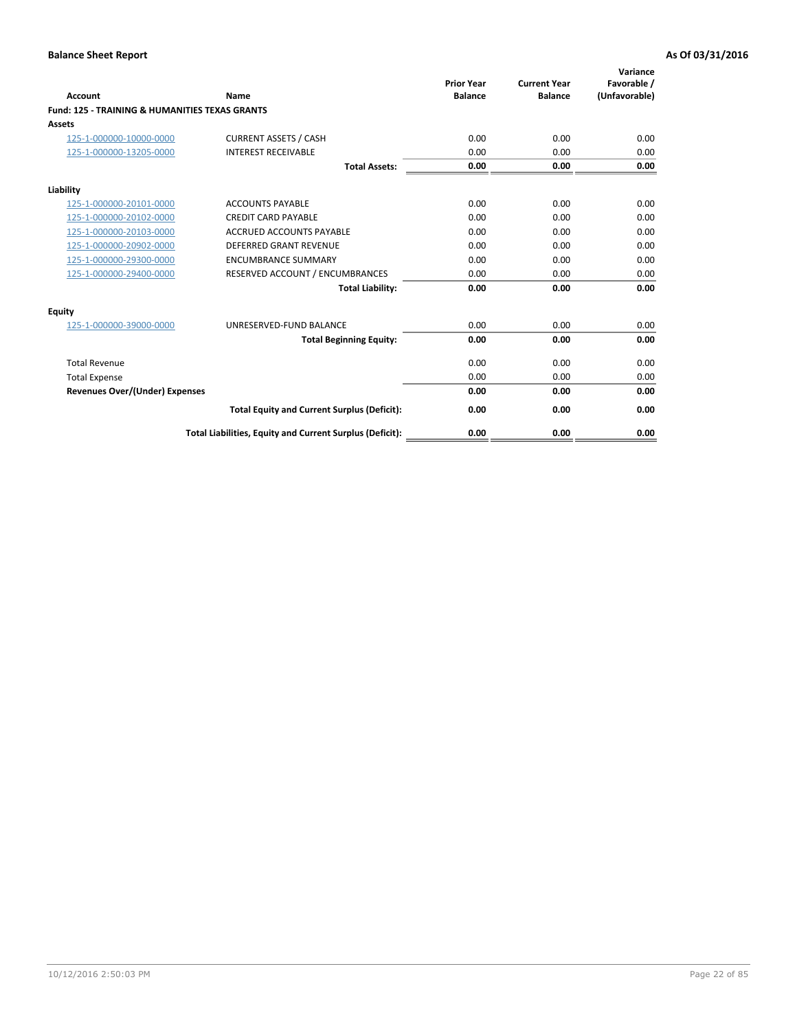| Account                                                   | Name                                                     | <b>Prior Year</b><br><b>Balance</b> | <b>Current Year</b><br><b>Balance</b> | Variance<br>Favorable /<br>(Unfavorable) |
|-----------------------------------------------------------|----------------------------------------------------------|-------------------------------------|---------------------------------------|------------------------------------------|
| <b>Fund: 125 - TRAINING &amp; HUMANITIES TEXAS GRANTS</b> |                                                          |                                     |                                       |                                          |
| <b>Assets</b>                                             |                                                          |                                     |                                       |                                          |
| 125-1-000000-10000-0000                                   | <b>CURRENT ASSETS / CASH</b>                             | 0.00                                | 0.00                                  | 0.00                                     |
| 125-1-000000-13205-0000                                   | <b>INTEREST RECEIVABLE</b>                               | 0.00                                | 0.00                                  | 0.00                                     |
|                                                           | <b>Total Assets:</b>                                     | 0.00                                | 0.00                                  | 0.00                                     |
| Liability                                                 |                                                          |                                     |                                       |                                          |
| 125-1-000000-20101-0000                                   | <b>ACCOUNTS PAYABLE</b>                                  | 0.00                                | 0.00                                  | 0.00                                     |
| 125-1-000000-20102-0000                                   | <b>CREDIT CARD PAYABLE</b>                               | 0.00                                | 0.00                                  | 0.00                                     |
| 125-1-000000-20103-0000                                   | <b>ACCRUED ACCOUNTS PAYABLE</b>                          | 0.00                                | 0.00                                  | 0.00                                     |
| 125-1-000000-20902-0000                                   | <b>DEFERRED GRANT REVENUE</b>                            | 0.00                                | 0.00                                  | 0.00                                     |
| 125-1-000000-29300-0000                                   | <b>ENCUMBRANCE SUMMARY</b>                               | 0.00                                | 0.00                                  | 0.00                                     |
| 125-1-000000-29400-0000                                   | RESERVED ACCOUNT / ENCUMBRANCES                          | 0.00                                | 0.00                                  | 0.00                                     |
|                                                           | <b>Total Liability:</b>                                  | 0.00                                | 0.00                                  | 0.00                                     |
| <b>Equity</b>                                             |                                                          |                                     |                                       |                                          |
| 125-1-000000-39000-0000                                   | UNRESERVED-FUND BALANCE                                  | 0.00                                | 0.00                                  | 0.00                                     |
|                                                           | <b>Total Beginning Equity:</b>                           | 0.00                                | 0.00                                  | 0.00                                     |
| <b>Total Revenue</b>                                      |                                                          | 0.00                                | 0.00                                  | 0.00                                     |
| <b>Total Expense</b>                                      |                                                          | 0.00                                | 0.00                                  | 0.00                                     |
| <b>Revenues Over/(Under) Expenses</b>                     |                                                          | 0.00                                | 0.00                                  | 0.00                                     |
|                                                           | <b>Total Equity and Current Surplus (Deficit):</b>       | 0.00                                | 0.00                                  | 0.00                                     |
|                                                           | Total Liabilities, Equity and Current Surplus (Deficit): | 0.00                                | 0.00                                  | 0.00                                     |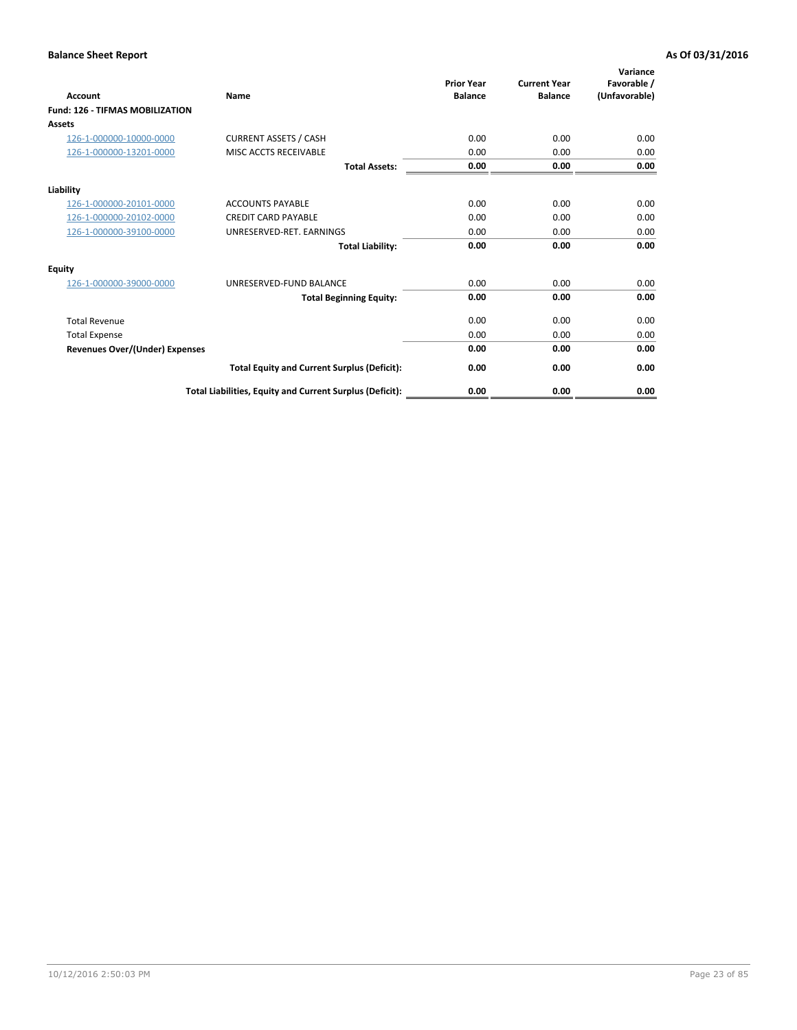| <b>Account</b>                         | Name                                                     | <b>Prior Year</b><br><b>Balance</b> | <b>Current Year</b><br><b>Balance</b> | Variance<br>Favorable /<br>(Unfavorable) |
|----------------------------------------|----------------------------------------------------------|-------------------------------------|---------------------------------------|------------------------------------------|
| <b>Fund: 126 - TIFMAS MOBILIZATION</b> |                                                          |                                     |                                       |                                          |
| Assets                                 |                                                          |                                     |                                       |                                          |
| 126-1-000000-10000-0000                | <b>CURRENT ASSETS / CASH</b>                             | 0.00                                | 0.00                                  | 0.00                                     |
| 126-1-000000-13201-0000                | MISC ACCTS RECEIVABLE                                    | 0.00                                | 0.00                                  | 0.00                                     |
|                                        | <b>Total Assets:</b>                                     | 0.00                                | 0.00                                  | 0.00                                     |
| Liability                              |                                                          |                                     |                                       |                                          |
| 126-1-000000-20101-0000                | <b>ACCOUNTS PAYABLE</b>                                  | 0.00                                | 0.00                                  | 0.00                                     |
| 126-1-000000-20102-0000                | <b>CREDIT CARD PAYABLE</b>                               | 0.00                                | 0.00                                  | 0.00                                     |
| 126-1-000000-39100-0000                | UNRESERVED-RET. EARNINGS                                 | 0.00                                | 0.00                                  | 0.00                                     |
|                                        | <b>Total Liability:</b>                                  | 0.00                                | 0.00                                  | 0.00                                     |
| Equity                                 |                                                          |                                     |                                       |                                          |
| 126-1-000000-39000-0000                | UNRESERVED-FUND BALANCE                                  | 0.00                                | 0.00                                  | 0.00                                     |
|                                        | <b>Total Beginning Equity:</b>                           | 0.00                                | 0.00                                  | 0.00                                     |
| <b>Total Revenue</b>                   |                                                          | 0.00                                | 0.00                                  | 0.00                                     |
| <b>Total Expense</b>                   |                                                          | 0.00                                | 0.00                                  | 0.00                                     |
| Revenues Over/(Under) Expenses         |                                                          | 0.00                                | 0.00                                  | 0.00                                     |
|                                        | <b>Total Equity and Current Surplus (Deficit):</b>       | 0.00                                | 0.00                                  | 0.00                                     |
|                                        | Total Liabilities, Equity and Current Surplus (Deficit): | 0.00                                | 0.00                                  | 0.00                                     |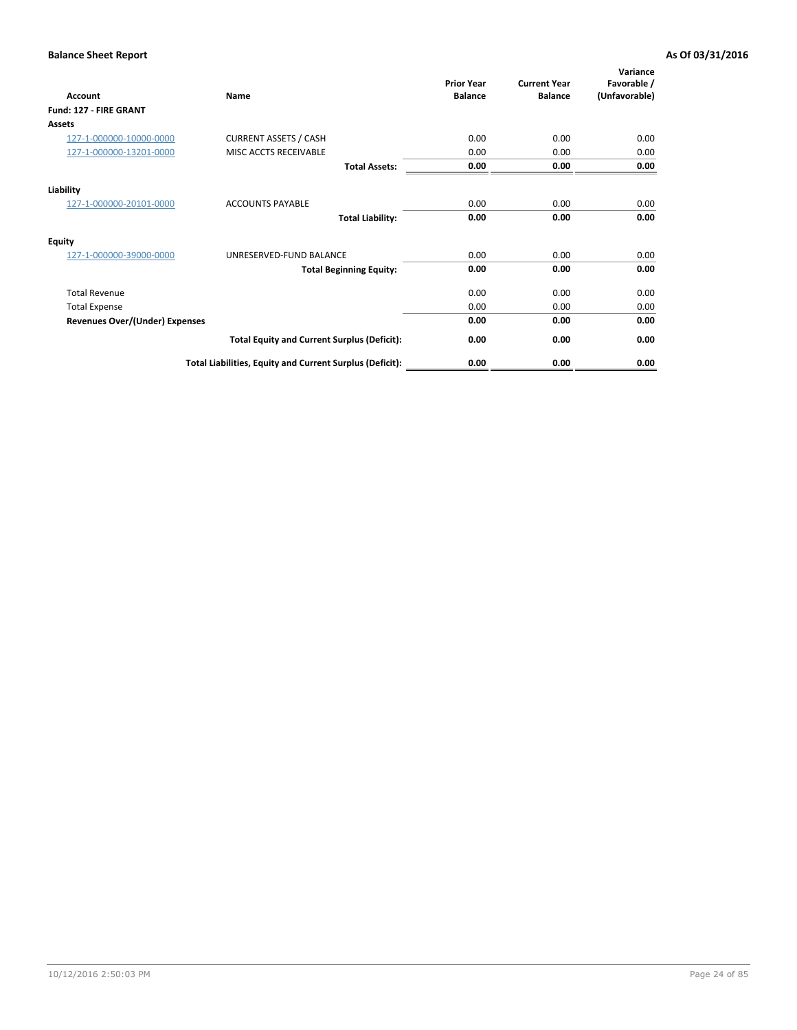| <b>Account</b>                        | Name                                                     | <b>Prior Year</b><br><b>Balance</b> | <b>Current Year</b><br><b>Balance</b> | Variance<br>Favorable /<br>(Unfavorable) |
|---------------------------------------|----------------------------------------------------------|-------------------------------------|---------------------------------------|------------------------------------------|
| Fund: 127 - FIRE GRANT                |                                                          |                                     |                                       |                                          |
| <b>Assets</b>                         |                                                          |                                     |                                       |                                          |
| 127-1-000000-10000-0000               | <b>CURRENT ASSETS / CASH</b>                             | 0.00                                | 0.00                                  | 0.00                                     |
| 127-1-000000-13201-0000               | MISC ACCTS RECEIVABLE                                    | 0.00                                | 0.00                                  | 0.00                                     |
|                                       | <b>Total Assets:</b>                                     | 0.00                                | 0.00                                  | 0.00                                     |
| Liability                             |                                                          |                                     |                                       |                                          |
| 127-1-000000-20101-0000               | <b>ACCOUNTS PAYABLE</b>                                  | 0.00                                | 0.00                                  | 0.00                                     |
|                                       | <b>Total Liability:</b>                                  | 0.00                                | 0.00                                  | 0.00                                     |
| <b>Equity</b>                         |                                                          |                                     |                                       |                                          |
| 127-1-000000-39000-0000               | UNRESERVED-FUND BALANCE                                  | 0.00                                | 0.00                                  | 0.00                                     |
|                                       | <b>Total Beginning Equity:</b>                           | 0.00                                | 0.00                                  | 0.00                                     |
| <b>Total Revenue</b>                  |                                                          | 0.00                                | 0.00                                  | 0.00                                     |
| <b>Total Expense</b>                  |                                                          | 0.00                                | 0.00                                  | 0.00                                     |
| <b>Revenues Over/(Under) Expenses</b> |                                                          | 0.00                                | 0.00                                  | 0.00                                     |
|                                       | <b>Total Equity and Current Surplus (Deficit):</b>       | 0.00                                | 0.00                                  | 0.00                                     |
|                                       | Total Liabilities, Equity and Current Surplus (Deficit): | 0.00                                | 0.00                                  | 0.00                                     |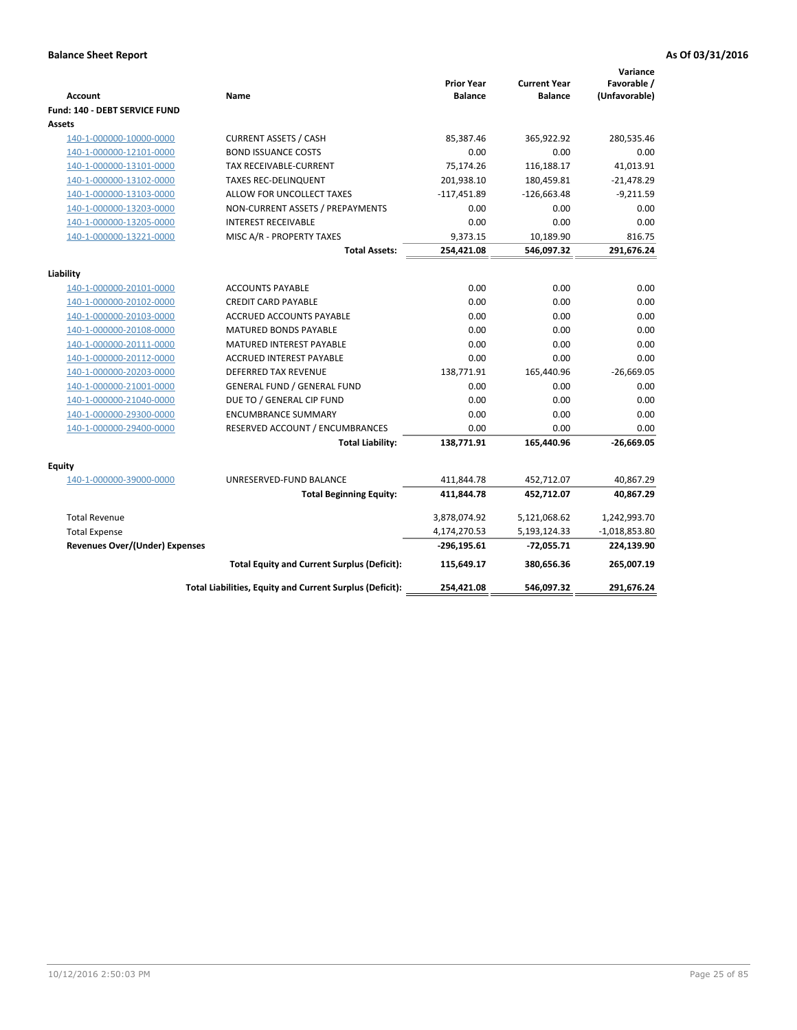| <b>Account</b>                        | Name                                                     | <b>Prior Year</b><br><b>Balance</b> | <b>Current Year</b><br><b>Balance</b> | Variance<br>Favorable /<br>(Unfavorable) |
|---------------------------------------|----------------------------------------------------------|-------------------------------------|---------------------------------------|------------------------------------------|
| Fund: 140 - DEBT SERVICE FUND         |                                                          |                                     |                                       |                                          |
| <b>Assets</b>                         |                                                          |                                     |                                       |                                          |
| 140-1-000000-10000-0000               | <b>CURRENT ASSETS / CASH</b>                             | 85,387.46                           | 365,922.92                            | 280,535.46                               |
| 140-1-000000-12101-0000               | <b>BOND ISSUANCE COSTS</b>                               | 0.00                                | 0.00                                  | 0.00                                     |
| 140-1-000000-13101-0000               | TAX RECEIVABLE-CURRENT                                   | 75,174.26                           | 116,188.17                            | 41,013.91                                |
| 140-1-000000-13102-0000               | <b>TAXES REC-DELINQUENT</b>                              | 201,938.10                          | 180,459.81                            | $-21,478.29$                             |
| 140-1-000000-13103-0000               | ALLOW FOR UNCOLLECT TAXES                                | $-117,451.89$                       | $-126,663.48$                         | $-9,211.59$                              |
| 140-1-000000-13203-0000               | NON-CURRENT ASSETS / PREPAYMENTS                         | 0.00                                | 0.00                                  | 0.00                                     |
| 140-1-000000-13205-0000               | <b>INTEREST RECEIVABLE</b>                               | 0.00                                | 0.00                                  | 0.00                                     |
| 140-1-000000-13221-0000               | MISC A/R - PROPERTY TAXES                                | 9,373.15                            | 10,189.90                             | 816.75                                   |
|                                       | <b>Total Assets:</b>                                     | 254,421.08                          | 546,097.32                            | 291,676.24                               |
| Liability                             |                                                          |                                     |                                       |                                          |
| 140-1-000000-20101-0000               | <b>ACCOUNTS PAYABLE</b>                                  | 0.00                                | 0.00                                  | 0.00                                     |
| 140-1-000000-20102-0000               | <b>CREDIT CARD PAYABLE</b>                               | 0.00                                | 0.00                                  | 0.00                                     |
| 140-1-000000-20103-0000               | <b>ACCRUED ACCOUNTS PAYABLE</b>                          | 0.00                                | 0.00                                  | 0.00                                     |
| 140-1-000000-20108-0000               | <b>MATURED BONDS PAYABLE</b>                             | 0.00                                | 0.00                                  | 0.00                                     |
| 140-1-000000-20111-0000               | MATURED INTEREST PAYABLE                                 | 0.00                                | 0.00                                  | 0.00                                     |
| 140-1-000000-20112-0000               | <b>ACCRUED INTEREST PAYABLE</b>                          | 0.00                                | 0.00                                  | 0.00                                     |
| 140-1-000000-20203-0000               | <b>DEFERRED TAX REVENUE</b>                              | 138,771.91                          | 165,440.96                            | $-26,669.05$                             |
| 140-1-000000-21001-0000               | <b>GENERAL FUND / GENERAL FUND</b>                       | 0.00                                | 0.00                                  | 0.00                                     |
| 140-1-000000-21040-0000               | DUE TO / GENERAL CIP FUND                                | 0.00                                | 0.00                                  | 0.00                                     |
| 140-1-000000-29300-0000               | <b>ENCUMBRANCE SUMMARY</b>                               | 0.00                                | 0.00                                  | 0.00                                     |
| 140-1-000000-29400-0000               | RESERVED ACCOUNT / ENCUMBRANCES                          | 0.00                                | 0.00                                  | 0.00                                     |
|                                       | <b>Total Liability:</b>                                  | 138,771.91                          | 165,440.96                            | $-26,669.05$                             |
| <b>Equity</b>                         |                                                          |                                     |                                       |                                          |
| 140-1-000000-39000-0000               | UNRESERVED-FUND BALANCE                                  | 411,844.78                          | 452,712.07                            | 40,867.29                                |
|                                       | <b>Total Beginning Equity:</b>                           | 411,844.78                          | 452,712.07                            | 40,867.29                                |
| <b>Total Revenue</b>                  |                                                          | 3,878,074.92                        | 5,121,068.62                          | 1,242,993.70                             |
| <b>Total Expense</b>                  |                                                          | 4,174,270.53                        | 5,193,124.33                          | $-1,018,853.80$                          |
| <b>Revenues Over/(Under) Expenses</b> |                                                          | -296,195.61                         | $-72,055.71$                          | 224,139.90                               |
|                                       | <b>Total Equity and Current Surplus (Deficit):</b>       | 115,649.17                          | 380,656.36                            | 265,007.19                               |
|                                       | Total Liabilities, Equity and Current Surplus (Deficit): | 254,421.08                          | 546.097.32                            | 291,676.24                               |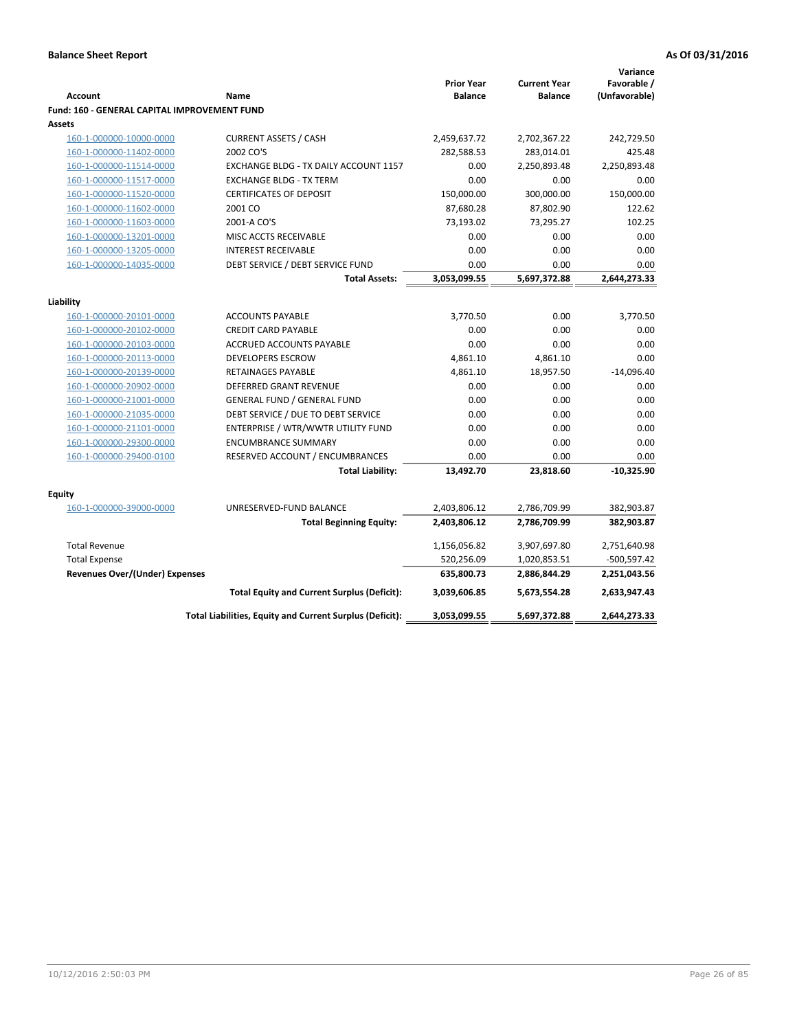|                                                     |                                                             |                                     |                                       | Variance                     |
|-----------------------------------------------------|-------------------------------------------------------------|-------------------------------------|---------------------------------------|------------------------------|
| <b>Account</b>                                      | Name                                                        | <b>Prior Year</b><br><b>Balance</b> | <b>Current Year</b><br><b>Balance</b> | Favorable /<br>(Unfavorable) |
| <b>Fund: 160 - GENERAL CAPITAL IMPROVEMENT FUND</b> |                                                             |                                     |                                       |                              |
| Assets                                              |                                                             |                                     |                                       |                              |
| 160-1-000000-10000-0000                             | <b>CURRENT ASSETS / CASH</b>                                | 2,459,637.72                        | 2,702,367.22                          | 242,729.50                   |
| 160-1-000000-11402-0000                             | 2002 CO'S                                                   | 282,588.53                          | 283,014.01                            | 425.48                       |
| 160-1-000000-11514-0000                             | EXCHANGE BLDG - TX DAILY ACCOUNT 1157                       | 0.00                                | 2,250,893.48                          | 2,250,893.48                 |
| 160-1-000000-11517-0000                             | <b>EXCHANGE BLDG - TX TERM</b>                              | 0.00                                | 0.00                                  | 0.00                         |
| 160-1-000000-11520-0000                             | <b>CERTIFICATES OF DEPOSIT</b>                              | 150,000.00                          | 300,000.00                            | 150,000.00                   |
| 160-1-000000-11602-0000                             | 2001 CO                                                     | 87,680.28                           | 87,802.90                             | 122.62                       |
| 160-1-000000-11603-0000                             | 2001-A CO'S                                                 | 73,193.02                           | 73,295.27                             | 102.25                       |
| 160-1-000000-13201-0000                             | MISC ACCTS RECEIVABLE                                       | 0.00                                | 0.00                                  | 0.00                         |
| 160-1-000000-13205-0000                             | <b>INTEREST RECEIVABLE</b>                                  | 0.00                                | 0.00                                  | 0.00                         |
| 160-1-000000-14035-0000                             | DEBT SERVICE / DEBT SERVICE FUND                            | 0.00                                | 0.00                                  | 0.00                         |
|                                                     | <b>Total Assets:</b>                                        | 3,053,099.55                        | 5,697,372.88                          | 2,644,273.33                 |
|                                                     |                                                             |                                     |                                       |                              |
| Liability                                           |                                                             |                                     |                                       |                              |
| 160-1-000000-20101-0000                             | <b>ACCOUNTS PAYABLE</b>                                     | 3,770.50                            | 0.00                                  | 3,770.50                     |
| 160-1-000000-20102-0000                             | <b>CREDIT CARD PAYABLE</b>                                  | 0.00                                | 0.00                                  | 0.00                         |
| 160-1-000000-20103-0000                             | <b>ACCRUED ACCOUNTS PAYABLE</b><br><b>DEVELOPERS ESCROW</b> | 0.00<br>4,861.10                    | 0.00<br>4,861.10                      | 0.00<br>0.00                 |
| 160-1-000000-20113-0000<br>160-1-000000-20139-0000  | RETAINAGES PAYABLE                                          | 4,861.10                            | 18,957.50                             | $-14,096.40$                 |
| 160-1-000000-20902-0000                             | DEFERRED GRANT REVENUE                                      | 0.00                                | 0.00                                  | 0.00                         |
| 160-1-000000-21001-0000                             | <b>GENERAL FUND / GENERAL FUND</b>                          | 0.00                                | 0.00                                  | 0.00                         |
| 160-1-000000-21035-0000                             | DEBT SERVICE / DUE TO DEBT SERVICE                          | 0.00                                | 0.00                                  | 0.00                         |
| 160-1-000000-21101-0000                             | ENTERPRISE / WTR/WWTR UTILITY FUND                          | 0.00                                | 0.00                                  | 0.00                         |
| 160-1-000000-29300-0000                             | <b>ENCUMBRANCE SUMMARY</b>                                  | 0.00                                | 0.00                                  | 0.00                         |
| 160-1-000000-29400-0100                             | RESERVED ACCOUNT / ENCUMBRANCES                             | 0.00                                | 0.00                                  | 0.00                         |
|                                                     | <b>Total Liability:</b>                                     | 13,492.70                           | 23,818.60                             | $-10,325.90$                 |
|                                                     |                                                             |                                     |                                       |                              |
| Equity                                              |                                                             |                                     |                                       |                              |
| 160-1-000000-39000-0000                             | UNRESERVED-FUND BALANCE                                     | 2,403,806.12                        | 2,786,709.99                          | 382,903.87                   |
|                                                     | <b>Total Beginning Equity:</b>                              | 2,403,806.12                        | 2,786,709.99                          | 382,903.87                   |
| <b>Total Revenue</b>                                |                                                             | 1,156,056.82                        | 3,907,697.80                          | 2,751,640.98                 |
| <b>Total Expense</b>                                |                                                             | 520,256.09                          | 1,020,853.51                          | $-500,597.42$                |
| Revenues Over/(Under) Expenses                      |                                                             | 635,800.73                          | 2,886,844.29                          | 2,251,043.56                 |
|                                                     | <b>Total Equity and Current Surplus (Deficit):</b>          | 3,039,606.85                        | 5,673,554.28                          | 2,633,947.43                 |
|                                                     | Total Liabilities, Equity and Current Surplus (Deficit):    | 3,053,099.55                        | 5,697,372.88                          | 2,644,273.33                 |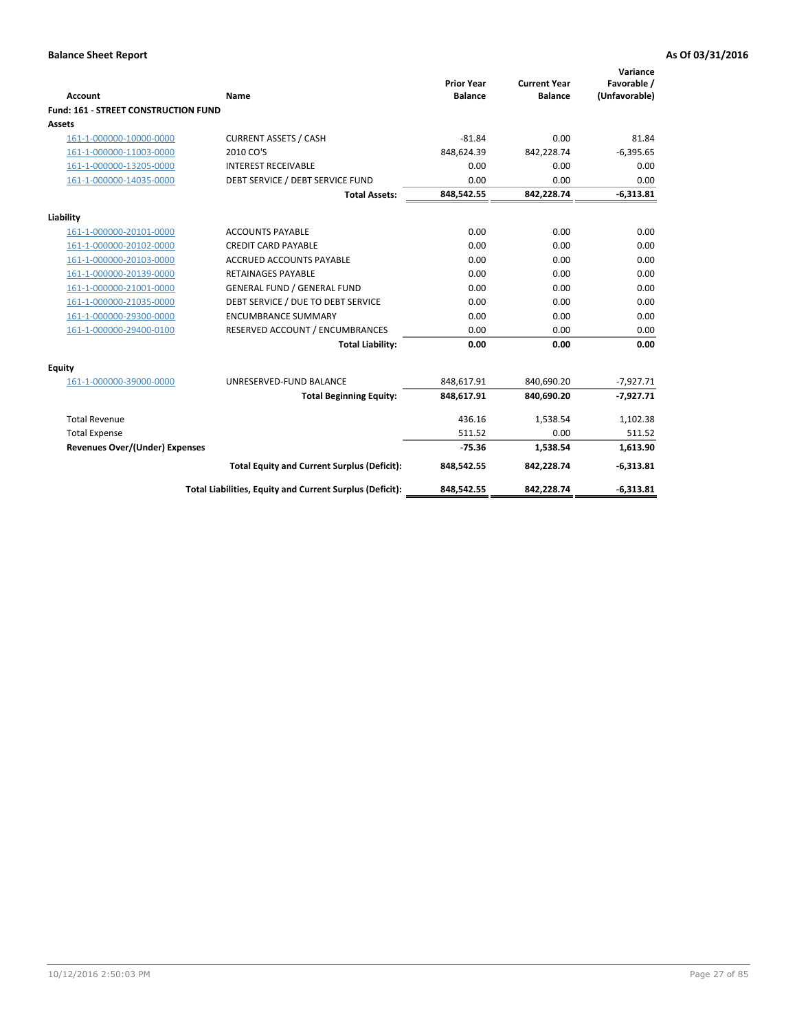| <b>Account</b>                        | <b>Name</b>                                              | <b>Prior Year</b><br><b>Balance</b> | <b>Current Year</b><br><b>Balance</b> | Variance<br>Favorable /<br>(Unfavorable) |
|---------------------------------------|----------------------------------------------------------|-------------------------------------|---------------------------------------|------------------------------------------|
| Fund: 161 - STREET CONSTRUCTION FUND  |                                                          |                                     |                                       |                                          |
| <b>Assets</b>                         |                                                          |                                     |                                       |                                          |
| 161-1-000000-10000-0000               | <b>CURRENT ASSETS / CASH</b>                             | $-81.84$                            | 0.00                                  | 81.84                                    |
| 161-1-000000-11003-0000               | 2010 CO'S                                                | 848,624.39                          | 842,228.74                            | $-6,395.65$                              |
| 161-1-000000-13205-0000               | <b>INTEREST RECEIVABLE</b>                               | 0.00                                | 0.00                                  | 0.00                                     |
| 161-1-000000-14035-0000               | DEBT SERVICE / DEBT SERVICE FUND                         | 0.00                                | 0.00                                  | 0.00                                     |
|                                       | <b>Total Assets:</b>                                     | 848,542.55                          | 842,228.74                            | $-6,313.81$                              |
| Liability                             |                                                          |                                     |                                       |                                          |
| 161-1-000000-20101-0000               | <b>ACCOUNTS PAYABLE</b>                                  | 0.00                                | 0.00                                  | 0.00                                     |
| 161-1-000000-20102-0000               | <b>CREDIT CARD PAYABLE</b>                               | 0.00                                | 0.00                                  | 0.00                                     |
| 161-1-000000-20103-0000               | <b>ACCRUED ACCOUNTS PAYABLE</b>                          | 0.00                                | 0.00                                  | 0.00                                     |
| 161-1-000000-20139-0000               | <b>RETAINAGES PAYABLE</b>                                | 0.00                                | 0.00                                  | 0.00                                     |
| 161-1-000000-21001-0000               | <b>GENERAL FUND / GENERAL FUND</b>                       | 0.00                                | 0.00                                  | 0.00                                     |
| 161-1-000000-21035-0000               | DEBT SERVICE / DUE TO DEBT SERVICE                       | 0.00                                | 0.00                                  | 0.00                                     |
| 161-1-000000-29300-0000               | <b>ENCUMBRANCE SUMMARY</b>                               | 0.00                                | 0.00                                  | 0.00                                     |
| 161-1-000000-29400-0100               | RESERVED ACCOUNT / ENCUMBRANCES                          | 0.00                                | 0.00                                  | 0.00                                     |
|                                       | <b>Total Liability:</b>                                  | 0.00                                | 0.00                                  | 0.00                                     |
| <b>Equity</b>                         |                                                          |                                     |                                       |                                          |
| 161-1-000000-39000-0000               | UNRESERVED-FUND BALANCE                                  | 848,617.91                          | 840,690.20                            | $-7,927.71$                              |
|                                       | <b>Total Beginning Equity:</b>                           | 848,617.91                          | 840,690.20                            | $-7,927.71$                              |
| <b>Total Revenue</b>                  |                                                          | 436.16                              | 1,538.54                              | 1,102.38                                 |
| <b>Total Expense</b>                  |                                                          | 511.52                              | 0.00                                  | 511.52                                   |
| <b>Revenues Over/(Under) Expenses</b> |                                                          | $-75.36$                            | 1,538.54                              | 1,613.90                                 |
|                                       | <b>Total Equity and Current Surplus (Deficit):</b>       | 848,542.55                          | 842,228.74                            | $-6,313.81$                              |
|                                       | Total Liabilities, Equity and Current Surplus (Deficit): | 848,542.55                          | 842,228.74                            | $-6,313.81$                              |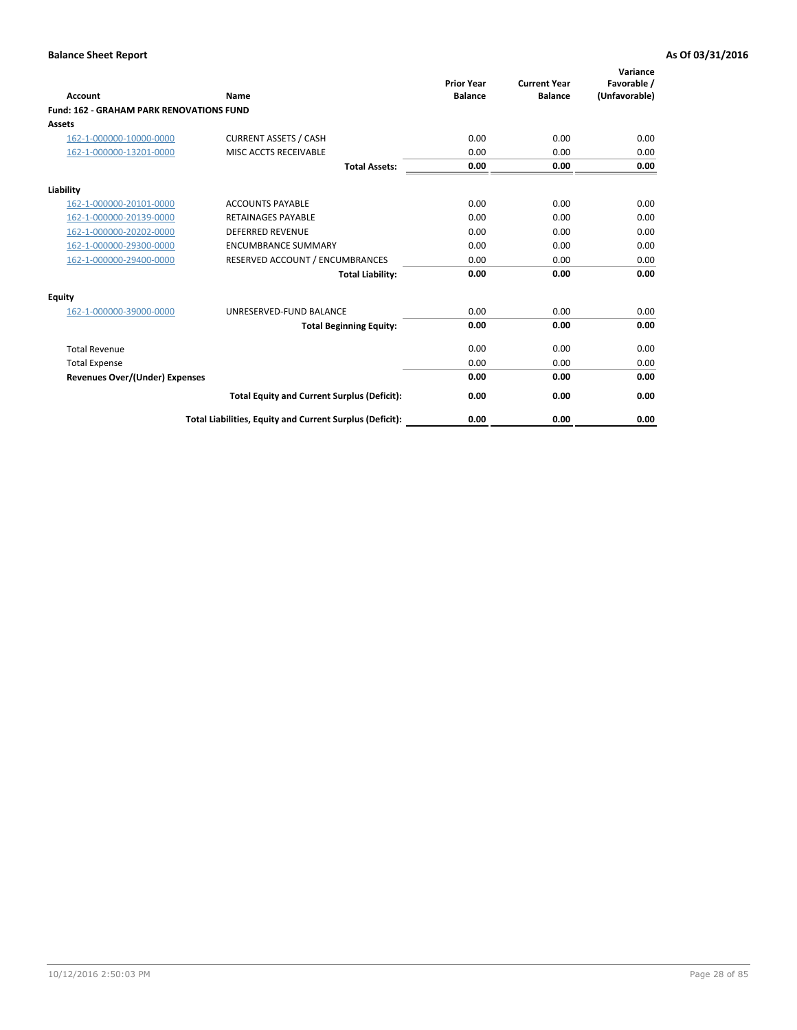| <b>Account</b>                                  | Name                                                     | <b>Prior Year</b><br><b>Balance</b> | <b>Current Year</b><br><b>Balance</b> | Variance<br>Favorable /<br>(Unfavorable) |
|-------------------------------------------------|----------------------------------------------------------|-------------------------------------|---------------------------------------|------------------------------------------|
| <b>Fund: 162 - GRAHAM PARK RENOVATIONS FUND</b> |                                                          |                                     |                                       |                                          |
| <b>Assets</b>                                   |                                                          |                                     |                                       |                                          |
| 162-1-000000-10000-0000                         | <b>CURRENT ASSETS / CASH</b>                             | 0.00                                | 0.00                                  | 0.00                                     |
| 162-1-000000-13201-0000                         | <b>MISC ACCTS RECEIVABLE</b>                             | 0.00                                | 0.00                                  | 0.00                                     |
|                                                 | <b>Total Assets:</b>                                     | 0.00                                | 0.00                                  | 0.00                                     |
| Liability                                       |                                                          |                                     |                                       |                                          |
| 162-1-000000-20101-0000                         | <b>ACCOUNTS PAYABLE</b>                                  | 0.00                                | 0.00                                  | 0.00                                     |
| 162-1-000000-20139-0000                         | <b>RETAINAGES PAYABLE</b>                                | 0.00                                | 0.00                                  | 0.00                                     |
| 162-1-000000-20202-0000                         | <b>DEFERRED REVENUE</b>                                  | 0.00                                | 0.00                                  | 0.00                                     |
| 162-1-000000-29300-0000                         | <b>ENCUMBRANCE SUMMARY</b>                               | 0.00                                | 0.00                                  | 0.00                                     |
| 162-1-000000-29400-0000                         | RESERVED ACCOUNT / ENCUMBRANCES                          | 0.00                                | 0.00                                  | 0.00                                     |
|                                                 | <b>Total Liability:</b>                                  | 0.00                                | 0.00                                  | 0.00                                     |
| Equity                                          |                                                          |                                     |                                       |                                          |
| 162-1-000000-39000-0000                         | UNRESERVED-FUND BALANCE                                  | 0.00                                | 0.00                                  | 0.00                                     |
|                                                 | <b>Total Beginning Equity:</b>                           | 0.00                                | 0.00                                  | 0.00                                     |
| <b>Total Revenue</b>                            |                                                          | 0.00                                | 0.00                                  | 0.00                                     |
| <b>Total Expense</b>                            |                                                          | 0.00                                | 0.00                                  | 0.00                                     |
| <b>Revenues Over/(Under) Expenses</b>           |                                                          | 0.00                                | 0.00                                  | 0.00                                     |
|                                                 | <b>Total Equity and Current Surplus (Deficit):</b>       | 0.00                                | 0.00                                  | 0.00                                     |
|                                                 | Total Liabilities, Equity and Current Surplus (Deficit): | 0.00                                | 0.00                                  | 0.00                                     |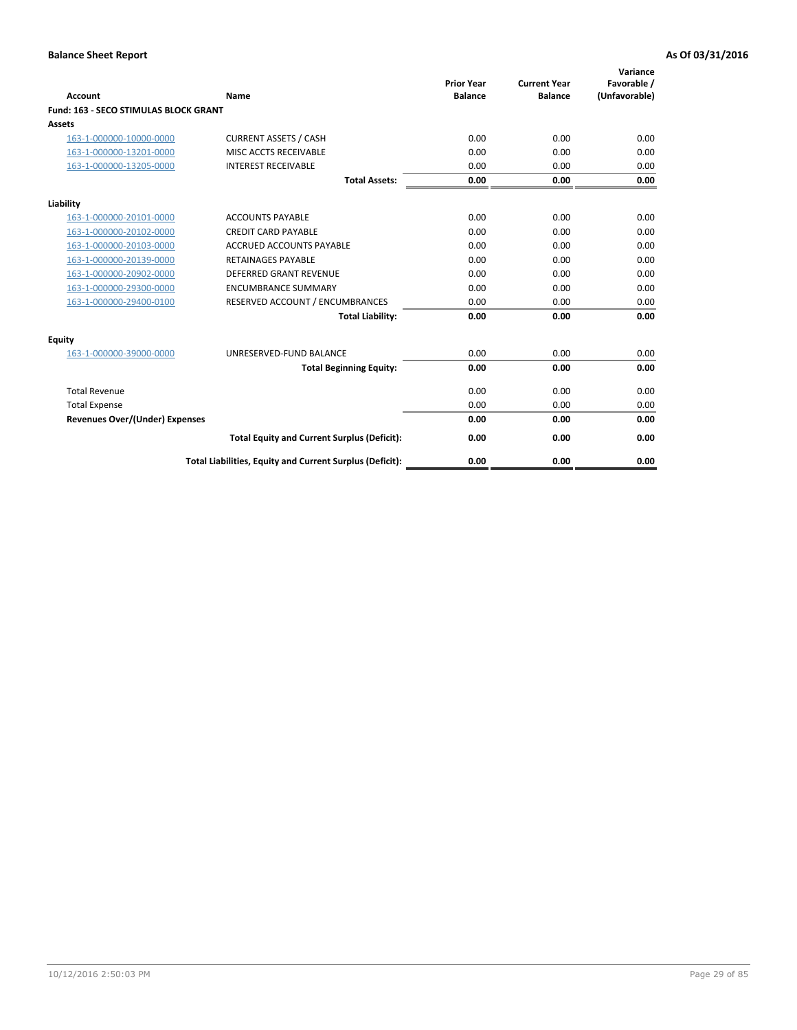| Account                                      | Name                                                     | <b>Prior Year</b><br><b>Balance</b> | <b>Current Year</b><br><b>Balance</b> | Variance<br>Favorable /<br>(Unfavorable) |
|----------------------------------------------|----------------------------------------------------------|-------------------------------------|---------------------------------------|------------------------------------------|
| <b>Fund: 163 - SECO STIMULAS BLOCK GRANT</b> |                                                          |                                     |                                       |                                          |
| <b>Assets</b>                                |                                                          |                                     |                                       |                                          |
| 163-1-000000-10000-0000                      | <b>CURRENT ASSETS / CASH</b>                             | 0.00                                | 0.00                                  | 0.00                                     |
| 163-1-000000-13201-0000                      | MISC ACCTS RECEIVABLE                                    | 0.00                                | 0.00                                  | 0.00                                     |
| 163-1-000000-13205-0000                      | <b>INTEREST RECEIVABLE</b>                               | 0.00                                | 0.00                                  | 0.00                                     |
|                                              | <b>Total Assets:</b>                                     | 0.00                                | 0.00                                  | 0.00                                     |
| Liability                                    |                                                          |                                     |                                       |                                          |
| 163-1-000000-20101-0000                      | <b>ACCOUNTS PAYABLE</b>                                  | 0.00                                | 0.00                                  | 0.00                                     |
| 163-1-000000-20102-0000                      | <b>CREDIT CARD PAYABLE</b>                               | 0.00                                | 0.00                                  | 0.00                                     |
| 163-1-000000-20103-0000                      | <b>ACCRUED ACCOUNTS PAYABLE</b>                          | 0.00                                | 0.00                                  | 0.00                                     |
| 163-1-000000-20139-0000                      | <b>RETAINAGES PAYABLE</b>                                | 0.00                                | 0.00                                  | 0.00                                     |
| 163-1-000000-20902-0000                      | <b>DEFERRED GRANT REVENUE</b>                            | 0.00                                | 0.00                                  | 0.00                                     |
| 163-1-000000-29300-0000                      | <b>ENCUMBRANCE SUMMARY</b>                               | 0.00                                | 0.00                                  | 0.00                                     |
| 163-1-000000-29400-0100                      | RESERVED ACCOUNT / ENCUMBRANCES                          | 0.00                                | 0.00                                  | 0.00                                     |
|                                              | <b>Total Liability:</b>                                  | 0.00                                | 0.00                                  | 0.00                                     |
| <b>Equity</b>                                |                                                          |                                     |                                       |                                          |
| 163-1-000000-39000-0000                      | UNRESERVED-FUND BALANCE                                  | 0.00                                | 0.00                                  | 0.00                                     |
|                                              | <b>Total Beginning Equity:</b>                           | 0.00                                | 0.00                                  | 0.00                                     |
| <b>Total Revenue</b>                         |                                                          | 0.00                                | 0.00                                  | 0.00                                     |
| <b>Total Expense</b>                         |                                                          | 0.00                                | 0.00                                  | 0.00                                     |
| Revenues Over/(Under) Expenses               |                                                          | 0.00                                | 0.00                                  | 0.00                                     |
|                                              | <b>Total Equity and Current Surplus (Deficit):</b>       | 0.00                                | 0.00                                  | 0.00                                     |
|                                              | Total Liabilities, Equity and Current Surplus (Deficit): | 0.00                                | 0.00                                  | 0.00                                     |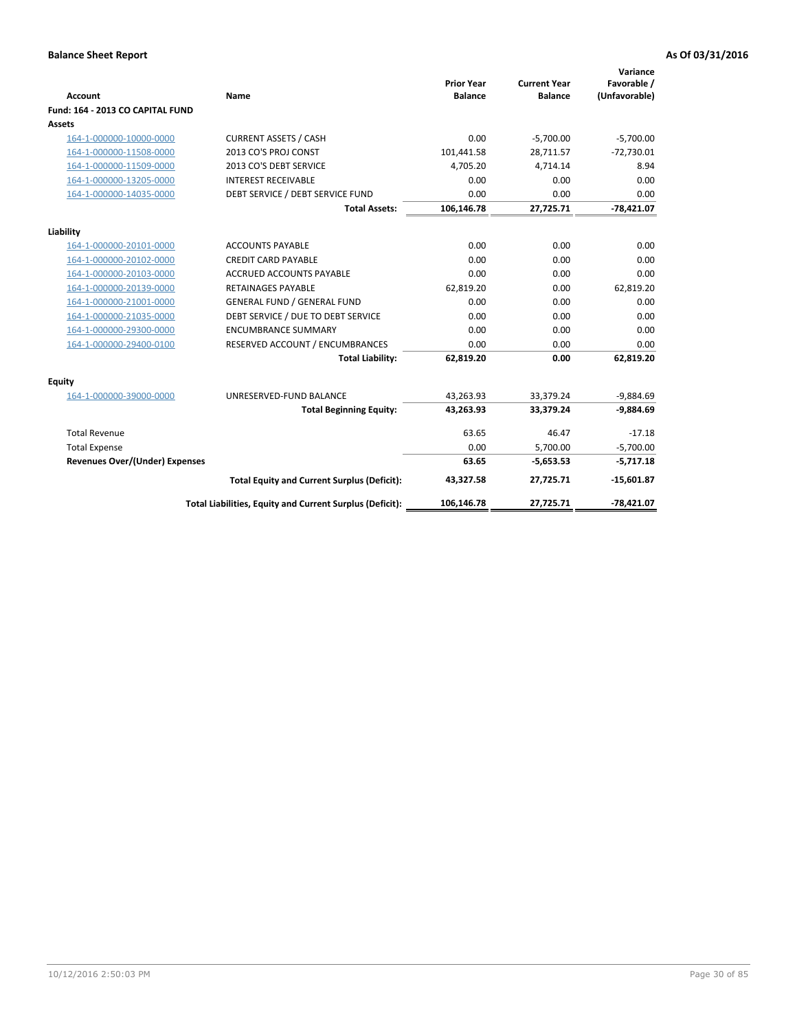| <b>Account</b>                        | <b>Name</b>                                              | <b>Prior Year</b><br><b>Balance</b> | <b>Current Year</b><br><b>Balance</b> | Variance<br>Favorable /<br>(Unfavorable) |
|---------------------------------------|----------------------------------------------------------|-------------------------------------|---------------------------------------|------------------------------------------|
| Fund: 164 - 2013 CO CAPITAL FUND      |                                                          |                                     |                                       |                                          |
| Assets                                |                                                          |                                     |                                       |                                          |
| 164-1-000000-10000-0000               | <b>CURRENT ASSETS / CASH</b>                             | 0.00                                | $-5,700.00$                           | $-5,700.00$                              |
| 164-1-000000-11508-0000               | 2013 CO'S PROJ CONST                                     | 101,441.58                          | 28,711.57                             | $-72,730.01$                             |
| 164-1-000000-11509-0000               | 2013 CO'S DEBT SERVICE                                   | 4,705.20                            | 4,714.14                              | 8.94                                     |
| 164-1-000000-13205-0000               | <b>INTEREST RECEIVABLE</b>                               | 0.00                                | 0.00                                  | 0.00                                     |
| 164-1-000000-14035-0000               | DEBT SERVICE / DEBT SERVICE FUND                         | 0.00                                | 0.00                                  | 0.00                                     |
|                                       | <b>Total Assets:</b>                                     | 106,146.78                          | 27,725.71                             | $-78,421.07$                             |
| Liability                             |                                                          |                                     |                                       |                                          |
| 164-1-000000-20101-0000               | <b>ACCOUNTS PAYABLE</b>                                  | 0.00                                | 0.00                                  | 0.00                                     |
| 164-1-000000-20102-0000               | <b>CREDIT CARD PAYABLE</b>                               | 0.00                                | 0.00                                  | 0.00                                     |
| 164-1-000000-20103-0000               | <b>ACCRUED ACCOUNTS PAYABLE</b>                          | 0.00                                | 0.00                                  | 0.00                                     |
| 164-1-000000-20139-0000               | <b>RETAINAGES PAYABLE</b>                                | 62,819.20                           | 0.00                                  | 62,819.20                                |
| 164-1-000000-21001-0000               | <b>GENERAL FUND / GENERAL FUND</b>                       | 0.00                                | 0.00                                  | 0.00                                     |
| 164-1-000000-21035-0000               | DEBT SERVICE / DUE TO DEBT SERVICE                       | 0.00                                | 0.00                                  | 0.00                                     |
| 164-1-000000-29300-0000               | <b>ENCUMBRANCE SUMMARY</b>                               | 0.00                                | 0.00                                  | 0.00                                     |
| 164-1-000000-29400-0100               | RESERVED ACCOUNT / ENCUMBRANCES                          | 0.00                                | 0.00                                  | 0.00                                     |
|                                       | <b>Total Liability:</b>                                  | 62,819.20                           | 0.00                                  | 62,819.20                                |
| Equity                                |                                                          |                                     |                                       |                                          |
| 164-1-000000-39000-0000               | UNRESERVED-FUND BALANCE                                  | 43,263.93                           | 33,379.24                             | $-9,884.69$                              |
|                                       | <b>Total Beginning Equity:</b>                           | 43,263.93                           | 33,379.24                             | $-9,884.69$                              |
| <b>Total Revenue</b>                  |                                                          | 63.65                               | 46.47                                 | $-17.18$                                 |
| <b>Total Expense</b>                  |                                                          | 0.00                                | 5,700.00                              | $-5,700.00$                              |
| <b>Revenues Over/(Under) Expenses</b> |                                                          | 63.65                               | $-5,653.53$                           | $-5,717.18$                              |
|                                       | <b>Total Equity and Current Surplus (Deficit):</b>       | 43,327.58                           | 27,725.71                             | $-15,601.87$                             |
|                                       | Total Liabilities, Equity and Current Surplus (Deficit): | 106,146.78                          | 27,725.71                             | $-78.421.07$                             |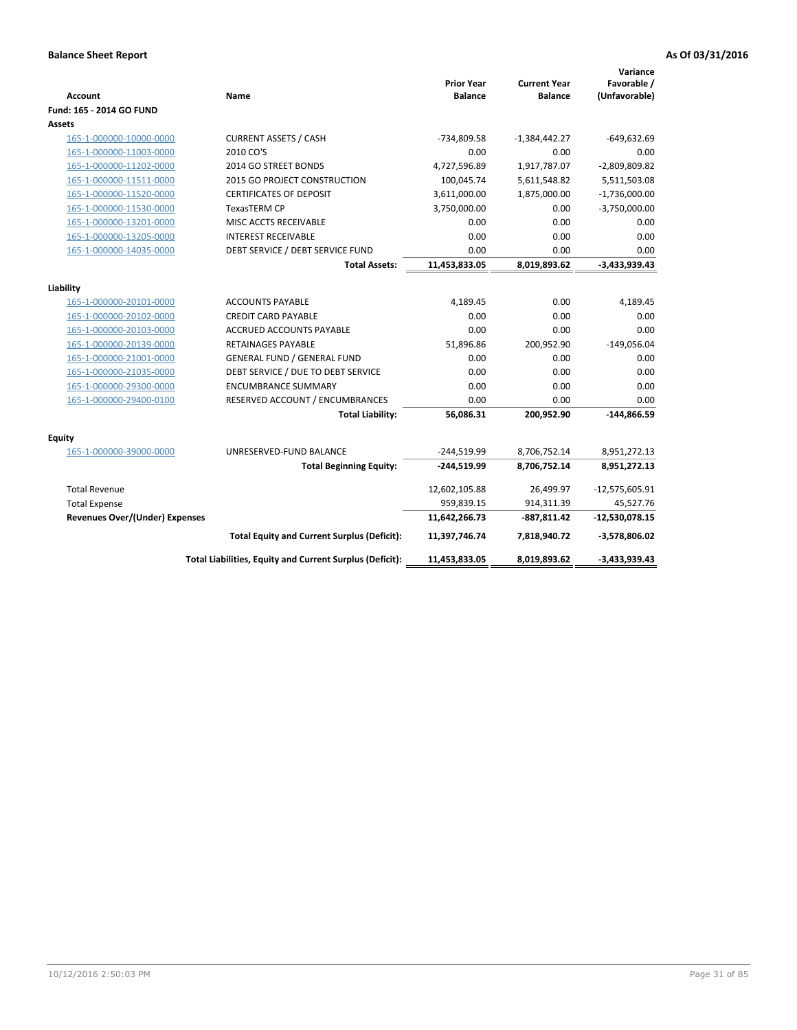| Account                               | Name                                                     | <b>Prior Year</b><br><b>Balance</b> | <b>Current Year</b><br><b>Balance</b> | Variance<br>Favorable /<br>(Unfavorable) |
|---------------------------------------|----------------------------------------------------------|-------------------------------------|---------------------------------------|------------------------------------------|
| Fund: 165 - 2014 GO FUND              |                                                          |                                     |                                       |                                          |
| Assets                                |                                                          |                                     |                                       |                                          |
| 165-1-000000-10000-0000               | <b>CURRENT ASSETS / CASH</b>                             | -734,809.58                         | $-1,384,442.27$                       | $-649,632.69$                            |
| 165-1-000000-11003-0000               | 2010 CO'S                                                | 0.00                                | 0.00                                  | 0.00                                     |
| 165-1-000000-11202-0000               | 2014 GO STREET BONDS                                     | 4,727,596.89                        | 1,917,787.07                          | $-2,809,809.82$                          |
| 165-1-000000-11511-0000               | <b>2015 GO PROJECT CONSTRUCTION</b>                      | 100,045.74                          | 5,611,548.82                          | 5,511,503.08                             |
| 165-1-000000-11520-0000               | <b>CERTIFICATES OF DEPOSIT</b>                           | 3,611,000.00                        | 1,875,000.00                          | $-1,736,000.00$                          |
| 165-1-000000-11530-0000               | TexasTERM CP                                             | 3,750,000.00                        | 0.00                                  | $-3,750,000.00$                          |
| 165-1-000000-13201-0000               | MISC ACCTS RECEIVABLE                                    | 0.00                                | 0.00                                  | 0.00                                     |
| 165-1-000000-13205-0000               | <b>INTEREST RECEIVABLE</b>                               | 0.00                                | 0.00                                  | 0.00                                     |
| 165-1-000000-14035-0000               | DEBT SERVICE / DEBT SERVICE FUND                         | 0.00                                | 0.00                                  | 0.00                                     |
|                                       | <b>Total Assets:</b>                                     | 11,453,833.05                       | 8,019,893.62                          | $-3,433,939.43$                          |
| Liability                             |                                                          |                                     |                                       |                                          |
| 165-1-000000-20101-0000               | <b>ACCOUNTS PAYABLE</b>                                  | 4,189.45                            | 0.00                                  | 4,189.45                                 |
| 165-1-000000-20102-0000               | <b>CREDIT CARD PAYABLE</b>                               | 0.00                                | 0.00                                  | 0.00                                     |
| 165-1-000000-20103-0000               | <b>ACCRUED ACCOUNTS PAYABLE</b>                          | 0.00                                | 0.00                                  | 0.00                                     |
| 165-1-000000-20139-0000               | <b>RETAINAGES PAYABLE</b>                                | 51,896.86                           | 200,952.90                            | $-149,056.04$                            |
| 165-1-000000-21001-0000               | <b>GENERAL FUND / GENERAL FUND</b>                       | 0.00                                | 0.00                                  | 0.00                                     |
| 165-1-000000-21035-0000               | DEBT SERVICE / DUE TO DEBT SERVICE                       | 0.00                                | 0.00                                  | 0.00                                     |
| 165-1-000000-29300-0000               | <b>ENCUMBRANCE SUMMARY</b>                               | 0.00                                | 0.00                                  | 0.00                                     |
| 165-1-000000-29400-0100               | RESERVED ACCOUNT / ENCUMBRANCES                          | 0.00                                | 0.00                                  | 0.00                                     |
|                                       | <b>Total Liability:</b>                                  | 56,086.31                           | 200,952.90                            | $-144,866.59$                            |
| <b>Equity</b>                         |                                                          |                                     |                                       |                                          |
| 165-1-000000-39000-0000               | UNRESERVED-FUND BALANCE                                  | $-244,519.99$                       | 8,706,752.14                          | 8,951,272.13                             |
|                                       | <b>Total Beginning Equity:</b>                           | -244,519.99                         | 8,706,752.14                          | 8,951,272.13                             |
| <b>Total Revenue</b>                  |                                                          | 12,602,105.88                       | 26,499.97                             | $-12,575,605.91$                         |
| <b>Total Expense</b>                  |                                                          | 959,839.15                          | 914,311.39                            | 45,527.76                                |
| <b>Revenues Over/(Under) Expenses</b> |                                                          | 11,642,266.73                       | -887,811.42                           | $-12,530,078.15$                         |
|                                       | <b>Total Equity and Current Surplus (Deficit):</b>       | 11,397,746.74                       | 7,818,940.72                          | $-3,578,806.02$                          |
|                                       | Total Liabilities, Equity and Current Surplus (Deficit): | 11,453,833.05                       | 8,019,893.62                          | $-3,433,939.43$                          |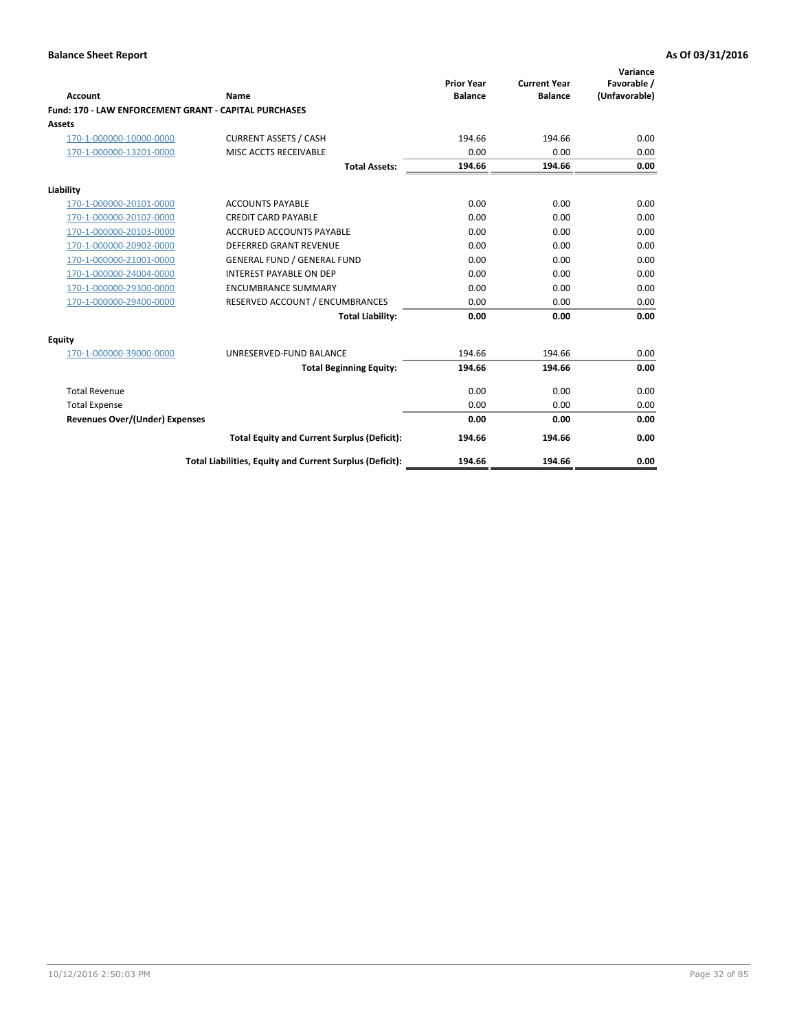| <b>Account</b>                                        | Name                                                     | <b>Prior Year</b><br><b>Balance</b> | <b>Current Year</b><br><b>Balance</b> | Variance<br>Favorable /<br>(Unfavorable) |
|-------------------------------------------------------|----------------------------------------------------------|-------------------------------------|---------------------------------------|------------------------------------------|
| Fund: 170 - LAW ENFORCEMENT GRANT - CAPITAL PURCHASES |                                                          |                                     |                                       |                                          |
| <b>Assets</b>                                         |                                                          |                                     |                                       |                                          |
| 170-1-000000-10000-0000                               | <b>CURRENT ASSETS / CASH</b>                             | 194.66                              | 194.66                                | 0.00                                     |
| 170-1-000000-13201-0000                               | MISC ACCTS RECEIVABLE                                    | 0.00                                | 0.00                                  | 0.00                                     |
|                                                       | <b>Total Assets:</b>                                     | 194.66                              | 194.66                                | 0.00                                     |
| Liability                                             |                                                          |                                     |                                       |                                          |
| 170-1-000000-20101-0000                               | <b>ACCOUNTS PAYABLE</b>                                  | 0.00                                | 0.00                                  | 0.00                                     |
| 170-1-000000-20102-0000                               | <b>CREDIT CARD PAYABLE</b>                               | 0.00                                | 0.00                                  | 0.00                                     |
| 170-1-000000-20103-0000                               | <b>ACCRUED ACCOUNTS PAYABLE</b>                          | 0.00                                | 0.00                                  | 0.00                                     |
| 170-1-000000-20902-0000                               | <b>DEFERRED GRANT REVENUE</b>                            | 0.00                                | 0.00                                  | 0.00                                     |
| 170-1-000000-21001-0000                               | <b>GENERAL FUND / GENERAL FUND</b>                       | 0.00                                | 0.00                                  | 0.00                                     |
| 170-1-000000-24004-0000                               | <b>INTEREST PAYABLE ON DEP</b>                           | 0.00                                | 0.00                                  | 0.00                                     |
| 170-1-000000-29300-0000                               | <b>ENCUMBRANCE SUMMARY</b>                               | 0.00                                | 0.00                                  | 0.00                                     |
| 170-1-000000-29400-0000                               | RESERVED ACCOUNT / ENCUMBRANCES                          | 0.00                                | 0.00                                  | 0.00                                     |
|                                                       | <b>Total Liability:</b>                                  | 0.00                                | 0.00                                  | 0.00                                     |
| <b>Equity</b>                                         |                                                          |                                     |                                       |                                          |
| 170-1-000000-39000-0000                               | UNRESERVED-FUND BALANCE                                  | 194.66                              | 194.66                                | 0.00                                     |
|                                                       | <b>Total Beginning Equity:</b>                           | 194.66                              | 194.66                                | 0.00                                     |
| <b>Total Revenue</b>                                  |                                                          | 0.00                                | 0.00                                  | 0.00                                     |
| <b>Total Expense</b>                                  |                                                          | 0.00                                | 0.00                                  | 0.00                                     |
| <b>Revenues Over/(Under) Expenses</b>                 |                                                          | 0.00                                | 0.00                                  | 0.00                                     |
|                                                       | <b>Total Equity and Current Surplus (Deficit):</b>       | 194.66                              | 194.66                                | 0.00                                     |
|                                                       | Total Liabilities, Equity and Current Surplus (Deficit): | 194.66                              | 194.66                                | 0.00                                     |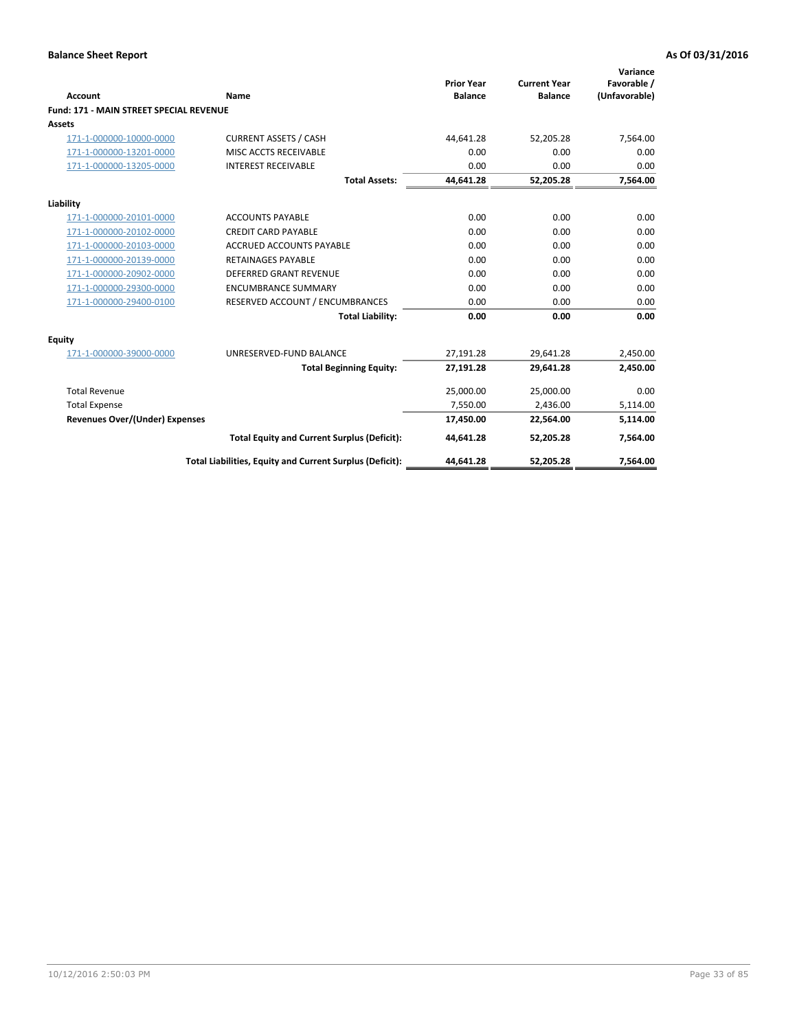|                                                |                                                          | <b>Prior Year</b> | <b>Current Year</b> | Variance<br>Favorable / |
|------------------------------------------------|----------------------------------------------------------|-------------------|---------------------|-------------------------|
| Account                                        | Name                                                     | <b>Balance</b>    | <b>Balance</b>      | (Unfavorable)           |
| <b>Fund: 171 - MAIN STREET SPECIAL REVENUE</b> |                                                          |                   |                     |                         |
| <b>Assets</b>                                  |                                                          |                   |                     |                         |
| 171-1-000000-10000-0000                        | <b>CURRENT ASSETS / CASH</b>                             | 44,641.28         | 52,205.28           | 7,564.00                |
| 171-1-000000-13201-0000                        | MISC ACCTS RECEIVABLE                                    | 0.00              | 0.00                | 0.00                    |
| 171-1-000000-13205-0000                        | <b>INTEREST RECEIVABLE</b>                               | 0.00              | 0.00                | 0.00                    |
|                                                | <b>Total Assets:</b>                                     | 44,641.28         | 52,205.28           | 7,564.00                |
| Liability                                      |                                                          |                   |                     |                         |
| 171-1-000000-20101-0000                        | <b>ACCOUNTS PAYABLE</b>                                  | 0.00              | 0.00                | 0.00                    |
| 171-1-000000-20102-0000                        | <b>CREDIT CARD PAYABLE</b>                               | 0.00              | 0.00                | 0.00                    |
| 171-1-000000-20103-0000                        | <b>ACCRUED ACCOUNTS PAYABLE</b>                          | 0.00              | 0.00                | 0.00                    |
| 171-1-000000-20139-0000                        | <b>RETAINAGES PAYABLE</b>                                | 0.00              | 0.00                | 0.00                    |
| 171-1-000000-20902-0000                        | <b>DEFERRED GRANT REVENUE</b>                            | 0.00              | 0.00                | 0.00                    |
| 171-1-000000-29300-0000                        | <b>ENCUMBRANCE SUMMARY</b>                               | 0.00              | 0.00                | 0.00                    |
| 171-1-000000-29400-0100                        | RESERVED ACCOUNT / ENCUMBRANCES                          | 0.00              | 0.00                | 0.00                    |
|                                                | <b>Total Liability:</b>                                  | 0.00              | 0.00                | 0.00                    |
| <b>Equity</b>                                  |                                                          |                   |                     |                         |
| 171-1-000000-39000-0000                        | UNRESERVED-FUND BALANCE                                  | 27,191.28         | 29,641.28           | 2,450.00                |
|                                                | <b>Total Beginning Equity:</b>                           | 27,191.28         | 29,641.28           | 2,450.00                |
| <b>Total Revenue</b>                           |                                                          | 25,000.00         | 25,000.00           | 0.00                    |
| <b>Total Expense</b>                           |                                                          | 7,550.00          | 2,436.00            | 5,114.00                |
| <b>Revenues Over/(Under) Expenses</b>          |                                                          | 17,450.00         | 22,564.00           | 5,114.00                |
|                                                | <b>Total Equity and Current Surplus (Deficit):</b>       | 44,641.28         | 52,205.28           | 7,564.00                |
|                                                | Total Liabilities, Equity and Current Surplus (Deficit): | 44,641.28         | 52,205.28           | 7,564.00                |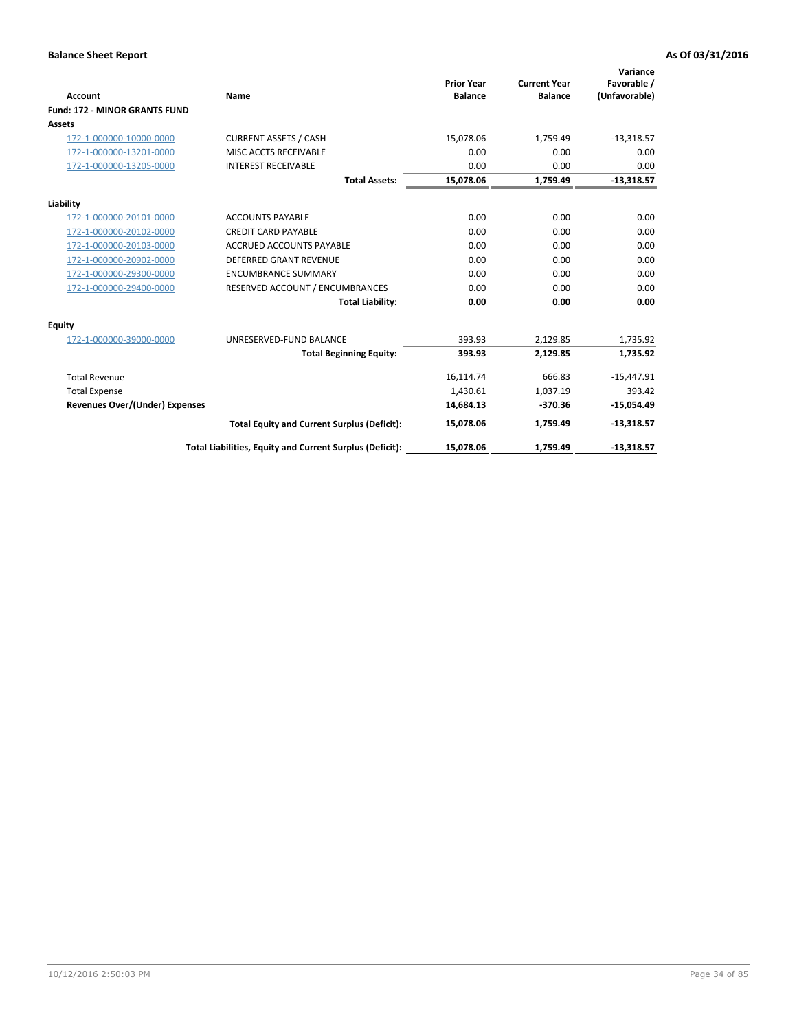|                                       |                                                          |                                     |                                       | Variance                     |
|---------------------------------------|----------------------------------------------------------|-------------------------------------|---------------------------------------|------------------------------|
| Account                               | Name                                                     | <b>Prior Year</b><br><b>Balance</b> | <b>Current Year</b><br><b>Balance</b> | Favorable /<br>(Unfavorable) |
| <b>Fund: 172 - MINOR GRANTS FUND</b>  |                                                          |                                     |                                       |                              |
| Assets                                |                                                          |                                     |                                       |                              |
| 172-1-000000-10000-0000               | <b>CURRENT ASSETS / CASH</b>                             | 15,078.06                           | 1,759.49                              | $-13,318.57$                 |
| 172-1-000000-13201-0000               | MISC ACCTS RECEIVABLE                                    | 0.00                                | 0.00                                  | 0.00                         |
| 172-1-000000-13205-0000               | <b>INTEREST RECEIVABLE</b>                               | 0.00                                | 0.00                                  | 0.00                         |
|                                       | <b>Total Assets:</b>                                     | 15,078.06                           | 1,759.49                              | $-13,318.57$                 |
| Liability                             |                                                          |                                     |                                       |                              |
| 172-1-000000-20101-0000               | <b>ACCOUNTS PAYABLE</b>                                  | 0.00                                | 0.00                                  | 0.00                         |
| 172-1-000000-20102-0000               | <b>CREDIT CARD PAYABLE</b>                               | 0.00                                | 0.00                                  | 0.00                         |
| 172-1-000000-20103-0000               | <b>ACCRUED ACCOUNTS PAYABLE</b>                          | 0.00                                | 0.00                                  | 0.00                         |
| 172-1-000000-20902-0000               | <b>DEFERRED GRANT REVENUE</b>                            | 0.00                                | 0.00                                  | 0.00                         |
| 172-1-000000-29300-0000               | <b>ENCUMBRANCE SUMMARY</b>                               | 0.00                                | 0.00                                  | 0.00                         |
| 172-1-000000-29400-0000               | RESERVED ACCOUNT / ENCUMBRANCES                          | 0.00                                | 0.00                                  | 0.00                         |
|                                       | <b>Total Liability:</b>                                  | 0.00                                | 0.00                                  | 0.00                         |
| Equity                                |                                                          |                                     |                                       |                              |
| 172-1-000000-39000-0000               | UNRESERVED-FUND BALANCE                                  | 393.93                              | 2,129.85                              | 1,735.92                     |
|                                       | <b>Total Beginning Equity:</b>                           | 393.93                              | 2.129.85                              | 1,735.92                     |
| <b>Total Revenue</b>                  |                                                          | 16,114.74                           | 666.83                                | $-15,447.91$                 |
| <b>Total Expense</b>                  |                                                          | 1,430.61                            | 1,037.19                              | 393.42                       |
| <b>Revenues Over/(Under) Expenses</b> |                                                          | 14,684.13                           | $-370.36$                             | $-15,054.49$                 |
|                                       | <b>Total Equity and Current Surplus (Deficit):</b>       | 15,078.06                           | 1,759.49                              | $-13,318.57$                 |
|                                       | Total Liabilities, Equity and Current Surplus (Deficit): | 15,078.06                           | 1,759.49                              | $-13,318.57$                 |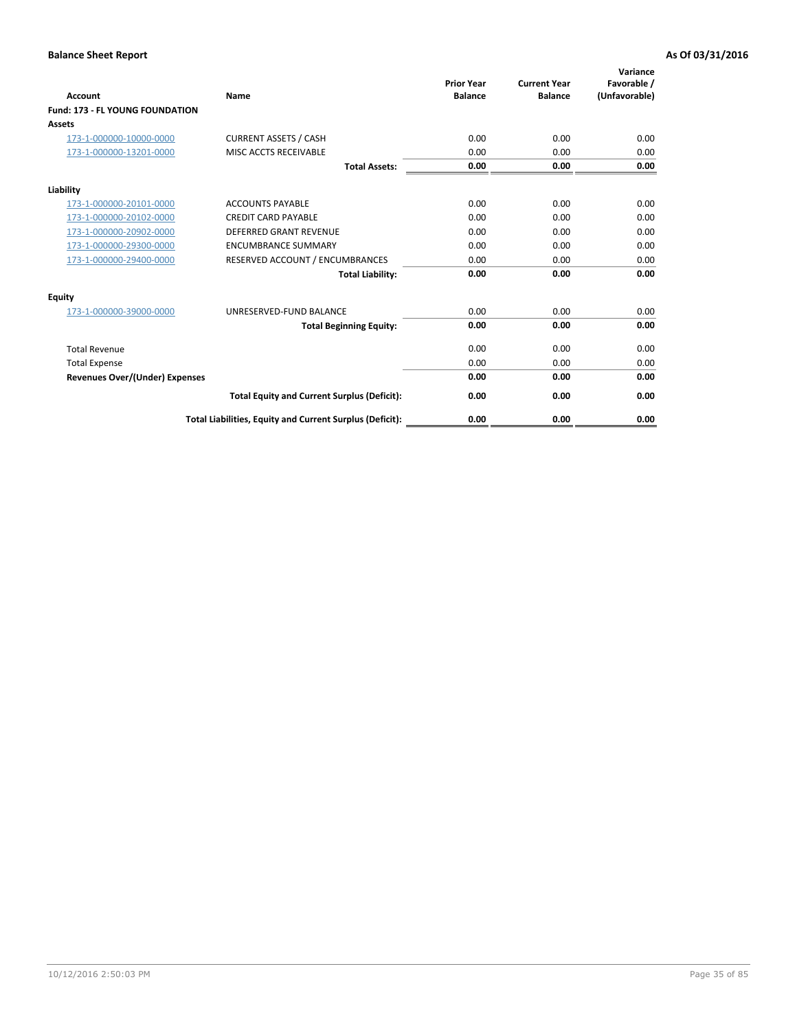| <b>Account</b>                         | Name                                                     | <b>Prior Year</b><br><b>Balance</b> | <b>Current Year</b><br><b>Balance</b> | Variance<br>Favorable /<br>(Unfavorable) |
|----------------------------------------|----------------------------------------------------------|-------------------------------------|---------------------------------------|------------------------------------------|
| <b>Fund: 173 - FL YOUNG FOUNDATION</b> |                                                          |                                     |                                       |                                          |
| Assets                                 |                                                          |                                     |                                       |                                          |
| 173-1-000000-10000-0000                | <b>CURRENT ASSETS / CASH</b>                             | 0.00                                | 0.00                                  | 0.00                                     |
| 173-1-000000-13201-0000                | MISC ACCTS RECEIVABLE                                    | 0.00                                | 0.00                                  | 0.00                                     |
|                                        | <b>Total Assets:</b>                                     | 0.00                                | 0.00                                  | 0.00                                     |
| Liability                              |                                                          |                                     |                                       |                                          |
| 173-1-000000-20101-0000                | <b>ACCOUNTS PAYABLE</b>                                  | 0.00                                | 0.00                                  | 0.00                                     |
| 173-1-000000-20102-0000                | <b>CREDIT CARD PAYABLE</b>                               | 0.00                                | 0.00                                  | 0.00                                     |
| 173-1-000000-20902-0000                | <b>DEFERRED GRANT REVENUE</b>                            | 0.00                                | 0.00                                  | 0.00                                     |
| 173-1-000000-29300-0000                | <b>ENCUMBRANCE SUMMARY</b>                               | 0.00                                | 0.00                                  | 0.00                                     |
| 173-1-000000-29400-0000                | RESERVED ACCOUNT / ENCUMBRANCES                          | 0.00                                | 0.00                                  | 0.00                                     |
|                                        | <b>Total Liability:</b>                                  | 0.00                                | 0.00                                  | 0.00                                     |
| Equity                                 |                                                          |                                     |                                       |                                          |
| 173-1-000000-39000-0000                | UNRESERVED-FUND BALANCE                                  | 0.00                                | 0.00                                  | 0.00                                     |
|                                        | <b>Total Beginning Equity:</b>                           | 0.00                                | 0.00                                  | 0.00                                     |
| <b>Total Revenue</b>                   |                                                          | 0.00                                | 0.00                                  | 0.00                                     |
| <b>Total Expense</b>                   |                                                          | 0.00                                | 0.00                                  | 0.00                                     |
| <b>Revenues Over/(Under) Expenses</b>  |                                                          | 0.00                                | 0.00                                  | 0.00                                     |
|                                        | <b>Total Equity and Current Surplus (Deficit):</b>       | 0.00                                | 0.00                                  | 0.00                                     |
|                                        | Total Liabilities, Equity and Current Surplus (Deficit): | 0.00                                | 0.00                                  | 0.00                                     |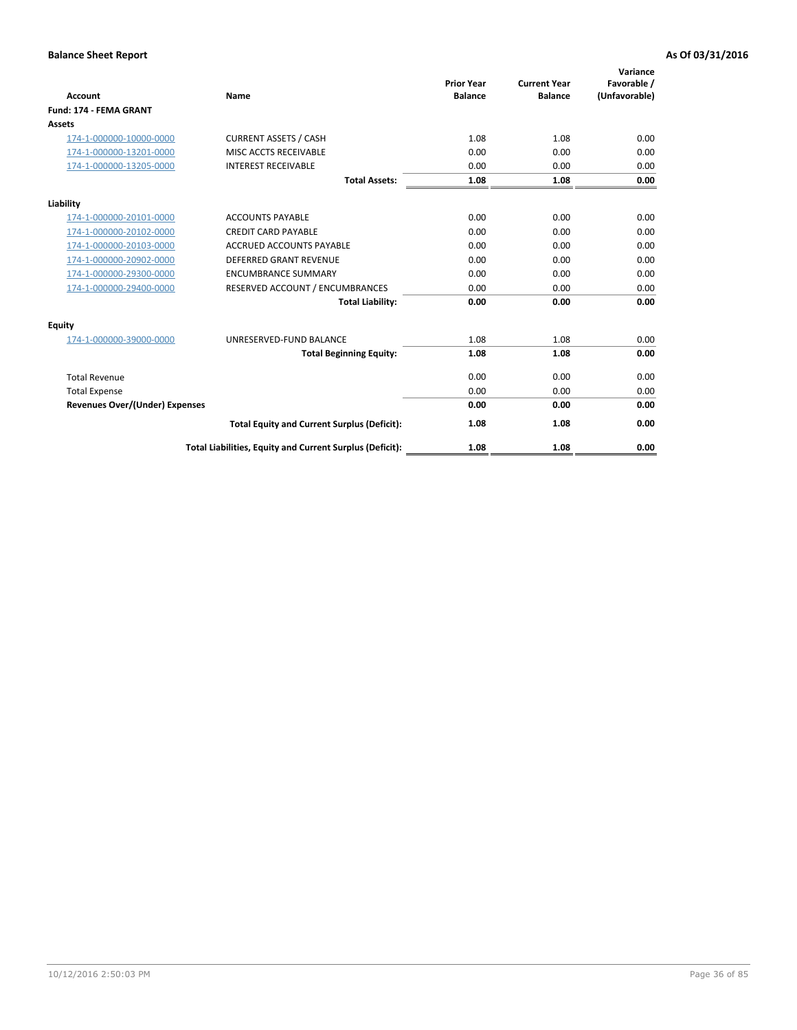| <b>Account</b>                        | Name                                                     | <b>Prior Year</b><br><b>Balance</b> | <b>Current Year</b><br><b>Balance</b> | Variance<br>Favorable /<br>(Unfavorable) |
|---------------------------------------|----------------------------------------------------------|-------------------------------------|---------------------------------------|------------------------------------------|
| <b>Fund: 174 - FEMA GRANT</b>         |                                                          |                                     |                                       |                                          |
| Assets                                |                                                          |                                     |                                       |                                          |
| 174-1-000000-10000-0000               | <b>CURRENT ASSETS / CASH</b>                             | 1.08                                | 1.08                                  | 0.00                                     |
| 174-1-000000-13201-0000               | MISC ACCTS RECEIVABLE                                    | 0.00                                | 0.00                                  | 0.00                                     |
| 174-1-000000-13205-0000               | <b>INTEREST RECEIVABLE</b>                               | 0.00                                | 0.00                                  | 0.00                                     |
|                                       | <b>Total Assets:</b>                                     | 1.08                                | 1.08                                  | 0.00                                     |
| Liability                             |                                                          |                                     |                                       |                                          |
| 174-1-000000-20101-0000               | <b>ACCOUNTS PAYABLE</b>                                  | 0.00                                | 0.00                                  | 0.00                                     |
| 174-1-000000-20102-0000               | <b>CREDIT CARD PAYABLE</b>                               | 0.00                                | 0.00                                  | 0.00                                     |
| 174-1-000000-20103-0000               | <b>ACCRUED ACCOUNTS PAYABLE</b>                          | 0.00                                | 0.00                                  | 0.00                                     |
| 174-1-000000-20902-0000               | <b>DEFERRED GRANT REVENUE</b>                            | 0.00                                | 0.00                                  | 0.00                                     |
| 174-1-000000-29300-0000               | <b>ENCUMBRANCE SUMMARY</b>                               | 0.00                                | 0.00                                  | 0.00                                     |
| 174-1-000000-29400-0000               | RESERVED ACCOUNT / ENCUMBRANCES                          | 0.00                                | 0.00                                  | 0.00                                     |
|                                       | <b>Total Liability:</b>                                  | 0.00                                | 0.00                                  | 0.00                                     |
| Equity                                |                                                          |                                     |                                       |                                          |
| 174-1-000000-39000-0000               | UNRESERVED-FUND BALANCE                                  | 1.08                                | 1.08                                  | 0.00                                     |
|                                       | <b>Total Beginning Equity:</b>                           | 1.08                                | 1.08                                  | 0.00                                     |
| <b>Total Revenue</b>                  |                                                          | 0.00                                | 0.00                                  | 0.00                                     |
| <b>Total Expense</b>                  |                                                          | 0.00                                | 0.00                                  | 0.00                                     |
| <b>Revenues Over/(Under) Expenses</b> |                                                          | 0.00                                | 0.00                                  | 0.00                                     |
|                                       | <b>Total Equity and Current Surplus (Deficit):</b>       | 1.08                                | 1.08                                  | 0.00                                     |
|                                       | Total Liabilities, Equity and Current Surplus (Deficit): | 1.08                                | 1.08                                  | 0.00                                     |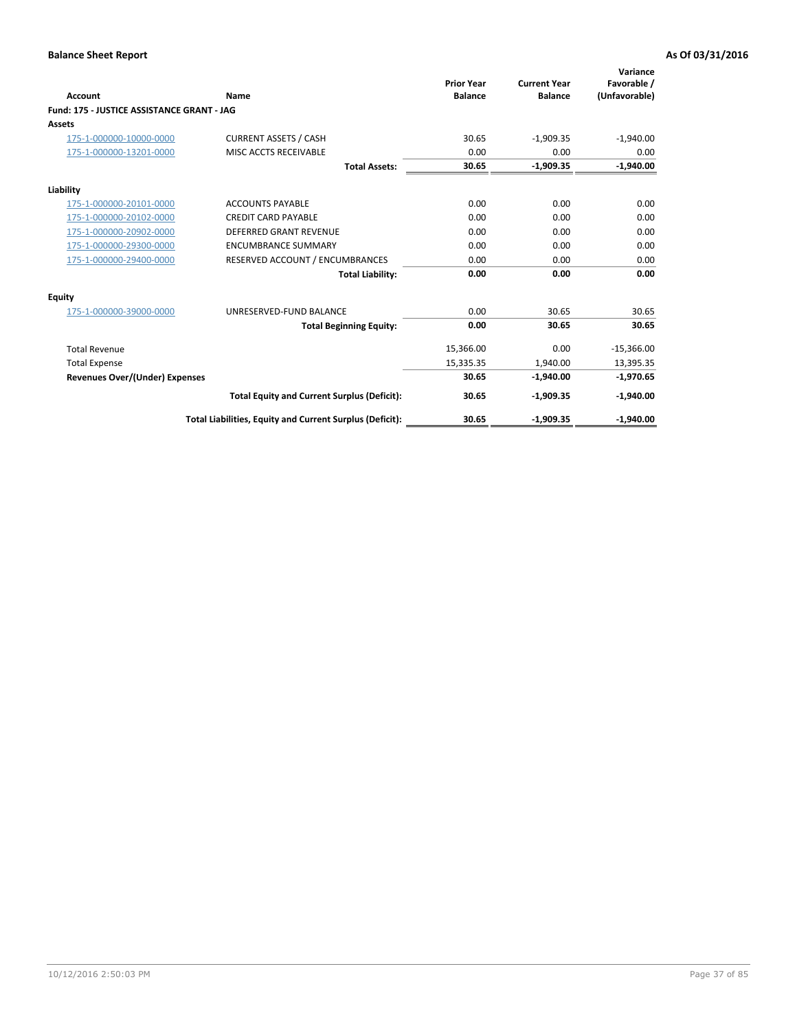| <b>Account</b>                             | Name                                                     | <b>Prior Year</b><br><b>Balance</b> | <b>Current Year</b><br><b>Balance</b> | Variance<br>Favorable /<br>(Unfavorable) |
|--------------------------------------------|----------------------------------------------------------|-------------------------------------|---------------------------------------|------------------------------------------|
| Fund: 175 - JUSTICE ASSISTANCE GRANT - JAG |                                                          |                                     |                                       |                                          |
| <b>Assets</b>                              |                                                          |                                     |                                       |                                          |
| 175-1-000000-10000-0000                    | <b>CURRENT ASSETS / CASH</b>                             | 30.65                               | $-1,909.35$                           | $-1,940.00$                              |
| 175-1-000000-13201-0000                    | <b>MISC ACCTS RECEIVABLE</b>                             | 0.00                                | 0.00                                  | 0.00                                     |
|                                            | <b>Total Assets:</b>                                     | 30.65                               | $-1,909.35$                           | $-1,940.00$                              |
| Liability                                  |                                                          |                                     |                                       |                                          |
| 175-1-000000-20101-0000                    | <b>ACCOUNTS PAYABLE</b>                                  | 0.00                                | 0.00                                  | 0.00                                     |
| 175-1-000000-20102-0000                    | <b>CREDIT CARD PAYABLE</b>                               | 0.00                                | 0.00                                  | 0.00                                     |
| 175-1-000000-20902-0000                    | DEFERRED GRANT REVENUE                                   | 0.00                                | 0.00                                  | 0.00                                     |
| 175-1-000000-29300-0000                    | <b>ENCUMBRANCE SUMMARY</b>                               | 0.00                                | 0.00                                  | 0.00                                     |
| 175-1-000000-29400-0000                    | RESERVED ACCOUNT / ENCUMBRANCES                          | 0.00                                | 0.00                                  | 0.00                                     |
|                                            | <b>Total Liability:</b>                                  | 0.00                                | 0.00                                  | 0.00                                     |
| <b>Equity</b>                              |                                                          |                                     |                                       |                                          |
| 175-1-000000-39000-0000                    | UNRESERVED-FUND BALANCE                                  | 0.00                                | 30.65                                 | 30.65                                    |
|                                            | <b>Total Beginning Equity:</b>                           | 0.00                                | 30.65                                 | 30.65                                    |
| <b>Total Revenue</b>                       |                                                          | 15,366.00                           | 0.00                                  | $-15,366.00$                             |
| <b>Total Expense</b>                       |                                                          | 15,335.35                           | 1.940.00                              | 13,395.35                                |
| <b>Revenues Over/(Under) Expenses</b>      |                                                          | 30.65                               | $-1,940.00$                           | $-1,970.65$                              |
|                                            | <b>Total Equity and Current Surplus (Deficit):</b>       | 30.65                               | $-1,909.35$                           | $-1,940.00$                              |
|                                            | Total Liabilities, Equity and Current Surplus (Deficit): | 30.65                               | $-1,909.35$                           | $-1,940.00$                              |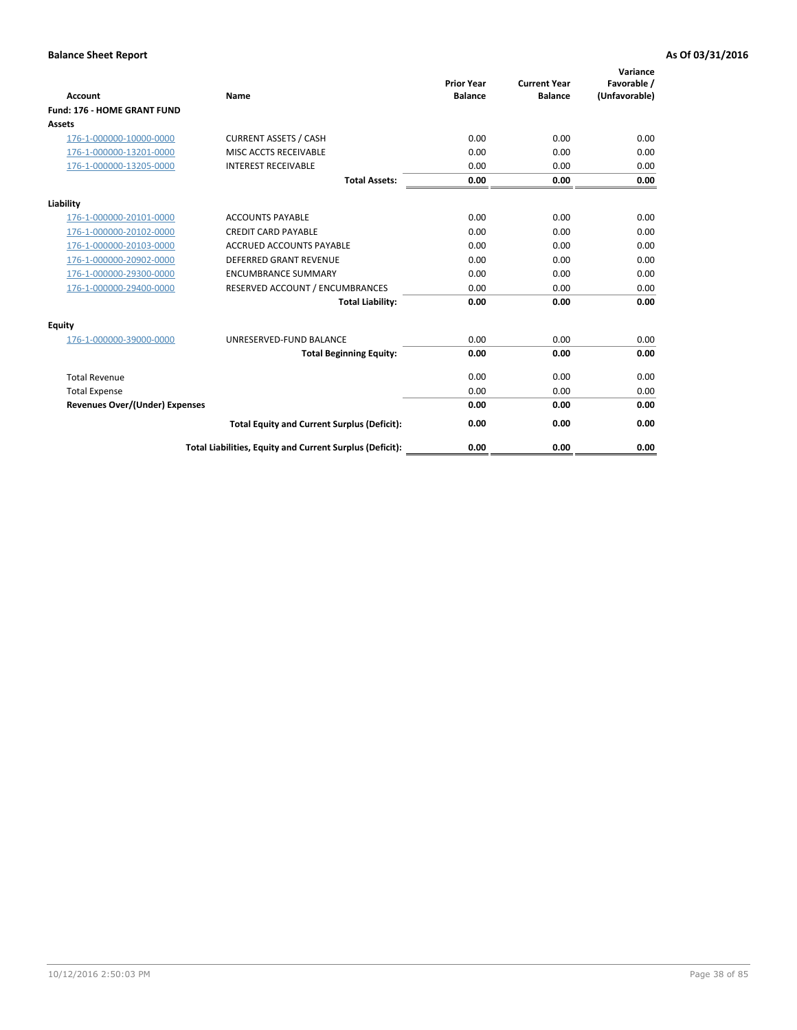| <b>Account</b>                        | <b>Name</b>                                              | <b>Prior Year</b><br><b>Balance</b> | <b>Current Year</b><br><b>Balance</b> | Variance<br>Favorable /<br>(Unfavorable) |
|---------------------------------------|----------------------------------------------------------|-------------------------------------|---------------------------------------|------------------------------------------|
| <b>Fund: 176 - HOME GRANT FUND</b>    |                                                          |                                     |                                       |                                          |
| Assets                                |                                                          |                                     |                                       |                                          |
| 176-1-000000-10000-0000               | <b>CURRENT ASSETS / CASH</b>                             | 0.00                                | 0.00                                  | 0.00                                     |
| 176-1-000000-13201-0000               | MISC ACCTS RECEIVABLE                                    | 0.00                                | 0.00                                  | 0.00                                     |
| 176-1-000000-13205-0000               | <b>INTEREST RECEIVABLE</b>                               | 0.00                                | 0.00                                  | 0.00                                     |
|                                       | <b>Total Assets:</b>                                     | 0.00                                | 0.00                                  | 0.00                                     |
| Liability                             |                                                          |                                     |                                       |                                          |
| 176-1-000000-20101-0000               | <b>ACCOUNTS PAYABLE</b>                                  | 0.00                                | 0.00                                  | 0.00                                     |
| 176-1-000000-20102-0000               | <b>CREDIT CARD PAYABLE</b>                               | 0.00                                | 0.00                                  | 0.00                                     |
| 176-1-000000-20103-0000               | <b>ACCRUED ACCOUNTS PAYABLE</b>                          | 0.00                                | 0.00                                  | 0.00                                     |
| 176-1-000000-20902-0000               | DEFERRED GRANT REVENUE                                   | 0.00                                | 0.00                                  | 0.00                                     |
| 176-1-000000-29300-0000               | <b>ENCUMBRANCE SUMMARY</b>                               | 0.00                                | 0.00                                  | 0.00                                     |
| 176-1-000000-29400-0000               | RESERVED ACCOUNT / ENCUMBRANCES                          | 0.00                                | 0.00                                  | 0.00                                     |
|                                       | <b>Total Liability:</b>                                  | 0.00                                | 0.00                                  | 0.00                                     |
| Equity                                |                                                          |                                     |                                       |                                          |
| 176-1-000000-39000-0000               | UNRESERVED-FUND BALANCE                                  | 0.00                                | 0.00                                  | 0.00                                     |
|                                       | <b>Total Beginning Equity:</b>                           | 0.00                                | 0.00                                  | 0.00                                     |
| <b>Total Revenue</b>                  |                                                          | 0.00                                | 0.00                                  | 0.00                                     |
| <b>Total Expense</b>                  |                                                          | 0.00                                | 0.00                                  | 0.00                                     |
| <b>Revenues Over/(Under) Expenses</b> |                                                          | 0.00                                | 0.00                                  | 0.00                                     |
|                                       | <b>Total Equity and Current Surplus (Deficit):</b>       | 0.00                                | 0.00                                  | 0.00                                     |
|                                       | Total Liabilities, Equity and Current Surplus (Deficit): | 0.00                                | 0.00                                  | 0.00                                     |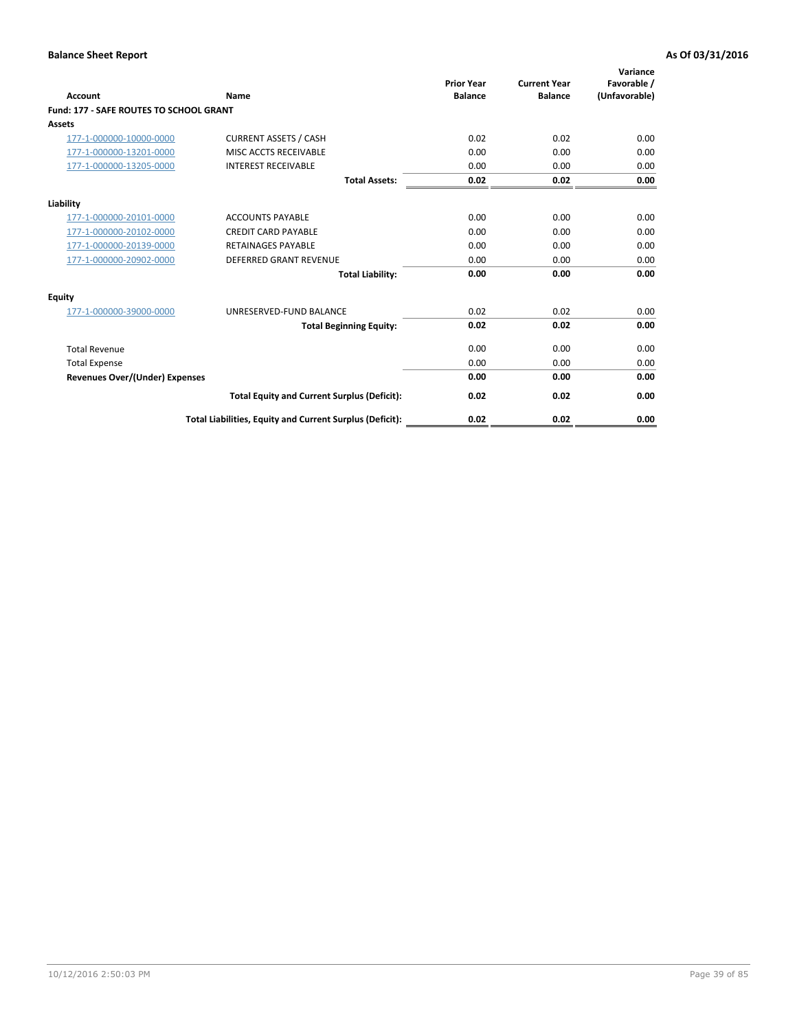| Account                                        | Name                                                     | <b>Prior Year</b><br><b>Balance</b> | <b>Current Year</b><br><b>Balance</b> | Variance<br>Favorable /<br>(Unfavorable) |
|------------------------------------------------|----------------------------------------------------------|-------------------------------------|---------------------------------------|------------------------------------------|
| <b>Fund: 177 - SAFE ROUTES TO SCHOOL GRANT</b> |                                                          |                                     |                                       |                                          |
| <b>Assets</b>                                  |                                                          |                                     |                                       |                                          |
| 177-1-000000-10000-0000                        | <b>CURRENT ASSETS / CASH</b>                             | 0.02                                | 0.02                                  | 0.00                                     |
| 177-1-000000-13201-0000                        | MISC ACCTS RECEIVABLE                                    | 0.00                                | 0.00                                  | 0.00                                     |
| 177-1-000000-13205-0000                        | <b>INTEREST RECEIVABLE</b>                               | 0.00                                | 0.00                                  | 0.00                                     |
|                                                | <b>Total Assets:</b>                                     | 0.02                                | 0.02                                  | 0.00                                     |
| Liability                                      |                                                          |                                     |                                       |                                          |
| 177-1-000000-20101-0000                        | <b>ACCOUNTS PAYABLE</b>                                  | 0.00                                | 0.00                                  | 0.00                                     |
| 177-1-000000-20102-0000                        | <b>CREDIT CARD PAYABLE</b>                               | 0.00                                | 0.00                                  | 0.00                                     |
| 177-1-000000-20139-0000                        | <b>RETAINAGES PAYABLE</b>                                | 0.00                                | 0.00                                  | 0.00                                     |
| 177-1-000000-20902-0000                        | <b>DEFERRED GRANT REVENUE</b>                            | 0.00                                | 0.00                                  | 0.00                                     |
|                                                | <b>Total Liability:</b>                                  | 0.00                                | 0.00                                  | 0.00                                     |
| Equity                                         |                                                          |                                     |                                       |                                          |
| 177-1-000000-39000-0000                        | UNRESERVED-FUND BALANCE                                  | 0.02                                | 0.02                                  | 0.00                                     |
|                                                | <b>Total Beginning Equity:</b>                           | 0.02                                | 0.02                                  | 0.00                                     |
| <b>Total Revenue</b>                           |                                                          | 0.00                                | 0.00                                  | 0.00                                     |
| <b>Total Expense</b>                           |                                                          | 0.00                                | 0.00                                  | 0.00                                     |
| Revenues Over/(Under) Expenses                 |                                                          | 0.00                                | 0.00                                  | 0.00                                     |
|                                                | <b>Total Equity and Current Surplus (Deficit):</b>       | 0.02                                | 0.02                                  | 0.00                                     |
|                                                | Total Liabilities, Equity and Current Surplus (Deficit): | 0.02                                | 0.02                                  | 0.00                                     |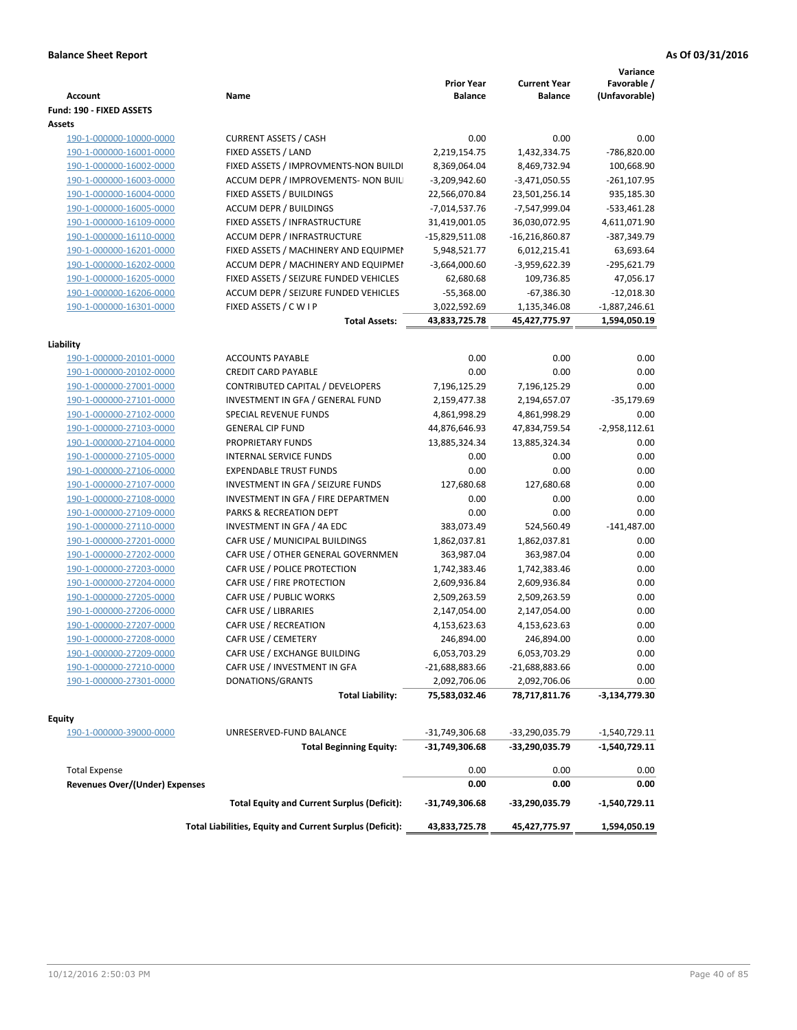| <b>Account</b>                        | Name                                                     | <b>Prior Year</b><br><b>Balance</b> | <b>Current Year</b><br><b>Balance</b> | Variance<br>Favorable /<br>(Unfavorable) |
|---------------------------------------|----------------------------------------------------------|-------------------------------------|---------------------------------------|------------------------------------------|
| Fund: 190 - FIXED ASSETS              |                                                          |                                     |                                       |                                          |
| Assets                                |                                                          |                                     |                                       |                                          |
| 190-1-000000-10000-0000               | <b>CURRENT ASSETS / CASH</b>                             | 0.00                                | 0.00                                  | 0.00                                     |
| 190-1-000000-16001-0000               | FIXED ASSETS / LAND                                      | 2,219,154.75                        | 1,432,334.75                          | -786,820.00                              |
| 190-1-000000-16002-0000               | FIXED ASSETS / IMPROVMENTS-NON BUILDI                    | 8,369,064.04                        | 8,469,732.94                          | 100,668.90                               |
| 190-1-000000-16003-0000               | ACCUM DEPR / IMPROVEMENTS- NON BUIL                      | $-3,209,942.60$                     | $-3,471,050.55$                       | $-261, 107.95$                           |
| 190-1-000000-16004-0000               | FIXED ASSETS / BUILDINGS                                 | 22,566,070.84                       | 23,501,256.14                         | 935,185.30                               |
| 190-1-000000-16005-0000               | <b>ACCUM DEPR / BUILDINGS</b>                            | $-7,014,537.76$                     | -7,547,999.04                         | $-533,461.28$                            |
| 190-1-000000-16109-0000               | FIXED ASSETS / INFRASTRUCTURE                            | 31,419,001.05                       | 36,030,072.95                         | 4,611,071.90                             |
| 190-1-000000-16110-0000               | ACCUM DEPR / INFRASTRUCTURE                              | $-15,829,511.08$                    | $-16,216,860.87$                      | -387,349.79                              |
| 190-1-000000-16201-0000               | FIXED ASSETS / MACHINERY AND EQUIPMEN                    | 5,948,521.77                        | 6,012,215.41                          | 63,693.64                                |
| 190-1-000000-16202-0000               | ACCUM DEPR / MACHINERY AND EQUIPMEI                      | $-3,664,000.60$                     | -3,959,622.39                         | -295,621.79                              |
| 190-1-000000-16205-0000               | FIXED ASSETS / SEIZURE FUNDED VEHICLES                   | 62,680.68                           | 109,736.85                            | 47,056.17                                |
| 190-1-000000-16206-0000               | ACCUM DEPR / SEIZURE FUNDED VEHICLES                     | $-55,368.00$                        | $-67,386.30$                          | $-12,018.30$                             |
| 190-1-000000-16301-0000               | FIXED ASSETS / C W I P                                   | 3,022,592.69                        | 1,135,346.08                          | $-1,887,246.61$                          |
|                                       | <b>Total Assets:</b>                                     | 43,833,725.78                       | 45,427,775.97                         | 1,594,050.19                             |
| Liability                             |                                                          |                                     |                                       |                                          |
| 190-1-000000-20101-0000               | <b>ACCOUNTS PAYABLE</b>                                  | 0.00                                | 0.00                                  | 0.00                                     |
| 190-1-000000-20102-0000               | <b>CREDIT CARD PAYABLE</b>                               | 0.00                                | 0.00                                  | 0.00                                     |
| 190-1-000000-27001-0000               | CONTRIBUTED CAPITAL / DEVELOPERS                         | 7,196,125.29                        | 7,196,125.29                          | 0.00                                     |
| 190-1-000000-27101-0000               | INVESTMENT IN GFA / GENERAL FUND                         | 2,159,477.38                        | 2,194,657.07                          | $-35,179.69$                             |
| 190-1-000000-27102-0000               | SPECIAL REVENUE FUNDS                                    | 4,861,998.29                        | 4,861,998.29                          | 0.00                                     |
| 190-1-000000-27103-0000               | <b>GENERAL CIP FUND</b>                                  | 44,876,646.93                       | 47,834,759.54                         | $-2,958,112.61$                          |
| 190-1-000000-27104-0000               | PROPRIETARY FUNDS                                        | 13,885,324.34                       | 13,885,324.34                         | 0.00                                     |
| 190-1-000000-27105-0000               | <b>INTERNAL SERVICE FUNDS</b>                            | 0.00                                | 0.00                                  | 0.00                                     |
| 190-1-000000-27106-0000               | <b>EXPENDABLE TRUST FUNDS</b>                            | 0.00                                | 0.00                                  | 0.00                                     |
| 190-1-000000-27107-0000               | INVESTMENT IN GFA / SEIZURE FUNDS                        | 127,680.68                          | 127,680.68                            | 0.00                                     |
| 190-1-000000-27108-0000               | INVESTMENT IN GFA / FIRE DEPARTMEN                       | 0.00                                | 0.00                                  | 0.00                                     |
| 190-1-000000-27109-0000               | PARKS & RECREATION DEPT                                  | 0.00                                | 0.00                                  | 0.00                                     |
|                                       | INVESTMENT IN GFA / 4A EDC                               | 383,073.49                          | 524,560.49                            | $-141,487.00$                            |
| 190-1-000000-27110-0000               | CAFR USE / MUNICIPAL BUILDINGS                           | 1,862,037.81                        |                                       | 0.00                                     |
| 190-1-000000-27201-0000               |                                                          |                                     | 1,862,037.81                          | 0.00                                     |
| 190-1-000000-27202-0000               | CAFR USE / OTHER GENERAL GOVERNMEN                       | 363,987.04                          | 363,987.04                            |                                          |
| 190-1-000000-27203-0000               | CAFR USE / POLICE PROTECTION                             | 1,742,383.46                        | 1,742,383.46                          | 0.00                                     |
| 190-1-000000-27204-0000               | CAFR USE / FIRE PROTECTION                               | 2,609,936.84                        | 2,609,936.84                          | 0.00                                     |
| 190-1-000000-27205-0000               | CAFR USE / PUBLIC WORKS                                  | 2,509,263.59                        | 2,509,263.59                          | 0.00                                     |
| 190-1-000000-27206-0000               | CAFR USE / LIBRARIES                                     | 2,147,054.00                        | 2,147,054.00                          | 0.00                                     |
| 190-1-000000-27207-0000               | CAFR USE / RECREATION                                    | 4,153,623.63                        | 4,153,623.63                          | 0.00                                     |
| 190-1-000000-27208-0000               | CAFR USE / CEMETERY                                      | 246,894.00                          | 246,894.00                            | 0.00                                     |
| 190-1-000000-27209-0000               | CAFR USE / EXCHANGE BUILDING                             | 6,053,703.29                        | 6,053,703.29                          | 0.00                                     |
| 190-1-000000-27210-0000               | CAFR USE / INVESTMENT IN GFA                             | $-21,688,883.66$                    | -21,688,883.66                        | 0.00                                     |
| 190-1-000000-27301-0000               | DONATIONS/GRANTS                                         | 2,092,706.06                        | 2,092,706.06                          | 0.00                                     |
|                                       | <b>Total Liability:</b>                                  | 75,583,032.46                       | 78,717,811.76                         | -3,134,779.30                            |
| <b>Equity</b>                         |                                                          |                                     |                                       |                                          |
| 190-1-000000-39000-0000               | UNRESERVED-FUND BALANCE                                  | -31,749,306.68                      | -33,290,035.79                        | -1,540,729.11                            |
|                                       | <b>Total Beginning Equity:</b>                           | -31,749,306.68                      | -33,290,035.79                        | -1,540,729.11                            |
| <b>Total Expense</b>                  |                                                          | 0.00                                | 0.00                                  | 0.00                                     |
| <b>Revenues Over/(Under) Expenses</b> |                                                          | 0.00                                | 0.00                                  | 0.00                                     |
|                                       | <b>Total Equity and Current Surplus (Deficit):</b>       | -31,749,306.68                      | -33,290,035.79                        | -1,540,729.11                            |
|                                       | Total Liabilities, Equity and Current Surplus (Deficit): | 43,833,725.78                       | 45,427,775.97                         | 1,594,050.19                             |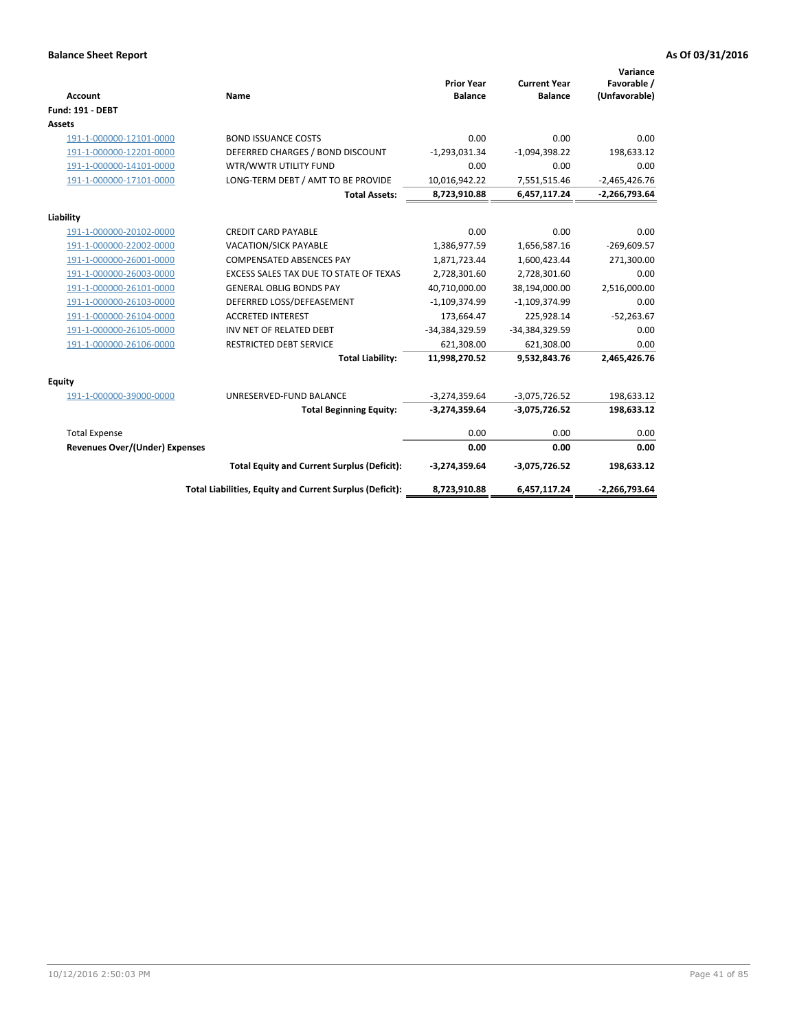| <b>Account</b>                 | Name                                                     | <b>Prior Year</b><br><b>Balance</b> | <b>Current Year</b><br><b>Balance</b> | Variance<br>Favorable /<br>(Unfavorable) |
|--------------------------------|----------------------------------------------------------|-------------------------------------|---------------------------------------|------------------------------------------|
| <b>Fund: 191 - DEBT</b>        |                                                          |                                     |                                       |                                          |
| <b>Assets</b>                  |                                                          |                                     |                                       |                                          |
| 191-1-000000-12101-0000        | <b>BOND ISSUANCE COSTS</b>                               | 0.00                                | 0.00                                  | 0.00                                     |
| 191-1-000000-12201-0000        | DEFERRED CHARGES / BOND DISCOUNT                         | $-1,293,031.34$                     | $-1,094,398.22$                       | 198,633.12                               |
| 191-1-000000-14101-0000        | WTR/WWTR UTILITY FUND                                    | 0.00                                | 0.00                                  | 0.00                                     |
| 191-1-000000-17101-0000        | LONG-TERM DEBT / AMT TO BE PROVIDE                       | 10,016,942.22                       | 7,551,515.46                          | $-2,465,426.76$                          |
|                                | <b>Total Assets:</b>                                     | 8,723,910.88                        | 6,457,117.24                          | $-2,266,793.64$                          |
| Liability                      |                                                          |                                     |                                       |                                          |
| 191-1-000000-20102-0000        | <b>CREDIT CARD PAYABLE</b>                               | 0.00                                | 0.00                                  | 0.00                                     |
| 191-1-000000-22002-0000        | <b>VACATION/SICK PAYABLE</b>                             | 1,386,977.59                        | 1,656,587.16                          | $-269,609.57$                            |
| 191-1-000000-26001-0000        | <b>COMPENSATED ABSENCES PAY</b>                          | 1,871,723.44                        | 1,600,423.44                          | 271,300.00                               |
| 191-1-000000-26003-0000        | EXCESS SALES TAX DUE TO STATE OF TEXAS                   | 2,728,301.60                        | 2,728,301.60                          | 0.00                                     |
| 191-1-000000-26101-0000        | <b>GENERAL OBLIG BONDS PAY</b>                           | 40,710,000.00                       | 38,194,000.00                         | 2,516,000.00                             |
| 191-1-000000-26103-0000        | DEFERRED LOSS/DEFEASEMENT                                | $-1,109,374.99$                     | $-1,109,374.99$                       | 0.00                                     |
| 191-1-000000-26104-0000        | <b>ACCRETED INTEREST</b>                                 | 173,664.47                          | 225,928.14                            | $-52,263.67$                             |
| 191-1-000000-26105-0000        | INV NET OF RELATED DEBT                                  | -34,384,329.59                      | -34,384,329.59                        | 0.00                                     |
| 191-1-000000-26106-0000        | <b>RESTRICTED DEBT SERVICE</b>                           | 621,308.00                          | 621,308.00                            | 0.00                                     |
|                                | <b>Total Liability:</b>                                  | 11,998,270.52                       | 9,532,843.76                          | 2,465,426.76                             |
| Equity                         |                                                          |                                     |                                       |                                          |
| 191-1-000000-39000-0000        | UNRESERVED-FUND BALANCE                                  | $-3,274,359.64$                     | $-3,075,726.52$                       | 198,633.12                               |
|                                | <b>Total Beginning Equity:</b>                           | $-3,274,359.64$                     | $-3,075,726.52$                       | 198,633.12                               |
| <b>Total Expense</b>           |                                                          | 0.00                                | 0.00                                  | 0.00                                     |
| Revenues Over/(Under) Expenses |                                                          | 0.00                                | 0.00                                  | 0.00                                     |
|                                | <b>Total Equity and Current Surplus (Deficit):</b>       | $-3,274,359.64$                     | $-3,075,726.52$                       | 198,633.12                               |
|                                | Total Liabilities, Equity and Current Surplus (Deficit): | 8,723,910.88                        | 6,457,117.24                          | $-2,266,793.64$                          |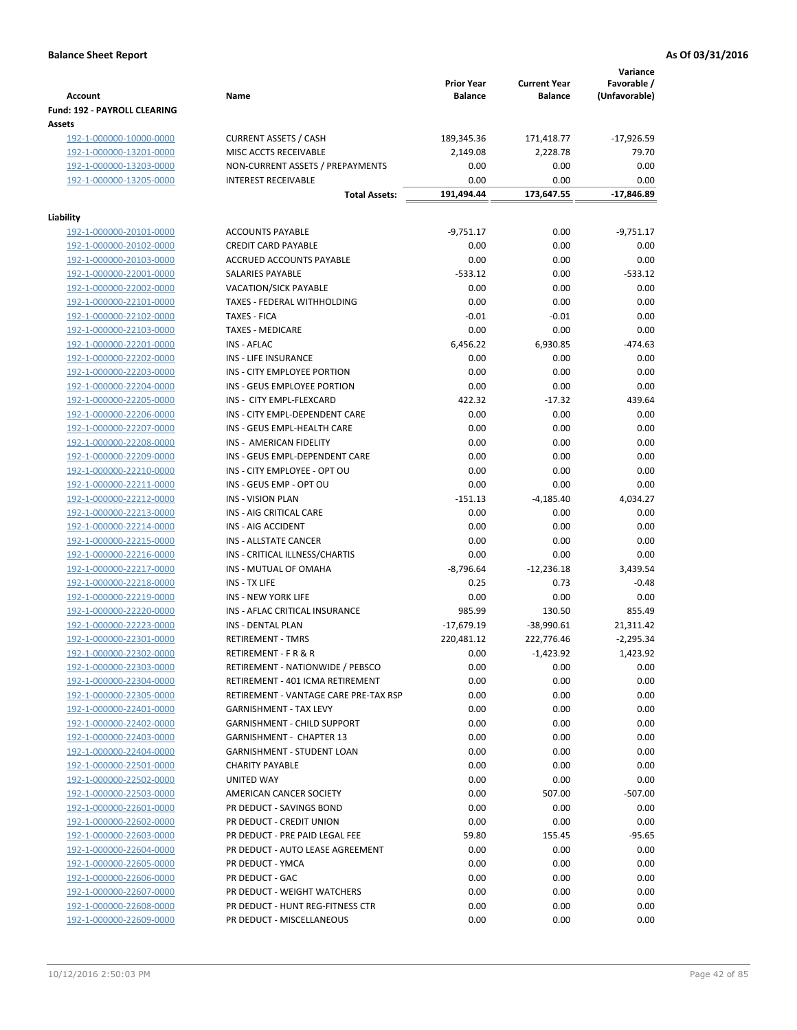| <b>Account</b>                                     | Name                                                 | <b>Prior Year</b><br><b>Balance</b> | <b>Current Year</b><br><b>Balance</b> | Variance<br>Favorable /<br>(Unfavorable) |
|----------------------------------------------------|------------------------------------------------------|-------------------------------------|---------------------------------------|------------------------------------------|
| <b>Fund: 192 - PAYROLL CLEARING</b><br>Assets      |                                                      |                                     |                                       |                                          |
| 192-1-000000-10000-0000                            | <b>CURRENT ASSETS / CASH</b>                         | 189,345.36                          | 171,418.77                            | $-17,926.59$                             |
| 192-1-000000-13201-0000                            | MISC ACCTS RECEIVABLE                                | 2,149.08                            | 2,228.78                              | 79.70                                    |
| 192-1-000000-13203-0000                            | NON-CURRENT ASSETS / PREPAYMENTS                     | 0.00                                | 0.00                                  | 0.00                                     |
| 192-1-000000-13205-0000                            | <b>INTEREST RECEIVABLE</b>                           | 0.00                                | 0.00                                  | 0.00                                     |
|                                                    | <b>Total Assets:</b>                                 | 191,494.44                          | 173,647.55                            | $-17,846.89$                             |
| Liability                                          |                                                      |                                     |                                       |                                          |
| 192-1-000000-20101-0000                            | <b>ACCOUNTS PAYABLE</b>                              | $-9,751.17$                         | 0.00                                  | $-9,751.17$                              |
| 192-1-000000-20102-0000                            | <b>CREDIT CARD PAYABLE</b>                           | 0.00                                | 0.00                                  | 0.00                                     |
| 192-1-000000-20103-0000                            | ACCRUED ACCOUNTS PAYABLE                             | 0.00                                | 0.00                                  | 0.00                                     |
| 192-1-000000-22001-0000                            | SALARIES PAYABLE                                     | $-533.12$                           | 0.00                                  | $-533.12$                                |
| 192-1-000000-22002-0000                            | <b>VACATION/SICK PAYABLE</b>                         | 0.00                                | 0.00                                  | 0.00                                     |
| 192-1-000000-22101-0000                            | TAXES - FEDERAL WITHHOLDING                          | 0.00                                | 0.00                                  | 0.00                                     |
| 192-1-000000-22102-0000                            | <b>TAXES - FICA</b>                                  | $-0.01$                             | $-0.01$                               | 0.00                                     |
| 192-1-000000-22103-0000                            | <b>TAXES - MEDICARE</b>                              | 0.00                                | 0.00                                  | 0.00                                     |
| 192-1-000000-22201-0000                            | INS - AFLAC                                          | 6,456.22                            | 6,930.85                              | $-474.63$                                |
| 192-1-000000-22202-0000                            | INS - LIFE INSURANCE                                 | 0.00                                | 0.00                                  | 0.00                                     |
| 192-1-000000-22203-0000                            | INS - CITY EMPLOYEE PORTION                          | 0.00                                | 0.00                                  | 0.00                                     |
| 192-1-000000-22204-0000                            | INS - GEUS EMPLOYEE PORTION                          | 0.00                                | 0.00                                  | 0.00                                     |
| 192-1-000000-22205-0000                            | INS - CITY EMPL-FLEXCARD                             | 422.32                              | $-17.32$                              | 439.64                                   |
| 192-1-000000-22206-0000                            | INS - CITY EMPL-DEPENDENT CARE                       | 0.00                                | 0.00                                  | 0.00                                     |
| 192-1-000000-22207-0000                            | INS - GEUS EMPL-HEALTH CARE                          | 0.00                                | 0.00                                  | 0.00                                     |
| 192-1-000000-22208-0000                            | INS - AMERICAN FIDELITY                              | 0.00                                | 0.00                                  | 0.00                                     |
| 192-1-000000-22209-0000                            | INS - GEUS EMPL-DEPENDENT CARE                       | 0.00                                | 0.00                                  | 0.00                                     |
| 192-1-000000-22210-0000                            | INS - CITY EMPLOYEE - OPT OU                         | 0.00                                | 0.00                                  | 0.00                                     |
| 192-1-000000-22211-0000                            | INS - GEUS EMP - OPT OU                              | 0.00                                | 0.00                                  | 0.00                                     |
| 192-1-000000-22212-0000                            | <b>INS - VISION PLAN</b>                             | $-151.13$                           | -4,185.40                             | 4,034.27                                 |
| 192-1-000000-22213-0000                            | INS - AIG CRITICAL CARE                              | 0.00                                | 0.00                                  | 0.00                                     |
| 192-1-000000-22214-0000                            | INS - AIG ACCIDENT                                   | 0.00                                | 0.00                                  | 0.00                                     |
| 192-1-000000-22215-0000                            | <b>INS - ALLSTATE CANCER</b>                         | 0.00                                | 0.00                                  | 0.00                                     |
| 192-1-000000-22216-0000                            | INS - CRITICAL ILLNESS/CHARTIS                       | 0.00                                | 0.00                                  | 0.00                                     |
| 192-1-000000-22217-0000                            | INS - MUTUAL OF OMAHA                                | $-8,796.64$                         | $-12,236.18$                          | 3,439.54                                 |
| 192-1-000000-22218-0000                            | INS - TX LIFE                                        | 0.25                                | 0.73                                  | $-0.48$                                  |
| 192-1-000000-22219-0000                            | <b>INS - NEW YORK LIFE</b>                           | 0.00                                | 0.00                                  | 0.00                                     |
| 192-1-000000-22220-0000                            | INS - AFLAC CRITICAL INSURANCE                       | 985.99                              | 130.50                                | 855.49                                   |
| 192-1-000000-22223-0000                            | <b>INS - DENTAL PLAN</b>                             | $-17,679.19$                        | $-38,990.61$                          | 21,311.42                                |
| 192-1-000000-22301-0000                            | <b>RETIREMENT - TMRS</b>                             | 220,481.12                          | 222,776.46                            | $-2,295.34$                              |
| 192-1-000000-22302-0000                            | RETIREMENT - F R & R                                 | 0.00                                | $-1,423.92$                           | 1,423.92                                 |
| 192-1-000000-22303-0000                            | RETIREMENT - NATIONWIDE / PEBSCO                     | 0.00                                | 0.00                                  | 0.00                                     |
| 192-1-000000-22304-0000                            | RETIREMENT - 401 ICMA RETIREMENT                     | 0.00                                | 0.00                                  | 0.00                                     |
| 192-1-000000-22305-0000                            | RETIREMENT - VANTAGE CARE PRE-TAX RSP                | 0.00                                | 0.00                                  | 0.00                                     |
| 192-1-000000-22401-0000                            | <b>GARNISHMENT - TAX LEVY</b>                        | 0.00                                | 0.00                                  | 0.00                                     |
| 192-1-000000-22402-0000                            | <b>GARNISHMENT - CHILD SUPPORT</b>                   | 0.00                                | 0.00                                  | 0.00                                     |
| 192-1-000000-22403-0000                            | GARNISHMENT - CHAPTER 13                             | 0.00                                | 0.00                                  | 0.00                                     |
| 192-1-000000-22404-0000<br>192-1-000000-22501-0000 | GARNISHMENT - STUDENT LOAN<br><b>CHARITY PAYABLE</b> | 0.00<br>0.00                        | 0.00<br>0.00                          | 0.00<br>0.00                             |
| 192-1-000000-22502-0000                            | UNITED WAY                                           | 0.00                                | 0.00                                  | 0.00                                     |
| 192-1-000000-22503-0000                            | AMERICAN CANCER SOCIETY                              | 0.00                                | 507.00                                | $-507.00$                                |
| 192-1-000000-22601-0000                            | PR DEDUCT - SAVINGS BOND                             | 0.00                                | 0.00                                  | 0.00                                     |
| 192-1-000000-22602-0000                            | PR DEDUCT - CREDIT UNION                             | 0.00                                | 0.00                                  | 0.00                                     |
| 192-1-000000-22603-0000                            | PR DEDUCT - PRE PAID LEGAL FEE                       | 59.80                               | 155.45                                | $-95.65$                                 |
| 192-1-000000-22604-0000                            | PR DEDUCT - AUTO LEASE AGREEMENT                     | 0.00                                | 0.00                                  | 0.00                                     |
| 192-1-000000-22605-0000                            | PR DEDUCT - YMCA                                     | 0.00                                | 0.00                                  | 0.00                                     |
| 192-1-000000-22606-0000                            | PR DEDUCT - GAC                                      | 0.00                                | 0.00                                  | 0.00                                     |
| 192-1-000000-22607-0000                            | PR DEDUCT - WEIGHT WATCHERS                          | 0.00                                | 0.00                                  | 0.00                                     |
| 192-1-000000-22608-0000                            | PR DEDUCT - HUNT REG-FITNESS CTR                     | 0.00                                | 0.00                                  | 0.00                                     |
| 192-1-000000-22609-0000                            | PR DEDUCT - MISCELLANEOUS                            | 0.00                                | 0.00                                  | 0.00                                     |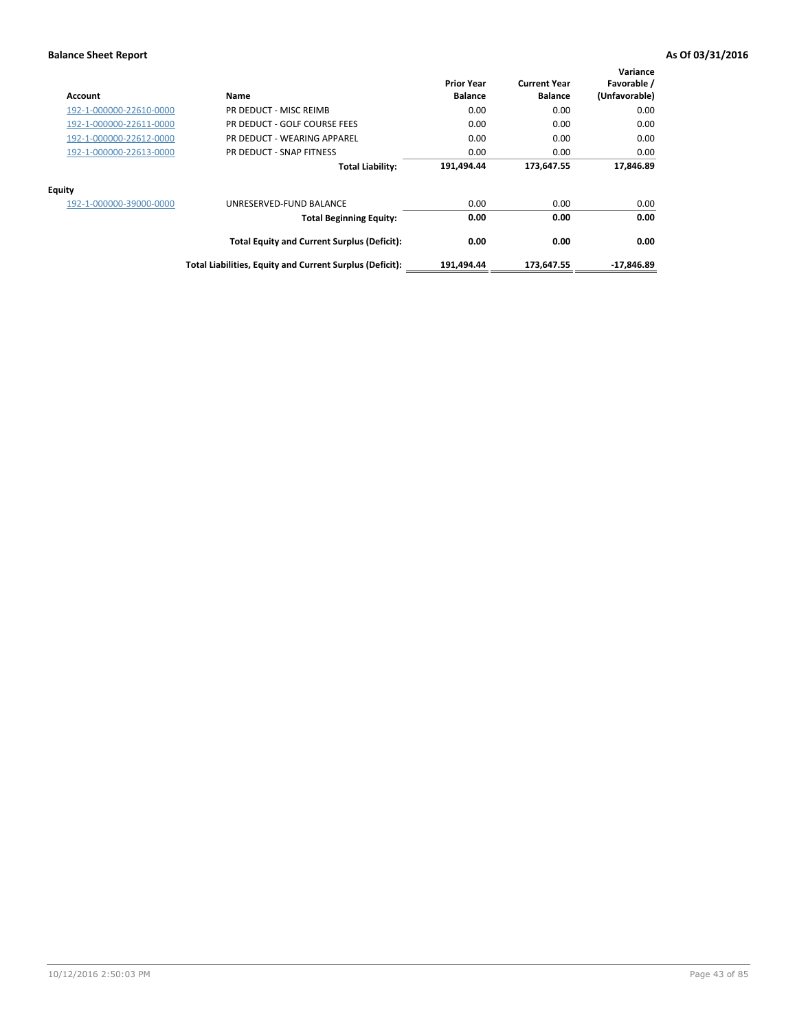| Account                 | Name                                                     | <b>Prior Year</b><br><b>Balance</b> | <b>Current Year</b><br><b>Balance</b> | Variance<br>Favorable /<br>(Unfavorable) |
|-------------------------|----------------------------------------------------------|-------------------------------------|---------------------------------------|------------------------------------------|
| 192-1-000000-22610-0000 | PR DEDUCT - MISC REIMB                                   | 0.00                                | 0.00                                  | 0.00                                     |
| 192-1-000000-22611-0000 | PR DEDUCT - GOLF COURSE FEES                             | 0.00                                | 0.00                                  | 0.00                                     |
| 192-1-000000-22612-0000 | PR DEDUCT - WEARING APPAREL                              | 0.00                                | 0.00                                  | 0.00                                     |
| 192-1-000000-22613-0000 | PR DEDUCT - SNAP FITNESS                                 | 0.00                                | 0.00                                  | 0.00                                     |
|                         | <b>Total Liability:</b>                                  | 191,494.44                          | 173,647.55                            | 17,846.89                                |
| Equity                  |                                                          |                                     |                                       |                                          |
| 192-1-000000-39000-0000 | UNRESERVED-FUND BALANCE                                  | 0.00                                | 0.00                                  | 0.00                                     |
|                         | <b>Total Beginning Equity:</b>                           | 0.00                                | 0.00                                  | 0.00                                     |
|                         | <b>Total Equity and Current Surplus (Deficit):</b>       | 0.00                                | 0.00                                  | 0.00                                     |
|                         | Total Liabilities, Equity and Current Surplus (Deficit): | 191,494.44                          | 173.647.55                            | -17.846.89                               |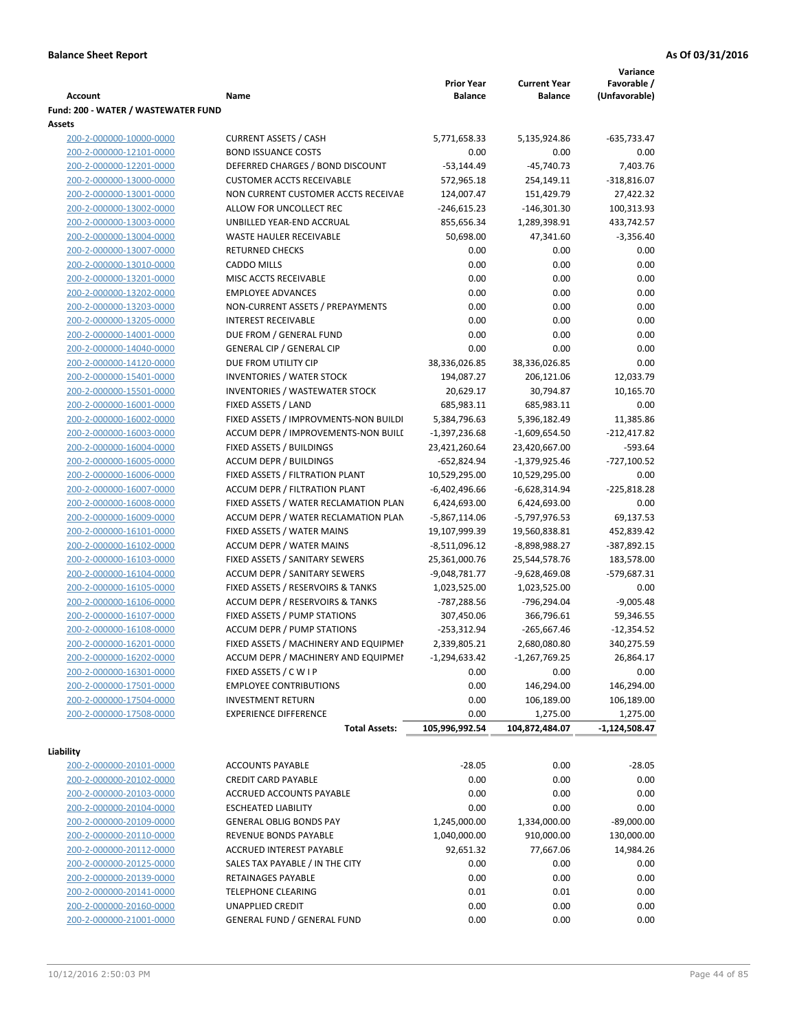|                                                    |                                                                              |                   |                     | Variance                    |
|----------------------------------------------------|------------------------------------------------------------------------------|-------------------|---------------------|-----------------------------|
|                                                    |                                                                              | <b>Prior Year</b> | <b>Current Year</b> | Favorable /                 |
| Account                                            | Name                                                                         | <b>Balance</b>    | <b>Balance</b>      | (Unfavorable)               |
| Fund: 200 - WATER / WASTEWATER FUND                |                                                                              |                   |                     |                             |
| Assets                                             |                                                                              |                   |                     |                             |
| 200-2-000000-10000-0000                            | <b>CURRENT ASSETS / CASH</b>                                                 | 5,771,658.33      | 5,135,924.86        | $-635,733.47$               |
| 200-2-000000-12101-0000                            | <b>BOND ISSUANCE COSTS</b>                                                   | 0.00              | 0.00                | 0.00                        |
| 200-2-000000-12201-0000                            | DEFERRED CHARGES / BOND DISCOUNT                                             | $-53,144.49$      | $-45,740.73$        | 7,403.76                    |
| 200-2-000000-13000-0000<br>200-2-000000-13001-0000 | <b>CUSTOMER ACCTS RECEIVABLE</b>                                             | 572,965.18        | 254,149.11          | $-318,816.07$               |
|                                                    | NON CURRENT CUSTOMER ACCTS RECEIVAE                                          | 124,007.47        | 151,429.79          | 27,422.32                   |
| 200-2-000000-13002-0000                            | ALLOW FOR UNCOLLECT REC                                                      | $-246,615.23$     | $-146,301.30$       | 100,313.93                  |
| 200-2-000000-13003-0000                            | UNBILLED YEAR-END ACCRUAL                                                    | 855,656.34        | 1,289,398.91        | 433,742.57                  |
| 200-2-000000-13004-0000                            | <b>WASTE HAULER RECEIVABLE</b><br><b>RETURNED CHECKS</b>                     | 50,698.00         | 47,341.60           | $-3,356.40$                 |
| 200-2-000000-13007-0000                            |                                                                              | 0.00              | 0.00                | 0.00                        |
| 200-2-000000-13010-0000                            | <b>CADDO MILLS</b>                                                           | 0.00              | 0.00                | 0.00                        |
| 200-2-000000-13201-0000                            | MISC ACCTS RECEIVABLE                                                        | 0.00              | 0.00                | 0.00                        |
| 200-2-000000-13202-0000                            | <b>EMPLOYEE ADVANCES</b>                                                     | 0.00              | 0.00                | 0.00                        |
| 200-2-000000-13203-0000                            | NON-CURRENT ASSETS / PREPAYMENTS                                             | 0.00              | 0.00                | 0.00                        |
| 200-2-000000-13205-0000                            | <b>INTEREST RECEIVABLE</b>                                                   | 0.00              | 0.00                | 0.00                        |
| 200-2-000000-14001-0000                            | DUE FROM / GENERAL FUND                                                      | 0.00              | 0.00                | 0.00                        |
| 200-2-000000-14040-0000                            | <b>GENERAL CIP / GENERAL CIP</b>                                             | 0.00              | 0.00                | 0.00                        |
| 200-2-000000-14120-0000                            | DUE FROM UTILITY CIP                                                         | 38,336,026.85     | 38,336,026.85       | 0.00                        |
| 200-2-000000-15401-0000                            | <b>INVENTORIES / WATER STOCK</b>                                             | 194,087.27        | 206,121.06          | 12,033.79                   |
| 200-2-000000-15501-0000                            | <b>INVENTORIES / WASTEWATER STOCK</b>                                        | 20,629.17         | 30,794.87           | 10,165.70                   |
| 200-2-000000-16001-0000                            | FIXED ASSETS / LAND                                                          | 685,983.11        | 685,983.11          | 0.00                        |
| 200-2-000000-16002-0000                            | FIXED ASSETS / IMPROVMENTS-NON BUILDI                                        | 5,384,796.63      | 5,396,182.49        | 11,385.86                   |
| 200-2-000000-16003-0000                            | ACCUM DEPR / IMPROVEMENTS-NON BUILI                                          | $-1,397,236.68$   | $-1,609,654.50$     | $-212,417.82$               |
| 200-2-000000-16004-0000                            | FIXED ASSETS / BUILDINGS                                                     | 23,421,260.64     | 23,420,667.00       | $-593.64$                   |
| 200-2-000000-16005-0000                            | <b>ACCUM DEPR / BUILDINGS</b>                                                | $-652,824.94$     | $-1,379,925.46$     | -727,100.52                 |
| 200-2-000000-16006-0000                            | FIXED ASSETS / FILTRATION PLANT                                              | 10,529,295.00     | 10,529,295.00       | 0.00                        |
| 200-2-000000-16007-0000                            | ACCUM DEPR / FILTRATION PLANT                                                | -6,402,496.66     | -6,628,314.94       | $-225,818.28$               |
| 200-2-000000-16008-0000                            | FIXED ASSETS / WATER RECLAMATION PLAN                                        | 6,424,693.00      | 6,424,693.00        | 0.00                        |
| 200-2-000000-16009-0000                            | ACCUM DEPR / WATER RECLAMATION PLAN                                          | $-5,867,114.06$   | -5,797,976.53       | 69,137.53                   |
| 200-2-000000-16101-0000                            | FIXED ASSETS / WATER MAINS                                                   | 19,107,999.39     | 19,560,838.81       | 452,839.42                  |
| 200-2-000000-16102-0000                            | <b>ACCUM DEPR / WATER MAINS</b>                                              | -8,511,096.12     | -8,898,988.27       | -387,892.15                 |
| 200-2-000000-16103-0000                            | FIXED ASSETS / SANITARY SEWERS                                               | 25,361,000.76     | 25,544,578.76       | 183,578.00                  |
| 200-2-000000-16104-0000                            | <b>ACCUM DEPR / SANITARY SEWERS</b>                                          | $-9,048,781.77$   | -9,628,469.08       | $-579,687.31$               |
| 200-2-000000-16105-0000                            | FIXED ASSETS / RESERVOIRS & TANKS                                            | 1,023,525.00      | 1,023,525.00        | 0.00                        |
| 200-2-000000-16106-0000<br>200-2-000000-16107-0000 | ACCUM DEPR / RESERVOIRS & TANKS<br>FIXED ASSETS / PUMP STATIONS              | -787,288.56       | -796,294.04         | $-9,005.48$                 |
| 200-2-000000-16108-0000                            |                                                                              | 307,450.06        | 366,796.61          | 59,346.55                   |
|                                                    | <b>ACCUM DEPR / PUMP STATIONS</b>                                            | $-253,312.94$     | $-265,667.46$       | $-12,354.52$                |
| 200-2-000000-16201-0000                            | FIXED ASSETS / MACHINERY AND EQUIPMEN<br>ACCUM DEPR / MACHINERY AND EQUIPMEI | 2,339,805.21      | 2,680,080.80        | 340,275.59                  |
| 200-2-000000-16202-0000                            | FIXED ASSETS / C W I P                                                       | $-1,294,633.42$   | $-1,267,769.25$     | 26,864.17                   |
| 200-2-000000-16301-0000<br>200-2-000000-17501-0000 | <b>EMPLOYEE CONTRIBUTIONS</b>                                                | 0.00<br>0.00      | 0.00<br>146,294.00  | 0.00<br>146,294.00          |
| 200-2-000000-17504-0000                            | <b>INVESTMENT RETURN</b>                                                     | 0.00              | 106,189.00          | 106,189.00                  |
| 200-2-000000-17508-0000                            | <b>EXPERIENCE DIFFERENCE</b>                                                 |                   | 1,275.00            |                             |
|                                                    | <b>Total Assets:</b>                                                         | 0.00              |                     | 1,275.00<br>$-1,124,508.47$ |
|                                                    |                                                                              | 105,996,992.54    | 104,872,484.07      |                             |
| Liability                                          |                                                                              |                   |                     |                             |
| 200-2-000000-20101-0000                            | <b>ACCOUNTS PAYABLE</b>                                                      | $-28.05$          | 0.00                | $-28.05$                    |
| 200-2-000000-20102-0000                            | <b>CREDIT CARD PAYABLE</b>                                                   | 0.00              | 0.00                | 0.00                        |
| 200-2-000000-20103-0000                            | ACCRUED ACCOUNTS PAYABLE                                                     | 0.00              | 0.00                | 0.00                        |
| 200-2-000000-20104-0000                            | <b>ESCHEATED LIABILITY</b>                                                   | 0.00              | 0.00                | 0.00                        |
| 200-2-000000-20109-0000                            | <b>GENERAL OBLIG BONDS PAY</b>                                               | 1,245,000.00      | 1,334,000.00        | $-89,000.00$                |
| 200-2-000000-20110-0000                            | REVENUE BONDS PAYABLE                                                        | 1,040,000.00      | 910,000.00          | 130,000.00                  |
| 200-2-000000-20112-0000                            | ACCRUED INTEREST PAYABLE                                                     | 92,651.32         | 77,667.06           | 14,984.26                   |
| 200-2-000000-20125-0000                            | SALES TAX PAYABLE / IN THE CITY                                              | 0.00              | 0.00                | 0.00                        |
| 200-2-000000-20139-0000                            | RETAINAGES PAYABLE                                                           | 0.00              | 0.00                | 0.00                        |
| 200-2-000000-20141-0000                            | <b>TELEPHONE CLEARING</b>                                                    | 0.01              | 0.01                | 0.00                        |
| 200-2-000000-20160-0000                            | <b>UNAPPLIED CREDIT</b>                                                      | 0.00              | 0.00                | 0.00                        |
| 200-2-000000-21001-0000                            | <b>GENERAL FUND / GENERAL FUND</b>                                           | 0.00              | 0.00                | 0.00                        |
|                                                    |                                                                              |                   |                     |                             |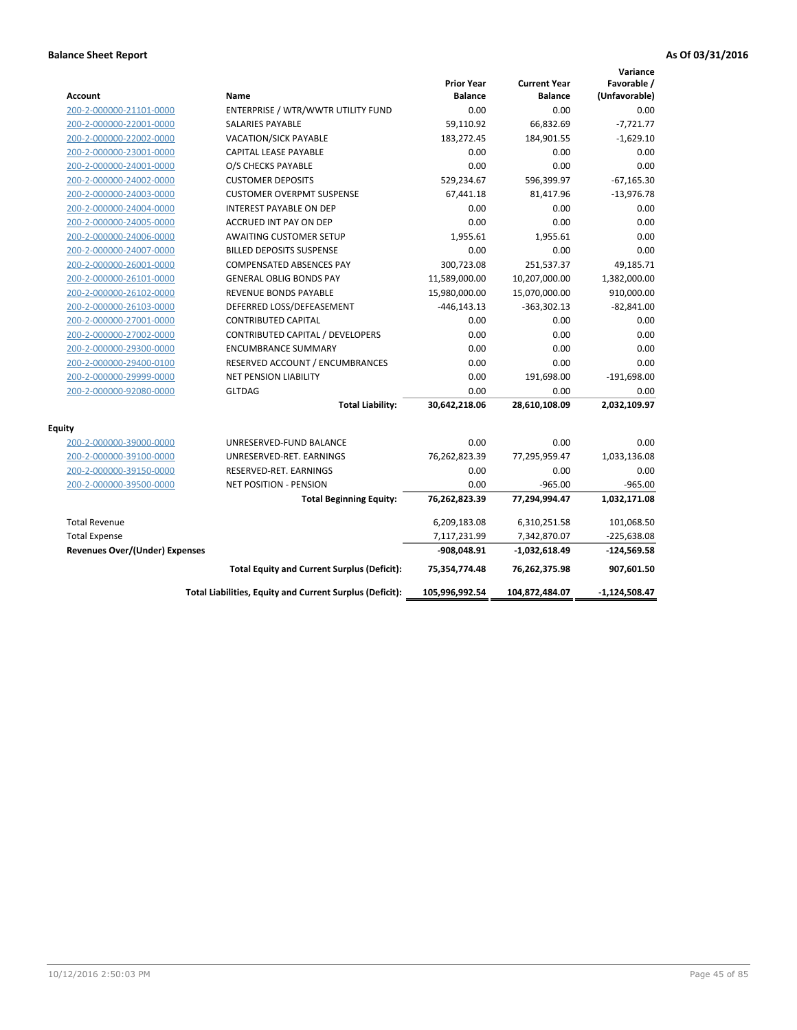| <b>Account</b>                        | Name                                                     | <b>Prior Year</b><br><b>Balance</b> | <b>Current Year</b><br><b>Balance</b> | Variance<br>Favorable /<br>(Unfavorable) |
|---------------------------------------|----------------------------------------------------------|-------------------------------------|---------------------------------------|------------------------------------------|
| 200-2-000000-21101-0000               | ENTERPRISE / WTR/WWTR UTILITY FUND                       | 0.00                                | 0.00                                  | 0.00                                     |
| 200-2-000000-22001-0000               | <b>SALARIES PAYABLE</b>                                  | 59,110.92                           | 66,832.69                             | $-7,721.77$                              |
| 200-2-000000-22002-0000               | <b>VACATION/SICK PAYABLE</b>                             | 183,272.45                          | 184,901.55                            | $-1,629.10$                              |
| 200-2-000000-23001-0000               | CAPITAL LEASE PAYABLE                                    | 0.00                                | 0.00                                  | 0.00                                     |
| 200-2-000000-24001-0000               | O/S CHECKS PAYABLE                                       | 0.00                                | 0.00                                  | 0.00                                     |
| 200-2-000000-24002-0000               | <b>CUSTOMER DEPOSITS</b>                                 | 529,234.67                          | 596,399.97                            | $-67,165.30$                             |
| 200-2-000000-24003-0000               | <b>CUSTOMER OVERPMT SUSPENSE</b>                         | 67,441.18                           | 81,417.96                             | $-13,976.78$                             |
| 200-2-000000-24004-0000               | <b>INTEREST PAYABLE ON DEP</b>                           | 0.00                                | 0.00                                  | 0.00                                     |
| 200-2-000000-24005-0000               | ACCRUED INT PAY ON DEP                                   | 0.00                                | 0.00                                  | 0.00                                     |
| 200-2-000000-24006-0000               | <b>AWAITING CUSTOMER SETUP</b>                           | 1,955.61                            | 1,955.61                              | 0.00                                     |
| 200-2-000000-24007-0000               | <b>BILLED DEPOSITS SUSPENSE</b>                          | 0.00                                | 0.00                                  | 0.00                                     |
| 200-2-000000-26001-0000               | <b>COMPENSATED ABSENCES PAY</b>                          | 300,723.08                          | 251,537.37                            | 49,185.71                                |
| 200-2-000000-26101-0000               | <b>GENERAL OBLIG BONDS PAY</b>                           | 11,589,000.00                       | 10,207,000.00                         | 1,382,000.00                             |
| 200-2-000000-26102-0000               | <b>REVENUE BONDS PAYABLE</b>                             | 15,980,000.00                       | 15,070,000.00                         | 910,000.00                               |
| 200-2-000000-26103-0000               | DEFERRED LOSS/DEFEASEMENT                                | $-446, 143.13$                      | $-363,302.13$                         | $-82,841.00$                             |
| 200-2-000000-27001-0000               | <b>CONTRIBUTED CAPITAL</b>                               | 0.00                                | 0.00                                  | 0.00                                     |
| 200-2-000000-27002-0000               | CONTRIBUTED CAPITAL / DEVELOPERS                         | 0.00                                | 0.00                                  | 0.00                                     |
| 200-2-000000-29300-0000               | <b>ENCUMBRANCE SUMMARY</b>                               | 0.00                                | 0.00                                  | 0.00                                     |
| 200-2-000000-29400-0100               | RESERVED ACCOUNT / ENCUMBRANCES                          | 0.00                                | 0.00                                  | 0.00                                     |
| 200-2-000000-29999-0000               | <b>NET PENSION LIABILITY</b>                             | 0.00                                | 191,698.00                            | $-191,698.00$                            |
| 200-2-000000-92080-0000               | <b>GLTDAG</b>                                            | 0.00                                | 0.00                                  | 0.00                                     |
|                                       | <b>Total Liability:</b>                                  | 30,642,218.06                       | 28,610,108.09                         | 2,032,109.97                             |
| <b>Equity</b>                         |                                                          |                                     |                                       |                                          |
| 200-2-000000-39000-0000               | UNRESERVED-FUND BALANCE                                  | 0.00                                | 0.00                                  | 0.00                                     |
| 200-2-000000-39100-0000               | UNRESERVED-RET. EARNINGS                                 | 76,262,823.39                       | 77,295,959.47                         | 1,033,136.08                             |
| 200-2-000000-39150-0000               | RESERVED-RET. EARNINGS                                   | 0.00                                | 0.00                                  | 0.00                                     |
| 200-2-000000-39500-0000               | <b>NET POSITION - PENSION</b>                            | 0.00                                | $-965.00$                             | $-965.00$                                |
|                                       | <b>Total Beginning Equity:</b>                           | 76,262,823.39                       | 77,294,994.47                         | 1,032,171.08                             |
| <b>Total Revenue</b>                  |                                                          | 6,209,183.08                        | 6,310,251.58                          | 101,068.50                               |
| <b>Total Expense</b>                  |                                                          | 7,117,231.99                        | 7,342,870.07                          | $-225,638.08$                            |
| <b>Revenues Over/(Under) Expenses</b> |                                                          | -908,048.91                         | -1,032,618.49                         | $-124,569.58$                            |
|                                       | <b>Total Equity and Current Surplus (Deficit):</b>       | 75,354,774.48                       | 76,262,375.98                         | 907,601.50                               |
|                                       | Total Liabilities, Equity and Current Surplus (Deficit): | 105,996,992.54                      | 104,872,484.07                        | $-1,124,508.47$                          |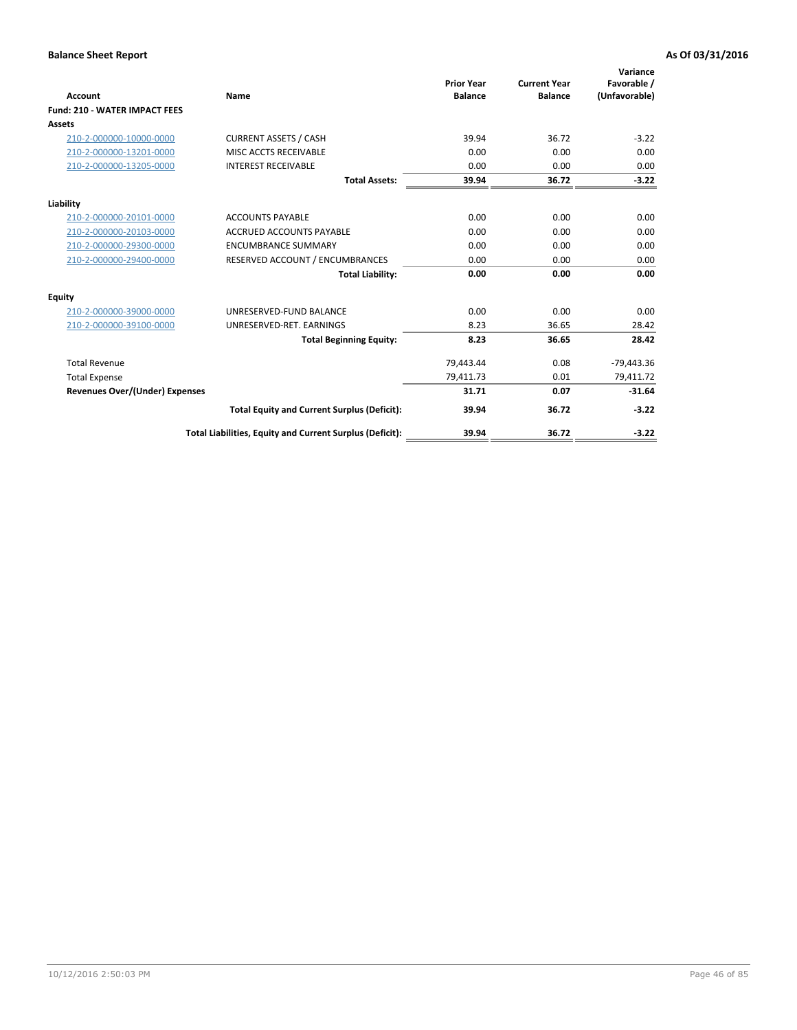| <b>Account</b>                        | Name                                                     | <b>Prior Year</b><br><b>Balance</b> | <b>Current Year</b><br><b>Balance</b> | Variance<br>Favorable /<br>(Unfavorable) |
|---------------------------------------|----------------------------------------------------------|-------------------------------------|---------------------------------------|------------------------------------------|
| <b>Fund: 210 - WATER IMPACT FEES</b>  |                                                          |                                     |                                       |                                          |
| <b>Assets</b>                         |                                                          |                                     |                                       |                                          |
| 210-2-000000-10000-0000               | <b>CURRENT ASSETS / CASH</b>                             | 39.94                               | 36.72                                 | $-3.22$                                  |
| 210-2-000000-13201-0000               | MISC ACCTS RECEIVABLE                                    | 0.00                                | 0.00                                  | 0.00                                     |
| 210-2-000000-13205-0000               | <b>INTEREST RECEIVABLE</b>                               | 0.00                                | 0.00                                  | 0.00                                     |
|                                       | <b>Total Assets:</b>                                     | 39.94                               | 36.72                                 | $-3.22$                                  |
| Liability                             |                                                          |                                     |                                       |                                          |
| 210-2-000000-20101-0000               | <b>ACCOUNTS PAYABLE</b>                                  | 0.00                                | 0.00                                  | 0.00                                     |
| 210-2-000000-20103-0000               | <b>ACCRUED ACCOUNTS PAYABLE</b>                          | 0.00                                | 0.00                                  | 0.00                                     |
| 210-2-000000-29300-0000               | <b>ENCUMBRANCE SUMMARY</b>                               | 0.00                                | 0.00                                  | 0.00                                     |
| 210-2-000000-29400-0000               | RESERVED ACCOUNT / ENCUMBRANCES                          | 0.00                                | 0.00                                  | 0.00                                     |
|                                       | <b>Total Liability:</b>                                  | 0.00                                | 0.00                                  | 0.00                                     |
| <b>Equity</b>                         |                                                          |                                     |                                       |                                          |
| 210-2-000000-39000-0000               | UNRESERVED-FUND BALANCE                                  | 0.00                                | 0.00                                  | 0.00                                     |
| 210-2-000000-39100-0000               | UNRESERVED-RET. EARNINGS                                 | 8.23                                | 36.65                                 | 28.42                                    |
|                                       | <b>Total Beginning Equity:</b>                           | 8.23                                | 36.65                                 | 28.42                                    |
| <b>Total Revenue</b>                  |                                                          | 79,443.44                           | 0.08                                  | $-79,443.36$                             |
| <b>Total Expense</b>                  |                                                          | 79,411.73                           | 0.01                                  | 79,411.72                                |
| <b>Revenues Over/(Under) Expenses</b> |                                                          | 31.71                               | 0.07                                  | $-31.64$                                 |
|                                       | <b>Total Equity and Current Surplus (Deficit):</b>       | 39.94                               | 36.72                                 | $-3.22$                                  |
|                                       | Total Liabilities, Equity and Current Surplus (Deficit): | 39.94                               | 36.72                                 | $-3.22$                                  |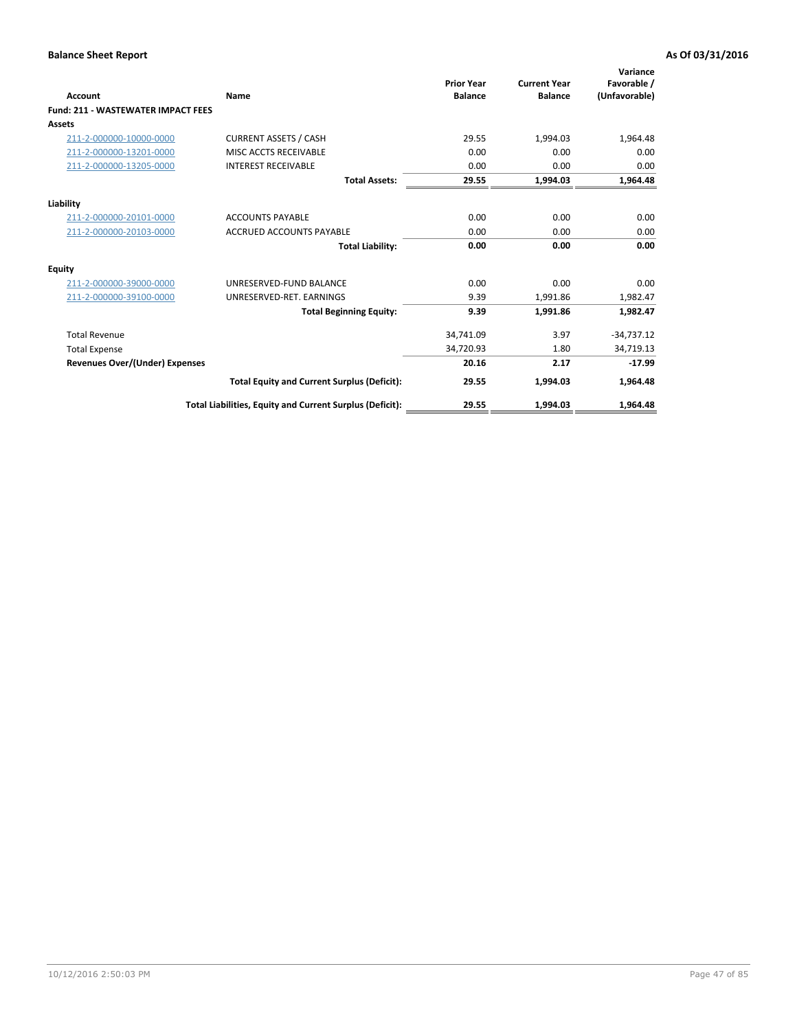| Account                                   | Name                                                     | <b>Prior Year</b><br><b>Balance</b> | <b>Current Year</b><br><b>Balance</b> | Variance<br>Favorable /<br>(Unfavorable) |
|-------------------------------------------|----------------------------------------------------------|-------------------------------------|---------------------------------------|------------------------------------------|
| <b>Fund: 211 - WASTEWATER IMPACT FEES</b> |                                                          |                                     |                                       |                                          |
| <b>Assets</b>                             |                                                          |                                     |                                       |                                          |
| 211-2-000000-10000-0000                   | <b>CURRENT ASSETS / CASH</b>                             | 29.55                               | 1,994.03                              | 1,964.48                                 |
| 211-2-000000-13201-0000                   | MISC ACCTS RECEIVABLE                                    | 0.00                                | 0.00                                  | 0.00                                     |
| 211-2-000000-13205-0000                   | <b>INTEREST RECEIVABLE</b>                               | 0.00                                | 0.00                                  | 0.00                                     |
|                                           | <b>Total Assets:</b>                                     | 29.55                               | 1,994.03                              | 1,964.48                                 |
| Liability                                 |                                                          |                                     |                                       |                                          |
| 211-2-000000-20101-0000                   | <b>ACCOUNTS PAYABLE</b>                                  | 0.00                                | 0.00                                  | 0.00                                     |
| 211-2-000000-20103-0000                   | <b>ACCRUED ACCOUNTS PAYABLE</b>                          | 0.00                                | 0.00                                  | 0.00                                     |
|                                           | <b>Total Liability:</b>                                  | 0.00                                | 0.00                                  | 0.00                                     |
| Equity                                    |                                                          |                                     |                                       |                                          |
| 211-2-000000-39000-0000                   | UNRESERVED-FUND BALANCE                                  | 0.00                                | 0.00                                  | 0.00                                     |
| 211-2-000000-39100-0000                   | UNRESERVED-RET. EARNINGS                                 | 9.39                                | 1,991.86                              | 1,982.47                                 |
|                                           | <b>Total Beginning Equity:</b>                           | 9.39                                | 1,991.86                              | 1,982.47                                 |
| <b>Total Revenue</b>                      |                                                          | 34,741.09                           | 3.97                                  | $-34,737.12$                             |
| <b>Total Expense</b>                      |                                                          | 34,720.93                           | 1.80                                  | 34,719.13                                |
| <b>Revenues Over/(Under) Expenses</b>     |                                                          | 20.16                               | 2.17                                  | $-17.99$                                 |
|                                           | <b>Total Equity and Current Surplus (Deficit):</b>       | 29.55                               | 1,994.03                              | 1,964.48                                 |
|                                           | Total Liabilities, Equity and Current Surplus (Deficit): | 29.55                               | 1.994.03                              | 1.964.48                                 |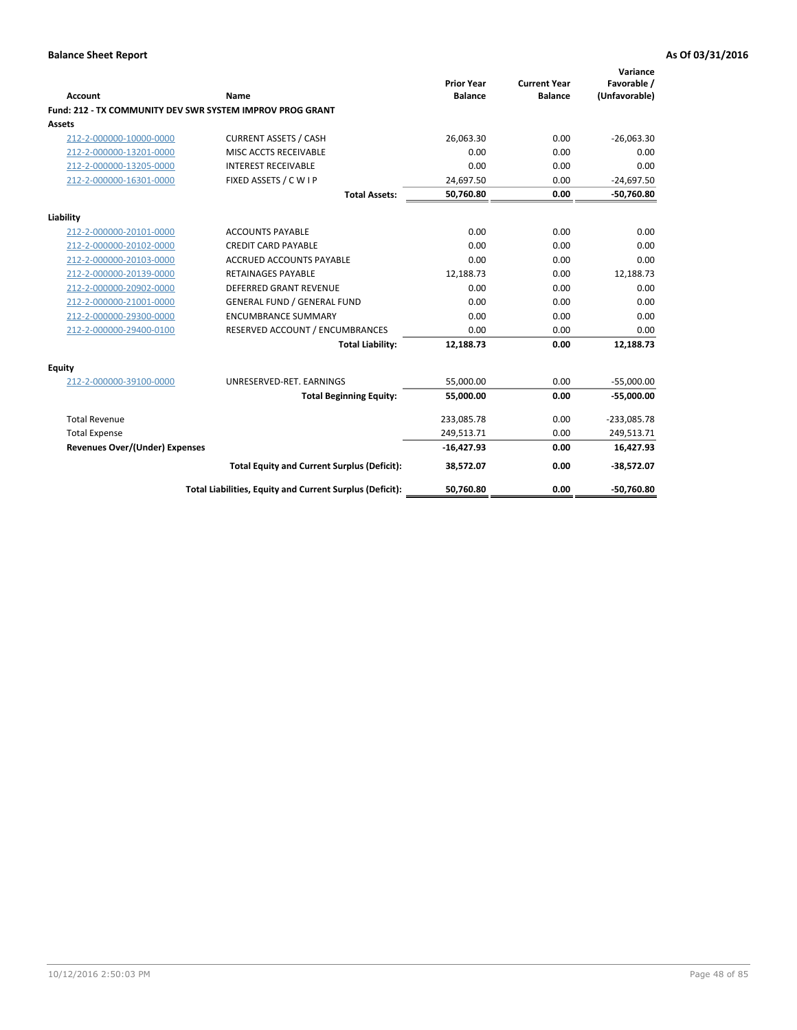|                                       |                                                           | <b>Prior Year</b> | <b>Current Year</b> | Variance<br>Favorable / |
|---------------------------------------|-----------------------------------------------------------|-------------------|---------------------|-------------------------|
| <b>Account</b>                        | Name                                                      | <b>Balance</b>    | <b>Balance</b>      | (Unfavorable)           |
|                                       | Fund: 212 - TX COMMUNITY DEV SWR SYSTEM IMPROV PROG GRANT |                   |                     |                         |
| Assets                                |                                                           |                   |                     |                         |
| 212-2-000000-10000-0000               | <b>CURRENT ASSETS / CASH</b>                              | 26.063.30         | 0.00                | $-26,063.30$            |
| 212-2-000000-13201-0000               | MISC ACCTS RECEIVABLE                                     | 0.00              | 0.00                | 0.00                    |
| 212-2-000000-13205-0000               | <b>INTEREST RECEIVABLE</b>                                | 0.00              | 0.00                | 0.00                    |
| 212-2-000000-16301-0000               | FIXED ASSETS / C W I P                                    | 24,697.50         | 0.00                | $-24,697.50$            |
|                                       | <b>Total Assets:</b>                                      | 50,760.80         | 0.00                | $-50,760.80$            |
| Liability                             |                                                           |                   |                     |                         |
| 212-2-000000-20101-0000               | <b>ACCOUNTS PAYABLE</b>                                   | 0.00              | 0.00                | 0.00                    |
| 212-2-000000-20102-0000               | <b>CREDIT CARD PAYABLE</b>                                | 0.00              | 0.00                | 0.00                    |
| 212-2-000000-20103-0000               | <b>ACCRUED ACCOUNTS PAYABLE</b>                           | 0.00              | 0.00                | 0.00                    |
| 212-2-000000-20139-0000               | <b>RETAINAGES PAYABLE</b>                                 | 12,188.73         | 0.00                | 12,188.73               |
| 212-2-000000-20902-0000               | <b>DEFERRED GRANT REVENUE</b>                             | 0.00              | 0.00                | 0.00                    |
| 212-2-000000-21001-0000               | <b>GENERAL FUND / GENERAL FUND</b>                        | 0.00              | 0.00                | 0.00                    |
| 212-2-000000-29300-0000               | <b>ENCUMBRANCE SUMMARY</b>                                | 0.00              | 0.00                | 0.00                    |
| 212-2-000000-29400-0100               | RESERVED ACCOUNT / ENCUMBRANCES                           | 0.00              | 0.00                | 0.00                    |
|                                       | <b>Total Liability:</b>                                   | 12,188.73         | 0.00                | 12,188.73               |
| Equity                                |                                                           |                   |                     |                         |
| 212-2-000000-39100-0000               | UNRESERVED-RET. EARNINGS                                  | 55,000.00         | 0.00                | $-55,000.00$            |
|                                       | <b>Total Beginning Equity:</b>                            | 55,000.00         | 0.00                | $-55,000.00$            |
| <b>Total Revenue</b>                  |                                                           | 233,085.78        | 0.00                | $-233,085.78$           |
| <b>Total Expense</b>                  |                                                           | 249,513.71        | 0.00                | 249,513.71              |
| <b>Revenues Over/(Under) Expenses</b> |                                                           | $-16,427.93$      | 0.00                | 16,427.93               |
|                                       | <b>Total Equity and Current Surplus (Deficit):</b>        | 38,572.07         | 0.00                | $-38,572.07$            |
|                                       | Total Liabilities, Equity and Current Surplus (Deficit):  | 50,760.80         | 0.00                | $-50,760.80$            |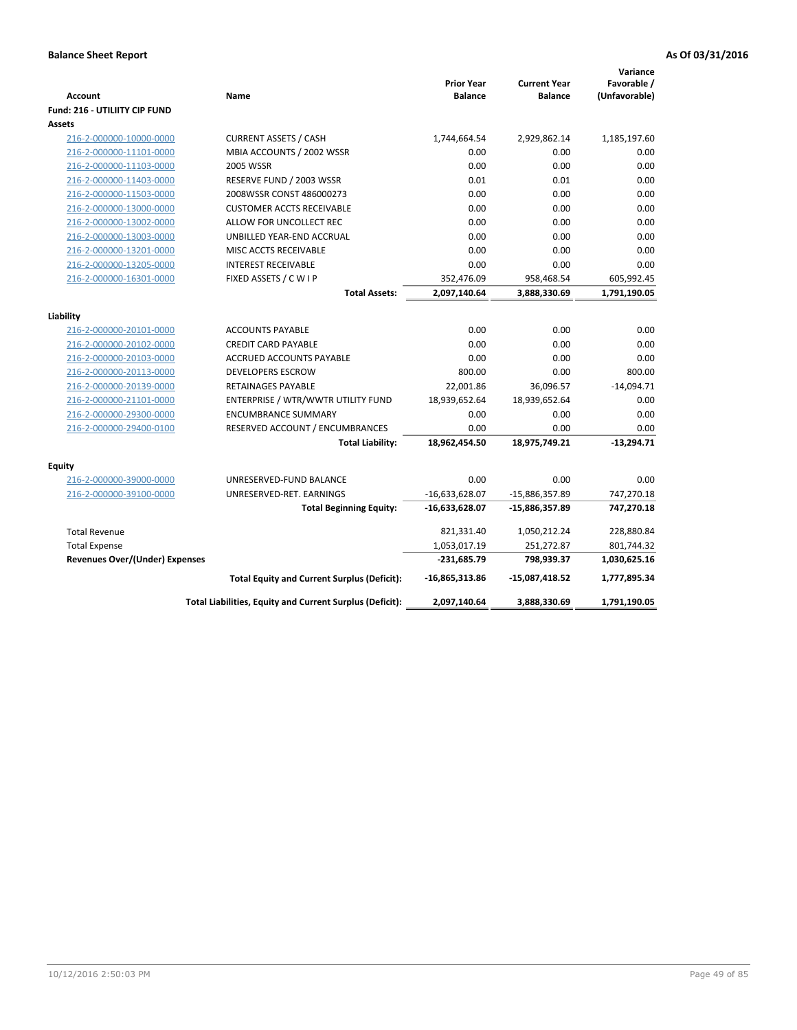|                                       |                                                          |                   |                     | Variance      |
|---------------------------------------|----------------------------------------------------------|-------------------|---------------------|---------------|
|                                       |                                                          | <b>Prior Year</b> | <b>Current Year</b> | Favorable /   |
| <b>Account</b>                        | Name                                                     | <b>Balance</b>    | <b>Balance</b>      | (Unfavorable) |
| <b>Fund: 216 - UTILIITY CIP FUND</b>  |                                                          |                   |                     |               |
| <b>Assets</b>                         |                                                          |                   |                     |               |
| 216-2-000000-10000-0000               | <b>CURRENT ASSETS / CASH</b>                             | 1,744,664.54      | 2,929,862.14        | 1,185,197.60  |
| 216-2-000000-11101-0000               | MBIA ACCOUNTS / 2002 WSSR                                | 0.00              | 0.00                | 0.00          |
| 216-2-000000-11103-0000               | <b>2005 WSSR</b>                                         | 0.00              | 0.00                | 0.00          |
| 216-2-000000-11403-0000               | RESERVE FUND / 2003 WSSR                                 | 0.01              | 0.01                | 0.00          |
| 216-2-000000-11503-0000               | 2008WSSR CONST 486000273                                 | 0.00              | 0.00                | 0.00          |
| 216-2-000000-13000-0000               | <b>CUSTOMER ACCTS RECEIVABLE</b>                         | 0.00              | 0.00                | 0.00          |
| 216-2-000000-13002-0000               | ALLOW FOR UNCOLLECT REC                                  | 0.00              | 0.00                | 0.00          |
| 216-2-000000-13003-0000               | UNBILLED YEAR-END ACCRUAL                                | 0.00              | 0.00                | 0.00          |
| 216-2-000000-13201-0000               | MISC ACCTS RECEIVABLE                                    | 0.00              | 0.00                | 0.00          |
| 216-2-000000-13205-0000               | <b>INTEREST RECEIVABLE</b>                               | 0.00              | 0.00                | 0.00          |
| 216-2-000000-16301-0000               | FIXED ASSETS / C W I P                                   | 352,476.09        | 958,468.54          | 605,992.45    |
|                                       | <b>Total Assets:</b>                                     | 2,097,140.64      | 3,888,330.69        | 1,791,190.05  |
|                                       |                                                          |                   |                     |               |
| Liability                             |                                                          |                   |                     |               |
| 216-2-000000-20101-0000               | <b>ACCOUNTS PAYABLE</b>                                  | 0.00              | 0.00                | 0.00          |
| 216-2-000000-20102-0000               | <b>CREDIT CARD PAYABLE</b>                               | 0.00              | 0.00                | 0.00          |
| 216-2-000000-20103-0000               | <b>ACCRUED ACCOUNTS PAYABLE</b>                          | 0.00              | 0.00                | 0.00          |
| 216-2-000000-20113-0000               | <b>DEVELOPERS ESCROW</b>                                 | 800.00            | 0.00                | 800.00        |
| 216-2-000000-20139-0000               | <b>RETAINAGES PAYABLE</b>                                | 22,001.86         | 36,096.57           | $-14,094.71$  |
| 216-2-000000-21101-0000               | ENTERPRISE / WTR/WWTR UTILITY FUND                       | 18,939,652.64     | 18,939,652.64       | 0.00          |
| 216-2-000000-29300-0000               | <b>ENCUMBRANCE SUMMARY</b>                               | 0.00              | 0.00                | 0.00          |
| 216-2-000000-29400-0100               | RESERVED ACCOUNT / ENCUMBRANCES                          | 0.00              | 0.00                | 0.00          |
|                                       | <b>Total Liability:</b>                                  | 18,962,454.50     | 18,975,749.21       | $-13,294.71$  |
| <b>Equity</b>                         |                                                          |                   |                     |               |
| 216-2-000000-39000-0000               | UNRESERVED-FUND BALANCE                                  | 0.00              | 0.00                | 0.00          |
| 216-2-000000-39100-0000               | UNRESERVED-RET. EARNINGS                                 | $-16,633,628.07$  | -15,886,357.89      | 747,270.18    |
|                                       | <b>Total Beginning Equity:</b>                           | $-16,633,628.07$  | -15,886,357.89      | 747,270.18    |
|                                       |                                                          |                   |                     |               |
| <b>Total Revenue</b>                  |                                                          | 821,331.40        | 1,050,212.24        | 228,880.84    |
| <b>Total Expense</b>                  |                                                          | 1,053,017.19      | 251,272.87          | 801,744.32    |
| <b>Revenues Over/(Under) Expenses</b> |                                                          | $-231,685.79$     | 798,939.37          | 1,030,625.16  |
|                                       | <b>Total Equity and Current Surplus (Deficit):</b>       | $-16,865,313.86$  | $-15,087,418.52$    | 1,777,895.34  |
|                                       | Total Liabilities, Equity and Current Surplus (Deficit): | 2,097,140.64      | 3,888,330.69        | 1,791,190.05  |
|                                       |                                                          |                   |                     |               |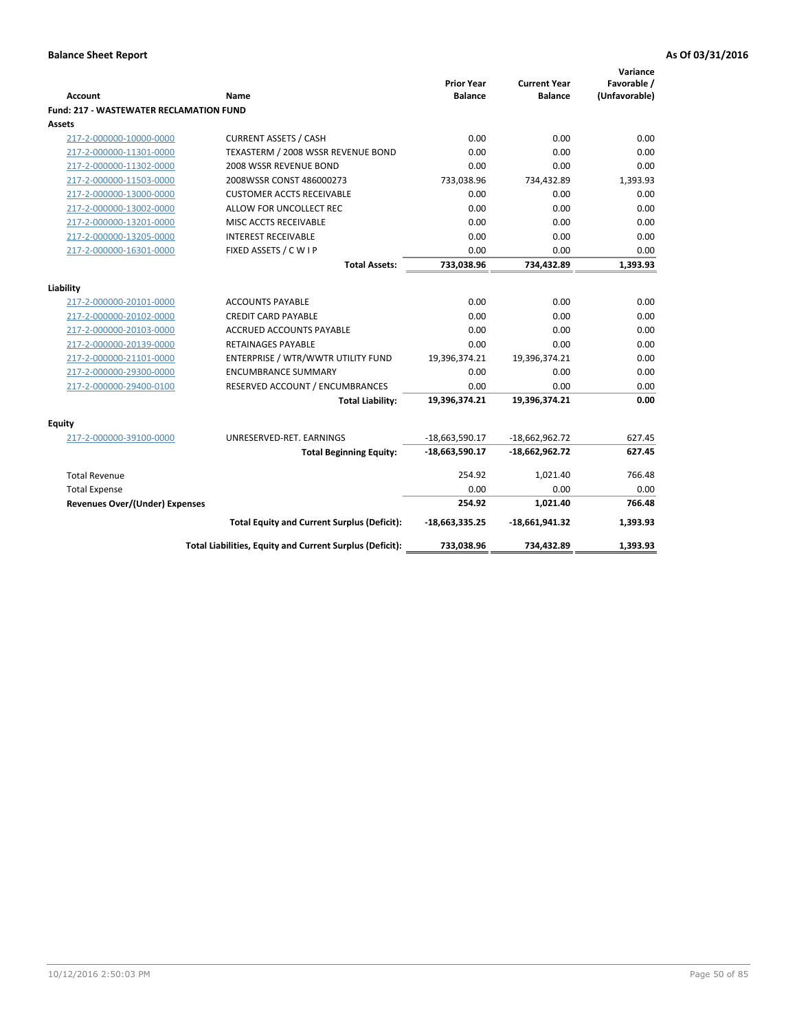| Account                                        | Name                                                     | <b>Prior Year</b><br><b>Balance</b> | <b>Current Year</b><br><b>Balance</b> | Variance<br>Favorable /<br>(Unfavorable) |
|------------------------------------------------|----------------------------------------------------------|-------------------------------------|---------------------------------------|------------------------------------------|
| <b>Fund: 217 - WASTEWATER RECLAMATION FUND</b> |                                                          |                                     |                                       |                                          |
| <b>Assets</b>                                  |                                                          |                                     |                                       |                                          |
| 217-2-000000-10000-0000                        | <b>CURRENT ASSETS / CASH</b>                             | 0.00                                | 0.00                                  | 0.00                                     |
| 217-2-000000-11301-0000                        | TEXASTERM / 2008 WSSR REVENUE BOND                       | 0.00                                | 0.00                                  | 0.00                                     |
| 217-2-000000-11302-0000                        | 2008 WSSR REVENUE BOND                                   | 0.00                                | 0.00                                  | 0.00                                     |
| 217-2-000000-11503-0000                        | 2008WSSR CONST 486000273                                 | 733,038.96                          | 734,432.89                            | 1,393.93                                 |
| 217-2-000000-13000-0000                        | <b>CUSTOMER ACCTS RECEIVABLE</b>                         | 0.00                                | 0.00                                  | 0.00                                     |
| 217-2-000000-13002-0000                        | ALLOW FOR UNCOLLECT REC                                  | 0.00                                | 0.00                                  | 0.00                                     |
| 217-2-000000-13201-0000                        | MISC ACCTS RECEIVABLE                                    | 0.00                                | 0.00                                  | 0.00                                     |
| 217-2-000000-13205-0000                        | <b>INTEREST RECEIVABLE</b>                               | 0.00                                | 0.00                                  | 0.00                                     |
| 217-2-000000-16301-0000                        | FIXED ASSETS / C W I P                                   | 0.00                                | 0.00                                  | 0.00                                     |
|                                                | <b>Total Assets:</b>                                     | 733,038.96                          | 734,432.89                            | 1,393.93                                 |
|                                                |                                                          |                                     |                                       |                                          |
| Liability                                      |                                                          |                                     |                                       |                                          |
| 217-2-000000-20101-0000                        | <b>ACCOUNTS PAYABLE</b>                                  | 0.00                                | 0.00                                  | 0.00                                     |
| 217-2-000000-20102-0000                        | <b>CREDIT CARD PAYABLE</b>                               | 0.00                                | 0.00                                  | 0.00                                     |
| 217-2-000000-20103-0000                        | <b>ACCRUED ACCOUNTS PAYABLE</b>                          | 0.00                                | 0.00                                  | 0.00                                     |
| 217-2-000000-20139-0000                        | RETAINAGES PAYABLE                                       | 0.00                                | 0.00                                  | 0.00                                     |
| 217-2-000000-21101-0000                        | ENTERPRISE / WTR/WWTR UTILITY FUND                       | 19,396,374.21                       | 19,396,374.21                         | 0.00                                     |
| 217-2-000000-29300-0000                        | <b>ENCUMBRANCE SUMMARY</b>                               | 0.00                                | 0.00                                  | 0.00                                     |
| 217-2-000000-29400-0100                        | RESERVED ACCOUNT / ENCUMBRANCES                          | 0.00                                | 0.00                                  | 0.00                                     |
|                                                | <b>Total Liability:</b>                                  | 19,396,374.21                       | 19,396,374.21                         | 0.00                                     |
| <b>Equity</b>                                  |                                                          |                                     |                                       |                                          |
| 217-2-000000-39100-0000                        | UNRESERVED-RET. EARNINGS                                 | $-18,663,590.17$                    | $-18,662,962.72$                      | 627.45                                   |
|                                                | <b>Total Beginning Equity:</b>                           | -18,663,590.17                      | $-18,662,962.72$                      | 627.45                                   |
| <b>Total Revenue</b>                           |                                                          | 254.92                              | 1,021.40                              | 766.48                                   |
| <b>Total Expense</b>                           |                                                          | 0.00                                | 0.00                                  | 0.00                                     |
| Revenues Over/(Under) Expenses                 |                                                          | 254.92                              | 1,021.40                              | 766.48                                   |
|                                                | <b>Total Equity and Current Surplus (Deficit):</b>       | -18,663,335.25                      | $-18,661,941.32$                      | 1,393.93                                 |
|                                                | Total Liabilities, Equity and Current Surplus (Deficit): | 733,038.96                          | 734,432.89                            | 1,393.93                                 |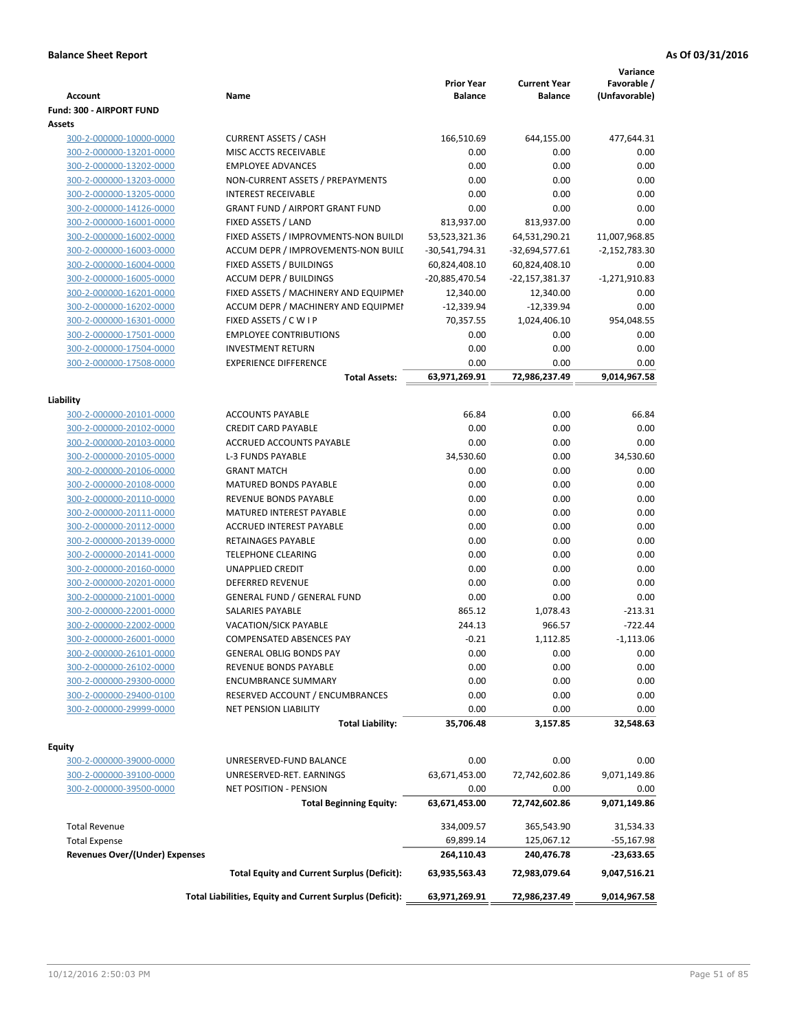| <b>Account</b>                                     | Name                                                     | <b>Prior Year</b><br><b>Balance</b> | <b>Current Year</b><br>Balance | Variance<br>Favorable /<br>(Unfavorable) |
|----------------------------------------------------|----------------------------------------------------------|-------------------------------------|--------------------------------|------------------------------------------|
| Fund: 300 - AIRPORT FUND                           |                                                          |                                     |                                |                                          |
| Assets                                             |                                                          |                                     |                                |                                          |
| 300-2-000000-10000-0000                            | <b>CURRENT ASSETS / CASH</b>                             | 166,510.69                          | 644,155.00                     | 477,644.31                               |
| 300-2-000000-13201-0000                            | MISC ACCTS RECEIVABLE                                    | 0.00                                | 0.00                           | 0.00                                     |
| 300-2-000000-13202-0000                            | <b>EMPLOYEE ADVANCES</b>                                 | 0.00                                | 0.00                           | 0.00                                     |
| 300-2-000000-13203-0000                            | NON-CURRENT ASSETS / PREPAYMENTS                         | 0.00                                | 0.00                           | 0.00                                     |
| 300-2-000000-13205-0000                            | <b>INTEREST RECEIVABLE</b>                               | 0.00                                | 0.00                           | 0.00                                     |
| 300-2-000000-14126-0000                            | <b>GRANT FUND / AIRPORT GRANT FUND</b>                   | 0.00                                | 0.00                           | 0.00                                     |
| 300-2-000000-16001-0000                            | FIXED ASSETS / LAND                                      | 813,937.00                          | 813,937.00                     | 0.00                                     |
| 300-2-000000-16002-0000                            | FIXED ASSETS / IMPROVMENTS-NON BUILDI                    | 53,523,321.36                       | 64,531,290.21                  | 11,007,968.85                            |
| 300-2-000000-16003-0000                            | ACCUM DEPR / IMPROVEMENTS-NON BUILI                      | -30,541,794.31                      | $-32,694,577.61$               | $-2,152,783.30$                          |
| 300-2-000000-16004-0000                            | FIXED ASSETS / BUILDINGS                                 | 60,824,408.10                       | 60,824,408.10                  | 0.00                                     |
| 300-2-000000-16005-0000                            | <b>ACCUM DEPR / BUILDINGS</b>                            | -20,885,470.54                      | -22,157,381.37                 | $-1,271,910.83$                          |
| 300-2-000000-16201-0000                            | FIXED ASSETS / MACHINERY AND EQUIPMEN                    | 12,340.00                           | 12,340.00                      | 0.00                                     |
| 300-2-000000-16202-0000                            | ACCUM DEPR / MACHINERY AND EQUIPMEI                      | $-12,339.94$                        | $-12,339.94$                   | 0.00                                     |
| 300-2-000000-16301-0000                            | FIXED ASSETS / C W I P                                   | 70,357.55                           | 1,024,406.10                   | 954,048.55                               |
| 300-2-000000-17501-0000                            | <b>EMPLOYEE CONTRIBUTIONS</b>                            | 0.00                                | 0.00                           | 0.00                                     |
| 300-2-000000-17504-0000                            | <b>INVESTMENT RETURN</b>                                 | 0.00                                | 0.00                           | 0.00                                     |
| 300-2-000000-17508-0000                            | <b>EXPERIENCE DIFFERENCE</b>                             | 0.00                                | 0.00                           | 0.00                                     |
|                                                    | <b>Total Assets:</b>                                     | 63,971,269.91                       | 72,986,237.49                  | 9,014,967.58                             |
|                                                    |                                                          |                                     |                                |                                          |
| Liability                                          |                                                          |                                     |                                |                                          |
| 300-2-000000-20101-0000                            | <b>ACCOUNTS PAYABLE</b>                                  | 66.84                               | 0.00                           | 66.84                                    |
| 300-2-000000-20102-0000                            | <b>CREDIT CARD PAYABLE</b>                               | 0.00                                | 0.00                           | 0.00                                     |
| 300-2-000000-20103-0000                            | ACCRUED ACCOUNTS PAYABLE                                 | 0.00                                | 0.00                           | 0.00                                     |
| 300-2-000000-20105-0000                            | <b>L-3 FUNDS PAYABLE</b>                                 | 34,530.60                           | 0.00                           | 34,530.60                                |
| 300-2-000000-20106-0000                            | <b>GRANT MATCH</b>                                       | 0.00                                | 0.00                           | 0.00                                     |
| 300-2-000000-20108-0000                            | <b>MATURED BONDS PAYABLE</b>                             | 0.00                                | 0.00                           | 0.00                                     |
| 300-2-000000-20110-0000                            | REVENUE BONDS PAYABLE                                    | 0.00                                | 0.00                           | 0.00                                     |
| 300-2-000000-20111-0000                            | MATURED INTEREST PAYABLE                                 | 0.00                                | 0.00                           | 0.00                                     |
| 300-2-000000-20112-0000                            | <b>ACCRUED INTEREST PAYABLE</b>                          | 0.00                                | 0.00                           | 0.00                                     |
| 300-2-000000-20139-0000                            | RETAINAGES PAYABLE                                       | 0.00                                | 0.00                           | 0.00                                     |
| 300-2-000000-20141-0000                            | <b>TELEPHONE CLEARING</b>                                | 0.00                                | 0.00                           | 0.00                                     |
| 300-2-000000-20160-0000                            | UNAPPLIED CREDIT                                         | 0.00                                | 0.00                           | 0.00                                     |
| 300-2-000000-20201-0000                            | <b>DEFERRED REVENUE</b>                                  | 0.00                                | 0.00                           | 0.00                                     |
| 300-2-000000-21001-0000                            | <b>GENERAL FUND / GENERAL FUND</b>                       | 0.00                                | 0.00                           | 0.00                                     |
| 300-2-000000-22001-0000                            | SALARIES PAYABLE                                         | 865.12                              | 1,078.43                       | $-213.31$                                |
| 300-2-000000-22002-0000                            | VACATION/SICK PAYABLE                                    | 244.13                              | 966.57                         | $-722.44$                                |
| 300-2-000000-26001-0000                            | COMPENSATED ABSENCES PAY                                 | $-0.21$                             | 1,112.85                       | $-1,113.06$                              |
| 300-2-000000-26101-0000                            | <b>GENERAL OBLIG BONDS PAY</b>                           | 0.00                                | 0.00                           | 0.00                                     |
| 300-2-000000-26102-0000                            | REVENUE BONDS PAYABLE                                    | 0.00                                | 0.00                           | 0.00                                     |
| 300-2-000000-29300-0000                            | <b>ENCUMBRANCE SUMMARY</b>                               | 0.00                                | 0.00                           | 0.00                                     |
| 300-2-000000-29400-0100                            | RESERVED ACCOUNT / ENCUMBRANCES                          | 0.00                                | 0.00                           | 0.00                                     |
| 300-2-000000-29999-0000                            | <b>NET PENSION LIABILITY</b>                             | 0.00                                | 0.00                           | 0.00                                     |
|                                                    | <b>Total Liability:</b>                                  | 35,706.48                           | 3,157.85                       | 32,548.63                                |
|                                                    |                                                          |                                     |                                |                                          |
| Fquity                                             | UNRESERVED-FUND BALANCE                                  | 0.00                                | 0.00                           | 0.00                                     |
| 300-2-000000-39000-0000                            | UNRESERVED-RET. EARNINGS                                 | 63,671,453.00                       | 72,742,602.86                  |                                          |
| 300-2-000000-39100-0000<br>300-2-000000-39500-0000 | <b>NET POSITION - PENSION</b>                            | 0.00                                | 0.00                           | 9,071,149.86<br>0.00                     |
|                                                    |                                                          |                                     |                                |                                          |
|                                                    | <b>Total Beginning Equity:</b>                           | 63,671,453.00                       | 72,742,602.86                  | 9,071,149.86                             |
| <b>Total Revenue</b>                               |                                                          | 334,009.57                          | 365,543.90                     | 31,534.33                                |
| <b>Total Expense</b>                               |                                                          | 69,899.14                           | 125,067.12                     | $-55,167.98$                             |
| <b>Revenues Over/(Under) Expenses</b>              |                                                          | 264,110.43                          | 240,476.78                     | $-23,633.65$                             |
|                                                    |                                                          | 63,935,563.43                       | 72,983,079.64                  | 9,047,516.21                             |
|                                                    | <b>Total Equity and Current Surplus (Deficit):</b>       |                                     |                                |                                          |
|                                                    | Total Liabilities, Equity and Current Surplus (Deficit): | 63,971,269.91                       | 72,986,237.49                  | 9,014,967.58                             |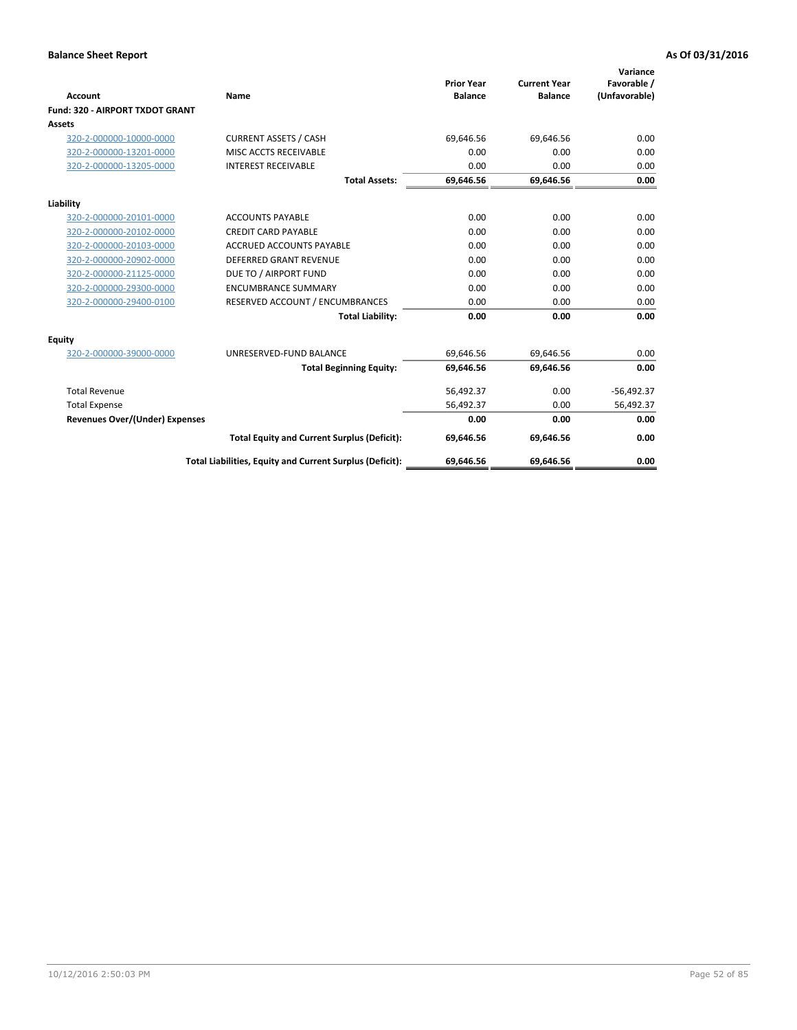|                                       |                                                          |                                     |                                       | Variance                     |
|---------------------------------------|----------------------------------------------------------|-------------------------------------|---------------------------------------|------------------------------|
| Account                               | Name                                                     | <b>Prior Year</b><br><b>Balance</b> | <b>Current Year</b><br><b>Balance</b> | Favorable /<br>(Unfavorable) |
| Fund: 320 - AIRPORT TXDOT GRANT       |                                                          |                                     |                                       |                              |
| Assets                                |                                                          |                                     |                                       |                              |
| 320-2-000000-10000-0000               | <b>CURRENT ASSETS / CASH</b>                             | 69,646.56                           | 69,646.56                             | 0.00                         |
| 320-2-000000-13201-0000               | MISC ACCTS RECEIVABLE                                    | 0.00                                | 0.00                                  | 0.00                         |
| 320-2-000000-13205-0000               | <b>INTEREST RECEIVABLE</b>                               | 0.00                                | 0.00                                  | 0.00                         |
|                                       | <b>Total Assets:</b>                                     | 69,646.56                           | 69,646.56                             | 0.00                         |
| Liability                             |                                                          |                                     |                                       |                              |
| 320-2-000000-20101-0000               | <b>ACCOUNTS PAYABLE</b>                                  | 0.00                                | 0.00                                  | 0.00                         |
| 320-2-000000-20102-0000               | <b>CREDIT CARD PAYABLE</b>                               | 0.00                                | 0.00                                  | 0.00                         |
| 320-2-000000-20103-0000               | <b>ACCRUED ACCOUNTS PAYABLE</b>                          | 0.00                                | 0.00                                  | 0.00                         |
| 320-2-000000-20902-0000               | <b>DEFERRED GRANT REVENUE</b>                            | 0.00                                | 0.00                                  | 0.00                         |
| 320-2-000000-21125-0000               | DUE TO / AIRPORT FUND                                    | 0.00                                | 0.00                                  | 0.00                         |
| 320-2-000000-29300-0000               | <b>ENCUMBRANCE SUMMARY</b>                               | 0.00                                | 0.00                                  | 0.00                         |
| 320-2-000000-29400-0100               | RESERVED ACCOUNT / ENCUMBRANCES                          | 0.00                                | 0.00                                  | 0.00                         |
|                                       | <b>Total Liability:</b>                                  | 0.00                                | 0.00                                  | 0.00                         |
| Equity                                |                                                          |                                     |                                       |                              |
| 320-2-000000-39000-0000               | UNRESERVED-FUND BALANCE                                  | 69,646.56                           | 69,646.56                             | 0.00                         |
|                                       | <b>Total Beginning Equity:</b>                           | 69,646.56                           | 69,646.56                             | 0.00                         |
| <b>Total Revenue</b>                  |                                                          | 56,492.37                           | 0.00                                  | $-56,492.37$                 |
| <b>Total Expense</b>                  |                                                          | 56,492.37                           | 0.00                                  | 56,492.37                    |
| <b>Revenues Over/(Under) Expenses</b> |                                                          | 0.00                                | 0.00                                  | 0.00                         |
|                                       | <b>Total Equity and Current Surplus (Deficit):</b>       | 69,646.56                           | 69,646.56                             | 0.00                         |
|                                       | Total Liabilities, Equity and Current Surplus (Deficit): | 69.646.56                           | 69.646.56                             | 0.00                         |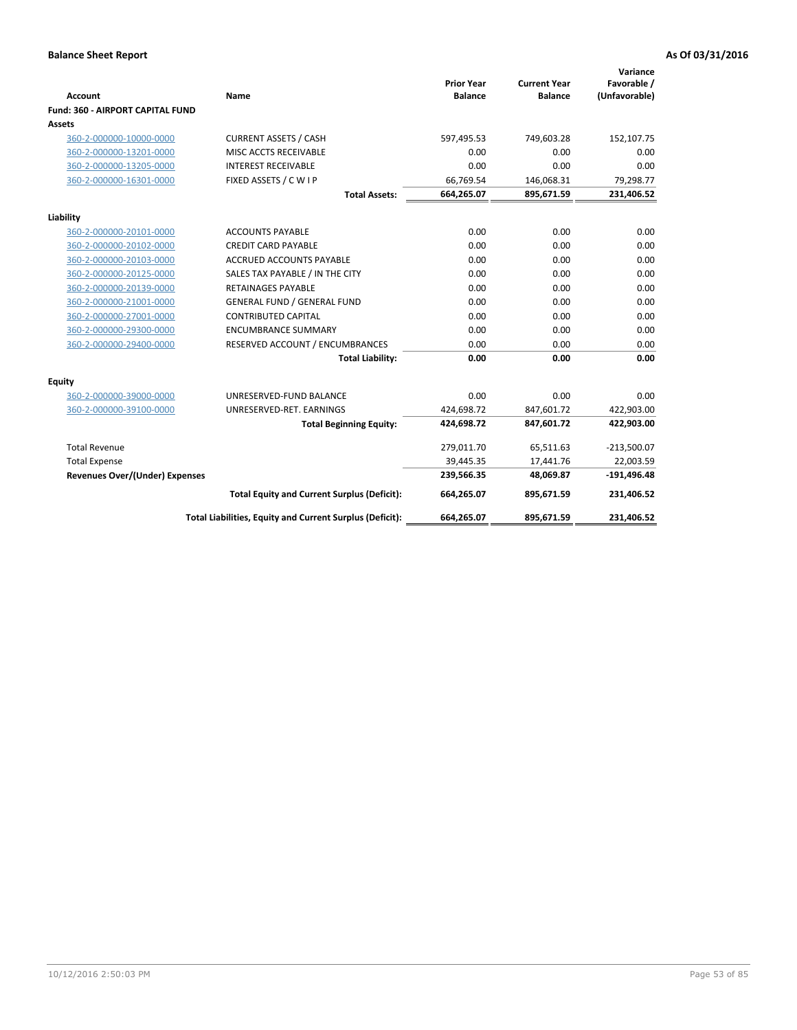|                                         |                                                          |                                     |                                       | Variance                     |
|-----------------------------------------|----------------------------------------------------------|-------------------------------------|---------------------------------------|------------------------------|
| <b>Account</b>                          | Name                                                     | <b>Prior Year</b><br><b>Balance</b> | <b>Current Year</b><br><b>Balance</b> | Favorable /<br>(Unfavorable) |
| <b>Fund: 360 - AIRPORT CAPITAL FUND</b> |                                                          |                                     |                                       |                              |
| Assets                                  |                                                          |                                     |                                       |                              |
| 360-2-000000-10000-0000                 | <b>CURRENT ASSETS / CASH</b>                             | 597,495.53                          | 749,603.28                            | 152,107.75                   |
| 360-2-000000-13201-0000                 | MISC ACCTS RECEIVABLE                                    | 0.00                                | 0.00                                  | 0.00                         |
| 360-2-000000-13205-0000                 | <b>INTEREST RECEIVABLE</b>                               | 0.00                                | 0.00                                  | 0.00                         |
| 360-2-000000-16301-0000                 | FIXED ASSETS / C W I P                                   | 66,769.54                           | 146,068.31                            | 79,298.77                    |
|                                         | <b>Total Assets:</b>                                     | 664,265.07                          | 895,671.59                            | 231,406.52                   |
| Liability                               |                                                          |                                     |                                       |                              |
| 360-2-000000-20101-0000                 | <b>ACCOUNTS PAYABLE</b>                                  | 0.00                                | 0.00                                  | 0.00                         |
| 360-2-000000-20102-0000                 | <b>CREDIT CARD PAYABLE</b>                               | 0.00                                | 0.00                                  | 0.00                         |
| 360-2-000000-20103-0000                 | <b>ACCRUED ACCOUNTS PAYABLE</b>                          | 0.00                                | 0.00                                  | 0.00                         |
| 360-2-000000-20125-0000                 | SALES TAX PAYABLE / IN THE CITY                          | 0.00                                | 0.00                                  | 0.00                         |
| 360-2-000000-20139-0000                 | <b>RETAINAGES PAYABLE</b>                                | 0.00                                | 0.00                                  | 0.00                         |
| 360-2-000000-21001-0000                 | <b>GENERAL FUND / GENERAL FUND</b>                       | 0.00                                | 0.00                                  | 0.00                         |
| 360-2-000000-27001-0000                 | <b>CONTRIBUTED CAPITAL</b>                               | 0.00                                | 0.00                                  | 0.00                         |
| 360-2-000000-29300-0000                 | <b>ENCUMBRANCE SUMMARY</b>                               | 0.00                                | 0.00                                  | 0.00                         |
| 360-2-000000-29400-0000                 | RESERVED ACCOUNT / ENCUMBRANCES                          | 0.00                                | 0.00                                  | 0.00                         |
|                                         | <b>Total Liability:</b>                                  | 0.00                                | 0.00                                  | 0.00                         |
| Equity                                  |                                                          |                                     |                                       |                              |
| 360-2-000000-39000-0000                 | UNRESERVED-FUND BALANCE                                  | 0.00                                | 0.00                                  | 0.00                         |
| 360-2-000000-39100-0000                 | UNRESERVED-RET. EARNINGS                                 | 424,698.72                          | 847,601.72                            | 422,903.00                   |
|                                         | <b>Total Beginning Equity:</b>                           | 424,698.72                          | 847,601.72                            | 422,903.00                   |
| <b>Total Revenue</b>                    |                                                          | 279,011.70                          | 65,511.63                             | $-213,500.07$                |
| <b>Total Expense</b>                    |                                                          | 39,445.35                           | 17,441.76                             | 22,003.59                    |
| <b>Revenues Over/(Under) Expenses</b>   |                                                          | 239,566.35                          | 48,069.87                             | $-191,496.48$                |
|                                         | <b>Total Equity and Current Surplus (Deficit):</b>       | 664,265.07                          | 895,671.59                            | 231,406.52                   |
|                                         | Total Liabilities, Equity and Current Surplus (Deficit): | 664,265.07                          | 895,671.59                            | 231,406.52                   |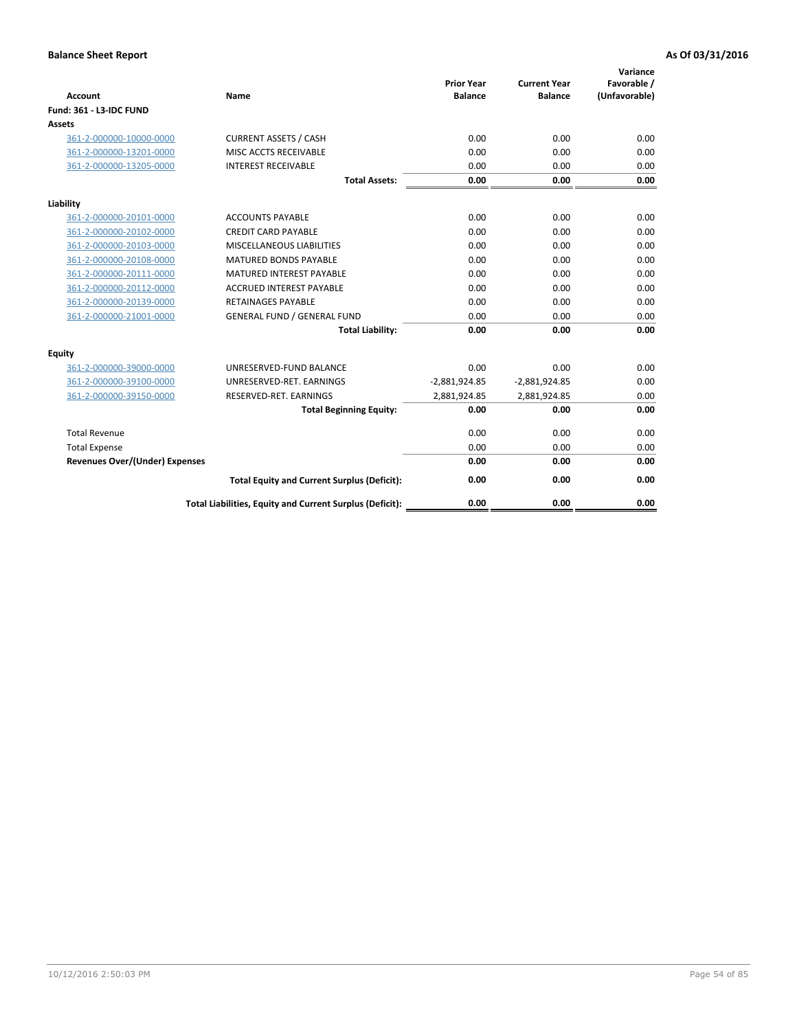| <b>Account</b>                        | <b>Name</b>                                              | <b>Prior Year</b><br><b>Balance</b> | <b>Current Year</b><br><b>Balance</b> | Variance<br>Favorable /<br>(Unfavorable) |
|---------------------------------------|----------------------------------------------------------|-------------------------------------|---------------------------------------|------------------------------------------|
| <b>Fund: 361 - L3-IDC FUND</b>        |                                                          |                                     |                                       |                                          |
| Assets                                |                                                          |                                     |                                       |                                          |
| 361-2-000000-10000-0000               | <b>CURRENT ASSETS / CASH</b>                             | 0.00                                | 0.00                                  | 0.00                                     |
| 361-2-000000-13201-0000               | MISC ACCTS RECEIVABLE                                    | 0.00                                | 0.00                                  | 0.00                                     |
| 361-2-000000-13205-0000               | <b>INTEREST RECEIVABLE</b>                               | 0.00                                | 0.00                                  | 0.00                                     |
|                                       | <b>Total Assets:</b>                                     | 0.00                                | 0.00                                  | 0.00                                     |
| Liability                             |                                                          |                                     |                                       |                                          |
| 361-2-000000-20101-0000               | <b>ACCOUNTS PAYABLE</b>                                  | 0.00                                | 0.00                                  | 0.00                                     |
| 361-2-000000-20102-0000               | <b>CREDIT CARD PAYABLE</b>                               | 0.00                                | 0.00                                  | 0.00                                     |
| 361-2-000000-20103-0000               | MISCELLANEOUS LIABILITIES                                | 0.00                                | 0.00                                  | 0.00                                     |
| 361-2-000000-20108-0000               | <b>MATURED BONDS PAYABLE</b>                             | 0.00                                | 0.00                                  | 0.00                                     |
| 361-2-000000-20111-0000               | <b>MATURED INTEREST PAYABLE</b>                          | 0.00                                | 0.00                                  | 0.00                                     |
| 361-2-000000-20112-0000               | <b>ACCRUED INTEREST PAYABLE</b>                          | 0.00                                | 0.00                                  | 0.00                                     |
| 361-2-000000-20139-0000               | <b>RETAINAGES PAYABLE</b>                                | 0.00                                | 0.00                                  | 0.00                                     |
| 361-2-000000-21001-0000               | <b>GENERAL FUND / GENERAL FUND</b>                       | 0.00                                | 0.00                                  | 0.00                                     |
|                                       | <b>Total Liability:</b>                                  | 0.00                                | 0.00                                  | 0.00                                     |
| Equity                                |                                                          |                                     |                                       |                                          |
| 361-2-000000-39000-0000               | UNRESERVED-FUND BALANCE                                  | 0.00                                | 0.00                                  | 0.00                                     |
| 361-2-000000-39100-0000               | UNRESERVED-RET. EARNINGS                                 | $-2,881,924.85$                     | $-2,881,924.85$                       | 0.00                                     |
| 361-2-000000-39150-0000               | RESERVED-RET. EARNINGS                                   | 2,881,924.85                        | 2,881,924.85                          | 0.00                                     |
|                                       | <b>Total Beginning Equity:</b>                           | 0.00                                | 0.00                                  | 0.00                                     |
| <b>Total Revenue</b>                  |                                                          | 0.00                                | 0.00                                  | 0.00                                     |
| <b>Total Expense</b>                  |                                                          | 0.00                                | 0.00                                  | 0.00                                     |
| <b>Revenues Over/(Under) Expenses</b> |                                                          | 0.00                                | 0.00                                  | 0.00                                     |
|                                       | <b>Total Equity and Current Surplus (Deficit):</b>       | 0.00                                | 0.00                                  | 0.00                                     |
|                                       | Total Liabilities, Equity and Current Surplus (Deficit): | 0.00                                | 0.00                                  | 0.00                                     |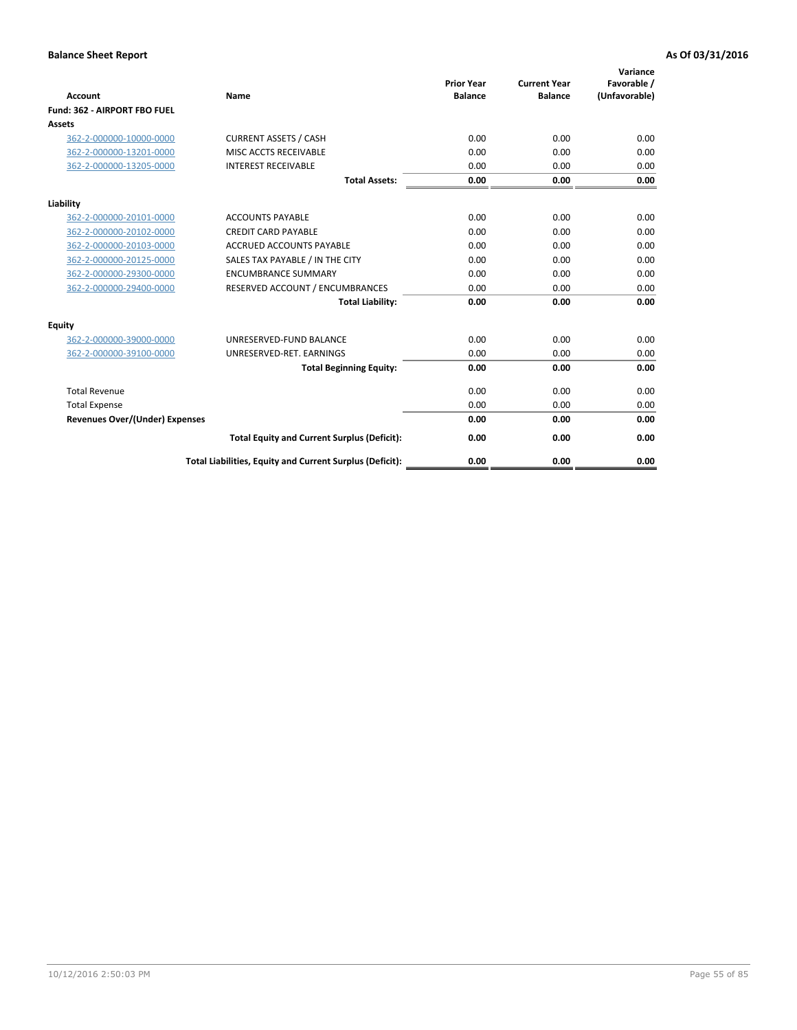|                                       |                                                          |                                     |                                       | Variance                     |
|---------------------------------------|----------------------------------------------------------|-------------------------------------|---------------------------------------|------------------------------|
| Account                               | <b>Name</b>                                              | <b>Prior Year</b><br><b>Balance</b> | <b>Current Year</b><br><b>Balance</b> | Favorable /<br>(Unfavorable) |
| Fund: 362 - AIRPORT FBO FUEL          |                                                          |                                     |                                       |                              |
| Assets                                |                                                          |                                     |                                       |                              |
| 362-2-000000-10000-0000               | <b>CURRENT ASSETS / CASH</b>                             | 0.00                                | 0.00                                  | 0.00                         |
| 362-2-000000-13201-0000               | MISC ACCTS RECEIVABLE                                    | 0.00                                | 0.00                                  | 0.00                         |
| 362-2-000000-13205-0000               | <b>INTEREST RECEIVABLE</b>                               | 0.00                                | 0.00                                  | 0.00                         |
|                                       | <b>Total Assets:</b>                                     | 0.00                                | 0.00                                  | 0.00                         |
| Liability                             |                                                          |                                     |                                       |                              |
| 362-2-000000-20101-0000               | <b>ACCOUNTS PAYABLE</b>                                  | 0.00                                | 0.00                                  | 0.00                         |
| 362-2-000000-20102-0000               | <b>CREDIT CARD PAYABLE</b>                               | 0.00                                | 0.00                                  | 0.00                         |
| 362-2-000000-20103-0000               | <b>ACCRUED ACCOUNTS PAYABLE</b>                          | 0.00                                | 0.00                                  | 0.00                         |
| 362-2-000000-20125-0000               | SALES TAX PAYABLE / IN THE CITY                          | 0.00                                | 0.00                                  | 0.00                         |
| 362-2-000000-29300-0000               | <b>ENCUMBRANCE SUMMARY</b>                               | 0.00                                | 0.00                                  | 0.00                         |
| 362-2-000000-29400-0000               | RESERVED ACCOUNT / ENCUMBRANCES                          | 0.00                                | 0.00                                  | 0.00                         |
|                                       | <b>Total Liability:</b>                                  | 0.00                                | 0.00                                  | 0.00                         |
| Equity                                |                                                          |                                     |                                       |                              |
| 362-2-000000-39000-0000               | UNRESERVED-FUND BALANCE                                  | 0.00                                | 0.00                                  | 0.00                         |
| 362-2-000000-39100-0000               | UNRESERVED-RET. EARNINGS                                 | 0.00                                | 0.00                                  | 0.00                         |
|                                       | <b>Total Beginning Equity:</b>                           | 0.00                                | 0.00                                  | 0.00                         |
| <b>Total Revenue</b>                  |                                                          | 0.00                                | 0.00                                  | 0.00                         |
| <b>Total Expense</b>                  |                                                          | 0.00                                | 0.00                                  | 0.00                         |
| <b>Revenues Over/(Under) Expenses</b> |                                                          | 0.00                                | 0.00                                  | 0.00                         |
|                                       | <b>Total Equity and Current Surplus (Deficit):</b>       | 0.00                                | 0.00                                  | 0.00                         |
|                                       | Total Liabilities, Equity and Current Surplus (Deficit): | 0.00                                | 0.00                                  | 0.00                         |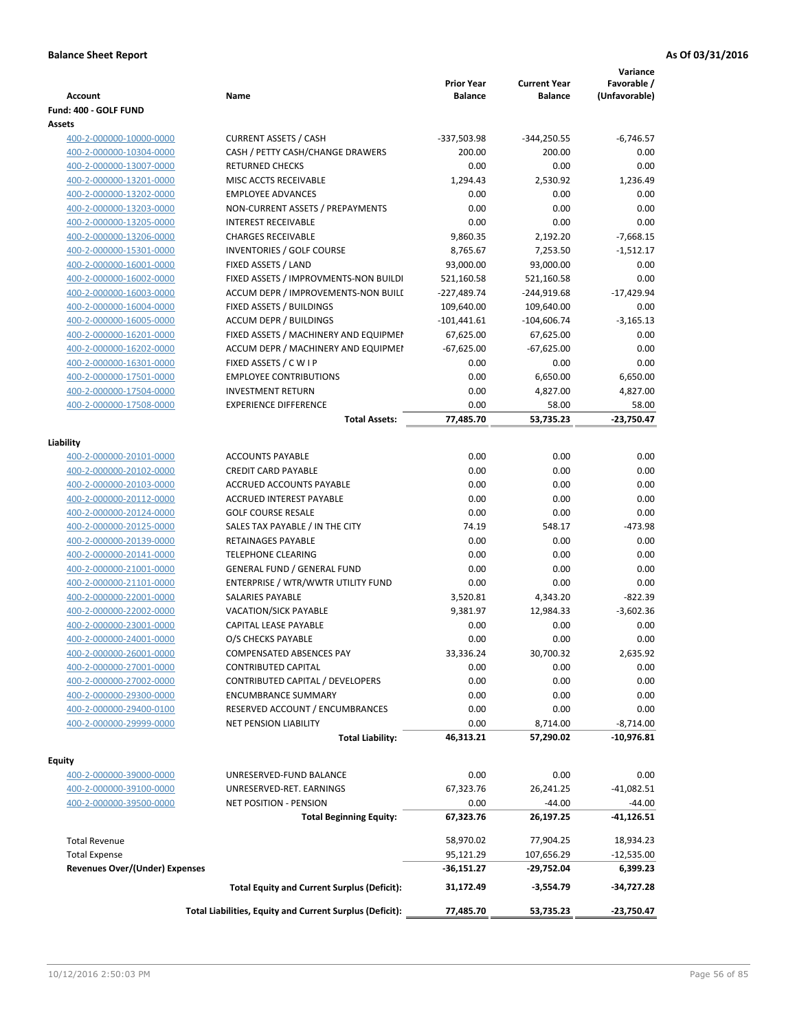| <b>Account</b>                        | Name                                                                                                           | <b>Prior Year</b><br><b>Balance</b> | <b>Current Year</b><br>Balance | Variance<br>Favorable /<br>(Unfavorable) |
|---------------------------------------|----------------------------------------------------------------------------------------------------------------|-------------------------------------|--------------------------------|------------------------------------------|
| Fund: 400 - GOLF FUND                 |                                                                                                                |                                     |                                |                                          |
| Assets                                |                                                                                                                |                                     |                                |                                          |
| 400-2-000000-10000-0000               | <b>CURRENT ASSETS / CASH</b>                                                                                   | -337,503.98                         | $-344,250.55$                  | $-6,746.57$                              |
| 400-2-000000-10304-0000               | CASH / PETTY CASH/CHANGE DRAWERS                                                                               | 200.00                              | 200.00                         | 0.00                                     |
| 400-2-000000-13007-0000               | <b>RETURNED CHECKS</b>                                                                                         | 0.00                                | 0.00                           | 0.00                                     |
| 400-2-000000-13201-0000               | MISC ACCTS RECEIVABLE                                                                                          | 1,294.43                            | 2,530.92                       | 1,236.49                                 |
| 400-2-000000-13202-0000               | <b>EMPLOYEE ADVANCES</b>                                                                                       | 0.00                                | 0.00                           | 0.00                                     |
| 400-2-000000-13203-0000               | NON-CURRENT ASSETS / PREPAYMENTS                                                                               | 0.00                                | 0.00                           | 0.00                                     |
| 400-2-000000-13205-0000               | <b>INTEREST RECEIVABLE</b>                                                                                     | 0.00                                | 0.00                           | 0.00                                     |
| 400-2-000000-13206-0000               | <b>CHARGES RECEIVABLE</b>                                                                                      | 9,860.35                            | 2,192.20                       | $-7,668.15$                              |
| 400-2-000000-15301-0000               | INVENTORIES / GOLF COURSE                                                                                      | 8,765.67                            | 7,253.50                       | $-1,512.17$                              |
| 400-2-000000-16001-0000               | FIXED ASSETS / LAND                                                                                            | 93,000.00                           | 93,000.00                      | 0.00                                     |
| 400-2-000000-16002-0000               | FIXED ASSETS / IMPROVMENTS-NON BUILDI                                                                          | 521,160.58                          | 521,160.58                     | 0.00                                     |
| 400-2-000000-16003-0000               | ACCUM DEPR / IMPROVEMENTS-NON BUILI                                                                            | -227,489.74                         | -244,919.68                    | $-17,429.94$                             |
| 400-2-000000-16004-0000               | FIXED ASSETS / BUILDINGS                                                                                       | 109,640.00                          | 109,640.00                     | 0.00                                     |
| 400-2-000000-16005-0000               | <b>ACCUM DEPR / BUILDINGS</b>                                                                                  | $-101,441.61$                       | $-104,606.74$                  | $-3,165.13$                              |
| 400-2-000000-16201-0000               | FIXED ASSETS / MACHINERY AND EQUIPMEN                                                                          | 67,625.00                           | 67,625.00                      | 0.00                                     |
| 400-2-000000-16202-0000               | ACCUM DEPR / MACHINERY AND EQUIPMEI                                                                            | $-67,625.00$                        | $-67,625.00$                   | 0.00                                     |
| 400-2-000000-16301-0000               | FIXED ASSETS / C W I P                                                                                         | 0.00                                | 0.00                           | 0.00                                     |
| 400-2-000000-17501-0000               | <b>EMPLOYEE CONTRIBUTIONS</b>                                                                                  | 0.00                                | 6,650.00                       | 6,650.00                                 |
| 400-2-000000-17504-0000               | <b>INVESTMENT RETURN</b>                                                                                       | 0.00                                | 4,827.00                       | 4,827.00                                 |
| 400-2-000000-17508-0000               | <b>EXPERIENCE DIFFERENCE</b>                                                                                   | 0.00                                | 58.00                          | 58.00                                    |
|                                       | <b>Total Assets:</b>                                                                                           | 77,485.70                           | 53,735.23                      | -23,750.47                               |
| Liability                             |                                                                                                                |                                     |                                |                                          |
| 400-2-000000-20101-0000               | <b>ACCOUNTS PAYABLE</b>                                                                                        | 0.00                                | 0.00                           | 0.00                                     |
| 400-2-000000-20102-0000               | <b>CREDIT CARD PAYABLE</b>                                                                                     | 0.00                                | 0.00                           | 0.00                                     |
| 400-2-000000-20103-0000               | ACCRUED ACCOUNTS PAYABLE                                                                                       | 0.00                                | 0.00                           | 0.00                                     |
| 400-2-000000-20112-0000               | ACCRUED INTEREST PAYABLE                                                                                       | 0.00                                | 0.00                           | 0.00                                     |
| 400-2-000000-20124-0000               | <b>GOLF COURSE RESALE</b>                                                                                      | 0.00                                | 0.00                           | 0.00                                     |
| 400-2-000000-20125-0000               | SALES TAX PAYABLE / IN THE CITY                                                                                | 74.19                               | 548.17                         | $-473.98$                                |
| 400-2-000000-20139-0000               | RETAINAGES PAYABLE                                                                                             | 0.00                                | 0.00                           | 0.00                                     |
| 400-2-000000-20141-0000               | <b>TELEPHONE CLEARING</b>                                                                                      | 0.00                                | 0.00                           | 0.00                                     |
| 400-2-000000-21001-0000               | <b>GENERAL FUND / GENERAL FUND</b>                                                                             | 0.00                                | 0.00                           | 0.00                                     |
| 400-2-000000-21101-0000               | ENTERPRISE / WTR/WWTR UTILITY FUND                                                                             | 0.00                                | 0.00                           | 0.00                                     |
| 400-2-000000-22001-0000               | <b>SALARIES PAYABLE</b>                                                                                        | 3,520.81                            | 4,343.20                       | $-822.39$                                |
| 400-2-000000-22002-0000               | VACATION/SICK PAYABLE                                                                                          | 9,381.97                            | 12,984.33                      | $-3.602.36$                              |
| 400-2-000000-23001-0000               | CAPITAL LEASE PAYABLE                                                                                          | 0.00                                | 0.00                           | 0.00                                     |
| 400-2-000000-24001-0000               | O/S CHECKS PAYABLE                                                                                             | 0.00                                | 0.00                           | 0.00                                     |
| 400-2-000000-26001-0000               | COMPENSATED ABSENCES PAY                                                                                       | 33,336.24                           | 30,700.32                      | 2,635.92                                 |
| 400-2-000000-27001-0000               | CONTRIBUTED CAPITAL                                                                                            | 0.00                                | 0.00                           | 0.00                                     |
| 400-2-000000-27002-0000               | CONTRIBUTED CAPITAL / DEVELOPERS                                                                               | 0.00                                | 0.00                           | 0.00                                     |
| 400-2-000000-29300-0000               | <b>ENCUMBRANCE SUMMARY</b>                                                                                     | 0.00                                | 0.00                           | 0.00                                     |
| 400-2-000000-29400-0100               | RESERVED ACCOUNT / ENCUMBRANCES                                                                                | 0.00                                | 0.00                           | 0.00                                     |
| 400-2-000000-29999-0000               | <b>NET PENSION LIABILITY</b>                                                                                   | 0.00                                | 8,714.00                       | $-8,714.00$                              |
|                                       | <b>Total Liability:</b>                                                                                        | 46,313.21                           | 57,290.02                      | $-10,976.81$                             |
|                                       |                                                                                                                |                                     |                                |                                          |
| Equity                                |                                                                                                                |                                     |                                |                                          |
| 400-2-000000-39000-0000               | UNRESERVED-FUND BALANCE                                                                                        | 0.00                                | 0.00                           | 0.00                                     |
| 400-2-000000-39100-0000               | UNRESERVED-RET. EARNINGS                                                                                       | 67,323.76                           | 26,241.25                      | $-41,082.51$                             |
| 400-2-000000-39500-0000               | NET POSITION - PENSION                                                                                         | 0.00                                | $-44.00$                       | $-44.00$                                 |
|                                       | <b>Total Beginning Equity:</b>                                                                                 | 67,323.76                           | 26,197.25                      | -41,126.51                               |
| <b>Total Revenue</b>                  |                                                                                                                | 58,970.02                           | 77,904.25                      | 18,934.23                                |
| <b>Total Expense</b>                  |                                                                                                                | 95,121.29                           | 107,656.29                     | $-12,535.00$                             |
| <b>Revenues Over/(Under) Expenses</b> |                                                                                                                | -36,151.27                          | -29,752.04                     | 6,399.23                                 |
|                                       |                                                                                                                |                                     |                                |                                          |
|                                       | <b>Total Equity and Current Surplus (Deficit):</b><br>Total Liabilities, Equity and Current Surplus (Deficit): | 31,172.49<br>77,485.70              | $-3,554.79$<br>53,735.23       | -34,727.28<br>-23,750.47                 |
|                                       |                                                                                                                |                                     |                                |                                          |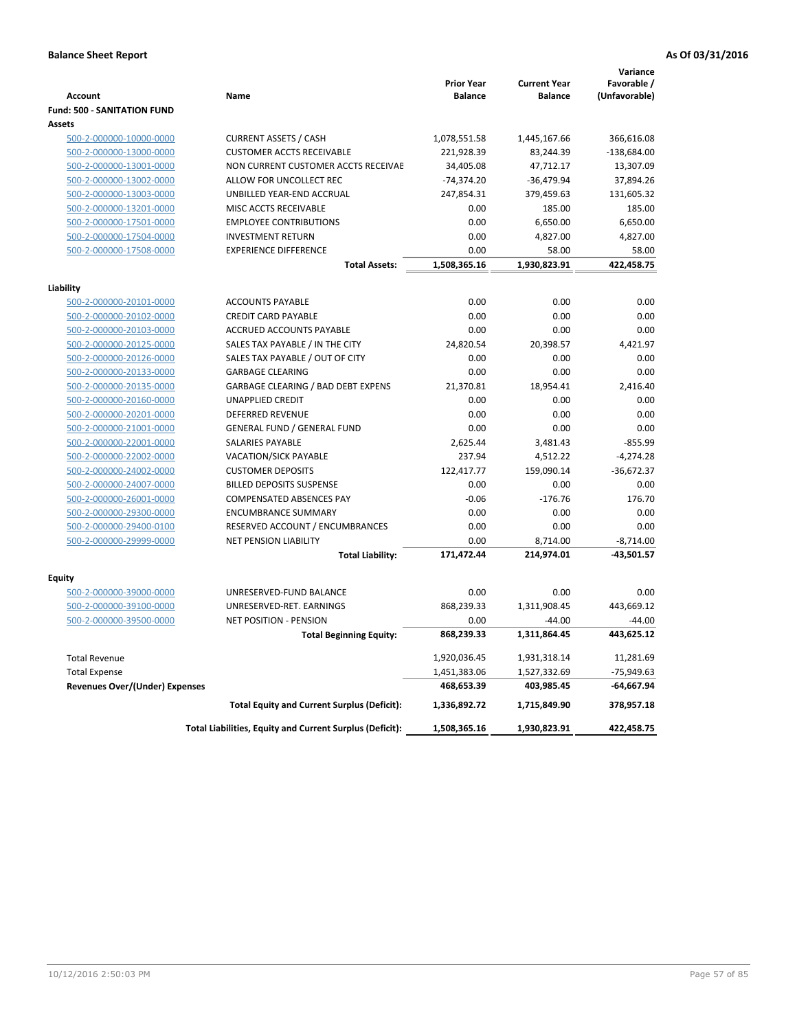|                                    |                                                          | <b>Prior Year</b> | <b>Current Year</b> | Variance<br>Favorable / |
|------------------------------------|----------------------------------------------------------|-------------------|---------------------|-------------------------|
| <b>Account</b>                     | Name                                                     | <b>Balance</b>    | <b>Balance</b>      | (Unfavorable)           |
| <b>Fund: 500 - SANITATION FUND</b> |                                                          |                   |                     |                         |
| Assets                             |                                                          |                   |                     |                         |
| 500-2-000000-10000-0000            | <b>CURRENT ASSETS / CASH</b>                             | 1,078,551.58      | 1,445,167.66        | 366,616.08              |
| 500-2-000000-13000-0000            | <b>CUSTOMER ACCTS RECEIVABLE</b>                         | 221,928.39        | 83,244.39           | $-138,684.00$           |
| 500-2-000000-13001-0000            | NON CURRENT CUSTOMER ACCTS RECEIVAE                      | 34,405.08         | 47,712.17           | 13,307.09               |
| 500-2-000000-13002-0000            | ALLOW FOR UNCOLLECT REC                                  | $-74,374.20$      | $-36,479.94$        | 37,894.26               |
| 500-2-000000-13003-0000            | UNBILLED YEAR-END ACCRUAL                                | 247,854.31        | 379,459.63          | 131,605.32              |
| 500-2-000000-13201-0000            | MISC ACCTS RECEIVABLE                                    | 0.00              | 185.00              | 185.00                  |
| 500-2-000000-17501-0000            | <b>EMPLOYEE CONTRIBUTIONS</b>                            | 0.00              | 6,650.00            | 6,650.00                |
| 500-2-000000-17504-0000            | <b>INVESTMENT RETURN</b>                                 | 0.00              | 4,827.00            | 4,827.00                |
| 500-2-000000-17508-0000            | <b>EXPERIENCE DIFFERENCE</b>                             | 0.00              | 58.00               | 58.00                   |
|                                    | <b>Total Assets:</b>                                     | 1,508,365.16      | 1,930,823.91        | 422,458.75              |
| Liability                          |                                                          |                   |                     |                         |
| 500-2-000000-20101-0000            | <b>ACCOUNTS PAYABLE</b>                                  | 0.00              | 0.00                | 0.00                    |
| 500-2-000000-20102-0000            | <b>CREDIT CARD PAYABLE</b>                               | 0.00              | 0.00                | 0.00                    |
| 500-2-000000-20103-0000            | ACCRUED ACCOUNTS PAYABLE                                 | 0.00              | 0.00                | 0.00                    |
| 500-2-000000-20125-0000            | SALES TAX PAYABLE / IN THE CITY                          | 24,820.54         | 20,398.57           | 4,421.97                |
| 500-2-000000-20126-0000            | SALES TAX PAYABLE / OUT OF CITY                          | 0.00              | 0.00                | 0.00                    |
| 500-2-000000-20133-0000            | <b>GARBAGE CLEARING</b>                                  | 0.00              | 0.00                | 0.00                    |
| 500-2-000000-20135-0000            | <b>GARBAGE CLEARING / BAD DEBT EXPENS</b>                | 21,370.81         | 18,954.41           | 2,416.40                |
| 500-2-000000-20160-0000            | <b>UNAPPLIED CREDIT</b>                                  | 0.00              | 0.00                | 0.00                    |
| 500-2-000000-20201-0000            | <b>DEFERRED REVENUE</b>                                  | 0.00              | 0.00                | 0.00                    |
| 500-2-000000-21001-0000            | GENERAL FUND / GENERAL FUND                              | 0.00              | 0.00                | 0.00                    |
| 500-2-000000-22001-0000            | <b>SALARIES PAYABLE</b>                                  | 2,625.44          | 3,481.43            | $-855.99$               |
| 500-2-000000-22002-0000            | VACATION/SICK PAYABLE                                    | 237.94            | 4,512.22            | $-4,274.28$             |
| 500-2-000000-24002-0000            | <b>CUSTOMER DEPOSITS</b>                                 | 122,417.77        | 159,090.14          | $-36,672.37$            |
| 500-2-000000-24007-0000            | <b>BILLED DEPOSITS SUSPENSE</b>                          | 0.00              | 0.00                | 0.00                    |
| 500-2-000000-26001-0000            | <b>COMPENSATED ABSENCES PAY</b>                          | $-0.06$           | $-176.76$           | 176.70                  |
| 500-2-000000-29300-0000            | <b>ENCUMBRANCE SUMMARY</b>                               | 0.00              | 0.00                | 0.00                    |
| 500-2-000000-29400-0100            | RESERVED ACCOUNT / ENCUMBRANCES                          | 0.00              | 0.00                | 0.00                    |
| 500-2-000000-29999-0000            | <b>NET PENSION LIABILITY</b>                             | 0.00              | 8,714.00            | $-8,714.00$             |
|                                    | <b>Total Liability:</b>                                  | 171,472.44        | 214,974.01          | -43,501.57              |
|                                    |                                                          |                   |                     |                         |
| Equity                             |                                                          |                   |                     |                         |
| 500-2-000000-39000-0000            | UNRESERVED-FUND BALANCE                                  | 0.00              | 0.00                | 0.00                    |
| 500-2-000000-39100-0000            | UNRESERVED-RET. EARNINGS                                 | 868,239.33        | 1,311,908.45        | 443,669.12              |
| 500-2-000000-39500-0000            | <b>NET POSITION - PENSION</b>                            | 0.00              | $-44.00$            | $-44.00$                |
|                                    | <b>Total Beginning Equity:</b>                           | 868,239.33        | 1,311,864.45        | 443,625.12              |
| <b>Total Revenue</b>               |                                                          | 1,920,036.45      | 1,931,318.14        | 11,281.69               |
| <b>Total Expense</b>               |                                                          | 1,451,383.06      | 1,527,332.69        | -75,949.63              |
| Revenues Over/(Under) Expenses     |                                                          | 468,653.39        | 403,985.45          | $-64,667.94$            |
|                                    | <b>Total Equity and Current Surplus (Deficit):</b>       | 1,336,892.72      | 1,715,849.90        | 378,957.18              |
|                                    | Total Liabilities, Equity and Current Surplus (Deficit): | 1,508,365.16      | 1,930,823.91        | 422,458.75              |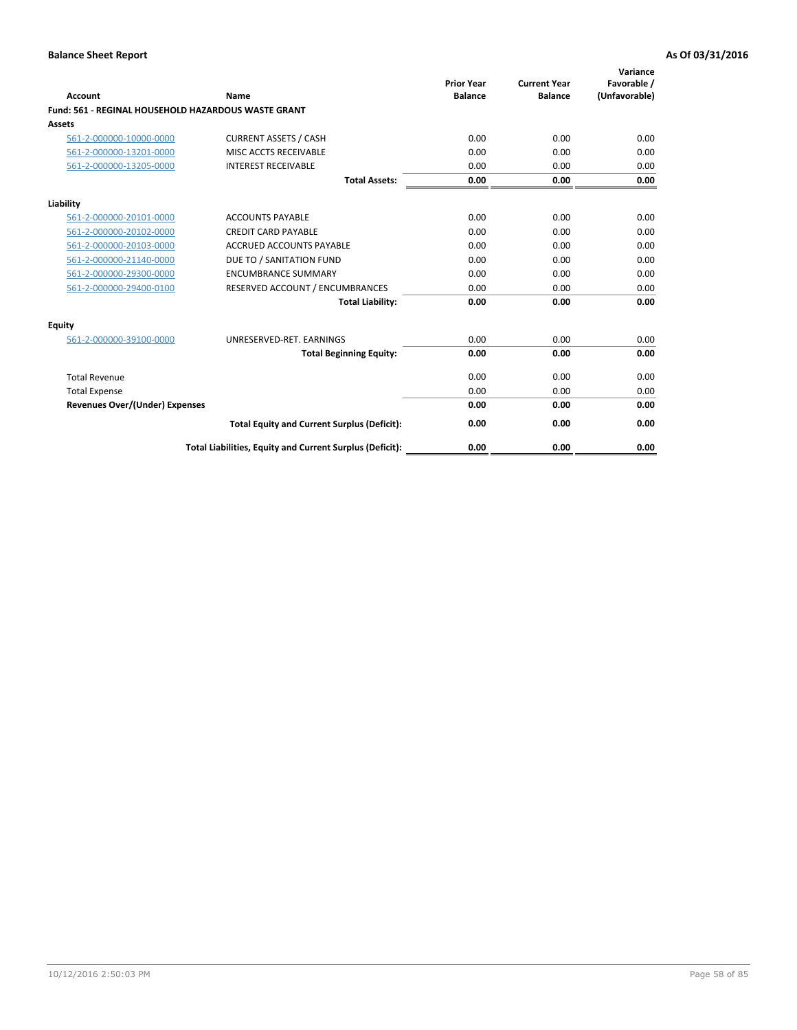| Account                                                    | Name                                                     | <b>Prior Year</b><br><b>Balance</b> | <b>Current Year</b><br><b>Balance</b> | Variance<br>Favorable /<br>(Unfavorable) |
|------------------------------------------------------------|----------------------------------------------------------|-------------------------------------|---------------------------------------|------------------------------------------|
| <b>Fund: 561 - REGINAL HOUSEHOLD HAZARDOUS WASTE GRANT</b> |                                                          |                                     |                                       |                                          |
| <b>Assets</b>                                              |                                                          |                                     |                                       |                                          |
| 561-2-000000-10000-0000                                    | <b>CURRENT ASSETS / CASH</b>                             | 0.00                                | 0.00                                  | 0.00                                     |
| 561-2-000000-13201-0000                                    | MISC ACCTS RECEIVABLE                                    | 0.00                                | 0.00                                  | 0.00                                     |
| 561-2-000000-13205-0000                                    | <b>INTEREST RECEIVABLE</b>                               | 0.00                                | 0.00                                  | 0.00                                     |
|                                                            | <b>Total Assets:</b>                                     | 0.00                                | 0.00                                  | 0.00                                     |
| Liability                                                  |                                                          |                                     |                                       |                                          |
| 561-2-000000-20101-0000                                    | <b>ACCOUNTS PAYABLE</b>                                  | 0.00                                | 0.00                                  | 0.00                                     |
| 561-2-000000-20102-0000                                    | <b>CREDIT CARD PAYABLE</b>                               | 0.00                                | 0.00                                  | 0.00                                     |
| 561-2-000000-20103-0000                                    | <b>ACCRUED ACCOUNTS PAYABLE</b>                          | 0.00                                | 0.00                                  | 0.00                                     |
| 561-2-000000-21140-0000                                    | DUE TO / SANITATION FUND                                 | 0.00                                | 0.00                                  | 0.00                                     |
| 561-2-000000-29300-0000                                    | <b>ENCUMBRANCE SUMMARY</b>                               | 0.00                                | 0.00                                  | 0.00                                     |
| 561-2-000000-29400-0100                                    | RESERVED ACCOUNT / ENCUMBRANCES                          | 0.00                                | 0.00                                  | 0.00                                     |
|                                                            | <b>Total Liability:</b>                                  | 0.00                                | 0.00                                  | 0.00                                     |
| <b>Equity</b>                                              |                                                          |                                     |                                       |                                          |
| 561-2-000000-39100-0000                                    | UNRESERVED-RET. EARNINGS                                 | 0.00                                | 0.00                                  | 0.00                                     |
|                                                            | <b>Total Beginning Equity:</b>                           | 0.00                                | 0.00                                  | 0.00                                     |
| <b>Total Revenue</b>                                       |                                                          | 0.00                                | 0.00                                  | 0.00                                     |
| <b>Total Expense</b>                                       |                                                          | 0.00                                | 0.00                                  | 0.00                                     |
| <b>Revenues Over/(Under) Expenses</b>                      |                                                          | 0.00                                | 0.00                                  | 0.00                                     |
|                                                            | <b>Total Equity and Current Surplus (Deficit):</b>       | 0.00                                | 0.00                                  | 0.00                                     |
|                                                            | Total Liabilities, Equity and Current Surplus (Deficit): | 0.00                                | 0.00                                  | 0.00                                     |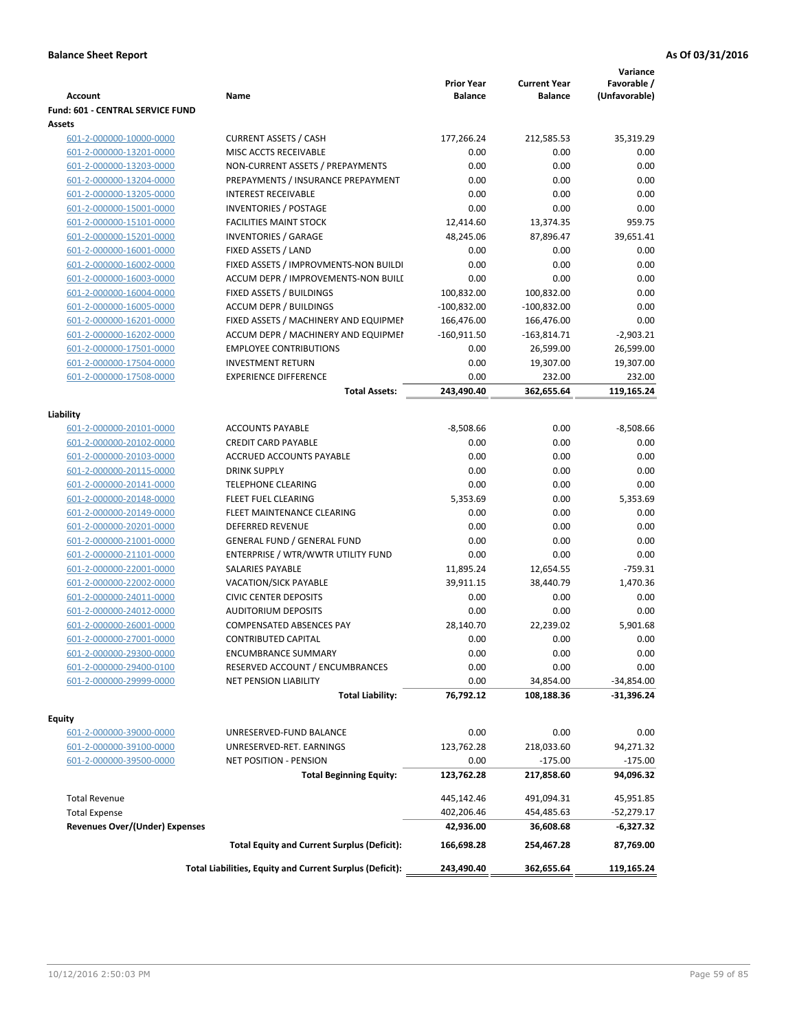| <b>Account</b>                        | Name                                                     | <b>Prior Year</b><br><b>Balance</b> | <b>Current Year</b><br><b>Balance</b> | Variance<br>Favorable /<br>(Unfavorable) |
|---------------------------------------|----------------------------------------------------------|-------------------------------------|---------------------------------------|------------------------------------------|
| Fund: 601 - CENTRAL SERVICE FUND      |                                                          |                                     |                                       |                                          |
| Assets                                |                                                          |                                     |                                       |                                          |
| 601-2-000000-10000-0000               | <b>CURRENT ASSETS / CASH</b>                             | 177,266.24                          | 212,585.53                            | 35,319.29                                |
| 601-2-000000-13201-0000               | MISC ACCTS RECEIVABLE                                    | 0.00                                | 0.00                                  | 0.00                                     |
| 601-2-000000-13203-0000               | NON-CURRENT ASSETS / PREPAYMENTS                         | 0.00                                | 0.00                                  | 0.00                                     |
| 601-2-000000-13204-0000               | PREPAYMENTS / INSURANCE PREPAYMENT                       | 0.00                                | 0.00                                  | 0.00                                     |
| 601-2-000000-13205-0000               | <b>INTEREST RECEIVABLE</b>                               | 0.00                                | 0.00                                  | 0.00                                     |
| 601-2-000000-15001-0000               | <b>INVENTORIES / POSTAGE</b>                             | 0.00                                | 0.00                                  | 0.00                                     |
| 601-2-000000-15101-0000               | <b>FACILITIES MAINT STOCK</b>                            | 12,414.60                           | 13,374.35                             | 959.75                                   |
| 601-2-000000-15201-0000               | <b>INVENTORIES / GARAGE</b>                              | 48,245.06                           | 87,896.47                             | 39,651.41                                |
| 601-2-000000-16001-0000               | FIXED ASSETS / LAND                                      | 0.00                                | 0.00                                  | 0.00                                     |
| 601-2-000000-16002-0000               | FIXED ASSETS / IMPROVMENTS-NON BUILDI                    | 0.00                                | 0.00                                  | 0.00                                     |
| 601-2-000000-16003-0000               | ACCUM DEPR / IMPROVEMENTS-NON BUILI                      | 0.00                                | 0.00                                  | 0.00                                     |
| 601-2-000000-16004-0000               | FIXED ASSETS / BUILDINGS                                 | 100,832.00                          | 100,832.00                            | 0.00                                     |
| 601-2-000000-16005-0000               | <b>ACCUM DEPR / BUILDINGS</b>                            | $-100,832.00$                       | $-100,832.00$                         | 0.00                                     |
| 601-2-000000-16201-0000               | FIXED ASSETS / MACHINERY AND EQUIPMEN                    | 166,476.00                          | 166,476.00                            | 0.00                                     |
| 601-2-000000-16202-0000               | ACCUM DEPR / MACHINERY AND EQUIPMEI                      | $-160,911.50$                       | $-163,814.71$                         | $-2,903.21$                              |
| 601-2-000000-17501-0000               | <b>EMPLOYEE CONTRIBUTIONS</b>                            | 0.00                                | 26,599.00                             | 26,599.00                                |
| 601-2-000000-17504-0000               | <b>INVESTMENT RETURN</b>                                 | 0.00                                | 19,307.00                             | 19,307.00                                |
| 601-2-000000-17508-0000               | <b>EXPERIENCE DIFFERENCE</b>                             | 0.00                                | 232.00                                | 232.00                                   |
|                                       | <b>Total Assets:</b>                                     | 243,490.40                          | 362,655.64                            | 119.165.24                               |
| Liability                             |                                                          |                                     |                                       |                                          |
| 601-2-000000-20101-0000               | <b>ACCOUNTS PAYABLE</b>                                  | $-8,508.66$                         | 0.00                                  | $-8,508.66$                              |
| 601-2-000000-20102-0000               | <b>CREDIT CARD PAYABLE</b>                               | 0.00                                | 0.00                                  | 0.00                                     |
| 601-2-000000-20103-0000               | ACCRUED ACCOUNTS PAYABLE                                 | 0.00                                | 0.00                                  | 0.00                                     |
| 601-2-000000-20115-0000               | <b>DRINK SUPPLY</b>                                      | 0.00                                | 0.00                                  | 0.00                                     |
| 601-2-000000-20141-0000               | <b>TELEPHONE CLEARING</b>                                | 0.00                                | 0.00                                  | 0.00                                     |
| 601-2-000000-20148-0000               | FLEET FUEL CLEARING                                      | 5,353.69                            | 0.00                                  | 5,353.69                                 |
| 601-2-000000-20149-0000               | FLEET MAINTENANCE CLEARING                               | 0.00                                | 0.00                                  | 0.00                                     |
| 601-2-000000-20201-0000               | <b>DEFERRED REVENUE</b>                                  | 0.00                                | 0.00                                  | 0.00                                     |
| 601-2-000000-21001-0000               | <b>GENERAL FUND / GENERAL FUND</b>                       | 0.00                                | 0.00                                  | 0.00                                     |
| 601-2-000000-21101-0000               | ENTERPRISE / WTR/WWTR UTILITY FUND                       | 0.00                                | 0.00                                  | 0.00                                     |
| 601-2-000000-22001-0000               | <b>SALARIES PAYABLE</b>                                  | 11,895.24                           | 12,654.55                             | $-759.31$                                |
| 601-2-000000-22002-0000               | VACATION/SICK PAYABLE                                    | 39,911.15                           | 38,440.79                             | 1,470.36                                 |
| 601-2-000000-24011-0000               | <b>CIVIC CENTER DEPOSITS</b>                             | 0.00                                | 0.00                                  | 0.00                                     |
| 601-2-000000-24012-0000               | <b>AUDITORIUM DEPOSITS</b>                               | 0.00                                | 0.00                                  | 0.00                                     |
| 601-2-000000-26001-0000               | COMPENSATED ABSENCES PAY                                 | 28,140.70                           | 22,239.02                             | 5.901.68                                 |
| 601-2-000000-27001-0000               | <b>CONTRIBUTED CAPITAL</b>                               | 0.00                                | 0.00                                  | 0.00                                     |
| 601-2-000000-29300-0000               | <b>ENCUMBRANCE SUMMARY</b>                               | 0.00                                | 0.00                                  | 0.00                                     |
| 601-2-000000-29400-0100               | RESERVED ACCOUNT / ENCUMBRANCES                          | 0.00                                | 0.00                                  | 0.00                                     |
| 601-2-000000-29999-0000               | NET PENSION LIABILITY                                    | 0.00                                | 34,854.00                             | $-34,854.00$                             |
|                                       | <b>Total Liability:</b>                                  | 76,792.12                           | 108,188.36                            | $-31,396.24$                             |
| Equity                                |                                                          |                                     |                                       |                                          |
| 601-2-000000-39000-0000               | UNRESERVED-FUND BALANCE                                  | 0.00                                | 0.00                                  | 0.00                                     |
| 601-2-000000-39100-0000               | UNRESERVED-RET. EARNINGS                                 | 123,762.28                          | 218,033.60                            | 94,271.32                                |
| 601-2-000000-39500-0000               | NET POSITION - PENSION                                   | 0.00                                | $-175.00$                             | $-175.00$                                |
|                                       | <b>Total Beginning Equity:</b>                           | 123,762.28                          | 217,858.60                            | 94,096.32                                |
| <b>Total Revenue</b>                  |                                                          | 445,142.46                          | 491,094.31                            | 45,951.85                                |
| <b>Total Expense</b>                  |                                                          | 402,206.46                          | 454,485.63                            | $-52,279.17$                             |
| <b>Revenues Over/(Under) Expenses</b> |                                                          | 42,936.00                           | 36,608.68                             | -6,327.32                                |
|                                       | <b>Total Equity and Current Surplus (Deficit):</b>       | 166,698.28                          | 254,467.28                            | 87,769.00                                |
|                                       | Total Liabilities, Equity and Current Surplus (Deficit): | 243,490.40                          | 362,655.64                            | 119,165.24                               |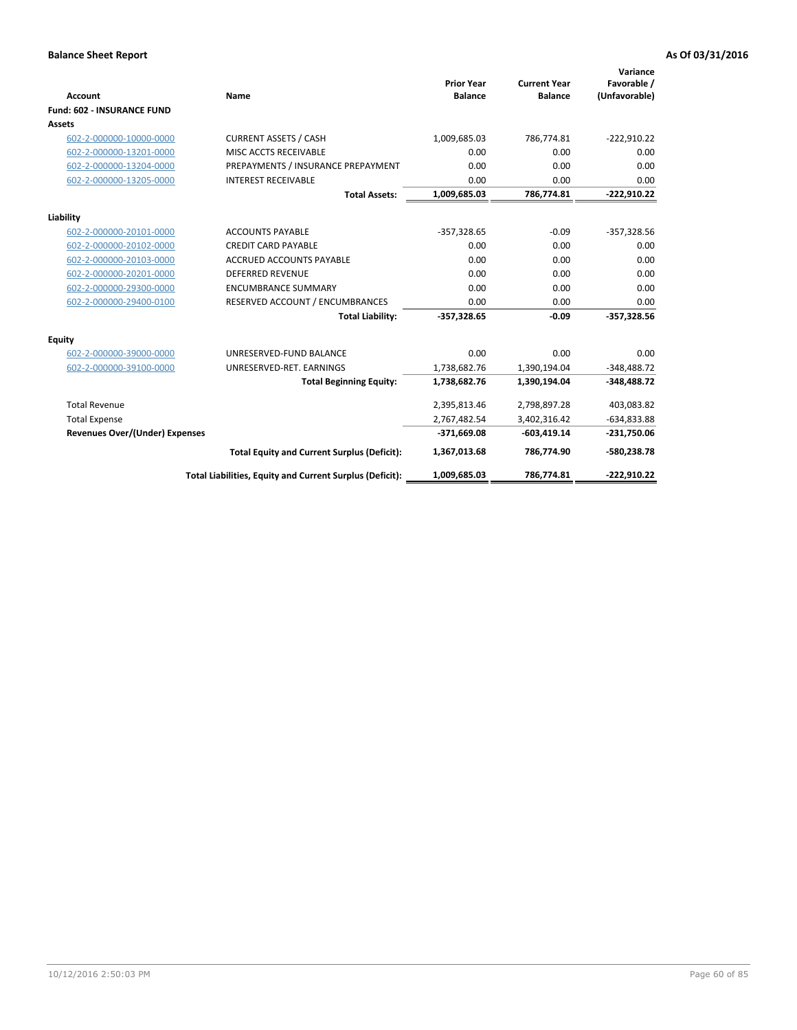| <b>Account</b>                        | Name                                                     | <b>Prior Year</b><br><b>Balance</b> | <b>Current Year</b><br><b>Balance</b> | Variance<br>Favorable /<br>(Unfavorable) |
|---------------------------------------|----------------------------------------------------------|-------------------------------------|---------------------------------------|------------------------------------------|
| <b>Fund: 602 - INSURANCE FUND</b>     |                                                          |                                     |                                       |                                          |
| <b>Assets</b>                         |                                                          |                                     |                                       |                                          |
| 602-2-000000-10000-0000               | <b>CURRENT ASSETS / CASH</b>                             | 1,009,685.03                        | 786,774.81                            | $-222,910.22$                            |
| 602-2-000000-13201-0000               | MISC ACCTS RECEIVABLE                                    | 0.00                                | 0.00                                  | 0.00                                     |
| 602-2-000000-13204-0000               | PREPAYMENTS / INSURANCE PREPAYMENT                       | 0.00                                | 0.00                                  | 0.00                                     |
| 602-2-000000-13205-0000               | <b>INTEREST RECEIVABLE</b>                               | 0.00                                | 0.00                                  | 0.00                                     |
|                                       | <b>Total Assets:</b>                                     | 1,009,685.03                        | 786,774.81                            | $-222,910.22$                            |
|                                       |                                                          |                                     |                                       |                                          |
| Liability                             |                                                          |                                     |                                       |                                          |
| 602-2-000000-20101-0000               | <b>ACCOUNTS PAYABLE</b>                                  | $-357,328.65$                       | $-0.09$                               | $-357,328.56$                            |
| 602-2-000000-20102-0000               | <b>CREDIT CARD PAYABLE</b>                               | 0.00                                | 0.00                                  | 0.00                                     |
| 602-2-000000-20103-0000               | ACCRUED ACCOUNTS PAYABLE                                 | 0.00                                | 0.00                                  | 0.00                                     |
| 602-2-000000-20201-0000               | <b>DEFERRED REVENUE</b>                                  | 0.00                                | 0.00                                  | 0.00                                     |
| 602-2-000000-29300-0000               | <b>ENCUMBRANCE SUMMARY</b>                               | 0.00                                | 0.00                                  | 0.00                                     |
| 602-2-000000-29400-0100               | RESERVED ACCOUNT / ENCUMBRANCES                          | 0.00                                | 0.00                                  | 0.00                                     |
|                                       | <b>Total Liability:</b>                                  | $-357,328.65$                       | $-0.09$                               | $-357,328.56$                            |
| <b>Equity</b>                         |                                                          |                                     |                                       |                                          |
| 602-2-000000-39000-0000               | UNRESERVED-FUND BALANCE                                  | 0.00                                | 0.00                                  | 0.00                                     |
| 602-2-000000-39100-0000               | UNRESERVED-RET. EARNINGS                                 | 1,738,682.76                        | 1,390,194.04                          | $-348,488.72$                            |
|                                       | <b>Total Beginning Equity:</b>                           | 1,738,682.76                        | 1,390,194.04                          | $-348,488.72$                            |
| <b>Total Revenue</b>                  |                                                          | 2,395,813.46                        | 2,798,897.28                          | 403,083.82                               |
| <b>Total Expense</b>                  |                                                          | 2,767,482.54                        | 3,402,316.42                          | $-634,833.88$                            |
| <b>Revenues Over/(Under) Expenses</b> |                                                          | $-371,669.08$                       | $-603,419.14$                         | $-231,750.06$                            |
|                                       | <b>Total Equity and Current Surplus (Deficit):</b>       | 1,367,013.68                        | 786,774.90                            | -580,238.78                              |
|                                       | Total Liabilities, Equity and Current Surplus (Deficit): | 1,009,685.03                        | 786,774.81                            | $-222.910.22$                            |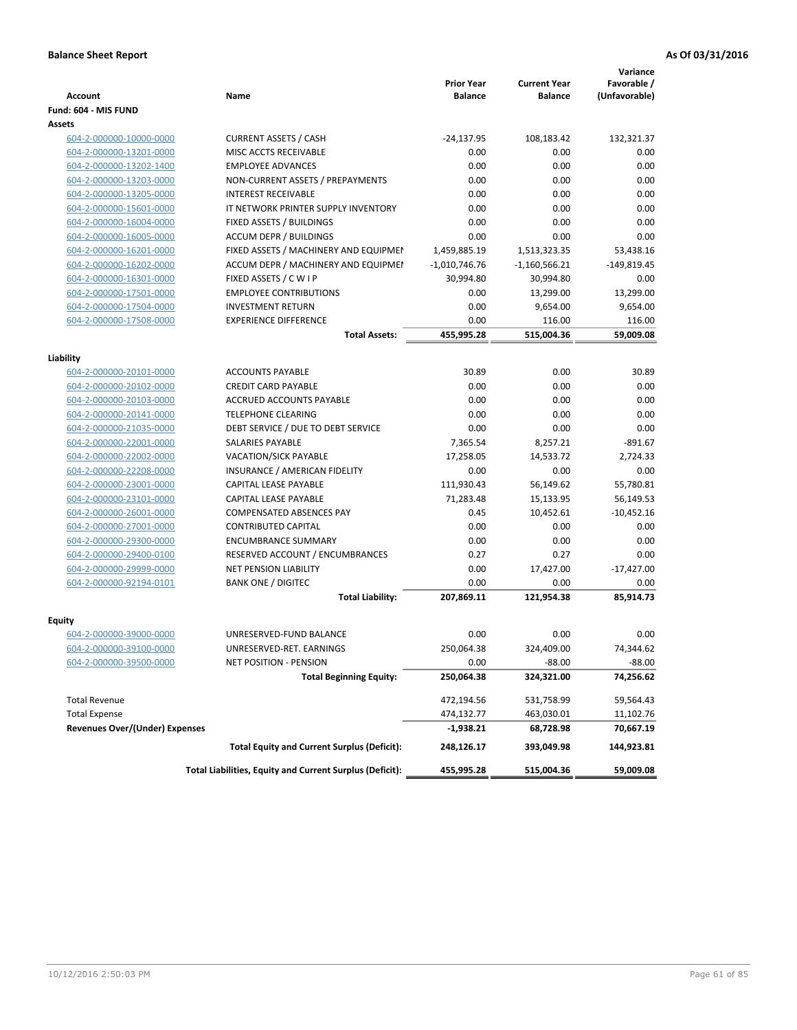|                                                    |                                                          | <b>Prior Year</b> | <b>Current Year</b> | Variance<br>Favorable / |
|----------------------------------------------------|----------------------------------------------------------|-------------------|---------------------|-------------------------|
| <b>Account</b>                                     | <b>Name</b>                                              | <b>Balance</b>    | <b>Balance</b>      | (Unfavorable)           |
| Fund: 604 - MIS FUND                               |                                                          |                   |                     |                         |
| Assets                                             |                                                          |                   |                     |                         |
| 604-2-000000-10000-0000                            | <b>CURRENT ASSETS / CASH</b>                             | $-24,137.95$      | 108,183.42          | 132,321.37              |
| 604-2-000000-13201-0000                            | MISC ACCTS RECEIVABLE                                    | 0.00              | 0.00                | 0.00                    |
| 604-2-000000-13202-1400                            | <b>EMPLOYEE ADVANCES</b>                                 | 0.00              | 0.00                | 0.00                    |
| 604-2-000000-13203-0000                            | NON-CURRENT ASSETS / PREPAYMENTS                         | 0.00              | 0.00                | 0.00                    |
| 604-2-000000-13205-0000                            | <b>INTEREST RECEIVABLE</b>                               | 0.00              | 0.00                | 0.00                    |
| 604-2-000000-15601-0000                            | IT NETWORK PRINTER SUPPLY INVENTORY                      | 0.00              | 0.00                | 0.00                    |
| 604-2-000000-16004-0000                            | <b>FIXED ASSETS / BUILDINGS</b>                          | 0.00              | 0.00                | 0.00                    |
| 604-2-000000-16005-0000                            | <b>ACCUM DEPR / BUILDINGS</b>                            | 0.00              | 0.00                | 0.00                    |
| 604-2-000000-16201-0000                            | FIXED ASSETS / MACHINERY AND EQUIPMEN                    | 1,459,885.19      | 1,513,323.35        | 53,438.16               |
| 604-2-000000-16202-0000                            | ACCUM DEPR / MACHINERY AND EQUIPMEI                      | $-1,010,746.76$   | $-1,160,566.21$     | $-149,819.45$           |
| 604-2-000000-16301-0000                            | FIXED ASSETS / C W I P                                   | 30,994.80         | 30,994.80           | 0.00                    |
| 604-2-000000-17501-0000                            | <b>EMPLOYEE CONTRIBUTIONS</b>                            | 0.00              | 13,299.00           | 13,299.00               |
| 604-2-000000-17504-0000                            | <b>INVESTMENT RETURN</b>                                 | 0.00              | 9,654.00            | 9,654.00                |
| 604-2-000000-17508-0000                            | <b>EXPERIENCE DIFFERENCE</b>                             | 0.00              | 116.00              | 116.00                  |
|                                                    | <b>Total Assets:</b>                                     | 455,995.28        | 515,004.36          | 59,009.08               |
|                                                    |                                                          |                   |                     |                         |
| Liability                                          |                                                          |                   |                     |                         |
| 604-2-000000-20101-0000                            | <b>ACCOUNTS PAYABLE</b>                                  | 30.89             | 0.00                | 30.89                   |
| 604-2-000000-20102-0000                            | <b>CREDIT CARD PAYABLE</b>                               | 0.00              | 0.00                | 0.00                    |
| 604-2-000000-20103-0000                            | <b>ACCRUED ACCOUNTS PAYABLE</b>                          | 0.00              | 0.00                | 0.00                    |
| 604-2-000000-20141-0000                            | <b>TELEPHONE CLEARING</b>                                | 0.00              | 0.00                | 0.00                    |
| 604-2-000000-21035-0000                            | DEBT SERVICE / DUE TO DEBT SERVICE                       | 0.00              | 0.00                | 0.00                    |
| 604-2-000000-22001-0000                            | SALARIES PAYABLE                                         | 7,365.54          | 8,257.21            | $-891.67$               |
| 604-2-000000-22002-0000                            | VACATION/SICK PAYABLE                                    | 17,258.05         | 14,533.72           | 2,724.33                |
| 604-2-000000-22208-0000                            | INSURANCE / AMERICAN FIDELITY                            | 0.00              | 0.00                | 0.00                    |
| 604-2-000000-23001-0000                            | CAPITAL LEASE PAYABLE                                    | 111,930.43        | 56,149.62           | 55,780.81               |
| 604-2-000000-23101-0000                            | CAPITAL LEASE PAYABLE                                    | 71,283.48         | 15,133.95           | 56,149.53               |
| 604-2-000000-26001-0000                            | <b>COMPENSATED ABSENCES PAY</b>                          | 0.45              | 10,452.61           | $-10,452.16$            |
| 604-2-000000-27001-0000                            | <b>CONTRIBUTED CAPITAL</b>                               | 0.00              | 0.00                | 0.00                    |
| 604-2-000000-29300-0000                            | <b>ENCUMBRANCE SUMMARY</b>                               | 0.00              | 0.00                | 0.00                    |
| 604-2-000000-29400-0100                            | RESERVED ACCOUNT / ENCUMBRANCES                          | 0.27              | 0.27                | 0.00                    |
| 604-2-000000-29999-0000                            | NET PENSION LIABILITY                                    | 0.00              | 17,427.00           | $-17,427.00$            |
| 604-2-000000-92194-0101                            | <b>BANK ONE / DIGITEC</b>                                | 0.00              | 0.00                | 0.00                    |
|                                                    | <b>Total Liability:</b>                                  | 207,869.11        | 121,954.38          | 85,914.73               |
|                                                    |                                                          |                   |                     |                         |
| Equity                                             |                                                          | 0.00              |                     | 0.00                    |
| 604-2-000000-39000-0000                            | UNRESERVED-FUND BALANCE                                  | 250,064.38        | 0.00                | 74,344.62               |
| 604-2-000000-39100-0000<br>604-2-000000-39500-0000 | UNRESERVED-RET. EARNINGS                                 |                   | 324,409.00          |                         |
|                                                    | NET POSITION - PENSION                                   | 0.00              | $-88.00$            | $-88.00$                |
|                                                    | <b>Total Beginning Equity:</b>                           | 250,064.38        | 324,321.00          | 74,256.62               |
| <b>Total Revenue</b>                               |                                                          | 472,194.56        | 531,758.99          | 59,564.43               |
| <b>Total Expense</b>                               |                                                          | 474,132.77        | 463,030.01          | 11,102.76               |
| <b>Revenues Over/(Under) Expenses</b>              |                                                          | $-1,938.21$       | 68,728.98           | 70,667.19               |
|                                                    | <b>Total Equity and Current Surplus (Deficit):</b>       | 248,126.17        | 393,049.98          | 144,923.81              |
|                                                    | Total Liabilities, Equity and Current Surplus (Deficit): | 455,995.28        | 515,004.36          | 59,009.08               |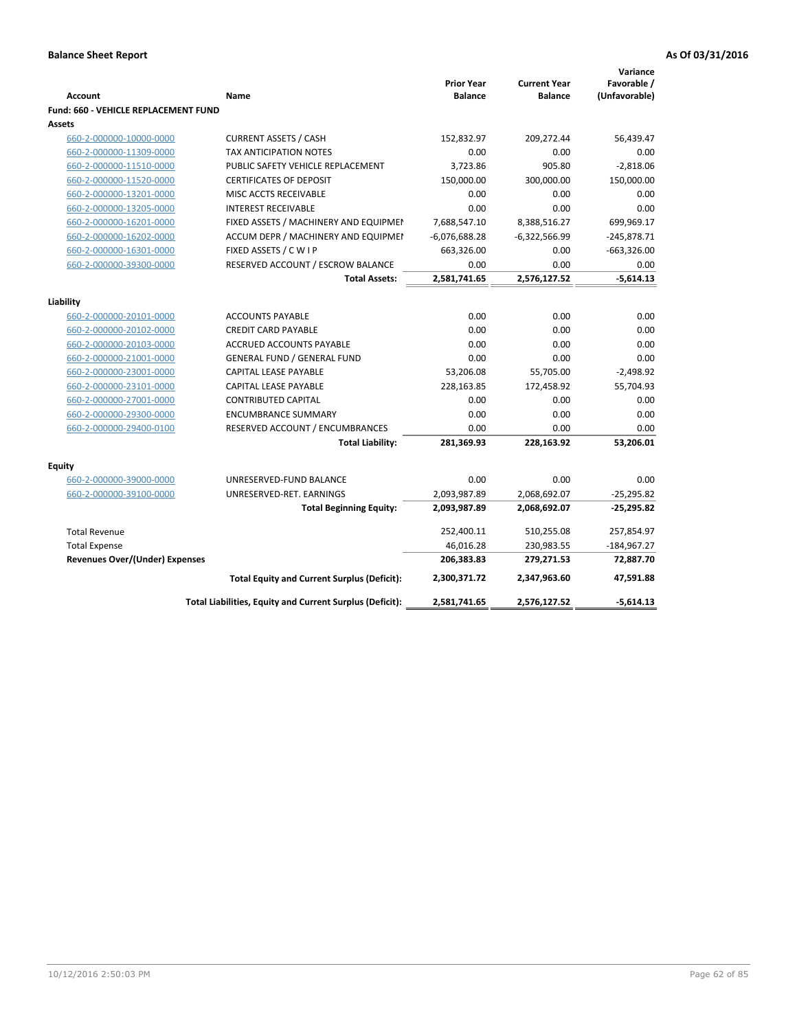|                                       |                                                          | <b>Prior Year</b> | <b>Current Year</b> | Variance<br>Favorable / |
|---------------------------------------|----------------------------------------------------------|-------------------|---------------------|-------------------------|
| <b>Account</b>                        | Name                                                     | <b>Balance</b>    | <b>Balance</b>      | (Unfavorable)           |
| Fund: 660 - VEHICLE REPLACEMENT FUND  |                                                          |                   |                     |                         |
| Assets                                |                                                          |                   |                     |                         |
| 660-2-000000-10000-0000               | <b>CURRENT ASSETS / CASH</b>                             | 152,832.97        | 209,272.44          | 56,439.47               |
| 660-2-000000-11309-0000               | <b>TAX ANTICIPATION NOTES</b>                            | 0.00              | 0.00                | 0.00                    |
| 660-2-000000-11510-0000               | PUBLIC SAFETY VEHICLE REPLACEMENT                        | 3,723.86          | 905.80              | $-2,818.06$             |
| 660-2-000000-11520-0000               | <b>CERTIFICATES OF DEPOSIT</b>                           | 150,000.00        | 300,000.00          | 150,000.00              |
| 660-2-000000-13201-0000               | MISC ACCTS RECEIVABLE                                    | 0.00              | 0.00                | 0.00                    |
| 660-2-000000-13205-0000               | <b>INTEREST RECEIVABLE</b>                               | 0.00              | 0.00                | 0.00                    |
| 660-2-000000-16201-0000               | FIXED ASSETS / MACHINERY AND EQUIPMEN                    | 7,688,547.10      | 8,388,516.27        | 699,969.17              |
| 660-2-000000-16202-0000               | ACCUM DEPR / MACHINERY AND EQUIPMEI                      | $-6,076,688.28$   | $-6,322,566.99$     | $-245,878.71$           |
| 660-2-000000-16301-0000               | FIXED ASSETS / C W I P                                   | 663,326.00        | 0.00                | $-663,326.00$           |
| 660-2-000000-39300-0000               | RESERVED ACCOUNT / ESCROW BALANCE                        | 0.00              | 0.00                | 0.00                    |
|                                       | <b>Total Assets:</b>                                     | 2,581,741.65      | 2,576,127.52        | $-5,614.13$             |
| Liability                             |                                                          |                   |                     |                         |
| 660-2-000000-20101-0000               | <b>ACCOUNTS PAYABLE</b>                                  | 0.00              | 0.00                | 0.00                    |
| 660-2-000000-20102-0000               | <b>CREDIT CARD PAYABLE</b>                               | 0.00              | 0.00                | 0.00                    |
| 660-2-000000-20103-0000               | <b>ACCRUED ACCOUNTS PAYABLE</b>                          | 0.00              | 0.00                | 0.00                    |
| 660-2-000000-21001-0000               | <b>GENERAL FUND / GENERAL FUND</b>                       | 0.00              | 0.00                | 0.00                    |
| 660-2-000000-23001-0000               | CAPITAL LEASE PAYABLE                                    | 53,206.08         | 55,705.00           | $-2,498.92$             |
| 660-2-000000-23101-0000               | <b>CAPITAL LEASE PAYABLE</b>                             | 228,163.85        | 172,458.92          | 55,704.93               |
| 660-2-000000-27001-0000               | <b>CONTRIBUTED CAPITAL</b>                               | 0.00              | 0.00                | 0.00                    |
| 660-2-000000-29300-0000               | <b>ENCUMBRANCE SUMMARY</b>                               | 0.00              | 0.00                | 0.00                    |
| 660-2-000000-29400-0100               | RESERVED ACCOUNT / ENCUMBRANCES                          | 0.00              | 0.00                | 0.00                    |
|                                       | <b>Total Liability:</b>                                  | 281,369.93        | 228,163.92          | 53,206.01               |
|                                       |                                                          |                   |                     |                         |
| <b>Equity</b>                         |                                                          |                   |                     |                         |
| 660-2-000000-39000-0000               | UNRESERVED-FUND BALANCE                                  | 0.00              | 0.00                | 0.00                    |
| 660-2-000000-39100-0000               | UNRESERVED-RET. EARNINGS                                 | 2,093,987.89      | 2,068,692.07        | $-25,295.82$            |
|                                       | <b>Total Beginning Equity:</b>                           | 2,093,987.89      | 2,068,692.07        | $-25,295.82$            |
| <b>Total Revenue</b>                  |                                                          | 252,400.11        | 510,255.08          | 257,854.97              |
| <b>Total Expense</b>                  |                                                          | 46,016.28         | 230,983.55          | $-184,967.27$           |
| <b>Revenues Over/(Under) Expenses</b> |                                                          | 206,383.83        | 279,271.53          | 72,887.70               |
|                                       | <b>Total Equity and Current Surplus (Deficit):</b>       | 2,300,371.72      | 2,347,963.60        | 47,591.88               |
|                                       | Total Liabilities, Equity and Current Surplus (Deficit): | 2,581,741.65      | 2,576,127.52        | $-5,614.13$             |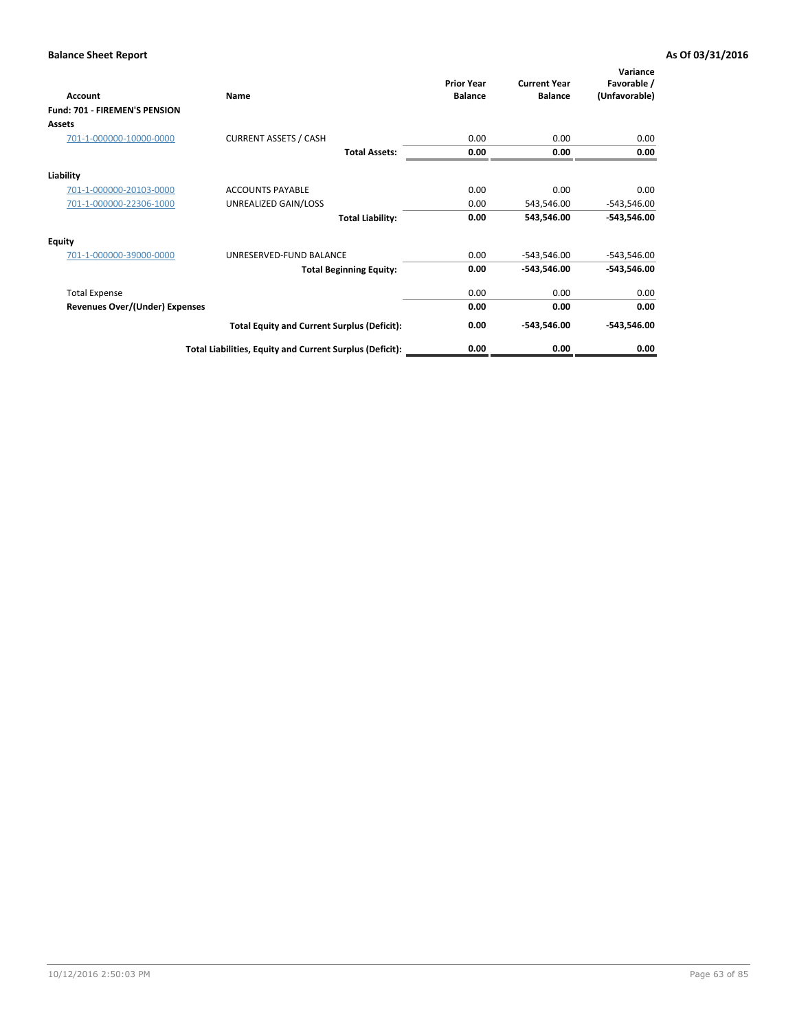| <b>Account</b>                 | Name                                                     | <b>Prior Year</b><br><b>Balance</b> | <b>Current Year</b><br><b>Balance</b> | Variance<br>Favorable /<br>(Unfavorable) |
|--------------------------------|----------------------------------------------------------|-------------------------------------|---------------------------------------|------------------------------------------|
| Fund: 701 - FIREMEN'S PENSION  |                                                          |                                     |                                       |                                          |
| Assets                         |                                                          |                                     |                                       |                                          |
| 701-1-000000-10000-0000        | <b>CURRENT ASSETS / CASH</b>                             | 0.00                                | 0.00                                  | 0.00                                     |
|                                | <b>Total Assets:</b>                                     | 0.00                                | 0.00                                  | 0.00                                     |
| Liability                      |                                                          |                                     |                                       |                                          |
| 701-1-000000-20103-0000        | <b>ACCOUNTS PAYABLE</b>                                  | 0.00                                | 0.00                                  | 0.00                                     |
| 701-1-000000-22306-1000        | UNREALIZED GAIN/LOSS                                     | 0.00                                | 543,546.00                            | $-543,546.00$                            |
|                                | <b>Total Liability:</b>                                  | 0.00                                | 543,546.00                            | $-543,546.00$                            |
| <b>Equity</b>                  |                                                          |                                     |                                       |                                          |
| 701-1-000000-39000-0000        | UNRESERVED-FUND BALANCE                                  | 0.00                                | $-543,546.00$                         | $-543,546.00$                            |
|                                | <b>Total Beginning Equity:</b>                           | 0.00                                | -543,546.00                           | $-543,546.00$                            |
| <b>Total Expense</b>           |                                                          | 0.00                                | 0.00                                  | 0.00                                     |
| Revenues Over/(Under) Expenses |                                                          | 0.00                                | 0.00                                  | 0.00                                     |
|                                | <b>Total Equity and Current Surplus (Deficit):</b>       | 0.00                                | -543,546.00                           | $-543,546.00$                            |
|                                | Total Liabilities, Equity and Current Surplus (Deficit): | 0.00                                | 0.00                                  | 0.00                                     |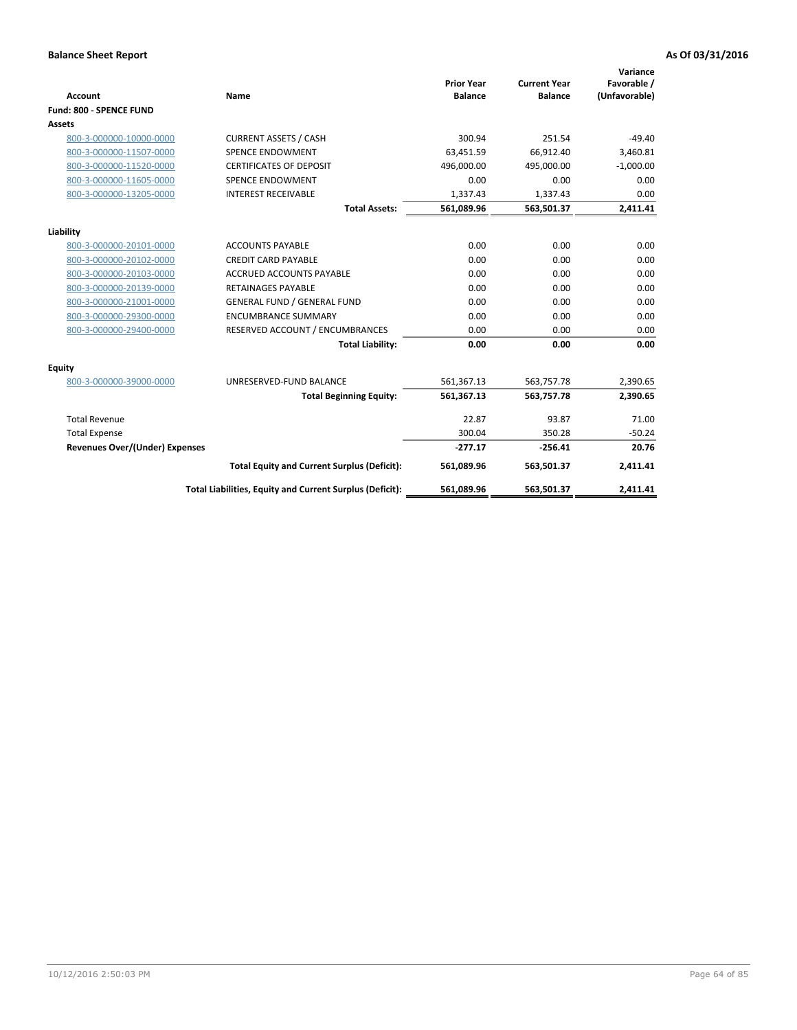|                                       |                                                          |                                     |                                       | Variance                     |
|---------------------------------------|----------------------------------------------------------|-------------------------------------|---------------------------------------|------------------------------|
| <b>Account</b>                        | <b>Name</b>                                              | <b>Prior Year</b><br><b>Balance</b> | <b>Current Year</b><br><b>Balance</b> | Favorable /<br>(Unfavorable) |
| Fund: 800 - SPENCE FUND               |                                                          |                                     |                                       |                              |
| <b>Assets</b>                         |                                                          |                                     |                                       |                              |
| 800-3-000000-10000-0000               | <b>CURRENT ASSETS / CASH</b>                             | 300.94                              | 251.54                                | $-49.40$                     |
| 800-3-000000-11507-0000               | <b>SPENCE ENDOWMENT</b>                                  | 63.451.59                           | 66,912.40                             | 3,460.81                     |
| 800-3-000000-11520-0000               | <b>CERTIFICATES OF DEPOSIT</b>                           | 496,000.00                          | 495,000.00                            | $-1,000.00$                  |
| 800-3-000000-11605-0000               | <b>SPENCE ENDOWMENT</b>                                  | 0.00                                | 0.00                                  | 0.00                         |
| 800-3-000000-13205-0000               | <b>INTEREST RECEIVABLE</b>                               | 1,337.43                            | 1,337.43                              | 0.00                         |
|                                       | <b>Total Assets:</b>                                     | 561,089.96                          | 563,501.37                            | 2,411.41                     |
|                                       |                                                          |                                     |                                       |                              |
| Liability                             |                                                          |                                     |                                       |                              |
| 800-3-000000-20101-0000               | <b>ACCOUNTS PAYABLE</b>                                  | 0.00                                | 0.00                                  | 0.00                         |
| 800-3-000000-20102-0000               | <b>CREDIT CARD PAYABLE</b>                               | 0.00                                | 0.00                                  | 0.00                         |
| 800-3-000000-20103-0000               | <b>ACCRUED ACCOUNTS PAYABLE</b>                          | 0.00                                | 0.00                                  | 0.00                         |
| 800-3-000000-20139-0000               | <b>RETAINAGES PAYABLE</b>                                | 0.00                                | 0.00                                  | 0.00                         |
| 800-3-000000-21001-0000               | <b>GENERAL FUND / GENERAL FUND</b>                       | 0.00                                | 0.00                                  | 0.00                         |
| 800-3-000000-29300-0000               | <b>ENCUMBRANCE SUMMARY</b>                               | 0.00                                | 0.00                                  | 0.00                         |
| 800-3-000000-29400-0000               | RESERVED ACCOUNT / ENCUMBRANCES                          | 0.00                                | 0.00                                  | 0.00                         |
|                                       | <b>Total Liability:</b>                                  | 0.00                                | 0.00                                  | 0.00                         |
| Equity                                |                                                          |                                     |                                       |                              |
| 800-3-000000-39000-0000               | UNRESERVED-FUND BALANCE                                  | 561,367.13                          | 563,757.78                            | 2,390.65                     |
|                                       | <b>Total Beginning Equity:</b>                           | 561,367.13                          | 563,757.78                            | 2,390.65                     |
| <b>Total Revenue</b>                  |                                                          | 22.87                               | 93.87                                 | 71.00                        |
| <b>Total Expense</b>                  |                                                          | 300.04                              | 350.28                                | $-50.24$                     |
| <b>Revenues Over/(Under) Expenses</b> |                                                          | $-277.17$                           | $-256.41$                             | 20.76                        |
|                                       | <b>Total Equity and Current Surplus (Deficit):</b>       | 561,089.96                          | 563,501.37                            | 2,411.41                     |
|                                       | Total Liabilities, Equity and Current Surplus (Deficit): | 561,089.96                          | 563,501.37                            | 2,411.41                     |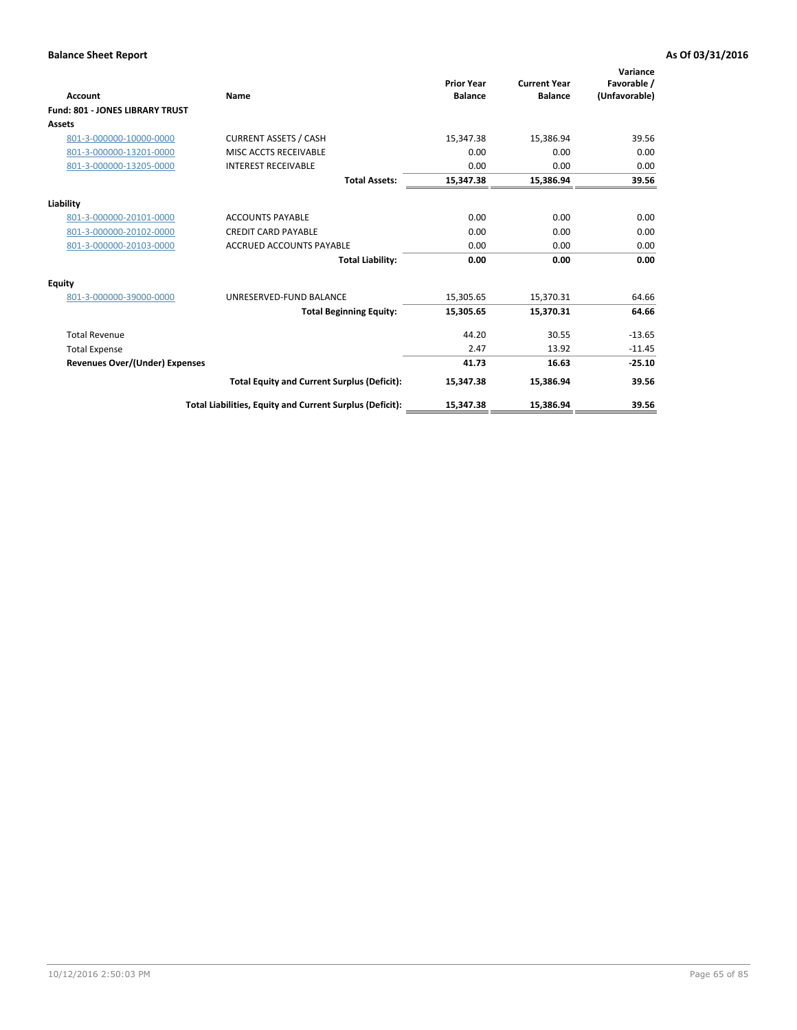| <b>Account</b>                         | Name                                                     | <b>Prior Year</b><br><b>Balance</b> | <b>Current Year</b><br><b>Balance</b> | Variance<br>Favorable /<br>(Unfavorable) |
|----------------------------------------|----------------------------------------------------------|-------------------------------------|---------------------------------------|------------------------------------------|
| <b>Fund: 801 - JONES LIBRARY TRUST</b> |                                                          |                                     |                                       |                                          |
| Assets                                 |                                                          |                                     |                                       |                                          |
| 801-3-000000-10000-0000                | <b>CURRENT ASSETS / CASH</b>                             | 15,347.38                           | 15,386.94                             | 39.56                                    |
| 801-3-000000-13201-0000                | MISC ACCTS RECEIVABLE                                    | 0.00                                | 0.00                                  | 0.00                                     |
| 801-3-000000-13205-0000                | <b>INTEREST RECEIVABLE</b>                               | 0.00                                | 0.00                                  | 0.00                                     |
|                                        | <b>Total Assets:</b>                                     | 15,347.38                           | 15,386.94                             | 39.56                                    |
| Liability                              |                                                          |                                     |                                       |                                          |
| 801-3-000000-20101-0000                | <b>ACCOUNTS PAYABLE</b>                                  | 0.00                                | 0.00                                  | 0.00                                     |
| 801-3-000000-20102-0000                | <b>CREDIT CARD PAYABLE</b>                               | 0.00                                | 0.00                                  | 0.00                                     |
| 801-3-000000-20103-0000                | <b>ACCRUED ACCOUNTS PAYABLE</b>                          | 0.00                                | 0.00                                  | 0.00                                     |
|                                        | <b>Total Liability:</b>                                  | 0.00                                | 0.00                                  | 0.00                                     |
| Equity                                 |                                                          |                                     |                                       |                                          |
| 801-3-000000-39000-0000                | UNRESERVED-FUND BALANCE                                  | 15,305.65                           | 15,370.31                             | 64.66                                    |
|                                        | <b>Total Beginning Equity:</b>                           | 15,305.65                           | 15,370.31                             | 64.66                                    |
| <b>Total Revenue</b>                   |                                                          | 44.20                               | 30.55                                 | $-13.65$                                 |
| <b>Total Expense</b>                   |                                                          | 2.47                                | 13.92                                 | $-11.45$                                 |
| <b>Revenues Over/(Under) Expenses</b>  |                                                          | 41.73                               | 16.63                                 | $-25.10$                                 |
|                                        | <b>Total Equity and Current Surplus (Deficit):</b>       | 15,347.38                           | 15,386.94                             | 39.56                                    |
|                                        | Total Liabilities, Equity and Current Surplus (Deficit): | 15,347.38                           | 15,386.94                             | 39.56                                    |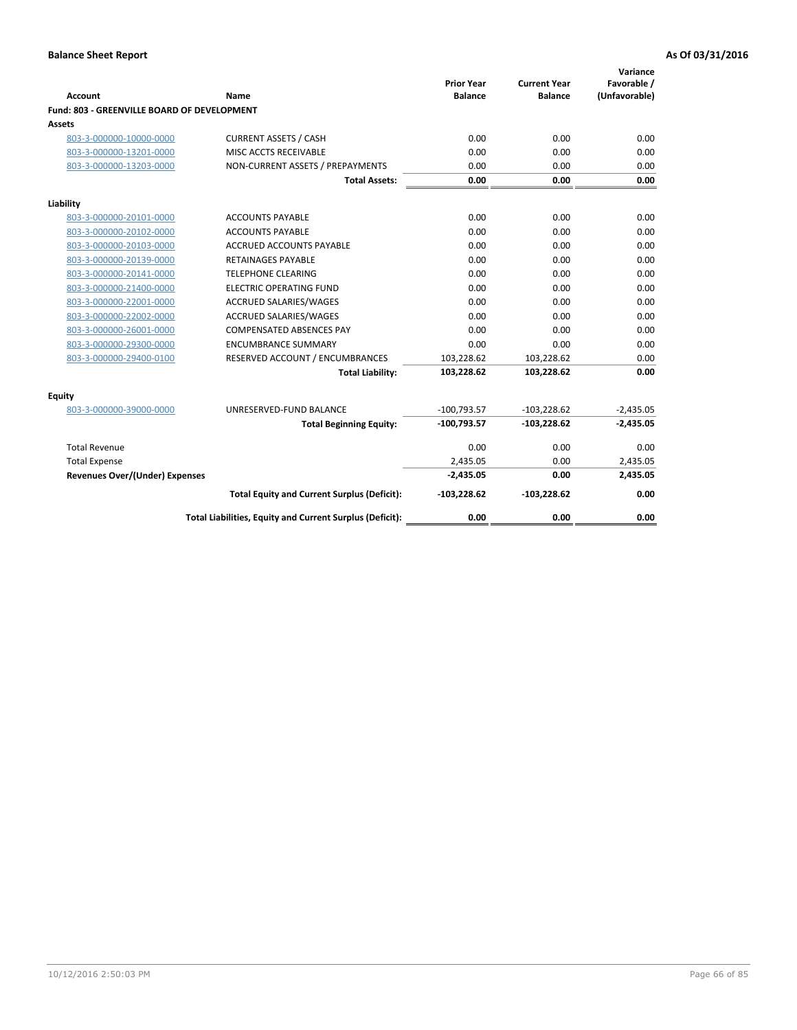| Account                                     | <b>Name</b>                                              | <b>Prior Year</b><br><b>Balance</b> | <b>Current Year</b><br><b>Balance</b> | Variance<br>Favorable /<br>(Unfavorable) |
|---------------------------------------------|----------------------------------------------------------|-------------------------------------|---------------------------------------|------------------------------------------|
| Fund: 803 - GREENVILLE BOARD OF DEVELOPMENT |                                                          |                                     |                                       |                                          |
| Assets                                      |                                                          |                                     |                                       |                                          |
| 803-3-000000-10000-0000                     | <b>CURRENT ASSETS / CASH</b>                             | 0.00                                | 0.00                                  | 0.00                                     |
| 803-3-000000-13201-0000                     | MISC ACCTS RECEIVABLE                                    | 0.00                                | 0.00                                  | 0.00                                     |
| 803-3-000000-13203-0000                     | NON-CURRENT ASSETS / PREPAYMENTS                         | 0.00                                | 0.00                                  | 0.00                                     |
|                                             | <b>Total Assets:</b>                                     | 0.00                                | 0.00                                  | 0.00                                     |
| Liability                                   |                                                          |                                     |                                       |                                          |
| 803-3-000000-20101-0000                     | <b>ACCOUNTS PAYABLE</b>                                  | 0.00                                | 0.00                                  | 0.00                                     |
| 803-3-000000-20102-0000                     | <b>ACCOUNTS PAYABLE</b>                                  | 0.00                                | 0.00                                  | 0.00                                     |
| 803-3-000000-20103-0000                     | <b>ACCRUED ACCOUNTS PAYABLE</b>                          | 0.00                                | 0.00                                  | 0.00                                     |
| 803-3-000000-20139-0000                     | <b>RETAINAGES PAYABLE</b>                                | 0.00                                | 0.00                                  | 0.00                                     |
| 803-3-000000-20141-0000                     | <b>TELEPHONE CLEARING</b>                                | 0.00                                | 0.00                                  | 0.00                                     |
| 803-3-000000-21400-0000                     | <b>ELECTRIC OPERATING FUND</b>                           | 0.00                                | 0.00                                  | 0.00                                     |
| 803-3-000000-22001-0000                     | ACCRUED SALARIES/WAGES                                   | 0.00                                | 0.00                                  | 0.00                                     |
| 803-3-000000-22002-0000                     | <b>ACCRUED SALARIES/WAGES</b>                            | 0.00                                | 0.00                                  | 0.00                                     |
| 803-3-000000-26001-0000                     | <b>COMPENSATED ABSENCES PAY</b>                          | 0.00                                | 0.00                                  | 0.00                                     |
| 803-3-000000-29300-0000                     | <b>ENCUMBRANCE SUMMARY</b>                               | 0.00                                | 0.00                                  | 0.00                                     |
| 803-3-000000-29400-0100                     | RESERVED ACCOUNT / ENCUMBRANCES                          | 103,228.62                          | 103,228.62                            | 0.00                                     |
|                                             | <b>Total Liability:</b>                                  | 103,228.62                          | 103,228.62                            | 0.00                                     |
| <b>Equity</b>                               |                                                          |                                     |                                       |                                          |
| 803-3-000000-39000-0000                     | UNRESERVED-FUND BALANCE                                  | $-100,793.57$                       | $-103,228.62$                         | $-2,435.05$                              |
|                                             | <b>Total Beginning Equity:</b>                           | $-100,793.57$                       | $-103,228.62$                         | $-2,435.05$                              |
| <b>Total Revenue</b>                        |                                                          | 0.00                                | 0.00                                  | 0.00                                     |
| <b>Total Expense</b>                        |                                                          | 2,435.05                            | 0.00                                  | 2,435.05                                 |
| Revenues Over/(Under) Expenses              |                                                          | $-2,435.05$                         | 0.00                                  | 2,435.05                                 |
|                                             | <b>Total Equity and Current Surplus (Deficit):</b>       | $-103,228.62$                       | $-103,228.62$                         | 0.00                                     |
|                                             | Total Liabilities, Equity and Current Surplus (Deficit): | 0.00                                | 0.00                                  | 0.00                                     |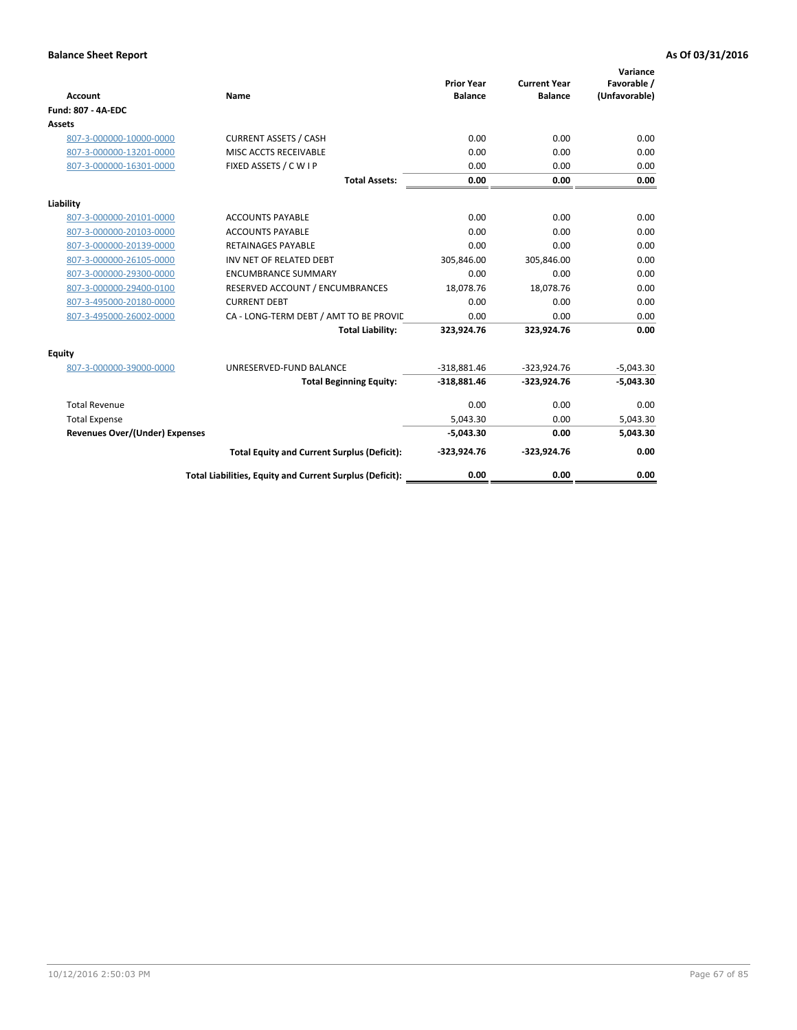| <b>Account</b>                 | Name                                                     | <b>Prior Year</b><br><b>Balance</b> | <b>Current Year</b><br><b>Balance</b> | Variance<br>Favorable /<br>(Unfavorable) |
|--------------------------------|----------------------------------------------------------|-------------------------------------|---------------------------------------|------------------------------------------|
| <b>Fund: 807 - 4A-EDC</b>      |                                                          |                                     |                                       |                                          |
| <b>Assets</b>                  |                                                          |                                     |                                       |                                          |
| 807-3-000000-10000-0000        | <b>CURRENT ASSETS / CASH</b>                             | 0.00                                | 0.00                                  | 0.00                                     |
| 807-3-000000-13201-0000        | MISC ACCTS RECEIVABLE                                    | 0.00                                | 0.00                                  | 0.00                                     |
| 807-3-000000-16301-0000        | FIXED ASSETS / C W I P                                   | 0.00                                | 0.00                                  | 0.00                                     |
|                                | <b>Total Assets:</b>                                     | 0.00                                | 0.00                                  | 0.00                                     |
| Liability                      |                                                          |                                     |                                       |                                          |
| 807-3-000000-20101-0000        | <b>ACCOUNTS PAYABLE</b>                                  | 0.00                                | 0.00                                  | 0.00                                     |
| 807-3-000000-20103-0000        | <b>ACCOUNTS PAYABLE</b>                                  | 0.00                                | 0.00                                  | 0.00                                     |
| 807-3-000000-20139-0000        | <b>RETAINAGES PAYABLE</b>                                | 0.00                                | 0.00                                  | 0.00                                     |
| 807-3-000000-26105-0000        | INV NET OF RELATED DEBT                                  | 305,846.00                          | 305,846.00                            | 0.00                                     |
| 807-3-000000-29300-0000        | <b>ENCUMBRANCE SUMMARY</b>                               | 0.00                                | 0.00                                  | 0.00                                     |
| 807-3-000000-29400-0100        | RESERVED ACCOUNT / ENCUMBRANCES                          | 18,078.76                           | 18,078.76                             | 0.00                                     |
| 807-3-495000-20180-0000        | <b>CURRENT DEBT</b>                                      | 0.00                                | 0.00                                  | 0.00                                     |
| 807-3-495000-26002-0000        | CA - LONG-TERM DEBT / AMT TO BE PROVIL                   | 0.00                                | 0.00                                  | 0.00                                     |
|                                | <b>Total Liability:</b>                                  | 323,924.76                          | 323,924.76                            | 0.00                                     |
| Equity                         |                                                          |                                     |                                       |                                          |
| 807-3-000000-39000-0000        | UNRESERVED-FUND BALANCE                                  | $-318,881.46$                       | $-323,924.76$                         | $-5,043.30$                              |
|                                | <b>Total Beginning Equity:</b>                           | $-318,881.46$                       | $-323,924.76$                         | $-5,043.30$                              |
| <b>Total Revenue</b>           |                                                          | 0.00                                | 0.00                                  | 0.00                                     |
| <b>Total Expense</b>           |                                                          | 5,043.30                            | 0.00                                  | 5,043.30                                 |
| Revenues Over/(Under) Expenses |                                                          | $-5,043.30$                         | 0.00                                  | 5,043.30                                 |
|                                | <b>Total Equity and Current Surplus (Deficit):</b>       | $-323,924.76$                       | $-323,924.76$                         | 0.00                                     |
|                                | Total Liabilities, Equity and Current Surplus (Deficit): | 0.00                                | 0.00                                  | 0.00                                     |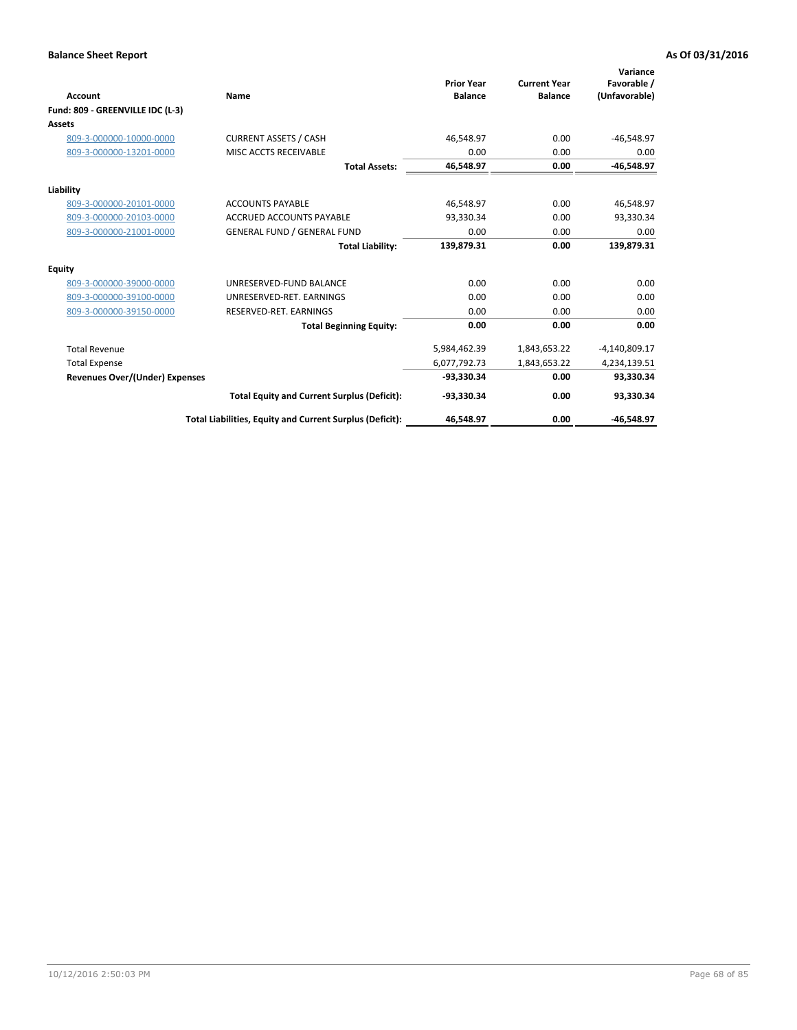| <b>Account</b>                        | Name                                                     | <b>Prior Year</b><br><b>Balance</b> | <b>Current Year</b><br><b>Balance</b> | Variance<br>Favorable /<br>(Unfavorable) |
|---------------------------------------|----------------------------------------------------------|-------------------------------------|---------------------------------------|------------------------------------------|
| Fund: 809 - GREENVILLE IDC (L-3)      |                                                          |                                     |                                       |                                          |
| Assets                                |                                                          |                                     |                                       |                                          |
| 809-3-000000-10000-0000               | <b>CURRENT ASSETS / CASH</b>                             | 46.548.97                           | 0.00                                  | $-46,548.97$                             |
| 809-3-000000-13201-0000               | MISC ACCTS RECEIVABLE                                    | 0.00                                | 0.00                                  | 0.00                                     |
|                                       | <b>Total Assets:</b>                                     | 46,548.97                           | 0.00                                  | $-46,548.97$                             |
| Liability                             |                                                          |                                     |                                       |                                          |
| 809-3-000000-20101-0000               | <b>ACCOUNTS PAYABLE</b>                                  | 46,548.97                           | 0.00                                  | 46,548.97                                |
| 809-3-000000-20103-0000               | <b>ACCRUED ACCOUNTS PAYABLE</b>                          | 93,330.34                           | 0.00                                  | 93,330.34                                |
| 809-3-000000-21001-0000               | <b>GENERAL FUND / GENERAL FUND</b>                       | 0.00                                | 0.00                                  | 0.00                                     |
|                                       | <b>Total Liability:</b>                                  | 139,879.31                          | 0.00                                  | 139,879.31                               |
| Equity                                |                                                          |                                     |                                       |                                          |
| 809-3-000000-39000-0000               | UNRESERVED-FUND BALANCE                                  | 0.00                                | 0.00                                  | 0.00                                     |
| 809-3-000000-39100-0000               | UNRESERVED-RET. EARNINGS                                 | 0.00                                | 0.00                                  | 0.00                                     |
| 809-3-000000-39150-0000               | RESERVED-RET. EARNINGS                                   | 0.00                                | 0.00                                  | 0.00                                     |
|                                       | <b>Total Beginning Equity:</b>                           | 0.00                                | 0.00                                  | 0.00                                     |
| <b>Total Revenue</b>                  |                                                          | 5,984,462.39                        | 1,843,653.22                          | $-4,140,809.17$                          |
| <b>Total Expense</b>                  |                                                          | 6,077,792.73                        | 1,843,653.22                          | 4,234,139.51                             |
| <b>Revenues Over/(Under) Expenses</b> |                                                          | -93,330.34                          | 0.00                                  | 93,330.34                                |
|                                       | <b>Total Equity and Current Surplus (Deficit):</b>       | $-93,330.34$                        | 0.00                                  | 93,330.34                                |
|                                       | Total Liabilities, Equity and Current Surplus (Deficit): | 46,548.97                           | 0.00                                  | $-46,548.97$                             |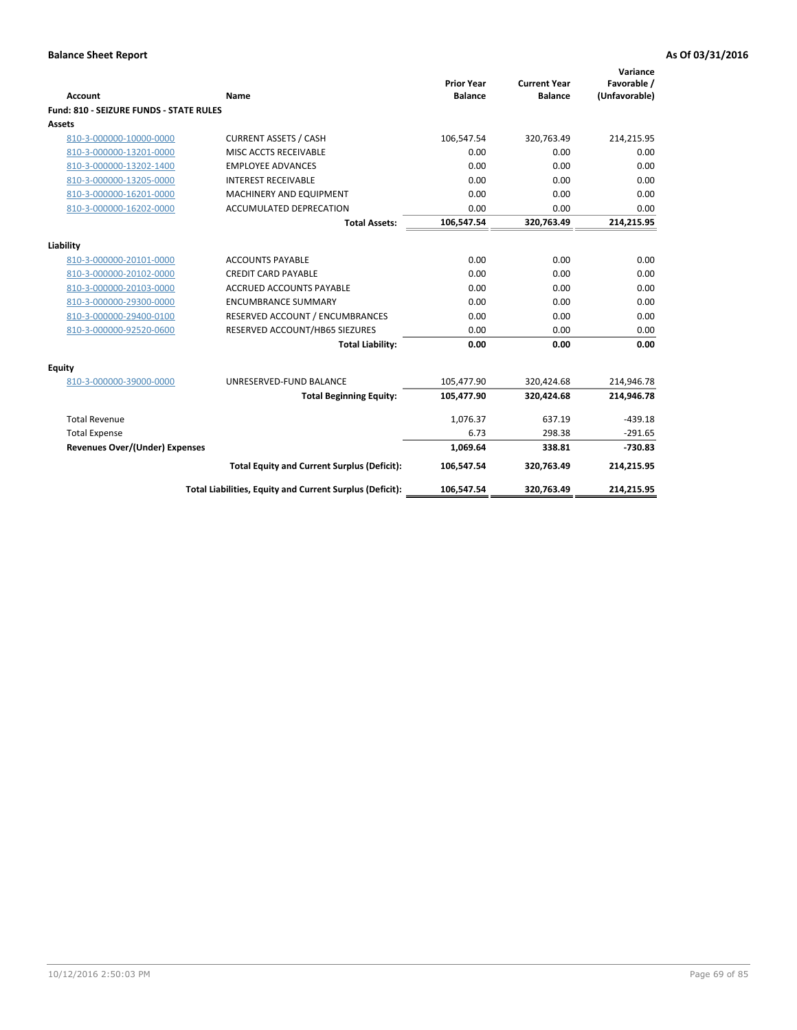| <b>Account</b>                          | Name                                                     | <b>Prior Year</b><br><b>Balance</b> | <b>Current Year</b><br><b>Balance</b> | Variance<br>Favorable /<br>(Unfavorable) |
|-----------------------------------------|----------------------------------------------------------|-------------------------------------|---------------------------------------|------------------------------------------|
| Fund: 810 - SEIZURE FUNDS - STATE RULES |                                                          |                                     |                                       |                                          |
| Assets                                  |                                                          |                                     |                                       |                                          |
| 810-3-000000-10000-0000                 | <b>CURRENT ASSETS / CASH</b>                             | 106,547.54                          | 320,763.49                            | 214,215.95                               |
| 810-3-000000-13201-0000                 | MISC ACCTS RECEIVABLE                                    | 0.00                                | 0.00                                  | 0.00                                     |
| 810-3-000000-13202-1400                 | <b>EMPLOYEE ADVANCES</b>                                 | 0.00                                | 0.00                                  | 0.00                                     |
| 810-3-000000-13205-0000                 | <b>INTEREST RECEIVABLE</b>                               | 0.00                                | 0.00                                  | 0.00                                     |
| 810-3-000000-16201-0000                 | MACHINERY AND EQUIPMENT                                  | 0.00                                | 0.00                                  | 0.00                                     |
| 810-3-000000-16202-0000                 | <b>ACCUMULATED DEPRECATION</b>                           | 0.00                                | 0.00                                  | 0.00                                     |
|                                         | <b>Total Assets:</b>                                     | 106,547.54                          | 320,763.49                            | 214,215.95                               |
|                                         |                                                          |                                     |                                       |                                          |
| Liability                               |                                                          |                                     |                                       |                                          |
| 810-3-000000-20101-0000                 | <b>ACCOUNTS PAYABLE</b>                                  | 0.00                                | 0.00                                  | 0.00                                     |
| 810-3-000000-20102-0000                 | <b>CREDIT CARD PAYABLE</b>                               | 0.00                                | 0.00                                  | 0.00                                     |
| 810-3-000000-20103-0000                 | <b>ACCRUED ACCOUNTS PAYABLE</b>                          | 0.00                                | 0.00                                  | 0.00                                     |
| 810-3-000000-29300-0000                 | <b>ENCUMBRANCE SUMMARY</b>                               | 0.00                                | 0.00                                  | 0.00                                     |
| 810-3-000000-29400-0100                 | RESERVED ACCOUNT / ENCUMBRANCES                          | 0.00                                | 0.00                                  | 0.00                                     |
| 810-3-000000-92520-0600                 | RESERVED ACCOUNT/HB65 SIEZURES                           | 0.00                                | 0.00                                  | 0.00                                     |
|                                         | <b>Total Liability:</b>                                  | 0.00                                | 0.00                                  | 0.00                                     |
| Equity                                  |                                                          |                                     |                                       |                                          |
| 810-3-000000-39000-0000                 | UNRESERVED-FUND BALANCE                                  | 105,477.90                          | 320,424.68                            | 214,946.78                               |
|                                         | <b>Total Beginning Equity:</b>                           | 105,477.90                          | 320,424.68                            | 214,946.78                               |
| <b>Total Revenue</b>                    |                                                          | 1,076.37                            | 637.19                                | $-439.18$                                |
| <b>Total Expense</b>                    |                                                          | 6.73                                | 298.38                                | $-291.65$                                |
| Revenues Over/(Under) Expenses          |                                                          | 1,069.64                            | 338.81                                | $-730.83$                                |
|                                         | <b>Total Equity and Current Surplus (Deficit):</b>       | 106,547.54                          | 320,763.49                            | 214,215.95                               |
|                                         | Total Liabilities, Equity and Current Surplus (Deficit): | 106,547.54                          | 320,763.49                            | 214,215.95                               |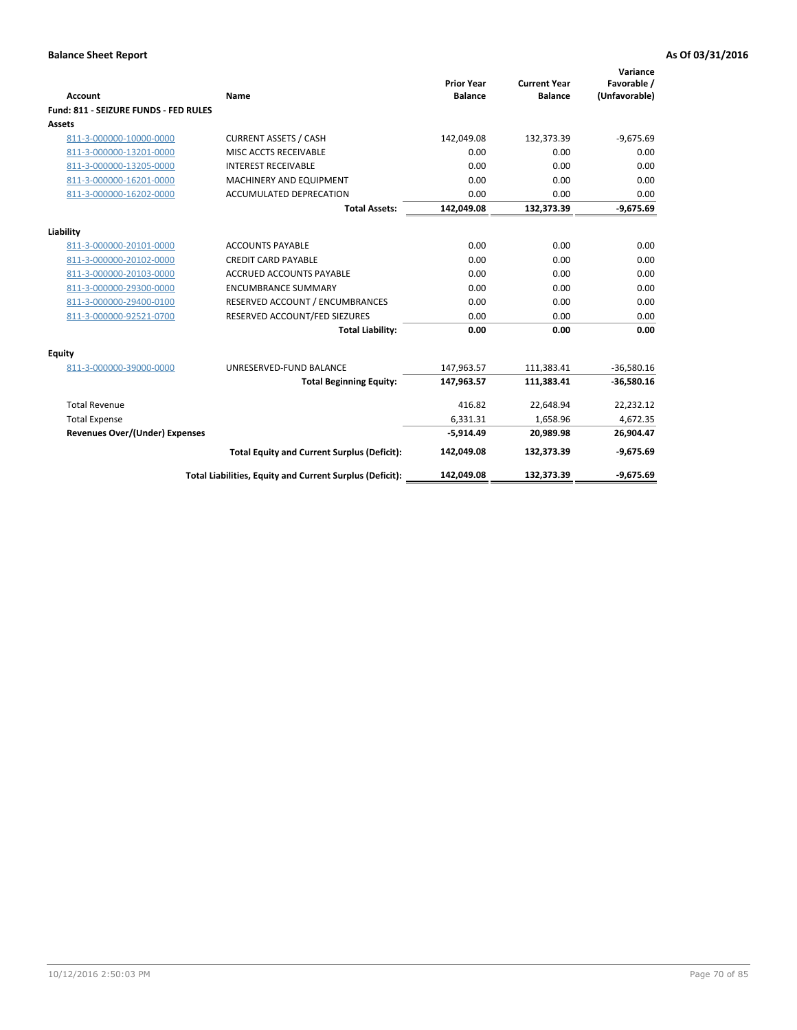| Account                               | Name                                                     | <b>Prior Year</b><br><b>Balance</b> | <b>Current Year</b><br><b>Balance</b> | Variance<br>Favorable /<br>(Unfavorable) |
|---------------------------------------|----------------------------------------------------------|-------------------------------------|---------------------------------------|------------------------------------------|
| Fund: 811 - SEIZURE FUNDS - FED RULES |                                                          |                                     |                                       |                                          |
| <b>Assets</b>                         |                                                          |                                     |                                       |                                          |
| 811-3-000000-10000-0000               | <b>CURRENT ASSETS / CASH</b>                             | 142,049.08                          | 132,373.39                            | $-9,675.69$                              |
| 811-3-000000-13201-0000               | MISC ACCTS RECEIVABLE                                    | 0.00                                | 0.00                                  | 0.00                                     |
| 811-3-000000-13205-0000               | <b>INTEREST RECEIVABLE</b>                               | 0.00                                | 0.00                                  | 0.00                                     |
| 811-3-000000-16201-0000               | <b>MACHINERY AND EQUIPMENT</b>                           | 0.00                                | 0.00                                  | 0.00                                     |
| 811-3-000000-16202-0000               | ACCUMULATED DEPRECATION                                  | 0.00                                | 0.00                                  | 0.00                                     |
|                                       | <b>Total Assets:</b>                                     | 142,049.08                          | 132,373.39                            | $-9,675.69$                              |
| Liability                             |                                                          |                                     |                                       |                                          |
| 811-3-000000-20101-0000               | <b>ACCOUNTS PAYABLE</b>                                  | 0.00                                | 0.00                                  | 0.00                                     |
| 811-3-000000-20102-0000               | <b>CREDIT CARD PAYABLE</b>                               | 0.00                                | 0.00                                  | 0.00                                     |
| 811-3-000000-20103-0000               | <b>ACCRUED ACCOUNTS PAYABLE</b>                          | 0.00                                | 0.00                                  | 0.00                                     |
| 811-3-000000-29300-0000               | <b>ENCUMBRANCE SUMMARY</b>                               | 0.00                                | 0.00                                  | 0.00                                     |
| 811-3-000000-29400-0100               | RESERVED ACCOUNT / ENCUMBRANCES                          | 0.00                                | 0.00                                  | 0.00                                     |
| 811-3-000000-92521-0700               | RESERVED ACCOUNT/FED SIEZURES                            | 0.00                                | 0.00                                  | 0.00                                     |
|                                       | <b>Total Liability:</b>                                  | 0.00                                | 0.00                                  | 0.00                                     |
|                                       |                                                          |                                     |                                       |                                          |
| Equity                                |                                                          |                                     |                                       |                                          |
| 811-3-000000-39000-0000               | UNRESERVED-FUND BALANCE                                  | 147,963.57                          | 111,383.41                            | $-36,580.16$                             |
|                                       | <b>Total Beginning Equity:</b>                           | 147,963.57                          | 111,383.41                            | $-36,580.16$                             |
| <b>Total Revenue</b>                  |                                                          | 416.82                              | 22.648.94                             | 22,232.12                                |
| <b>Total Expense</b>                  |                                                          | 6,331.31                            | 1,658.96                              | 4,672.35                                 |
| <b>Revenues Over/(Under) Expenses</b> |                                                          | $-5,914.49$                         | 20,989.98                             | 26,904.47                                |
|                                       | <b>Total Equity and Current Surplus (Deficit):</b>       | 142,049.08                          | 132,373.39                            | $-9,675.69$                              |
|                                       | Total Liabilities, Equity and Current Surplus (Deficit): | 142,049.08                          | 132.373.39                            | $-9.675.69$                              |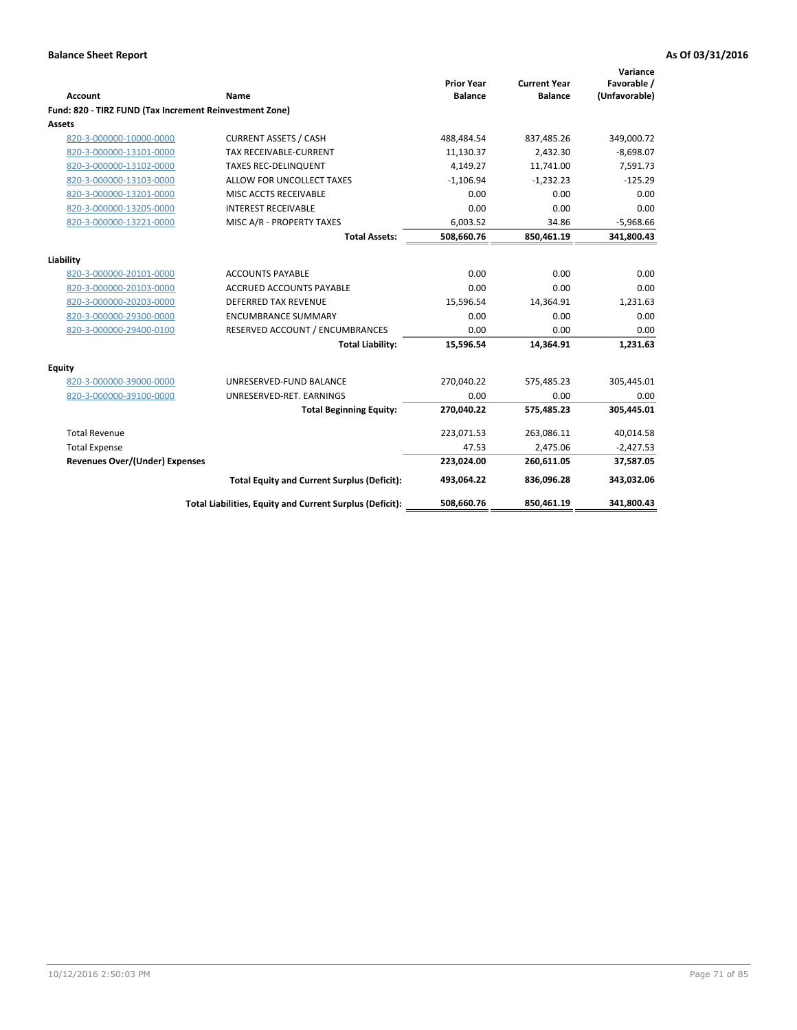| Account                                                 | Name                                                     | <b>Prior Year</b><br><b>Balance</b> | <b>Current Year</b><br><b>Balance</b> | Variance<br>Favorable /<br>(Unfavorable) |
|---------------------------------------------------------|----------------------------------------------------------|-------------------------------------|---------------------------------------|------------------------------------------|
| Fund: 820 - TIRZ FUND (Tax Increment Reinvestment Zone) |                                                          |                                     |                                       |                                          |
| <b>Assets</b>                                           |                                                          |                                     |                                       |                                          |
| 820-3-000000-10000-0000                                 | <b>CURRENT ASSETS / CASH</b>                             | 488,484.54                          | 837,485.26                            | 349,000.72                               |
| 820-3-000000-13101-0000                                 | <b>TAX RECEIVABLE-CURRENT</b>                            | 11,130.37                           | 2,432.30                              | $-8,698.07$                              |
| 820-3-000000-13102-0000                                 | <b>TAXES REC-DELINQUENT</b>                              | 4,149.27                            | 11,741.00                             | 7,591.73                                 |
| 820-3-000000-13103-0000                                 | ALLOW FOR UNCOLLECT TAXES                                | $-1,106.94$                         | $-1,232.23$                           | $-125.29$                                |
| 820-3-000000-13201-0000                                 | MISC ACCTS RECEIVABLE                                    | 0.00                                | 0.00                                  | 0.00                                     |
| 820-3-000000-13205-0000                                 | <b>INTEREST RECEIVABLE</b>                               | 0.00                                | 0.00                                  | 0.00                                     |
| 820-3-000000-13221-0000                                 | MISC A/R - PROPERTY TAXES                                | 6,003.52                            | 34.86                                 | $-5,968.66$                              |
|                                                         | <b>Total Assets:</b>                                     | 508,660.76                          | 850,461.19                            | 341,800.43                               |
| Liability                                               |                                                          |                                     |                                       |                                          |
| 820-3-000000-20101-0000                                 | <b>ACCOUNTS PAYABLE</b>                                  | 0.00                                | 0.00                                  | 0.00                                     |
| 820-3-000000-20103-0000                                 | ACCRUED ACCOUNTS PAYABLE                                 | 0.00                                | 0.00                                  | 0.00                                     |
| 820-3-000000-20203-0000                                 | <b>DEFERRED TAX REVENUE</b>                              | 15,596.54                           | 14,364.91                             | 1,231.63                                 |
| 820-3-000000-29300-0000                                 | <b>ENCUMBRANCE SUMMARY</b>                               | 0.00                                | 0.00                                  | 0.00                                     |
| 820-3-000000-29400-0100                                 | RESERVED ACCOUNT / ENCUMBRANCES                          | 0.00                                | 0.00                                  | 0.00                                     |
|                                                         | <b>Total Liability:</b>                                  | 15,596.54                           | 14,364.91                             | 1,231.63                                 |
| Equity                                                  |                                                          |                                     |                                       |                                          |
| 820-3-000000-39000-0000                                 | UNRESERVED-FUND BALANCE                                  | 270,040.22                          | 575,485.23                            | 305,445.01                               |
| 820-3-000000-39100-0000                                 | UNRESERVED-RET. EARNINGS                                 | 0.00                                | 0.00                                  | 0.00                                     |
|                                                         | <b>Total Beginning Equity:</b>                           | 270,040.22                          | 575,485.23                            | 305,445.01                               |
| <b>Total Revenue</b>                                    |                                                          | 223,071.53                          | 263,086.11                            | 40,014.58                                |
| <b>Total Expense</b>                                    |                                                          | 47.53                               | 2,475.06                              | $-2,427.53$                              |
| <b>Revenues Over/(Under) Expenses</b>                   |                                                          | 223,024.00                          | 260,611.05                            | 37,587.05                                |
|                                                         | <b>Total Equity and Current Surplus (Deficit):</b>       | 493,064.22                          | 836,096.28                            | 343,032.06                               |
|                                                         | Total Liabilities, Equity and Current Surplus (Deficit): | 508,660.76                          | 850,461.19                            | 341,800.43                               |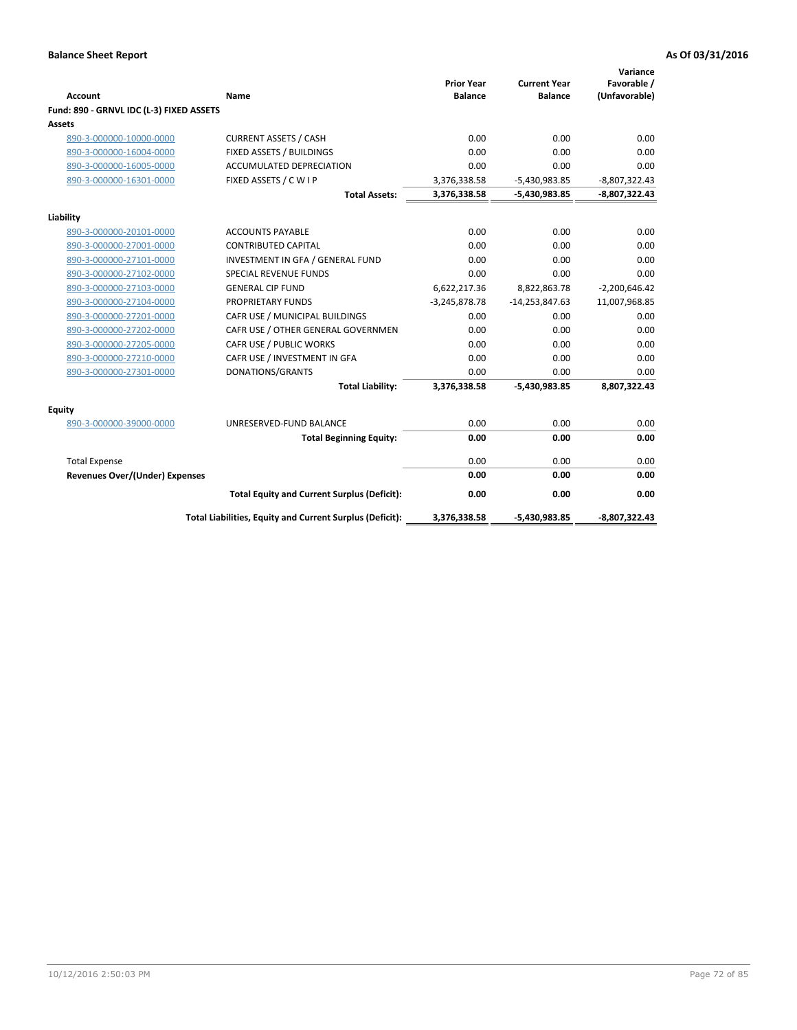| <b>Account</b>                           | Name                                                     | <b>Prior Year</b><br><b>Balance</b> | <b>Current Year</b><br><b>Balance</b> | Variance<br>Favorable /<br>(Unfavorable) |
|------------------------------------------|----------------------------------------------------------|-------------------------------------|---------------------------------------|------------------------------------------|
| Fund: 890 - GRNVL IDC (L-3) FIXED ASSETS |                                                          |                                     |                                       |                                          |
| Assets                                   |                                                          |                                     |                                       |                                          |
| 890-3-000000-10000-0000                  | <b>CURRENT ASSETS / CASH</b>                             | 0.00                                | 0.00                                  | 0.00                                     |
| 890-3-000000-16004-0000                  | FIXED ASSETS / BUILDINGS                                 | 0.00                                | 0.00                                  | 0.00                                     |
| 890-3-000000-16005-0000                  | <b>ACCUMULATED DEPRECIATION</b>                          | 0.00                                | 0.00                                  | 0.00                                     |
| 890-3-000000-16301-0000                  | FIXED ASSETS / C W I P                                   | 3,376,338.58                        | $-5,430,983.85$                       | $-8,807,322.43$                          |
|                                          | <b>Total Assets:</b>                                     | 3,376,338.58                        | $-5,430,983.85$                       | $-8,807,322.43$                          |
|                                          |                                                          |                                     |                                       |                                          |
| Liability<br>890-3-000000-20101-0000     | <b>ACCOUNTS PAYABLE</b>                                  | 0.00                                | 0.00                                  | 0.00                                     |
| 890-3-000000-27001-0000                  | <b>CONTRIBUTED CAPITAL</b>                               | 0.00                                | 0.00                                  | 0.00                                     |
| 890-3-000000-27101-0000                  | INVESTMENT IN GFA / GENERAL FUND                         | 0.00                                | 0.00                                  | 0.00                                     |
| 890-3-000000-27102-0000                  | <b>SPECIAL REVENUE FUNDS</b>                             | 0.00                                | 0.00                                  | 0.00                                     |
| 890-3-000000-27103-0000                  | <b>GENERAL CIP FUND</b>                                  | 6,622,217.36                        | 8,822,863.78                          | $-2,200,646.42$                          |
| 890-3-000000-27104-0000                  | PROPRIETARY FUNDS                                        | $-3,245,878.78$                     | $-14,253,847.63$                      | 11,007,968.85                            |
| 890-3-000000-27201-0000                  | CAFR USE / MUNICIPAL BUILDINGS                           | 0.00                                | 0.00                                  | 0.00                                     |
| 890-3-000000-27202-0000                  | CAFR USE / OTHER GENERAL GOVERNMEN                       | 0.00                                | 0.00                                  | 0.00                                     |
| 890-3-000000-27205-0000                  | CAFR USE / PUBLIC WORKS                                  | 0.00                                | 0.00                                  | 0.00                                     |
| 890-3-000000-27210-0000                  | CAFR USE / INVESTMENT IN GFA                             | 0.00                                | 0.00                                  | 0.00                                     |
| 890-3-000000-27301-0000                  | DONATIONS/GRANTS                                         | 0.00                                | 0.00                                  | 0.00                                     |
|                                          | <b>Total Liability:</b>                                  | 3,376,338.58                        | -5,430,983.85                         | 8,807,322.43                             |
| <b>Equity</b>                            |                                                          |                                     |                                       |                                          |
| 890-3-000000-39000-0000                  | UNRESERVED-FUND BALANCE                                  | 0.00                                | 0.00                                  | 0.00                                     |
|                                          | <b>Total Beginning Equity:</b>                           | 0.00                                | 0.00                                  | 0.00                                     |
| <b>Total Expense</b>                     |                                                          | 0.00                                | 0.00                                  | 0.00                                     |
| Revenues Over/(Under) Expenses           |                                                          | 0.00                                | 0.00                                  | 0.00                                     |
|                                          | <b>Total Equity and Current Surplus (Deficit):</b>       | 0.00                                | 0.00                                  | 0.00                                     |
|                                          | Total Liabilities, Equity and Current Surplus (Deficit): | 3,376,338.58                        | -5,430,983.85                         | -8,807,322.43                            |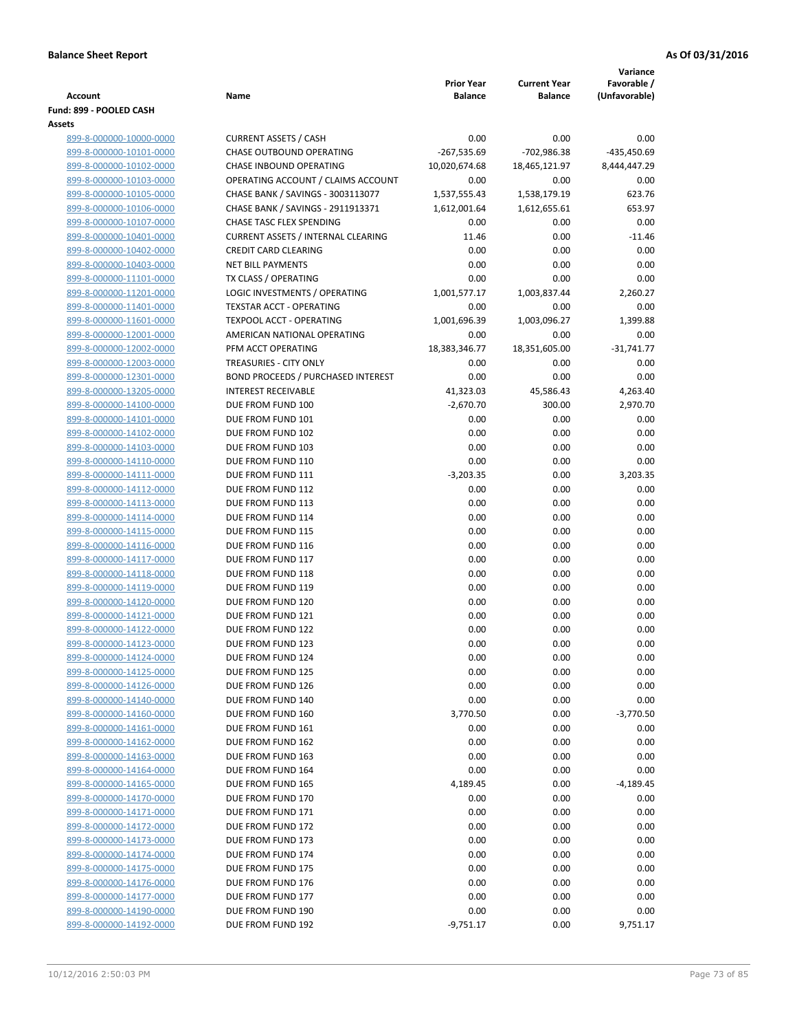| <b>Account</b>                                     | Name                                                                 | <b>Prior Year</b><br><b>Balance</b> | <b>Current Year</b><br><b>Balance</b> | Variance<br>Favorable /<br>(Unfavorable) |
|----------------------------------------------------|----------------------------------------------------------------------|-------------------------------------|---------------------------------------|------------------------------------------|
| Fund: 899 - POOLED CASH                            |                                                                      |                                     |                                       |                                          |
| Assets                                             |                                                                      |                                     |                                       |                                          |
| 899-8-000000-10000-0000                            | <b>CURRENT ASSETS / CASH</b>                                         | 0.00                                | 0.00                                  | 0.00                                     |
| 899-8-000000-10101-0000                            | CHASE OUTBOUND OPERATING                                             | $-267,535.69$                       | $-702,986.38$                         | -435,450.69                              |
| 899-8-000000-10102-0000                            | CHASE INBOUND OPERATING                                              | 10,020,674.68                       | 18,465,121.97                         | 8,444,447.29                             |
| 899-8-000000-10103-0000                            | OPERATING ACCOUNT / CLAIMS ACCOUNT                                   | 0.00                                | 0.00                                  | 0.00                                     |
| 899-8-000000-10105-0000                            | CHASE BANK / SAVINGS - 3003113077                                    | 1,537,555.43                        | 1,538,179.19                          | 623.76<br>653.97                         |
| 899-8-000000-10106-0000                            | CHASE BANK / SAVINGS - 2911913371<br><b>CHASE TASC FLEX SPENDING</b> | 1,612,001.64<br>0.00                | 1,612,655.61<br>0.00                  | 0.00                                     |
| 899-8-000000-10107-0000<br>899-8-000000-10401-0000 | <b>CURRENT ASSETS / INTERNAL CLEARING</b>                            | 11.46                               | 0.00                                  | $-11.46$                                 |
| 899-8-000000-10402-0000                            | <b>CREDIT CARD CLEARING</b>                                          | 0.00                                | 0.00                                  | 0.00                                     |
| 899-8-000000-10403-0000                            | <b>NET BILL PAYMENTS</b>                                             | 0.00                                | 0.00                                  | 0.00                                     |
| 899-8-000000-11101-0000                            | TX CLASS / OPERATING                                                 | 0.00                                | 0.00                                  | 0.00                                     |
| 899-8-000000-11201-0000                            | LOGIC INVESTMENTS / OPERATING                                        | 1,001,577.17                        | 1,003,837.44                          | 2,260.27                                 |
| 899-8-000000-11401-0000                            | <b>TEXSTAR ACCT - OPERATING</b>                                      | 0.00                                | 0.00                                  | 0.00                                     |
| 899-8-000000-11601-0000                            | <b>TEXPOOL ACCT - OPERATING</b>                                      | 1,001,696.39                        | 1,003,096.27                          | 1,399.88                                 |
| 899-8-000000-12001-0000                            | AMERICAN NATIONAL OPERATING                                          | 0.00                                | 0.00                                  | 0.00                                     |
| 899-8-000000-12002-0000                            | PFM ACCT OPERATING                                                   | 18,383,346.77                       | 18,351,605.00                         | $-31,741.77$                             |
| 899-8-000000-12003-0000                            | <b>TREASURIES - CITY ONLY</b>                                        | 0.00                                | 0.00                                  | 0.00                                     |
| 899-8-000000-12301-0000                            | BOND PROCEEDS / PURCHASED INTEREST                                   | 0.00                                | 0.00                                  | 0.00                                     |
| 899-8-000000-13205-0000                            | <b>INTEREST RECEIVABLE</b>                                           | 41,323.03                           | 45,586.43                             | 4,263.40                                 |
| 899-8-000000-14100-0000                            | DUE FROM FUND 100                                                    | $-2,670.70$                         | 300.00                                | 2,970.70                                 |
| 899-8-000000-14101-0000                            | DUE FROM FUND 101                                                    | 0.00                                | 0.00                                  | 0.00                                     |
| 899-8-000000-14102-0000                            | DUE FROM FUND 102                                                    | 0.00                                | 0.00                                  | 0.00                                     |
| 899-8-000000-14103-0000                            | DUE FROM FUND 103                                                    | 0.00                                | 0.00                                  | 0.00                                     |
| 899-8-000000-14110-0000                            | DUE FROM FUND 110                                                    | 0.00                                | 0.00                                  | 0.00                                     |
| 899-8-000000-14111-0000                            | DUE FROM FUND 111                                                    | $-3,203.35$                         | 0.00                                  | 3,203.35                                 |
| 899-8-000000-14112-0000                            | DUE FROM FUND 112                                                    | 0.00                                | 0.00                                  | 0.00                                     |
| 899-8-000000-14113-0000                            | DUE FROM FUND 113                                                    | 0.00                                | 0.00                                  | 0.00                                     |
| 899-8-000000-14114-0000                            | DUE FROM FUND 114                                                    | 0.00                                | 0.00                                  | 0.00                                     |
| 899-8-000000-14115-0000                            | DUE FROM FUND 115                                                    | 0.00                                | 0.00                                  | 0.00                                     |
| 899-8-000000-14116-0000                            | DUE FROM FUND 116                                                    | 0.00                                | 0.00                                  | 0.00                                     |
| 899-8-000000-14117-0000                            | DUE FROM FUND 117                                                    | 0.00                                | 0.00                                  | 0.00                                     |
| 899-8-000000-14118-0000                            | DUE FROM FUND 118                                                    | 0.00                                | 0.00                                  | 0.00                                     |
| 899-8-000000-14119-0000                            | DUE FROM FUND 119                                                    | 0.00                                | 0.00                                  | 0.00                                     |
| 899-8-000000-14120-0000<br>899-8-000000-14121-0000 | DUE FROM FUND 120<br>DUE FROM FUND 121                               | 0.00<br>0.00                        | 0.00<br>0.00                          | 0.00<br>0.00                             |
| 899-8-000000-14122-0000                            | DUE FROM FUND 122                                                    | 0.00                                | 0.00                                  | 0.00                                     |
| 899-8-000000-14123-0000                            | DUE FROM FUND 123                                                    | 0.00                                | 0.00                                  | 0.00                                     |
| 899-8-000000-14124-0000                            | DUE FROM FUND 124                                                    | 0.00                                | 0.00                                  | 0.00                                     |
| 899-8-000000-14125-0000                            | DUE FROM FUND 125                                                    | 0.00                                | 0.00                                  | 0.00                                     |
| 899-8-000000-14126-0000                            | DUE FROM FUND 126                                                    | 0.00                                | 0.00                                  | 0.00                                     |
| 899-8-000000-14140-0000                            | DUE FROM FUND 140                                                    | 0.00                                | 0.00                                  | 0.00                                     |
| 899-8-000000-14160-0000                            | DUE FROM FUND 160                                                    | 3,770.50                            | 0.00                                  | $-3,770.50$                              |
| 899-8-000000-14161-0000                            | DUE FROM FUND 161                                                    | 0.00                                | 0.00                                  | 0.00                                     |
| 899-8-000000-14162-0000                            | DUE FROM FUND 162                                                    | 0.00                                | 0.00                                  | 0.00                                     |
| 899-8-000000-14163-0000                            | DUE FROM FUND 163                                                    | 0.00                                | 0.00                                  | 0.00                                     |
| 899-8-000000-14164-0000                            | DUE FROM FUND 164                                                    | 0.00                                | 0.00                                  | 0.00                                     |
| 899-8-000000-14165-0000                            | DUE FROM FUND 165                                                    | 4,189.45                            | 0.00                                  | $-4,189.45$                              |
| 899-8-000000-14170-0000                            | DUE FROM FUND 170                                                    | 0.00                                | 0.00                                  | 0.00                                     |
| 899-8-000000-14171-0000                            | DUE FROM FUND 171                                                    | 0.00                                | 0.00                                  | 0.00                                     |
| 899-8-000000-14172-0000                            | DUE FROM FUND 172                                                    | 0.00                                | 0.00                                  | 0.00                                     |
| 899-8-000000-14173-0000                            | DUE FROM FUND 173                                                    | 0.00                                | 0.00                                  | 0.00                                     |
| 899-8-000000-14174-0000                            | DUE FROM FUND 174                                                    | 0.00                                | 0.00                                  | 0.00                                     |
| 899-8-000000-14175-0000                            | DUE FROM FUND 175                                                    | 0.00                                | 0.00                                  | 0.00                                     |
| 899-8-000000-14176-0000                            | DUE FROM FUND 176                                                    | 0.00                                | 0.00                                  | 0.00                                     |
| 899-8-000000-14177-0000                            | DUE FROM FUND 177                                                    | 0.00                                | 0.00                                  | 0.00                                     |
| 899-8-000000-14190-0000                            | DUE FROM FUND 190                                                    | 0.00                                | 0.00                                  | 0.00                                     |
| 899-8-000000-14192-0000                            | DUE FROM FUND 192                                                    | $-9,751.17$                         | 0.00                                  | 9,751.17                                 |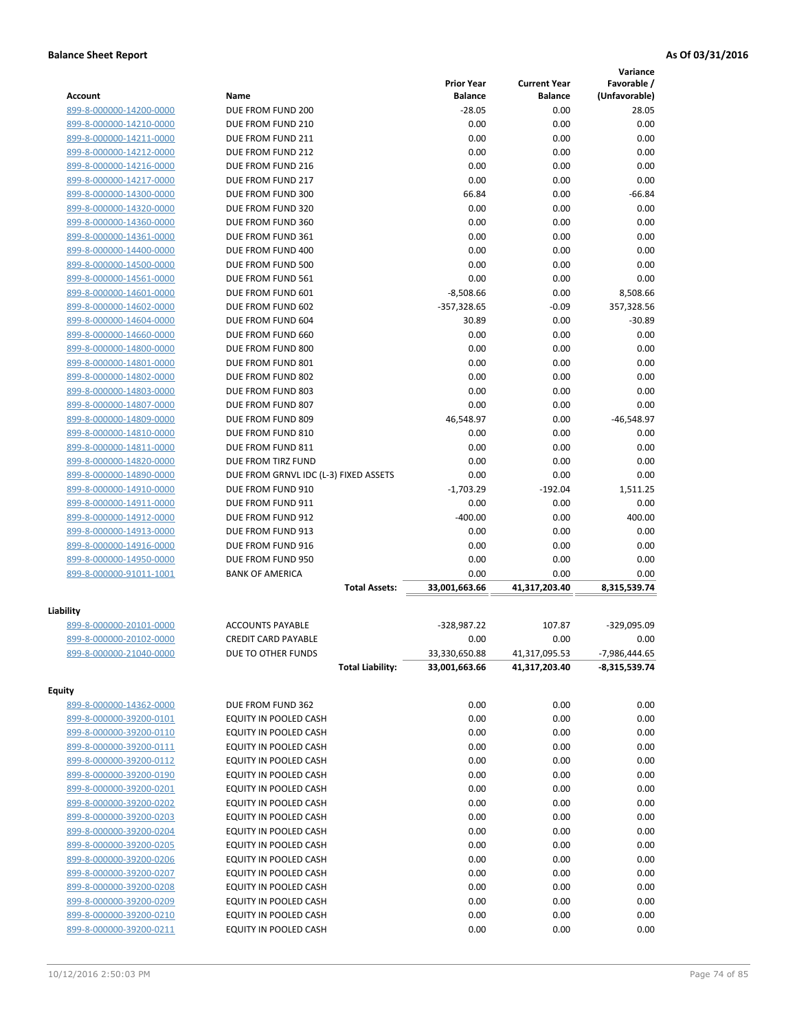|                         |                                       |                   |                     | Variance        |
|-------------------------|---------------------------------------|-------------------|---------------------|-----------------|
|                         |                                       | <b>Prior Year</b> | <b>Current Year</b> | Favorable /     |
| Account                 | Name                                  | <b>Balance</b>    | <b>Balance</b>      | (Unfavorable)   |
| 899-8-000000-14200-0000 | DUE FROM FUND 200                     | $-28.05$          | 0.00                | 28.05           |
| 899-8-000000-14210-0000 | DUE FROM FUND 210                     | 0.00              | 0.00                | 0.00            |
| 899-8-000000-14211-0000 | DUE FROM FUND 211                     | 0.00              | 0.00                | 0.00            |
| 899-8-000000-14212-0000 | DUE FROM FUND 212                     | 0.00              | 0.00                | 0.00            |
| 899-8-000000-14216-0000 | DUE FROM FUND 216                     | 0.00              | 0.00                | 0.00            |
| 899-8-000000-14217-0000 | DUE FROM FUND 217                     | 0.00              | 0.00                | 0.00            |
| 899-8-000000-14300-0000 | DUE FROM FUND 300                     | 66.84             | 0.00                | $-66.84$        |
| 899-8-000000-14320-0000 | DUE FROM FUND 320                     | 0.00              | 0.00                | 0.00            |
| 899-8-000000-14360-0000 | DUE FROM FUND 360                     | 0.00              | 0.00                | 0.00            |
| 899-8-000000-14361-0000 | DUE FROM FUND 361                     | 0.00              | 0.00                | 0.00            |
| 899-8-000000-14400-0000 | DUE FROM FUND 400                     | 0.00              | 0.00                | 0.00            |
| 899-8-000000-14500-0000 | DUE FROM FUND 500                     | 0.00              | 0.00                | 0.00            |
| 899-8-000000-14561-0000 | DUE FROM FUND 561                     | 0.00              | 0.00                | 0.00            |
| 899-8-000000-14601-0000 | DUE FROM FUND 601                     | $-8,508.66$       | 0.00                | 8,508.66        |
| 899-8-000000-14602-0000 | DUE FROM FUND 602                     | $-357,328.65$     | $-0.09$             | 357,328.56      |
| 899-8-000000-14604-0000 | DUE FROM FUND 604                     | 30.89             | 0.00                | $-30.89$        |
| 899-8-000000-14660-0000 | DUE FROM FUND 660                     | 0.00              | 0.00                | 0.00            |
| 899-8-000000-14800-0000 | DUE FROM FUND 800                     | 0.00              | 0.00                | 0.00            |
| 899-8-000000-14801-0000 | DUE FROM FUND 801                     | 0.00              | 0.00                | 0.00            |
| 899-8-000000-14802-0000 | DUE FROM FUND 802                     | 0.00              | 0.00                | 0.00            |
| 899-8-000000-14803-0000 | DUE FROM FUND 803                     | 0.00              | 0.00                | 0.00            |
| 899-8-000000-14807-0000 | DUE FROM FUND 807                     | 0.00              | 0.00                | 0.00            |
| 899-8-000000-14809-0000 | DUE FROM FUND 809                     | 46,548.97         | 0.00                | $-46,548.97$    |
| 899-8-000000-14810-0000 | DUE FROM FUND 810                     | 0.00              | 0.00                | 0.00            |
| 899-8-000000-14811-0000 | DUE FROM FUND 811                     | 0.00              | 0.00                | 0.00            |
| 899-8-000000-14820-0000 | DUE FROM TIRZ FUND                    | 0.00              | 0.00                | 0.00            |
| 899-8-000000-14890-0000 | DUE FROM GRNVL IDC (L-3) FIXED ASSETS | 0.00              | 0.00                | 0.00            |
| 899-8-000000-14910-0000 | DUE FROM FUND 910                     | $-1,703.29$       | $-192.04$           | 1,511.25        |
| 899-8-000000-14911-0000 | DUE FROM FUND 911                     | 0.00              | 0.00                | 0.00            |
| 899-8-000000-14912-0000 | DUE FROM FUND 912                     | $-400.00$         | 0.00                | 400.00          |
| 899-8-000000-14913-0000 | DUE FROM FUND 913                     | 0.00              | 0.00                | 0.00            |
| 899-8-000000-14916-0000 | DUE FROM FUND 916                     | 0.00              | 0.00                | 0.00            |
| 899-8-000000-14950-0000 | DUE FROM FUND 950                     | 0.00              | 0.00                | 0.00            |
| 899-8-000000-91011-1001 | <b>BANK OF AMERICA</b>                | 0.00              | 0.00                | 0.00            |
|                         | <b>Total Assets:</b>                  | 33,001,663.66     | 41,317,203.40       | 8,315,539.74    |
|                         |                                       |                   |                     |                 |
| Liability               |                                       |                   |                     |                 |
| 899-8-000000-20101-0000 | <b>ACCOUNTS PAYABLE</b>               | $-328,987.22$     | 107.87              | -329,095.09     |
| 899-8-000000-20102-0000 | <b>CREDIT CARD PAYABLE</b>            | 0.00              | 0.00                | 0.00            |
| 899-8-000000-21040-0000 | DUE TO OTHER FUNDS                    | 33,330,650.88     | 41,317,095.53       | $-7,986,444.65$ |
|                         | <b>Total Liability:</b>               | 33,001,663.66     | 41,317,203.40       | -8,315,539.74   |
| <b>Equity</b>           |                                       |                   |                     |                 |
| 899-8-000000-14362-0000 | DUE FROM FUND 362                     | 0.00              | 0.00                | 0.00            |
| 899-8-000000-39200-0101 | EQUITY IN POOLED CASH                 | 0.00              | 0.00                | 0.00            |
| 899-8-000000-39200-0110 | EQUITY IN POOLED CASH                 | 0.00              | 0.00                | 0.00            |
| 899-8-000000-39200-0111 | EQUITY IN POOLED CASH                 | 0.00              | 0.00                | 0.00            |
| 899-8-000000-39200-0112 |                                       | 0.00              | 0.00                | 0.00            |
| 899-8-000000-39200-0190 | EQUITY IN POOLED CASH                 |                   |                     |                 |
|                         | EQUITY IN POOLED CASH                 | 0.00              | 0.00                | 0.00            |
| 899-8-000000-39200-0201 | EQUITY IN POOLED CASH                 | 0.00              | 0.00                | 0.00            |
| 899-8-000000-39200-0202 | EQUITY IN POOLED CASH                 | 0.00              | 0.00                | 0.00            |
| 899-8-000000-39200-0203 | EQUITY IN POOLED CASH                 | 0.00              | 0.00                | 0.00            |
| 899-8-000000-39200-0204 | EQUITY IN POOLED CASH                 | 0.00              | 0.00                | 0.00            |
| 899-8-000000-39200-0205 | EQUITY IN POOLED CASH                 | 0.00              | 0.00                | 0.00            |
| 899-8-000000-39200-0206 | EQUITY IN POOLED CASH                 | 0.00              | 0.00                | 0.00            |
| 899-8-000000-39200-0207 | EQUITY IN POOLED CASH                 | 0.00              | 0.00                | 0.00            |
| 899-8-000000-39200-0208 | EQUITY IN POOLED CASH                 | 0.00              | 0.00                | 0.00            |
| 899-8-000000-39200-0209 | EQUITY IN POOLED CASH                 | 0.00              | 0.00                | 0.00            |
| 899-8-000000-39200-0210 | EQUITY IN POOLED CASH                 | 0.00              | 0.00                | 0.00            |
| 899-8-000000-39200-0211 | EQUITY IN POOLED CASH                 | 0.00              | 0.00                | 0.00            |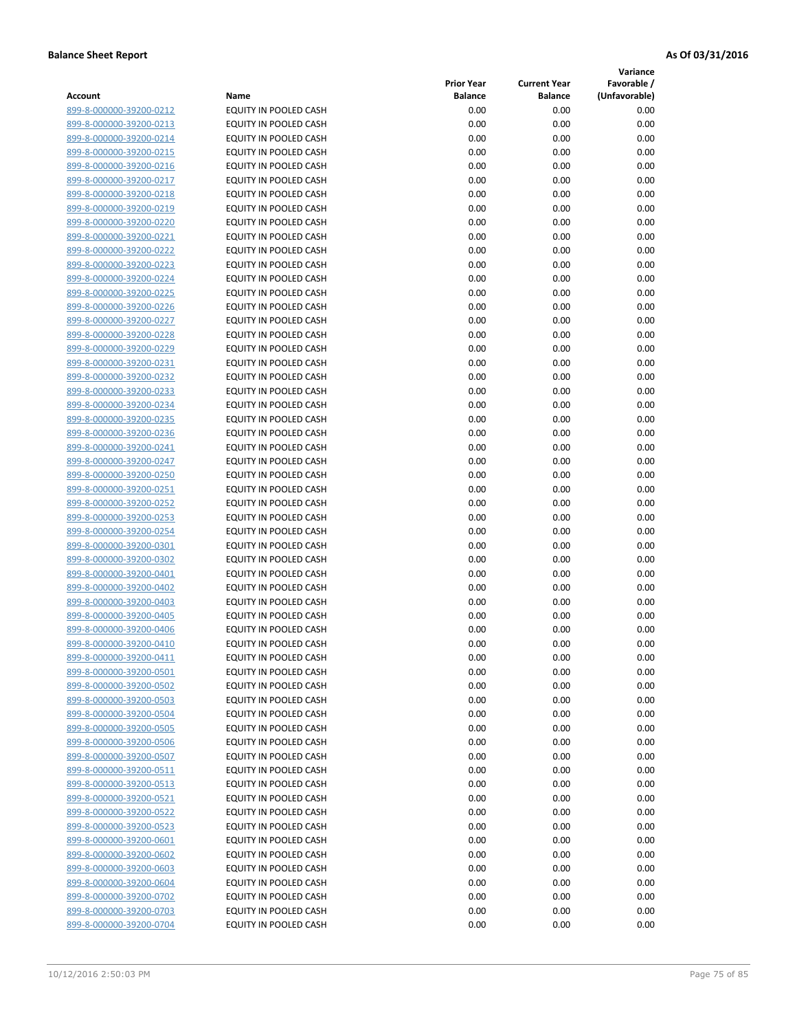**Variance**

| Account                                            | Name                                           | <b>Prior Year</b><br><b>Balance</b> | <b>Current Year</b><br><b>Balance</b> | Favorable /<br>(Unfavorable) |
|----------------------------------------------------|------------------------------------------------|-------------------------------------|---------------------------------------|------------------------------|
| 899-8-000000-39200-0212                            | EQUITY IN POOLED CASH                          | 0.00                                | 0.00                                  | 0.00                         |
| 899-8-000000-39200-0213                            | EQUITY IN POOLED CASH                          | 0.00                                | 0.00                                  | 0.00                         |
| 899-8-000000-39200-0214                            | EQUITY IN POOLED CASH                          | 0.00                                | 0.00                                  | 0.00                         |
| 899-8-000000-39200-0215                            | EQUITY IN POOLED CASH                          | 0.00                                | 0.00                                  | 0.00                         |
| 899-8-000000-39200-0216                            | EQUITY IN POOLED CASH                          | 0.00                                | 0.00                                  | 0.00                         |
| 899-8-000000-39200-0217                            | EQUITY IN POOLED CASH                          | 0.00                                | 0.00                                  | 0.00                         |
| 899-8-000000-39200-0218                            | EQUITY IN POOLED CASH                          | 0.00                                | 0.00                                  | 0.00                         |
| 899-8-000000-39200-0219                            | EQUITY IN POOLED CASH                          | 0.00                                | 0.00                                  | 0.00                         |
| 899-8-000000-39200-0220                            | EQUITY IN POOLED CASH                          | 0.00                                | 0.00                                  | 0.00                         |
| 899-8-000000-39200-0221                            | EQUITY IN POOLED CASH                          | 0.00                                | 0.00                                  | 0.00                         |
| 899-8-000000-39200-0222                            | <b>EQUITY IN POOLED CASH</b>                   | 0.00                                | 0.00                                  | 0.00                         |
| 899-8-000000-39200-0223                            | EQUITY IN POOLED CASH                          | 0.00                                | 0.00                                  | 0.00                         |
| 899-8-000000-39200-0224                            | EQUITY IN POOLED CASH                          | 0.00                                | 0.00                                  | 0.00                         |
| 899-8-000000-39200-0225                            | EQUITY IN POOLED CASH                          | 0.00                                | 0.00                                  | 0.00                         |
| 899-8-000000-39200-0226                            | EQUITY IN POOLED CASH                          | 0.00                                | 0.00                                  | 0.00                         |
| 899-8-000000-39200-0227                            | EQUITY IN POOLED CASH                          | 0.00                                | 0.00                                  | 0.00                         |
| 899-8-000000-39200-0228                            | EQUITY IN POOLED CASH                          | 0.00                                | 0.00                                  | 0.00                         |
| 899-8-000000-39200-0229                            | EQUITY IN POOLED CASH                          | 0.00                                | 0.00                                  | 0.00                         |
| 899-8-000000-39200-0231                            | EQUITY IN POOLED CASH                          | 0.00                                | 0.00                                  | 0.00                         |
| 899-8-000000-39200-0232                            | EQUITY IN POOLED CASH                          | 0.00                                | 0.00                                  | 0.00                         |
| 899-8-000000-39200-0233                            | <b>EQUITY IN POOLED CASH</b>                   | 0.00                                | 0.00                                  | 0.00                         |
| 899-8-000000-39200-0234                            | EQUITY IN POOLED CASH                          | 0.00                                | 0.00                                  | 0.00                         |
| 899-8-000000-39200-0235                            | EQUITY IN POOLED CASH                          | 0.00                                | 0.00                                  | 0.00                         |
| 899-8-000000-39200-0236                            | EQUITY IN POOLED CASH                          | 0.00                                | 0.00                                  | 0.00                         |
| 899-8-000000-39200-0241                            | EQUITY IN POOLED CASH                          | 0.00                                | 0.00                                  | 0.00                         |
| 899-8-000000-39200-0247                            | EQUITY IN POOLED CASH                          | 0.00                                | 0.00                                  | 0.00                         |
| 899-8-000000-39200-0250                            | EQUITY IN POOLED CASH                          | 0.00                                | 0.00                                  | 0.00                         |
| 899-8-000000-39200-0251                            | EQUITY IN POOLED CASH                          | 0.00                                | 0.00                                  | 0.00                         |
| 899-8-000000-39200-0252                            | EQUITY IN POOLED CASH                          | 0.00                                | 0.00                                  | 0.00                         |
| 899-8-000000-39200-0253                            | EQUITY IN POOLED CASH                          | 0.00                                | 0.00                                  | 0.00                         |
| 899-8-000000-39200-0254                            | EQUITY IN POOLED CASH                          | 0.00                                | 0.00                                  | 0.00                         |
| 899-8-000000-39200-0301                            | EQUITY IN POOLED CASH                          | 0.00                                | 0.00                                  | 0.00                         |
| 899-8-000000-39200-0302                            | EQUITY IN POOLED CASH                          | 0.00                                | 0.00                                  | 0.00                         |
| 899-8-000000-39200-0401                            | EQUITY IN POOLED CASH                          | 0.00                                | 0.00                                  | 0.00                         |
| 899-8-000000-39200-0402                            | EQUITY IN POOLED CASH                          | 0.00                                | 0.00                                  | 0.00                         |
| 899-8-000000-39200-0403<br>899-8-000000-39200-0405 | EQUITY IN POOLED CASH<br>EQUITY IN POOLED CASH | 0.00<br>0.00                        | 0.00<br>0.00                          | 0.00<br>0.00                 |
| 899-8-000000-39200-0406                            | EQUITY IN POOLED CASH                          | 0.00                                | 0.00                                  | 0.00                         |
| 899-8-000000-39200-0410                            | EQUITY IN POOLED CASH                          | 0.00                                | 0.00                                  | 0.00                         |
| 899-8-000000-39200-0411                            | <b>EQUITY IN POOLED CASH</b>                   | 0.00                                | 0.00                                  | 0.00                         |
| 899-8-000000-39200-0501                            | EQUITY IN POOLED CASH                          | 0.00                                | 0.00                                  | 0.00                         |
| 899-8-000000-39200-0502                            | EQUITY IN POOLED CASH                          | 0.00                                | 0.00                                  | 0.00                         |
| 899-8-000000-39200-0503                            | EQUITY IN POOLED CASH                          | 0.00                                | 0.00                                  | 0.00                         |
| 899-8-000000-39200-0504                            | EQUITY IN POOLED CASH                          | 0.00                                | 0.00                                  | 0.00                         |
| 899-8-000000-39200-0505                            | EQUITY IN POOLED CASH                          | 0.00                                | 0.00                                  | 0.00                         |
| 899-8-000000-39200-0506                            | EQUITY IN POOLED CASH                          | 0.00                                | 0.00                                  | 0.00                         |
| 899-8-000000-39200-0507                            | EQUITY IN POOLED CASH                          | 0.00                                | 0.00                                  | 0.00                         |
| 899-8-000000-39200-0511                            | EQUITY IN POOLED CASH                          | 0.00                                | 0.00                                  | 0.00                         |
| 899-8-000000-39200-0513                            | EQUITY IN POOLED CASH                          | 0.00                                | 0.00                                  | 0.00                         |
| 899-8-000000-39200-0521                            | <b>EQUITY IN POOLED CASH</b>                   | 0.00                                | 0.00                                  | 0.00                         |
| 899-8-000000-39200-0522                            | EQUITY IN POOLED CASH                          | 0.00                                | 0.00                                  | 0.00                         |
| 899-8-000000-39200-0523                            | EQUITY IN POOLED CASH                          | 0.00                                | 0.00                                  | 0.00                         |
| 899-8-000000-39200-0601                            | EQUITY IN POOLED CASH                          | 0.00                                | 0.00                                  | 0.00                         |
| 899-8-000000-39200-0602                            | EQUITY IN POOLED CASH                          | 0.00                                | 0.00                                  | 0.00                         |
| 899-8-000000-39200-0603                            | EQUITY IN POOLED CASH                          | 0.00                                | 0.00                                  | 0.00                         |
| 899-8-000000-39200-0604                            | EQUITY IN POOLED CASH                          | 0.00                                | 0.00                                  | 0.00                         |
| 899-8-000000-39200-0702                            | EQUITY IN POOLED CASH                          | 0.00                                | 0.00                                  | 0.00                         |
| 899-8-000000-39200-0703                            | EQUITY IN POOLED CASH                          | 0.00                                | 0.00                                  | 0.00                         |
| 899-8-000000-39200-0704                            | EQUITY IN POOLED CASH                          | 0.00                                | 0.00                                  | 0.00                         |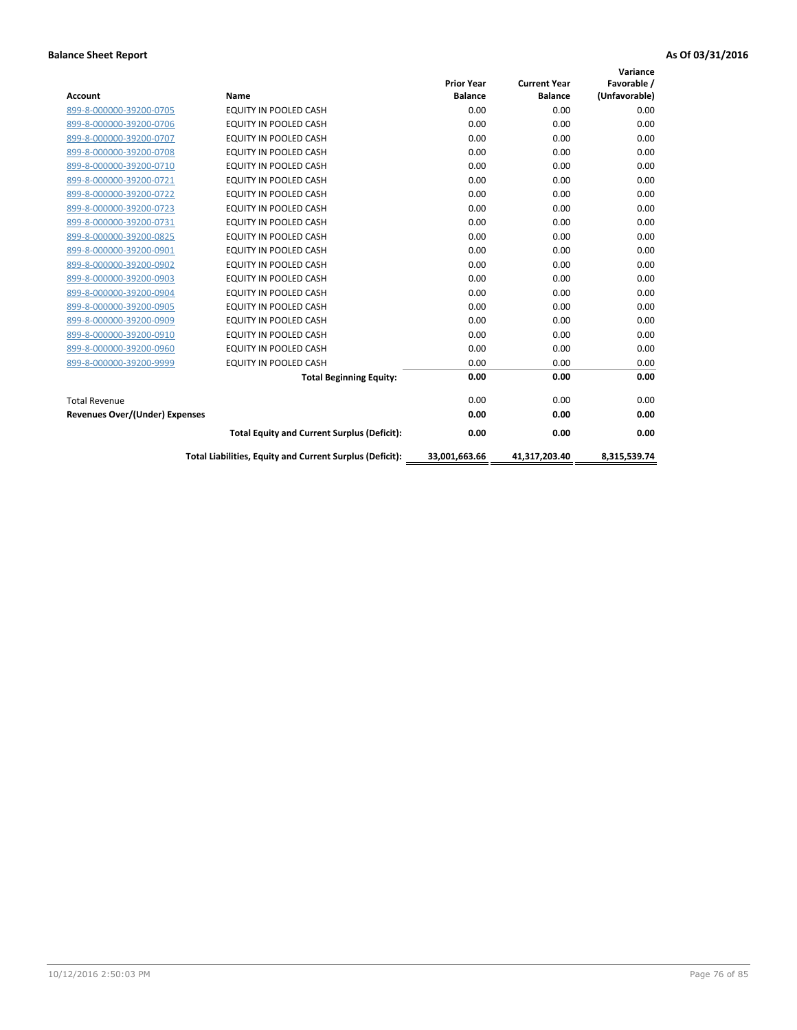|                                       |                                                          |                   |                     | Variance      |
|---------------------------------------|----------------------------------------------------------|-------------------|---------------------|---------------|
|                                       |                                                          | <b>Prior Year</b> | <b>Current Year</b> | Favorable /   |
| <b>Account</b>                        | <b>Name</b>                                              | <b>Balance</b>    | <b>Balance</b>      | (Unfavorable) |
| 899-8-000000-39200-0705               | EQUITY IN POOLED CASH                                    | 0.00              | 0.00                | 0.00          |
| 899-8-000000-39200-0706               | <b>EQUITY IN POOLED CASH</b>                             | 0.00              | 0.00                | 0.00          |
| 899-8-000000-39200-0707               | EQUITY IN POOLED CASH                                    | 0.00              | 0.00                | 0.00          |
| 899-8-000000-39200-0708               | <b>EQUITY IN POOLED CASH</b>                             | 0.00              | 0.00                | 0.00          |
| 899-8-000000-39200-0710               | <b>EQUITY IN POOLED CASH</b>                             | 0.00              | 0.00                | 0.00          |
| 899-8-000000-39200-0721               | <b>EQUITY IN POOLED CASH</b>                             | 0.00              | 0.00                | 0.00          |
| 899-8-000000-39200-0722               | EQUITY IN POOLED CASH                                    | 0.00              | 0.00                | 0.00          |
| 899-8-000000-39200-0723               | <b>EQUITY IN POOLED CASH</b>                             | 0.00              | 0.00                | 0.00          |
| 899-8-000000-39200-0731               | <b>EQUITY IN POOLED CASH</b>                             | 0.00              | 0.00                | 0.00          |
| 899-8-000000-39200-0825               | <b>EQUITY IN POOLED CASH</b>                             | 0.00              | 0.00                | 0.00          |
| 899-8-000000-39200-0901               | <b>EQUITY IN POOLED CASH</b>                             | 0.00              | 0.00                | 0.00          |
| 899-8-000000-39200-0902               | EQUITY IN POOLED CASH                                    | 0.00              | 0.00                | 0.00          |
| 899-8-000000-39200-0903               | <b>EQUITY IN POOLED CASH</b>                             | 0.00              | 0.00                | 0.00          |
| 899-8-000000-39200-0904               | EQUITY IN POOLED CASH                                    | 0.00              | 0.00                | 0.00          |
| 899-8-000000-39200-0905               | EQUITY IN POOLED CASH                                    | 0.00              | 0.00                | 0.00          |
| 899-8-000000-39200-0909               | <b>EQUITY IN POOLED CASH</b>                             | 0.00              | 0.00                | 0.00          |
| 899-8-000000-39200-0910               | <b>EQUITY IN POOLED CASH</b>                             | 0.00              | 0.00                | 0.00          |
| 899-8-000000-39200-0960               | <b>EQUITY IN POOLED CASH</b>                             | 0.00              | 0.00                | 0.00          |
| 899-8-000000-39200-9999               | EQUITY IN POOLED CASH                                    | 0.00              | 0.00                | 0.00          |
|                                       | <b>Total Beginning Equity:</b>                           | 0.00              | 0.00                | 0.00          |
| <b>Total Revenue</b>                  |                                                          | 0.00              | 0.00                | 0.00          |
| <b>Revenues Over/(Under) Expenses</b> |                                                          | 0.00              | 0.00                | 0.00          |
|                                       | <b>Total Equity and Current Surplus (Deficit):</b>       | 0.00              | 0.00                | 0.00          |
|                                       | Total Liabilities, Equity and Current Surplus (Deficit): | 33,001,663.66     | 41,317,203.40       | 8.315.539.74  |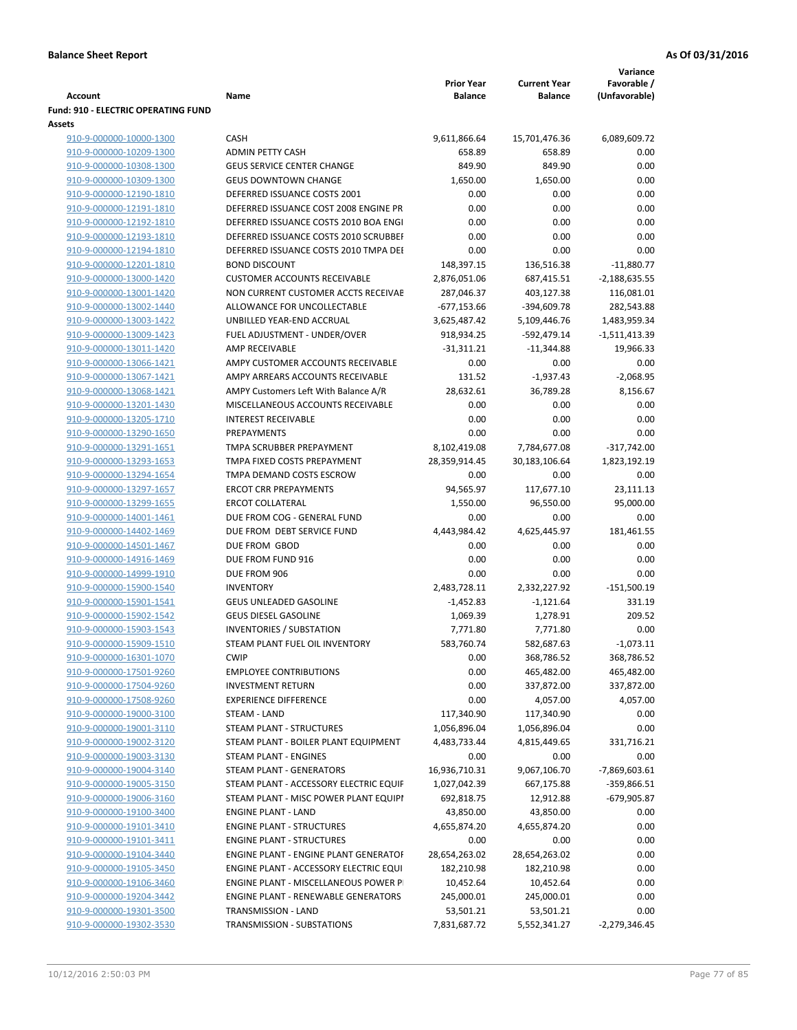|                                                    |                                                           |                                     |                                       | Variance                        |
|----------------------------------------------------|-----------------------------------------------------------|-------------------------------------|---------------------------------------|---------------------------------|
| Account                                            | Name                                                      | <b>Prior Year</b><br><b>Balance</b> | <b>Current Year</b><br><b>Balance</b> | Favorable /<br>(Unfavorable)    |
| <b>Fund: 910 - ELECTRIC OPERATING FUND</b>         |                                                           |                                     |                                       |                                 |
| Assets                                             |                                                           |                                     |                                       |                                 |
| 910-9-000000-10000-1300                            | <b>CASH</b>                                               | 9,611,866.64                        | 15,701,476.36                         | 6,089,609.72                    |
| 910-9-000000-10209-1300                            | <b>ADMIN PETTY CASH</b>                                   | 658.89                              | 658.89                                | 0.00                            |
| 910-9-000000-10308-1300                            | <b>GEUS SERVICE CENTER CHANGE</b>                         | 849.90                              | 849.90                                | 0.00                            |
| 910-9-000000-10309-1300                            | <b>GEUS DOWNTOWN CHANGE</b>                               | 1,650.00                            | 1,650.00                              | 0.00                            |
| 910-9-000000-12190-1810                            | DEFERRED ISSUANCE COSTS 2001                              | 0.00                                | 0.00                                  | 0.00                            |
| 910-9-000000-12191-1810                            | DEFERRED ISSUANCE COST 2008 ENGINE PR                     | 0.00                                | 0.00                                  | 0.00                            |
| 910-9-000000-12192-1810                            | DEFERRED ISSUANCE COSTS 2010 BOA ENGI                     | 0.00                                | 0.00                                  | 0.00                            |
| 910-9-000000-12193-1810                            | DEFERRED ISSUANCE COSTS 2010 SCRUBBEI                     | 0.00                                | 0.00                                  | 0.00                            |
| 910-9-000000-12194-1810                            | DEFERRED ISSUANCE COSTS 2010 TMPA DEI                     | 0.00                                | 0.00                                  | 0.00                            |
| 910-9-000000-12201-1810                            | <b>BOND DISCOUNT</b>                                      | 148,397.15                          | 136,516.38                            | $-11,880.77$                    |
| 910-9-000000-13000-1420                            | <b>CUSTOMER ACCOUNTS RECEIVABLE</b>                       | 2,876,051.06                        | 687,415.51                            | $-2,188,635.55$                 |
| 910-9-000000-13001-1420                            | NON CURRENT CUSTOMER ACCTS RECEIVAE                       | 287,046.37                          | 403,127.38                            | 116,081.01                      |
| 910-9-000000-13002-1440                            | ALLOWANCE FOR UNCOLLECTABLE<br>UNBILLED YEAR-END ACCRUAL  | $-677,153.66$<br>3,625,487.42       | -394,609.78                           | 282,543.88                      |
| 910-9-000000-13003-1422<br>910-9-000000-13009-1423 | FUEL ADJUSTMENT - UNDER/OVER                              | 918,934.25                          | 5,109,446.76<br>-592,479.14           | 1,483,959.34<br>$-1,511,413.39$ |
| 910-9-000000-13011-1420                            | AMP RECEIVABLE                                            | $-31,311.21$                        | $-11,344.88$                          | 19,966.33                       |
| 910-9-000000-13066-1421                            | AMPY CUSTOMER ACCOUNTS RECEIVABLE                         | 0.00                                | 0.00                                  | 0.00                            |
| 910-9-000000-13067-1421                            | AMPY ARREARS ACCOUNTS RECEIVABLE                          | 131.52                              | $-1,937.43$                           | $-2,068.95$                     |
| 910-9-000000-13068-1421                            | AMPY Customers Left With Balance A/R                      | 28,632.61                           | 36,789.28                             | 8,156.67                        |
| 910-9-000000-13201-1430                            | MISCELLANEOUS ACCOUNTS RECEIVABLE                         | 0.00                                | 0.00                                  | 0.00                            |
| 910-9-000000-13205-1710                            | <b>INTEREST RECEIVABLE</b>                                | 0.00                                | 0.00                                  | 0.00                            |
| 910-9-000000-13290-1650                            | PREPAYMENTS                                               | 0.00                                | 0.00                                  | 0.00                            |
| 910-9-000000-13291-1651                            | TMPA SCRUBBER PREPAYMENT                                  | 8,102,419.08                        | 7,784,677.08                          | $-317,742.00$                   |
| 910-9-000000-13293-1653                            | TMPA FIXED COSTS PREPAYMENT                               | 28,359,914.45                       | 30,183,106.64                         | 1,823,192.19                    |
| 910-9-000000-13294-1654                            | TMPA DEMAND COSTS ESCROW                                  | 0.00                                | 0.00                                  | 0.00                            |
| 910-9-000000-13297-1657                            | <b>ERCOT CRR PREPAYMENTS</b>                              | 94,565.97                           | 117,677.10                            | 23,111.13                       |
| 910-9-000000-13299-1655                            | <b>ERCOT COLLATERAL</b>                                   | 1,550.00                            | 96,550.00                             | 95,000.00                       |
| 910-9-000000-14001-1461                            | DUE FROM COG - GENERAL FUND                               | 0.00                                | 0.00                                  | 0.00                            |
| 910-9-000000-14402-1469                            | DUE FROM DEBT SERVICE FUND                                | 4,443,984.42                        | 4,625,445.97                          | 181,461.55                      |
| 910-9-000000-14501-1467                            | DUE FROM GBOD                                             | 0.00                                | 0.00                                  | 0.00                            |
| 910-9-000000-14916-1469                            | DUE FROM FUND 916                                         | 0.00                                | 0.00                                  | 0.00                            |
| 910-9-000000-14999-1910                            | DUE FROM 906                                              | 0.00                                | 0.00                                  | 0.00                            |
| 910-9-000000-15900-1540                            | <b>INVENTORY</b>                                          | 2,483,728.11                        | 2,332,227.92                          | $-151,500.19$                   |
| 910-9-000000-15901-1541                            | <b>GEUS UNLEADED GASOLINE</b>                             | $-1,452.83$                         | $-1,121.64$                           | 331.19                          |
| 910-9-000000-15902-1542                            | <b>GEUS DIESEL GASOLINE</b>                               | 1,069.39                            | 1,278.91                              | 209.52                          |
| 910-9-000000-15903-1543                            | <b>INVENTORIES / SUBSTATION</b>                           | 7,771.80                            | 7,771.80                              | 0.00                            |
| 910-9-000000-15909-1510                            | STEAM PLANT FUEL OIL INVENTORY                            | 583,760.74                          | 582,687.63                            | $-1,073.11$                     |
| 910-9-000000-16301-1070                            | <b>CWIP</b>                                               | 0.00                                | 368,786.52                            | 368,786.52                      |
| 910-9-000000-17501-9260<br>910-9-000000-17504-9260 | <b>EMPLOYEE CONTRIBUTIONS</b><br><b>INVESTMENT RETURN</b> | 0.00<br>0.00                        | 465,482.00<br>337,872.00              | 465,482.00<br>337,872.00        |
| 910-9-000000-17508-9260                            | <b>EXPERIENCE DIFFERENCE</b>                              | 0.00                                | 4,057.00                              | 4,057.00                        |
| 910-9-000000-19000-3100                            | <b>STEAM - LAND</b>                                       | 117,340.90                          | 117,340.90                            | 0.00                            |
| 910-9-000000-19001-3110                            | STEAM PLANT - STRUCTURES                                  | 1,056,896.04                        | 1,056,896.04                          | 0.00                            |
| 910-9-000000-19002-3120                            | STEAM PLANT - BOILER PLANT EQUIPMENT                      | 4,483,733.44                        | 4,815,449.65                          | 331,716.21                      |
| 910-9-000000-19003-3130                            | STEAM PLANT - ENGINES                                     | 0.00                                | 0.00                                  | 0.00                            |
| 910-9-000000-19004-3140                            | STEAM PLANT - GENERATORS                                  | 16,936,710.31                       | 9,067,106.70                          | $-7,869,603.61$                 |
| 910-9-000000-19005-3150                            | STEAM PLANT - ACCESSORY ELECTRIC EQUIF                    | 1,027,042.39                        | 667,175.88                            | -359,866.51                     |
| 910-9-000000-19006-3160                            | STEAM PLANT - MISC POWER PLANT EQUIPI                     | 692,818.75                          | 12,912.88                             | -679,905.87                     |
| 910-9-000000-19100-3400                            | <b>ENGINE PLANT - LAND</b>                                | 43,850.00                           | 43,850.00                             | 0.00                            |
| 910-9-000000-19101-3410                            | <b>ENGINE PLANT - STRUCTURES</b>                          | 4,655,874.20                        | 4,655,874.20                          | 0.00                            |
| 910-9-000000-19101-3411                            | <b>ENGINE PLANT - STRUCTURES</b>                          | 0.00                                | 0.00                                  | 0.00                            |
| 910-9-000000-19104-3440                            | ENGINE PLANT - ENGINE PLANT GENERATOF                     | 28,654,263.02                       | 28,654,263.02                         | 0.00                            |
| 910-9-000000-19105-3450                            | ENGINE PLANT - ACCESSORY ELECTRIC EQUI                    | 182,210.98                          | 182,210.98                            | 0.00                            |
| 910-9-000000-19106-3460                            | ENGINE PLANT - MISCELLANEOUS POWER P                      | 10,452.64                           | 10,452.64                             | 0.00                            |
| 910-9-000000-19204-3442                            | <b>ENGINE PLANT - RENEWABLE GENERATORS</b>                | 245,000.01                          | 245,000.01                            | 0.00                            |
| 910-9-000000-19301-3500                            | TRANSMISSION - LAND                                       | 53,501.21                           | 53,501.21                             | 0.00                            |
| 910-9-000000-19302-3530                            | TRANSMISSION - SUBSTATIONS                                | 7,831,687.72                        | 5,552,341.27                          | $-2,279,346.45$                 |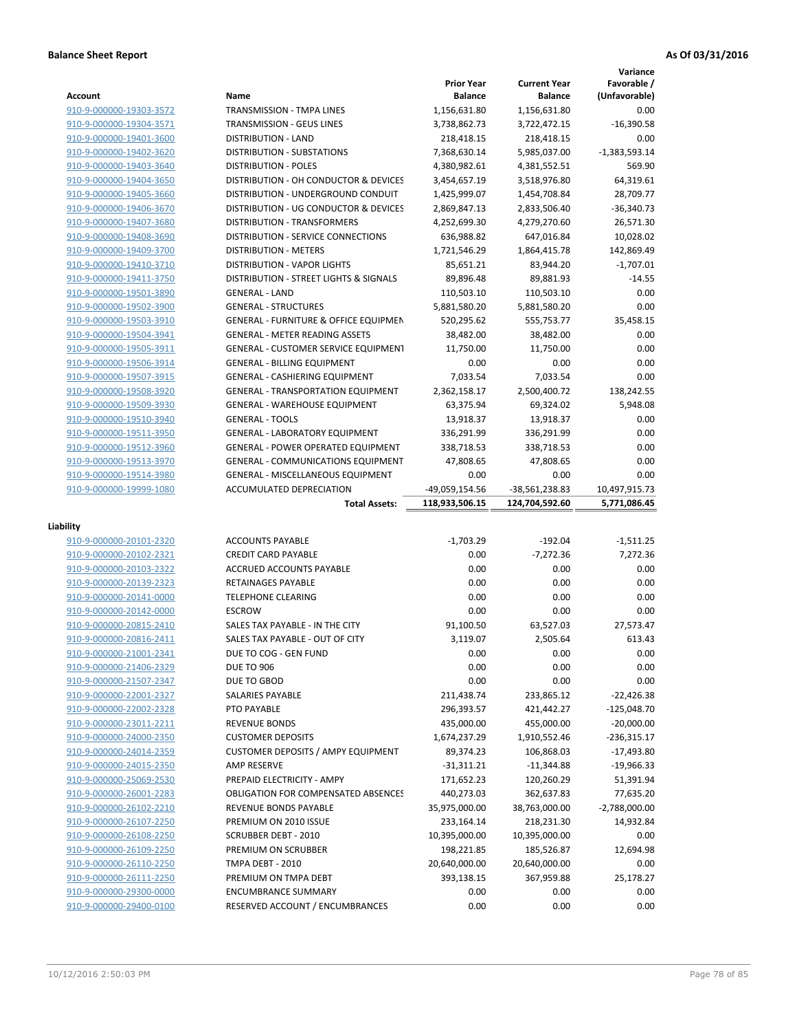|                                                    |                                                               |                                     |                                       | Variance                     |
|----------------------------------------------------|---------------------------------------------------------------|-------------------------------------|---------------------------------------|------------------------------|
| Account                                            | Name                                                          | <b>Prior Year</b><br><b>Balance</b> | <b>Current Year</b><br><b>Balance</b> | Favorable /<br>(Unfavorable) |
| 910-9-000000-19303-3572                            | TRANSMISSION - TMPA LINES                                     | 1,156,631.80                        | 1,156,631.80                          | 0.00                         |
| 910-9-000000-19304-3571                            | TRANSMISSION - GEUS LINES                                     | 3,738,862.73                        | 3,722,472.15                          | $-16,390.58$                 |
| 910-9-000000-19401-3600                            | <b>DISTRIBUTION - LAND</b>                                    | 218,418.15                          | 218,418.15                            | 0.00                         |
| 910-9-000000-19402-3620                            | <b>DISTRIBUTION - SUBSTATIONS</b>                             | 7,368,630.14                        | 5,985,037.00                          | $-1,383,593.14$              |
| 910-9-000000-19403-3640                            | <b>DISTRIBUTION - POLES</b>                                   | 4,380,982.61                        | 4,381,552.51                          | 569.90                       |
| 910-9-000000-19404-3650                            | DISTRIBUTION - OH CONDUCTOR & DEVICES                         | 3,454,657.19                        | 3,518,976.80                          | 64,319.61                    |
| 910-9-000000-19405-3660                            | DISTRIBUTION - UNDERGROUND CONDUIT                            | 1,425,999.07                        | 1,454,708.84                          | 28,709.77                    |
| 910-9-000000-19406-3670                            | DISTRIBUTION - UG CONDUCTOR & DEVICES                         | 2,869,847.13                        | 2,833,506.40                          | $-36,340.73$                 |
| 910-9-000000-19407-3680                            | DISTRIBUTION - TRANSFORMERS                                   | 4,252,699.30                        | 4,279,270.60                          | 26,571.30                    |
| 910-9-000000-19408-3690                            | <b>DISTRIBUTION - SERVICE CONNECTIONS</b>                     | 636,988.82                          | 647,016.84                            | 10,028.02                    |
| 910-9-000000-19409-3700                            | <b>DISTRIBUTION - METERS</b>                                  | 1,721,546.29                        | 1,864,415.78                          | 142,869.49                   |
| 910-9-000000-19410-3710                            | <b>DISTRIBUTION - VAPOR LIGHTS</b>                            | 85,651.21                           | 83,944.20                             | $-1,707.01$                  |
| 910-9-000000-19411-3750                            | DISTRIBUTION - STREET LIGHTS & SIGNALS                        | 89,896.48                           | 89,881.93                             | $-14.55$                     |
| 910-9-000000-19501-3890                            | <b>GENERAL - LAND</b>                                         | 110,503.10                          | 110,503.10                            | 0.00                         |
| 910-9-000000-19502-3900                            | <b>GENERAL - STRUCTURES</b>                                   | 5,881,580.20                        | 5,881,580.20                          | 0.00                         |
| 910-9-000000-19503-3910                            | <b>GENERAL - FURNITURE &amp; OFFICE EQUIPMEN</b>              | 520,295.62                          | 555,753.77                            | 35,458.15                    |
| 910-9-000000-19504-3941                            | <b>GENERAL - METER READING ASSETS</b>                         | 38,482.00                           | 38,482.00                             | 0.00                         |
| 910-9-000000-19505-3911                            | <b>GENERAL - CUSTOMER SERVICE EQUIPMENT</b>                   | 11,750.00                           | 11.750.00                             | 0.00                         |
| 910-9-000000-19506-3914                            | <b>GENERAL - BILLING EQUIPMENT</b>                            | 0.00                                | 0.00                                  | 0.00                         |
| 910-9-000000-19507-3915                            | <b>GENERAL - CASHIERING EQUIPMENT</b>                         | 7,033.54                            | 7,033.54                              | 0.00                         |
| 910-9-000000-19508-3920                            | <b>GENERAL - TRANSPORTATION EQUIPMENT</b>                     | 2,362,158.17                        | 2,500,400.72                          | 138,242.55                   |
| 910-9-000000-19509-3930                            | <b>GENERAL - WAREHOUSE EQUIPMENT</b>                          | 63,375.94                           | 69,324.02                             | 5,948.08                     |
| 910-9-000000-19510-3940                            | <b>GENERAL - TOOLS</b>                                        | 13,918.37                           | 13,918.37                             | 0.00                         |
| 910-9-000000-19511-3950                            | <b>GENERAL - LABORATORY EQUIPMENT</b>                         | 336,291.99                          | 336,291.99                            | 0.00                         |
| 910-9-000000-19512-3960                            | <b>GENERAL - POWER OPERATED EQUIPMENT</b>                     | 338,718.53                          | 338,718.53                            | 0.00                         |
| 910-9-000000-19513-3970                            | <b>GENERAL - COMMUNICATIONS EQUIPMENT</b>                     | 47,808.65                           | 47,808.65                             | 0.00                         |
| 910-9-000000-19514-3980                            | <b>GENERAL - MISCELLANEOUS EQUIPMENT</b>                      | 0.00                                | 0.00                                  | 0.00                         |
| 910-9-000000-19999-1080                            | <b>ACCUMULATED DEPRECIATION</b>                               | -49,059,154.56                      | -38,561,238.83                        | 10,497,915.73                |
|                                                    |                                                               |                                     |                                       |                              |
|                                                    | <b>Total Assets:</b>                                          | 118,933,506.15                      | 124,704,592.60                        | 5,771,086.45                 |
|                                                    |                                                               |                                     |                                       |                              |
| Liability                                          |                                                               |                                     |                                       |                              |
| 910-9-000000-20101-2320                            | <b>ACCOUNTS PAYABLE</b>                                       | $-1,703.29$                         | $-192.04$                             | $-1,511.25$                  |
| 910-9-000000-20102-2321                            | <b>CREDIT CARD PAYABLE</b>                                    | 0.00                                | $-7,272.36$                           | 7,272.36                     |
| 910-9-000000-20103-2322                            | <b>ACCRUED ACCOUNTS PAYABLE</b>                               | 0.00                                | 0.00                                  | 0.00                         |
| 910-9-000000-20139-2323                            | RETAINAGES PAYABLE                                            | 0.00                                | 0.00                                  | 0.00                         |
| 910-9-000000-20141-0000                            | <b>TELEPHONE CLEARING</b>                                     | 0.00                                | 0.00                                  | 0.00                         |
| 910-9-000000-20142-0000                            | <b>ESCROW</b>                                                 | 0.00                                | 0.00                                  | 0.00                         |
| 910-9-000000-20815-2410                            | SALES TAX PAYABLE - IN THE CITY                               | 91,100.50                           | 63.527.03                             | 27,573.47                    |
| 910-9-000000-20816-2411                            | SALES TAX PAYABLE - OUT OF CITY                               | 3,119.07                            | 2,505.64                              | 613.43                       |
| 910-9-000000-21001-2341                            | DUE TO COG - GEN FUND                                         | 0.00                                | 0.00                                  | 0.00                         |
| 910-9-000000-21406-2329                            | <b>DUE TO 906</b>                                             | 0.00                                | 0.00                                  | 0.00                         |
| 910-9-000000-21507-2347                            | DUE TO GBOD                                                   | 0.00                                | 0.00                                  | 0.00                         |
| 910-9-000000-22001-2327                            | SALARIES PAYABLE                                              | 211,438.74                          | 233,865.12                            | $-22,426.38$                 |
| 910-9-000000-22002-2328                            | PTO PAYABLE                                                   | 296,393.57                          | 421,442.27                            | $-125,048.70$                |
| 910-9-000000-23011-2211                            | <b>REVENUE BONDS</b>                                          | 435,000.00                          | 455,000.00                            | $-20,000.00$                 |
| 910-9-000000-24000-2350                            | <b>CUSTOMER DEPOSITS</b>                                      | 1,674,237.29                        | 1,910,552.46                          | $-236,315.17$                |
| 910-9-000000-24014-2359                            | <b>CUSTOMER DEPOSITS / AMPY EQUIPMENT</b>                     | 89,374.23                           | 106,868.03                            | $-17,493.80$                 |
| 910-9-000000-24015-2350                            | AMP RESERVE                                                   | $-31,311.21$                        | $-11,344.88$                          | $-19,966.33$                 |
| 910-9-000000-25069-2530                            | PREPAID ELECTRICITY - AMPY                                    | 171,652.23                          | 120,260.29                            | 51,391.94                    |
| 910-9-000000-26001-2283                            | <b>OBLIGATION FOR COMPENSATED ABSENCES</b>                    | 440,273.03                          | 362,637.83                            | 77,635.20                    |
| 910-9-000000-26102-2210                            | REVENUE BONDS PAYABLE                                         | 35,975,000.00                       | 38,763,000.00                         | $-2,788,000.00$              |
| 910-9-000000-26107-2250                            | PREMIUM ON 2010 ISSUE                                         | 233,164.14                          | 218,231.30                            | 14,932.84                    |
| 910-9-000000-26108-2250                            | <b>SCRUBBER DEBT - 2010</b>                                   | 10,395,000.00                       | 10,395,000.00                         | 0.00                         |
| 910-9-000000-26109-2250                            | PREMIUM ON SCRUBBER                                           | 198,221.85                          | 185,526.87                            | 12,694.98                    |
| 910-9-000000-26110-2250                            | TMPA DEBT - 2010                                              | 20,640,000.00                       | 20,640,000.00                         | 0.00                         |
| 910-9-000000-26111-2250                            | PREMIUM ON TMPA DEBT                                          | 393,138.15                          | 367,959.88                            | 25,178.27                    |
| 910-9-000000-29300-0000<br>910-9-000000-29400-0100 | <b>ENCUMBRANCE SUMMARY</b><br>RESERVED ACCOUNT / ENCUMBRANCES | 0.00<br>0.00                        | 0.00<br>0.00                          | 0.00<br>0.00                 |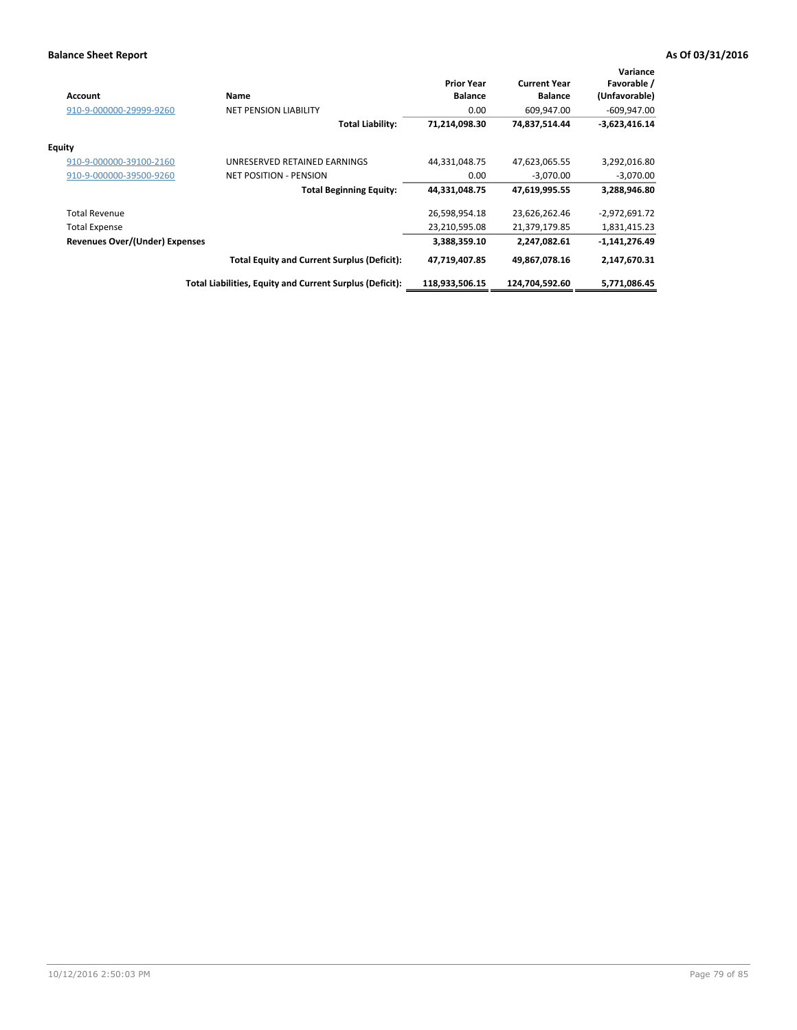| <b>Account</b>                        | <b>Name</b>                                              | <b>Prior Year</b><br><b>Balance</b> | <b>Current Year</b><br><b>Balance</b> | Variance<br>Favorable /<br>(Unfavorable) |
|---------------------------------------|----------------------------------------------------------|-------------------------------------|---------------------------------------|------------------------------------------|
| 910-9-000000-29999-9260               | <b>NET PENSION LIABILITY</b>                             | 0.00                                | 609,947.00                            | $-609,947.00$                            |
|                                       | <b>Total Liability:</b>                                  | 71,214,098.30                       | 74,837,514.44                         | $-3,623,416.14$                          |
| Equity                                |                                                          |                                     |                                       |                                          |
| 910-9-000000-39100-2160               | UNRESERVED RETAINED EARNINGS                             | 44,331,048.75                       | 47,623,065.55                         | 3,292,016.80                             |
| 910-9-000000-39500-9260               | <b>NET POSITION - PENSION</b>                            | 0.00                                | $-3,070.00$                           | $-3,070.00$                              |
|                                       | <b>Total Beginning Equity:</b>                           | 44,331,048.75                       | 47,619,995.55                         | 3,288,946.80                             |
| <b>Total Revenue</b>                  |                                                          | 26,598,954.18                       | 23,626,262.46                         | -2,972,691.72                            |
| <b>Total Expense</b>                  |                                                          | 23,210,595.08                       | 21,379,179.85                         | 1,831,415.23                             |
| <b>Revenues Over/(Under) Expenses</b> |                                                          | 3,388,359.10                        | 2,247,082.61                          | $-1,141,276.49$                          |
|                                       | <b>Total Equity and Current Surplus (Deficit):</b>       | 47,719,407.85                       | 49,867,078.16                         | 2,147,670.31                             |
|                                       | Total Liabilities, Equity and Current Surplus (Deficit): | 118,933,506.15                      | 124,704,592.60                        | 5,771,086.45                             |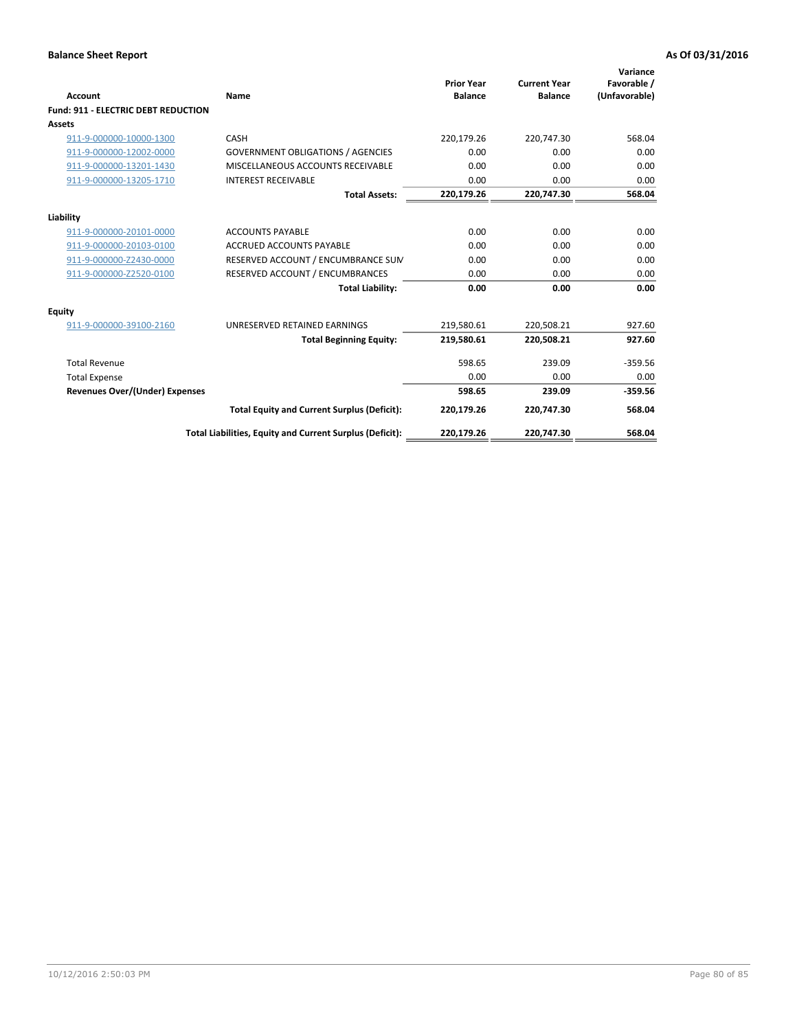| <b>Account</b>                             | Name                                                     | <b>Prior Year</b><br><b>Balance</b> | <b>Current Year</b><br><b>Balance</b> | Variance<br>Favorable /<br>(Unfavorable) |
|--------------------------------------------|----------------------------------------------------------|-------------------------------------|---------------------------------------|------------------------------------------|
| <b>Fund: 911 - ELECTRIC DEBT REDUCTION</b> |                                                          |                                     |                                       |                                          |
| Assets                                     |                                                          |                                     |                                       |                                          |
| 911-9-000000-10000-1300                    | CASH                                                     | 220,179.26                          | 220,747.30                            | 568.04                                   |
| 911-9-000000-12002-0000                    | <b>GOVERNMENT OBLIGATIONS / AGENCIES</b>                 | 0.00                                | 0.00                                  | 0.00                                     |
| 911-9-000000-13201-1430                    | MISCELLANEOUS ACCOUNTS RECEIVABLE                        | 0.00                                | 0.00                                  | 0.00                                     |
| 911-9-000000-13205-1710                    | <b>INTEREST RECEIVABLE</b>                               | 0.00                                | 0.00                                  | 0.00                                     |
|                                            | <b>Total Assets:</b>                                     | 220,179.26                          | 220,747.30                            | 568.04                                   |
| Liability                                  |                                                          |                                     |                                       |                                          |
| 911-9-000000-20101-0000                    | <b>ACCOUNTS PAYABLE</b>                                  | 0.00                                | 0.00                                  | 0.00                                     |
| 911-9-000000-20103-0100                    | <b>ACCRUED ACCOUNTS PAYABLE</b>                          | 0.00                                | 0.00                                  | 0.00                                     |
| 911-9-000000-Z2430-0000                    | RESERVED ACCOUNT / ENCUMBRANCE SUM                       | 0.00                                | 0.00                                  | 0.00                                     |
| 911-9-000000-Z2520-0100                    | RESERVED ACCOUNT / ENCUMBRANCES                          | 0.00                                | 0.00                                  | 0.00                                     |
|                                            | <b>Total Liability:</b>                                  | 0.00                                | 0.00                                  | 0.00                                     |
| <b>Equity</b>                              |                                                          |                                     |                                       |                                          |
| 911-9-000000-39100-2160                    | UNRESERVED RETAINED EARNINGS                             | 219,580.61                          | 220,508.21                            | 927.60                                   |
|                                            | <b>Total Beginning Equity:</b>                           | 219.580.61                          | 220.508.21                            | 927.60                                   |
| <b>Total Revenue</b>                       |                                                          | 598.65                              | 239.09                                | $-359.56$                                |
| <b>Total Expense</b>                       |                                                          | 0.00                                | 0.00                                  | 0.00                                     |
| <b>Revenues Over/(Under) Expenses</b>      |                                                          | 598.65                              | 239.09                                | $-359.56$                                |
|                                            | <b>Total Equity and Current Surplus (Deficit):</b>       | 220,179.26                          | 220.747.30                            | 568.04                                   |
|                                            | Total Liabilities, Equity and Current Surplus (Deficit): | 220,179.26                          | 220,747.30                            | 568.04                                   |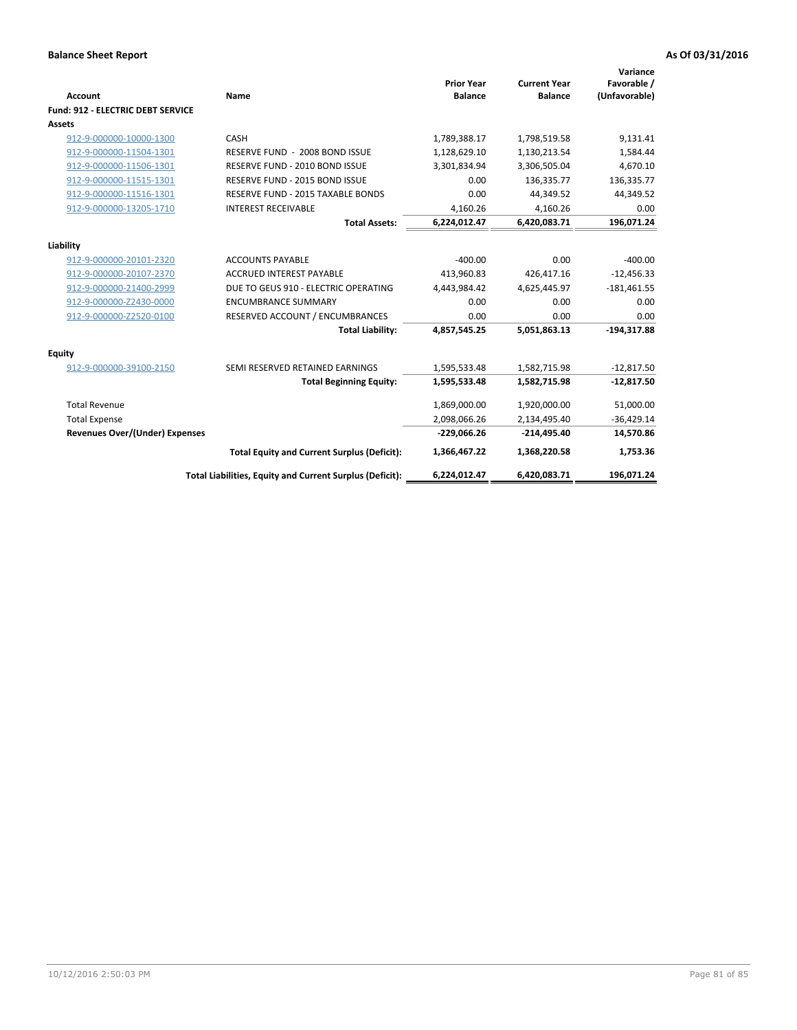| Account                                  | Name                                                     | <b>Prior Year</b><br><b>Balance</b> | <b>Current Year</b><br><b>Balance</b> | Variance<br>Favorable /<br>(Unfavorable) |
|------------------------------------------|----------------------------------------------------------|-------------------------------------|---------------------------------------|------------------------------------------|
| <b>Fund: 912 - ELECTRIC DEBT SERVICE</b> |                                                          |                                     |                                       |                                          |
| <b>Assets</b>                            |                                                          |                                     |                                       |                                          |
| 912-9-000000-10000-1300                  | CASH                                                     | 1,789,388.17                        | 1,798,519.58                          | 9,131.41                                 |
| 912-9-000000-11504-1301                  | RESERVE FUND - 2008 BOND ISSUE                           | 1,128,629.10                        | 1,130,213.54                          | 1,584.44                                 |
| 912-9-000000-11506-1301                  | RESERVE FUND - 2010 BOND ISSUE                           | 3,301,834.94                        | 3,306,505.04                          | 4,670.10                                 |
| 912-9-000000-11515-1301                  | RESERVE FUND - 2015 BOND ISSUE                           | 0.00                                | 136,335.77                            | 136,335.77                               |
| 912-9-000000-11516-1301                  | RESERVE FUND - 2015 TAXABLE BONDS                        | 0.00                                | 44,349.52                             | 44,349.52                                |
| 912-9-000000-13205-1710                  | <b>INTEREST RECEIVABLE</b>                               | 4,160.26                            | 4.160.26                              | 0.00                                     |
|                                          | <b>Total Assets:</b>                                     | 6,224,012.47                        | 6,420,083.71                          | 196,071.24                               |
| Liability                                |                                                          |                                     |                                       |                                          |
| 912-9-000000-20101-2320                  | <b>ACCOUNTS PAYABLE</b>                                  | $-400.00$                           | 0.00                                  | $-400.00$                                |
| 912-9-000000-20107-2370                  | <b>ACCRUED INTEREST PAYABLE</b>                          | 413,960.83                          | 426,417.16                            | $-12,456.33$                             |
| 912-9-000000-21400-2999                  | DUE TO GEUS 910 - ELECTRIC OPERATING                     | 4,443,984.42                        | 4,625,445.97                          | $-181,461.55$                            |
| 912-9-000000-Z2430-0000                  | <b>ENCUMBRANCE SUMMARY</b>                               | 0.00                                | 0.00                                  | 0.00                                     |
| 912-9-000000-Z2520-0100                  | RESERVED ACCOUNT / ENCUMBRANCES                          | 0.00                                | 0.00                                  | 0.00                                     |
|                                          | <b>Total Liability:</b>                                  | 4,857,545.25                        | 5,051,863.13                          | $-194,317.88$                            |
| Equity                                   |                                                          |                                     |                                       |                                          |
| 912-9-000000-39100-2150                  | SEMI RESERVED RETAINED EARNINGS                          | 1,595,533.48                        | 1,582,715.98                          | $-12,817.50$                             |
|                                          | <b>Total Beginning Equity:</b>                           | 1,595,533.48                        | 1,582,715.98                          | $-12,817.50$                             |
| <b>Total Revenue</b>                     |                                                          | 1,869,000.00                        | 1,920,000.00                          | 51,000.00                                |
| <b>Total Expense</b>                     |                                                          | 2,098,066.26                        | 2,134,495.40                          | $-36,429.14$                             |
| <b>Revenues Over/(Under) Expenses</b>    |                                                          | $-229,066.26$                       | $-214,495.40$                         | 14,570.86                                |
|                                          | <b>Total Equity and Current Surplus (Deficit):</b>       | 1,366,467.22                        | 1,368,220.58                          | 1,753.36                                 |
|                                          | Total Liabilities, Equity and Current Surplus (Deficit): | 6,224,012.47                        | 6,420,083.71                          | 196.071.24                               |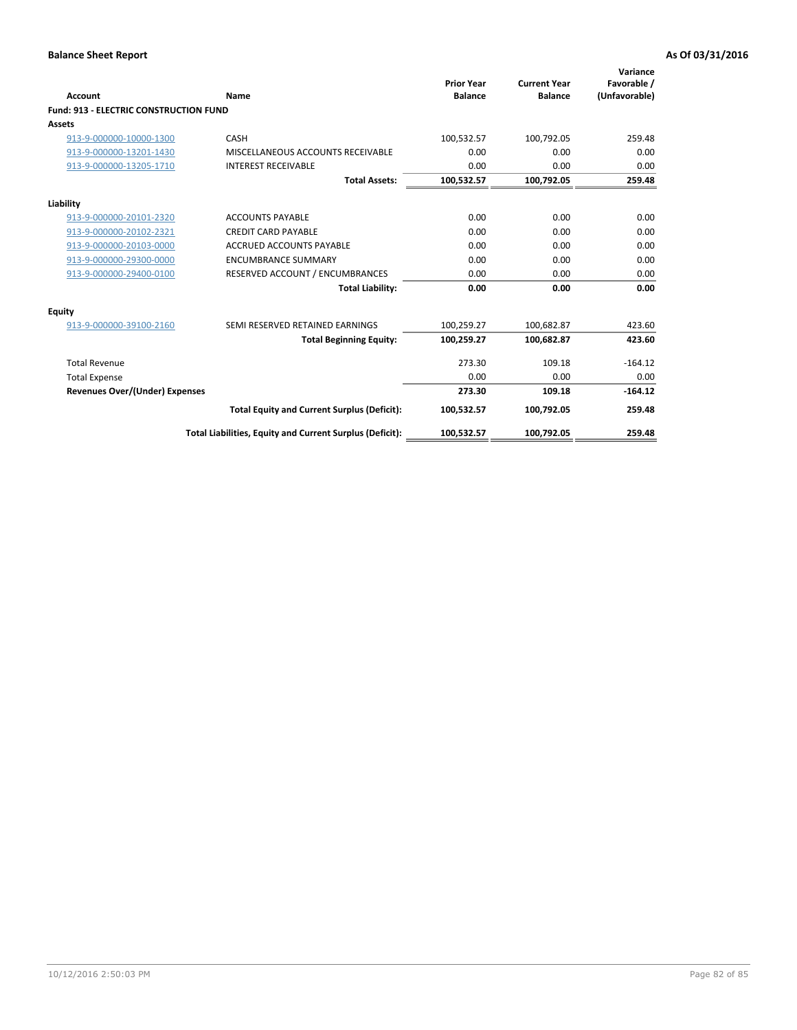| <b>Account</b>                                | Name                                                     | <b>Prior Year</b><br><b>Balance</b> | <b>Current Year</b><br><b>Balance</b> | Variance<br>Favorable /<br>(Unfavorable) |
|-----------------------------------------------|----------------------------------------------------------|-------------------------------------|---------------------------------------|------------------------------------------|
| <b>Fund: 913 - ELECTRIC CONSTRUCTION FUND</b> |                                                          |                                     |                                       |                                          |
| Assets                                        |                                                          |                                     |                                       |                                          |
| 913-9-000000-10000-1300                       | CASH                                                     | 100,532.57                          | 100,792.05                            | 259.48                                   |
| 913-9-000000-13201-1430                       | MISCELLANEOUS ACCOUNTS RECEIVABLE                        | 0.00                                | 0.00                                  | 0.00                                     |
| 913-9-000000-13205-1710                       | <b>INTEREST RECEIVABLE</b>                               | 0.00                                | 0.00                                  | 0.00                                     |
|                                               | <b>Total Assets:</b>                                     | 100,532.57                          | 100,792.05                            | 259.48                                   |
| Liability                                     |                                                          |                                     |                                       |                                          |
| 913-9-000000-20101-2320                       | <b>ACCOUNTS PAYABLE</b>                                  | 0.00                                | 0.00                                  | 0.00                                     |
| 913-9-000000-20102-2321                       | <b>CREDIT CARD PAYABLE</b>                               | 0.00                                | 0.00                                  | 0.00                                     |
| 913-9-000000-20103-0000                       | <b>ACCRUED ACCOUNTS PAYABLE</b>                          | 0.00                                | 0.00                                  | 0.00                                     |
| 913-9-000000-29300-0000                       | <b>ENCUMBRANCE SUMMARY</b>                               | 0.00                                | 0.00                                  | 0.00                                     |
| 913-9-000000-29400-0100                       | RESERVED ACCOUNT / ENCUMBRANCES                          | 0.00                                | 0.00                                  | 0.00                                     |
|                                               | <b>Total Liability:</b>                                  | 0.00                                | 0.00                                  | 0.00                                     |
| <b>Equity</b>                                 |                                                          |                                     |                                       |                                          |
| 913-9-000000-39100-2160                       | SEMI RESERVED RETAINED EARNINGS                          | 100,259.27                          | 100,682.87                            | 423.60                                   |
|                                               | <b>Total Beginning Equity:</b>                           | 100,259.27                          | 100,682.87                            | 423.60                                   |
| <b>Total Revenue</b>                          |                                                          | 273.30                              | 109.18                                | $-164.12$                                |
| <b>Total Expense</b>                          |                                                          | 0.00                                | 0.00                                  | 0.00                                     |
| <b>Revenues Over/(Under) Expenses</b>         |                                                          | 273.30                              | 109.18                                | $-164.12$                                |
|                                               | <b>Total Equity and Current Surplus (Deficit):</b>       | 100,532.57                          | 100,792.05                            | 259.48                                   |
|                                               | Total Liabilities, Equity and Current Surplus (Deficit): | 100,532.57                          | 100,792.05                            | 259.48                                   |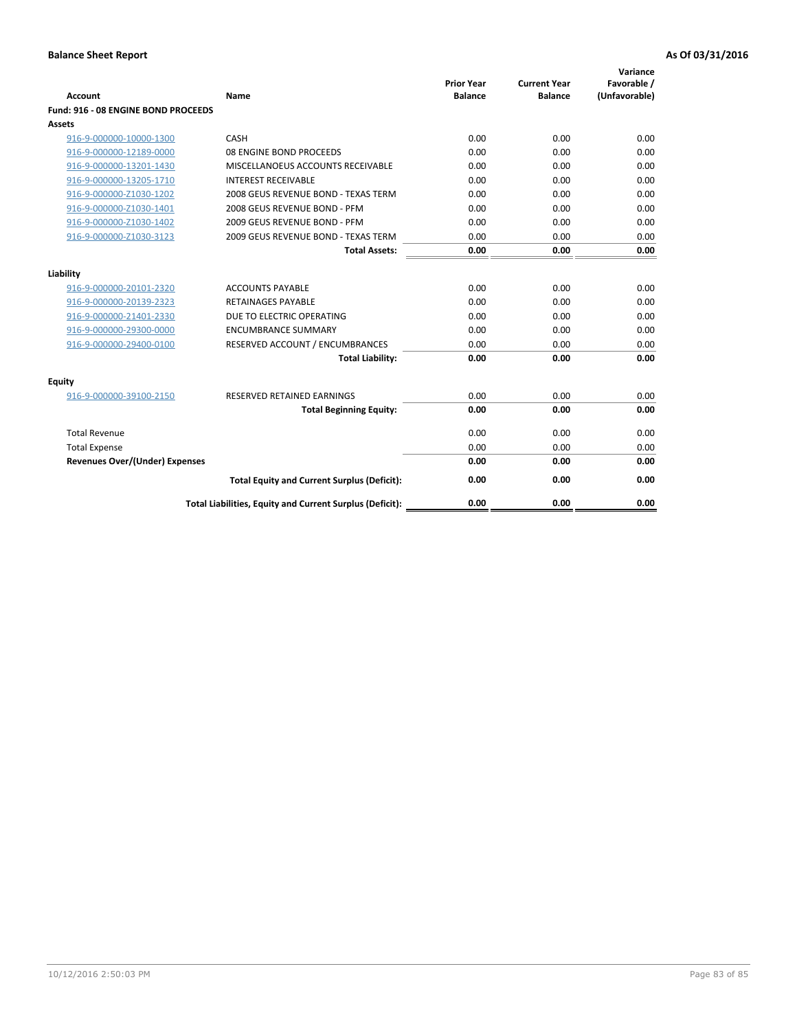| <b>Account</b>                        | Name                                                     | <b>Prior Year</b><br><b>Balance</b> | <b>Current Year</b><br><b>Balance</b> | Variance<br>Favorable /<br>(Unfavorable) |
|---------------------------------------|----------------------------------------------------------|-------------------------------------|---------------------------------------|------------------------------------------|
| Fund: 916 - 08 ENGINE BOND PROCEEDS   |                                                          |                                     |                                       |                                          |
| Assets                                |                                                          |                                     |                                       |                                          |
| 916-9-000000-10000-1300               | CASH                                                     | 0.00                                | 0.00                                  | 0.00                                     |
| 916-9-000000-12189-0000               | 08 ENGINE BOND PROCEEDS                                  | 0.00                                | 0.00                                  | 0.00                                     |
| 916-9-000000-13201-1430               | MISCELLANOEUS ACCOUNTS RECEIVABLE                        | 0.00                                | 0.00                                  | 0.00                                     |
| 916-9-000000-13205-1710               | <b>INTEREST RECEIVABLE</b>                               | 0.00                                | 0.00                                  | 0.00                                     |
| 916-9-000000-Z1030-1202               | 2008 GEUS REVENUE BOND - TEXAS TERM                      | 0.00                                | 0.00                                  | 0.00                                     |
| 916-9-000000-Z1030-1401               | 2008 GEUS REVENUE BOND - PFM                             | 0.00                                | 0.00                                  | 0.00                                     |
| 916-9-000000-Z1030-1402               | 2009 GEUS REVENUE BOND - PFM                             | 0.00                                | 0.00                                  | 0.00                                     |
| 916-9-000000-Z1030-3123               | 2009 GEUS REVENUE BOND - TEXAS TERM                      | 0.00                                | 0.00                                  | 0.00                                     |
|                                       | <b>Total Assets:</b>                                     | 0.00                                | 0.00                                  | 0.00                                     |
| Liability                             |                                                          |                                     |                                       |                                          |
| 916-9-000000-20101-2320               | <b>ACCOUNTS PAYABLE</b>                                  | 0.00                                | 0.00                                  | 0.00                                     |
| 916-9-000000-20139-2323               | <b>RETAINAGES PAYABLE</b>                                | 0.00                                | 0.00                                  | 0.00                                     |
| 916-9-000000-21401-2330               | DUE TO ELECTRIC OPERATING                                | 0.00                                | 0.00                                  | 0.00                                     |
| 916-9-000000-29300-0000               | <b>ENCUMBRANCE SUMMARY</b>                               | 0.00                                | 0.00                                  | 0.00                                     |
| 916-9-000000-29400-0100               | RESERVED ACCOUNT / ENCUMBRANCES                          | 0.00                                | 0.00                                  | 0.00                                     |
|                                       | <b>Total Liability:</b>                                  | 0.00                                | 0.00                                  | 0.00                                     |
|                                       |                                                          |                                     |                                       |                                          |
| Equity                                |                                                          |                                     |                                       |                                          |
| 916-9-000000-39100-2150               | <b>RESERVED RETAINED EARNINGS</b>                        | 0.00                                | 0.00                                  | 0.00                                     |
|                                       | <b>Total Beginning Equity:</b>                           | 0.00                                | 0.00                                  | 0.00                                     |
| <b>Total Revenue</b>                  |                                                          | 0.00                                | 0.00                                  | 0.00                                     |
| <b>Total Expense</b>                  |                                                          | 0.00                                | 0.00                                  | 0.00                                     |
| <b>Revenues Over/(Under) Expenses</b> |                                                          | 0.00                                | 0.00                                  | 0.00                                     |
|                                       | <b>Total Equity and Current Surplus (Deficit):</b>       | 0.00                                | 0.00                                  | 0.00                                     |
|                                       | Total Liabilities, Equity and Current Surplus (Deficit): | 0.00                                | 0.00                                  | 0.00                                     |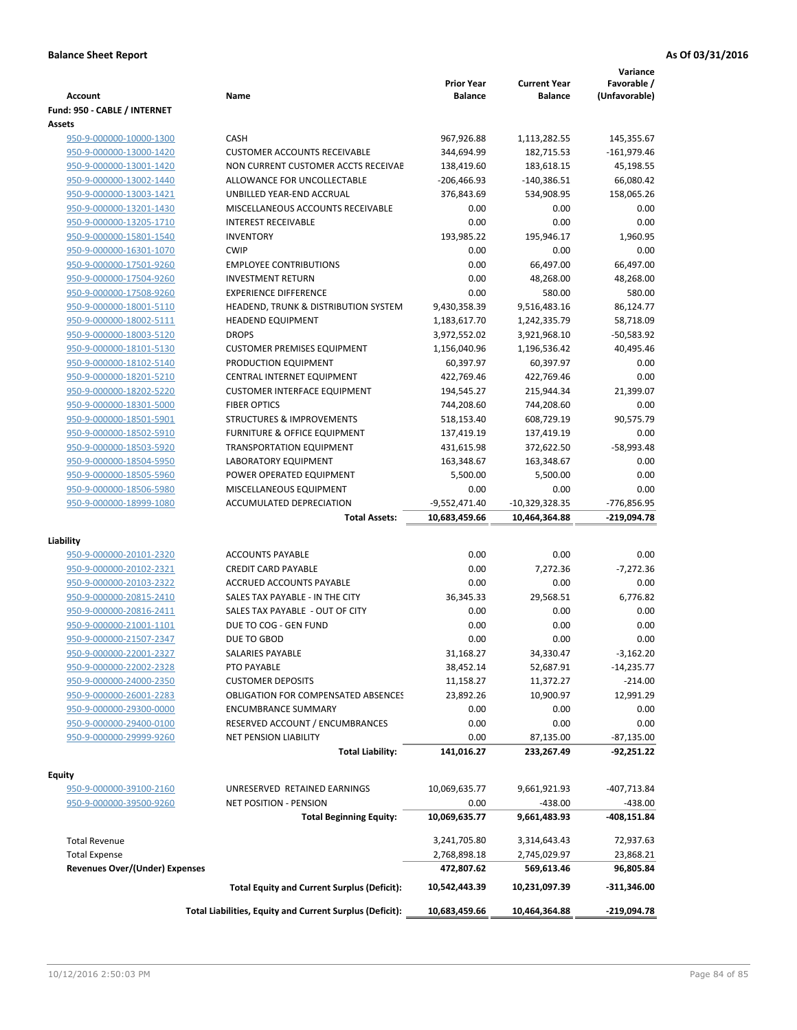| <b>Account</b>                        | Name                                                     | <b>Prior Year</b><br><b>Balance</b> | <b>Current Year</b><br><b>Balance</b> | Variance<br>Favorable /<br>(Unfavorable) |
|---------------------------------------|----------------------------------------------------------|-------------------------------------|---------------------------------------|------------------------------------------|
| Fund: 950 - CABLE / INTERNET          |                                                          |                                     |                                       |                                          |
| Assets                                |                                                          |                                     |                                       |                                          |
| 950-9-000000-10000-1300               | CASH                                                     | 967,926.88                          | 1,113,282.55                          | 145,355.67                               |
| 950-9-000000-13000-1420               | <b>CUSTOMER ACCOUNTS RECEIVABLE</b>                      | 344,694.99                          | 182,715.53                            | $-161,979.46$                            |
| 950-9-000000-13001-1420               | NON CURRENT CUSTOMER ACCTS RECEIVAE                      | 138,419.60                          | 183,618.15                            | 45,198.55                                |
| 950-9-000000-13002-1440               | ALLOWANCE FOR UNCOLLECTABLE                              | $-206,466.93$                       | $-140,386.51$                         | 66,080.42                                |
| 950-9-000000-13003-1421               | UNBILLED YEAR-END ACCRUAL                                | 376,843.69                          | 534,908.95                            | 158,065.26                               |
| 950-9-000000-13201-1430               | MISCELLANEOUS ACCOUNTS RECEIVABLE                        | 0.00                                | 0.00                                  | 0.00                                     |
| 950-9-000000-13205-1710               | <b>INTEREST RECEIVABLE</b>                               | 0.00                                | 0.00                                  | 0.00                                     |
| 950-9-000000-15801-1540               | <b>INVENTORY</b>                                         | 193,985.22                          | 195,946.17                            | 1,960.95                                 |
| 950-9-000000-16301-1070               | <b>CWIP</b>                                              | 0.00                                | 0.00                                  | 0.00                                     |
| 950-9-000000-17501-9260               | <b>EMPLOYEE CONTRIBUTIONS</b>                            | 0.00                                | 66,497.00                             | 66,497.00                                |
| 950-9-000000-17504-9260               | <b>INVESTMENT RETURN</b>                                 | 0.00                                | 48,268.00                             | 48,268.00                                |
| 950-9-000000-17508-9260               | <b>EXPERIENCE DIFFERENCE</b>                             | 0.00                                | 580.00                                | 580.00                                   |
| 950-9-000000-18001-5110               | HEADEND, TRUNK & DISTRIBUTION SYSTEM                     | 9,430,358.39                        | 9,516,483.16                          | 86,124.77                                |
| 950-9-000000-18002-5111               | <b>HEADEND EQUIPMENT</b>                                 | 1,183,617.70                        | 1,242,335.79                          | 58,718.09                                |
| 950-9-000000-18003-5120               | <b>DROPS</b>                                             | 3,972,552.02                        | 3,921,968.10                          | -50,583.92                               |
| 950-9-000000-18101-5130               | <b>CUSTOMER PREMISES EQUIPMENT</b>                       | 1,156,040.96                        | 1,196,536.42                          | 40,495.46                                |
| 950-9-000000-18102-5140               | PRODUCTION EQUIPMENT                                     | 60,397.97                           | 60,397.97                             | 0.00                                     |
| 950-9-000000-18201-5210               | CENTRAL INTERNET EQUIPMENT                               | 422,769.46                          | 422,769.46                            | 0.00                                     |
| 950-9-000000-18202-5220               | <b>CUSTOMER INTERFACE EQUIPMENT</b>                      | 194,545.27                          | 215,944.34                            | 21,399.07                                |
| 950-9-000000-18301-5000               | <b>FIBER OPTICS</b>                                      | 744,208.60                          | 744,208.60                            | 0.00                                     |
| 950-9-000000-18501-5901               | <b>STRUCTURES &amp; IMPROVEMENTS</b>                     | 518,153.40                          | 608,729.19                            | 90,575.79                                |
| 950-9-000000-18502-5910               | <b>FURNITURE &amp; OFFICE EQUIPMENT</b>                  | 137,419.19                          | 137,419.19                            | 0.00                                     |
| 950-9-000000-18503-5920               | <b>TRANSPORTATION EQUIPMENT</b>                          | 431,615.98                          | 372,622.50                            | $-58,993.48$                             |
| 950-9-000000-18504-5950               | LABORATORY EQUIPMENT                                     | 163,348.67                          | 163,348.67                            | 0.00                                     |
| 950-9-000000-18505-5960               | POWER OPERATED EQUIPMENT                                 | 5,500.00                            | 5,500.00                              | 0.00                                     |
| 950-9-000000-18506-5980               | MISCELLANEOUS EQUIPMENT                                  | 0.00                                | 0.00                                  | 0.00                                     |
| 950-9-000000-18999-1080               | ACCUMULATED DEPRECIATION<br><b>Total Assets:</b>         | $-9,552,471.40$<br>10,683,459.66    | $-10,329,328.35$<br>10,464,364.88     | -776,856.95<br>-219,094.78               |
|                                       |                                                          |                                     |                                       |                                          |
| Liability                             |                                                          |                                     |                                       |                                          |
| 950-9-000000-20101-2320               | <b>ACCOUNTS PAYABLE</b>                                  | 0.00                                | 0.00                                  | 0.00                                     |
| 950-9-000000-20102-2321               | <b>CREDIT CARD PAYABLE</b>                               | 0.00                                | 7,272.36                              | $-7,272.36$                              |
| 950-9-000000-20103-2322               | ACCRUED ACCOUNTS PAYABLE                                 | 0.00                                | 0.00                                  | 0.00                                     |
| 950-9-000000-20815-2410               | SALES TAX PAYABLE - IN THE CITY                          | 36,345.33                           | 29,568.51                             | 6,776.82                                 |
| 950-9-000000-20816-2411               | SALES TAX PAYABLE - OUT OF CITY                          | 0.00                                | 0.00                                  | 0.00                                     |
| 950-9-000000-21001-1101               | DUE TO COG - GEN FUND                                    | 0.00                                | 0.00                                  | 0.00                                     |
| 950-9-000000-21507-2347               | DUE TO GBOD                                              | 0.00                                | 0.00                                  | 0.00                                     |
| 950-9-000000-22001-2327               | SALARIES PAYABLE                                         | 31,168.27                           | 34,330.47                             | $-3,162.20$                              |
| 950-9-000000-22002-2328               | PTO PAYABLE                                              | 38,452.14                           | 52,687.91                             | $-14,235.77$                             |
| 950-9-000000-24000-2350               | <b>CUSTOMER DEPOSITS</b>                                 | 11,158.27                           | 11,372.27                             | $-214.00$                                |
| 950-9-000000-26001-2283               | <b>OBLIGATION FOR COMPENSATED ABSENCES</b>               | 23,892.26                           | 10,900.97                             | 12,991.29                                |
| 950-9-000000-29300-0000               | <b>ENCUMBRANCE SUMMARY</b>                               | 0.00                                | 0.00                                  | 0.00                                     |
| 950-9-000000-29400-0100               | RESERVED ACCOUNT / ENCUMBRANCES                          | 0.00                                | 0.00                                  | 0.00                                     |
| 950-9-000000-29999-9260               | <b>NET PENSION LIABILITY</b>                             | 0.00                                | 87,135.00                             | $-87,135.00$                             |
|                                       | <b>Total Liability:</b>                                  | 141,016.27                          | 233,267.49                            | -92,251.22                               |
| Equity                                |                                                          |                                     |                                       |                                          |
| 950-9-000000-39100-2160               | UNRESERVED RETAINED EARNINGS                             | 10,069,635.77                       | 9,661,921.93                          | -407,713.84                              |
| 950-9-000000-39500-9260               | NET POSITION - PENSION                                   | 0.00                                | $-438.00$                             | $-438.00$                                |
|                                       | <b>Total Beginning Equity:</b>                           | 10,069,635.77                       | 9,661,483.93                          | -408,151.84                              |
|                                       |                                                          |                                     |                                       |                                          |
| <b>Total Revenue</b>                  |                                                          | 3,241,705.80                        | 3,314,643.43                          | 72,937.63                                |
| <b>Total Expense</b>                  |                                                          | 2,768,898.18                        | 2,745,029.97                          | 23,868.21                                |
| <b>Revenues Over/(Under) Expenses</b> |                                                          | 472,807.62                          | 569,613.46                            | 96,805.84                                |
|                                       | <b>Total Equity and Current Surplus (Deficit):</b>       | 10,542,443.39                       | 10,231,097.39                         | -311,346.00                              |
|                                       | Total Liabilities, Equity and Current Surplus (Deficit): | 10,683,459.66                       | 10,464,364.88                         | -219,094.78                              |